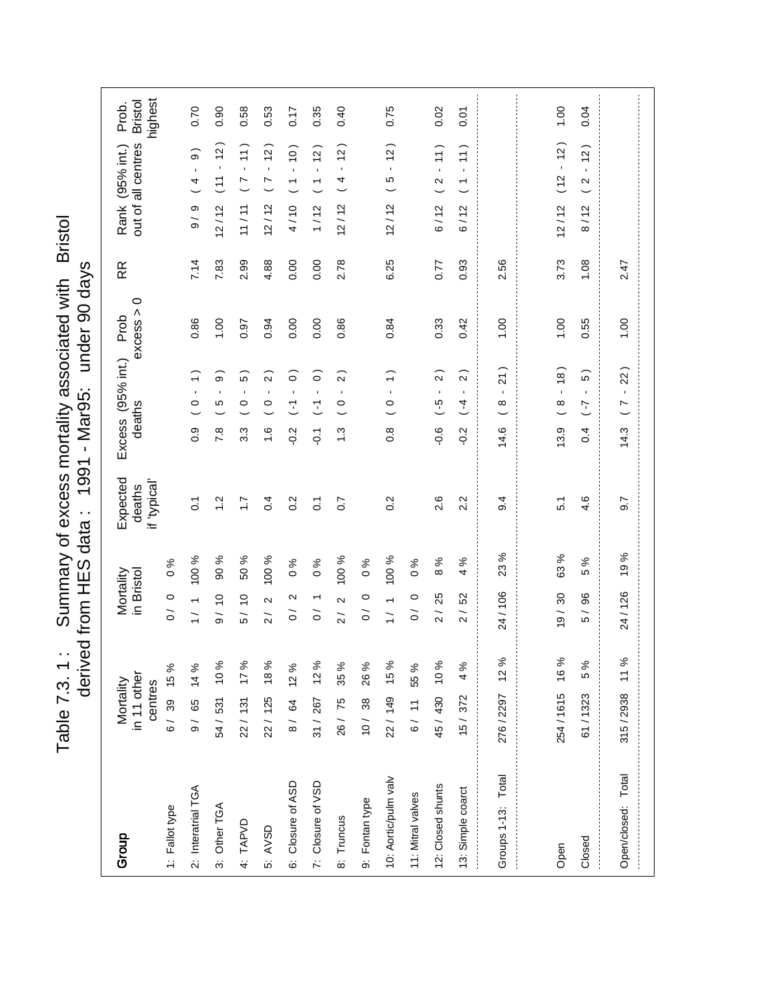Table 7.3. 1: Summary of excess mortality associated with Bristol<br>derived from HES data: 1991 - Mar95: under 90 days Table 7.3. 1 : Summary of excess mortality associated with Bristol derived from HES data : 1991 - 1992 - 1992 - Margo 90 days

| Group                                | in 11 other<br>Mortality<br>centres |      | Mortality<br>in Bristol                                                |                     | Expected<br>"If 'typical<br>deaths |                  | $Excess$ (95% int.)<br>deaths                    | $\circ$<br>excess ><br>Prob | RR   | out of all centres<br>Rank (95% int.)                               | highest<br><b>Bristol</b><br>Prob. |
|--------------------------------------|-------------------------------------|------|------------------------------------------------------------------------|---------------------|------------------------------------|------------------|--------------------------------------------------|-----------------------------|------|---------------------------------------------------------------------|------------------------------------|
| 2: Interatrial TGA<br>1: Fallot type | 6/ 39 15%<br>9/ 65 14 %             |      | $\circ$<br>$\overline{\phantom{0}}$<br>$\overline{O}$<br>$\frac{1}{2}$ | 100 %<br>$\delta$ % | $\overline{c}$                     | $\overline{0}$ . | $\mathbf{I}$<br>0                                | 0.86                        | 7.14 | $\widehat{\circ}$<br>$\blacksquare$<br>4<br>თ<br>$\frac{1}{\sigma}$ | 0.70                               |
| 3: Other TGA                         | 54 / 531 10 %                       |      | 9/10                                                                   | 90 %                | $\ddot{ }$                         | 7.8              | $\widehat{\circ}$<br>$\blacksquare$<br>Ю         | 00.1                        | 7.83 | $\frac{1}{2}$<br>$\blacksquare$<br>$\overline{11}$<br>12/12         | 0.90                               |
| 4: TAPVD                             | 22/ 131 17%                         |      | $\overline{c}$<br>5 /                                                  | 50 %                | $\ddot{ }$                         | 3.3              | $\widehat{5}$<br>$\mathbf{I}$<br>$\circ$         | 0.97                        | 2.99 | 11)<br>$\mathbf{r}$<br>$\overline{C}$<br>11/11                      | 0.58                               |
| 5: AVSD                              | 22/ 125 18%                         |      | $\sim$<br>$\overline{2}$                                               | 100 %               | 0.4                                | $\frac{6}{1}$    | $\alpha$<br>$\mathbf{I}$<br>$\circ$              | 0.94                        | 4.88 | (2)<br>$\mathbf{r}$<br>$\overline{C}$<br>12/12                      | 0.53                               |
| 6: Closure of ASD                    | 8/ 64 12%                           |      | $\mathbf{\Omega}$<br>$\overline{O}$                                    | ಸಿ<br>$\circ$       | 0.2                                | $-0.2$           | $\widehat{\circ}$<br>$\mathbf{I}$<br>Τ           | 0.00                        | 0.00 | $(01 -$<br>$\overline{\phantom{a}}$<br>4/10                         | 0.17                               |
| 7: Closure of VSD                    | $31 / 267$ 12%                      |      | $\overline{ }$<br>$\tilde{0}$                                          | $\%$<br>$\circ$     | $\overline{0}$                     | $\overline{Q}$ : | $\widehat{\circ}$<br>$\overline{\cdot}$          | 0.00                        | 0.00 | $\tilde{c}$<br>$\mathbf{r}$<br>$\overline{\phantom{0}}$<br>1/12     | 0.35                               |
| 8: Truncus                           | 26/75                               | 35%  | $\sim$<br>$\frac{1}{2}$                                                | 100 %               | $\overline{0.7}$                   | $\ddot{.}$       | $\widehat{2}$<br>$\mathbf{I}$<br>$\circ$         | 0.86                        | 2.78 | 12)<br>$\mathbf{r}$<br>4<br>12/12                                   | 0.40                               |
| 9: Fontan type                       | 10/ 38 26 %                         |      | $\circ$<br>$\overline{O}$                                              | న<br>$\circ$        |                                    |                  |                                                  |                             |      |                                                                     |                                    |
| 10: Aortic/pulm valv                 | 22/ 149 15%                         |      | $\overline{ }$<br>$\frac{1}{1}$                                        | 100 %               | $0.\overline{2}$                   | $\frac{8}{2}$    | $\widehat{\cdot}$<br>$\mathbf{r}$<br>0           | 0.84                        | 6.25 | (2)<br>$\mathbf{r}$<br>LO<br>12/12                                  | 0.75                               |
| 11: Mitral valves                    | 6/ 11 55%                           |      | $\circ$<br>$\gtrsim$                                                   | ℅<br>$\circ$        |                                    |                  |                                                  |                             |      |                                                                     |                                    |
| 12: Closed shunts                    | 45/430 10%                          |      | 25<br>$\overline{2}$                                                   | $\%$<br>$\infty$    | 2.6                                | $-0.6$           | $\widehat{2}$<br>$\blacksquare$<br>$\frac{6}{1}$ | 0.33                        | 0.77 | 11)<br>$\sim$<br>6/12                                               | 0.02                               |
| 13: Simple coarct                    | 15/372                              | 4 %  | 52<br>$\overline{2}$                                                   | వ్<br>4             | 2.2                                | $-0.2$           | $\sim$<br>$\mathbf{r}$<br>$(-4)$                 | 0.42                        | 0.93 | 11)<br>$\mathbf{r}$<br>$\overline{ }$<br>6/12                       | 0.07                               |
| Groups 1-13: Total                   | 276/2297                            | 12 % | 24/106                                                                 | 23%                 | 9.4                                | 14.6             | 21)<br>$\blacksquare$<br>${}^{\circ}$            | 00.1                        | 2.56 |                                                                     |                                    |
|                                      |                                     |      |                                                                        |                     |                                    |                  |                                                  |                             |      |                                                                     |                                    |
| Open                                 | 254/1615 16%                        |      | 30<br>$\frac{19}{2}$                                                   | 63%                 | 5.1                                | 13.9             | (8)<br>$\mathbf{r}$<br>$\infty$                  | 00.1                        | 3.73 | $(12 - 12)$<br>12/12                                                | 00.1                               |
| Closed                               | 61/1323                             | 5 %  | 96<br>$\overline{5}$                                                   | ℅<br>5              | 4.6                                | 0.4              | 5)<br>$\blacksquare$<br>7                        | 0.55                        | 1.08 | (2)<br>$\mathbf{r}$<br>$\mathbf{\Omega}$<br>8/12                    | 0.04                               |
| Open/closed: Total                   | 315/2938 11%                        |      | 24 / 126                                                               | 19%                 | 9.7                                | 14.3             | 22)<br>$\mathbf{r}$<br>r                         | 00.1                        | 2.47 |                                                                     |                                    |
|                                      |                                     |      |                                                                        |                     |                                    |                  |                                                  |                             |      |                                                                     |                                    |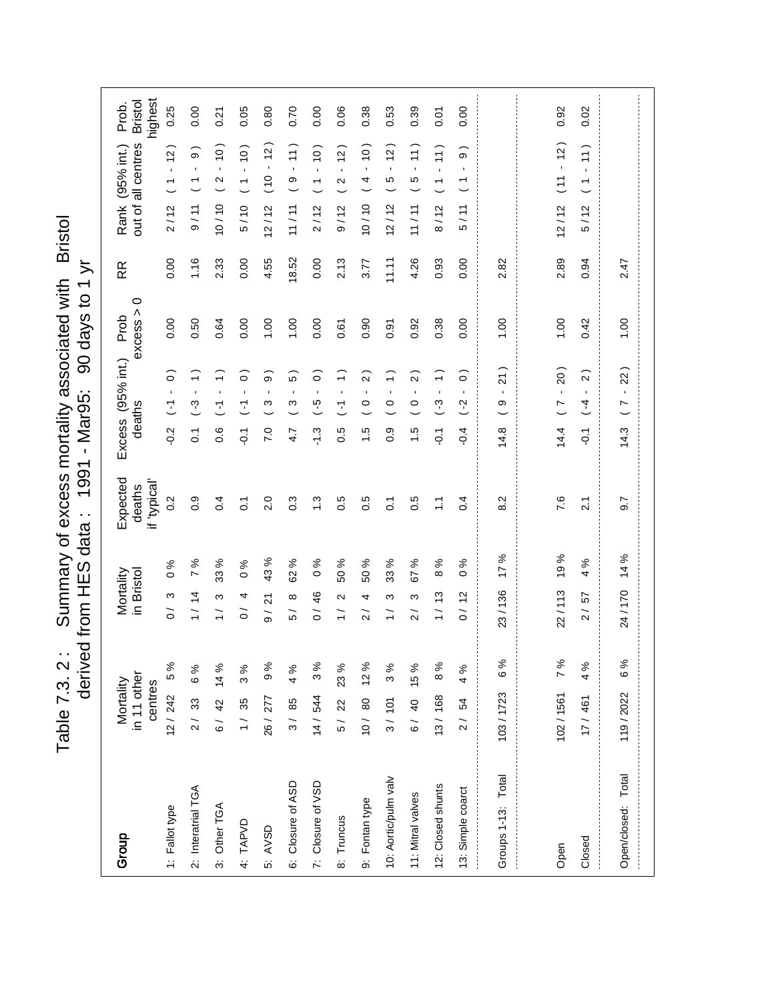Table 7.3. 2 : Summary of excess mortality associated with Bristol Table 7.3. 2: Summary of excess mortality associated with Bristol<br>derived from HES data: 1991 - Mar95: 90 days to 1 yr derived from HES data : 1997 - Teren Sult Heori payabo

| Group                | in 11 other<br>Mortality<br>centres |           | Mortality<br>in Bristol                   | Expected<br>if 'typical'<br>deaths | Excess (95% int.)<br>deaths                                     | $\circ$<br>excess ><br>Prob | RR    | highest<br><b>Bristol</b><br>Prob.<br>out of all centres<br>Rank (95% int.) |  |
|----------------------|-------------------------------------|-----------|-------------------------------------------|------------------------------------|-----------------------------------------------------------------|-----------------------------|-------|-----------------------------------------------------------------------------|--|
| 1: Fallot type       | 12/242                              | 5%        | $\frac{6}{6}$<br>ო<br>$\overline{O}$      | 0.2                                | $\widehat{\circ}$<br>$\blacksquare$<br>E<br>$-0.2$              | 0.00                        | 0.00  | 0.25<br>$\frac{1}{2}$<br>$\mathbf{r}$<br>$\overline{\phantom{0}}$<br>2/12   |  |
| 2: Interatrial TGA   | 2/33                                | 6 %       | $\overline{ }$<br>1/14                    | 0.9<br>%                           | ╤<br>$\mathbf{r}$<br>က္<br>$\overline{O}$                       | 0.50                        | 1.16  | 0.00<br>$\infty$<br>$\mathbf{I}$<br>9/11                                    |  |
| 3: Other TGA         | 6/ 42 14 %                          |           | 33<br>S<br>$\frac{1}{1}$                  | 0.4<br>%                           | $\widehat{\cdot}$<br>$\mathbf{r}$<br>こ<br>0.6                   | 0.64                        | 2.33  | 0.21<br>$\frac{1}{2}$<br>$\mathbf{r}$<br>$\mathbf{\Omega}$<br>10/10         |  |
| 4: TAPVD             | 1/35                                | 3%        | $\circ$<br>4<br>$\tilde{\circ}$           | $\overline{c}$<br>%                | ြ<br>$\blacksquare$<br>Σ<br>$\overline{Q}$                      | 0.00                        | 0.00  | 0.05<br>(0)<br>$\mathbf{r}$<br>$\overline{ }$<br>5/10                       |  |
| 5: AVSD              | 26/277                              | 9%        | $\frac{4}{3}$<br>24<br>$\frac{1}{\sigma}$ | 2.0<br>ళ                           | ္စြ<br>$\blacksquare$<br>ო<br>7.0                               | 1.00                        | 4.55  | 0.80<br>$\frac{1}{2}$<br>$\mathbf{r}$<br>$\frac{0}{10}$<br>12/12            |  |
| 6: Closure of ASD    | $3/85$                              | 4%        | 8<br>∞<br>5 /                             | $0.\overline{3}$<br>%              | Ю<br>$\blacksquare$<br>ო<br>4.7                                 | 1.00                        | 18.52 | 0.70<br>$\left(1\right)$<br>$\mathbf{r}$<br>$\circ$<br>11/11                |  |
| 7: Closure of VSD    | 14/544                              | 3%        | $\circ$<br>46<br>$\frac{1}{\sqrt{2}}$     | $\ddot{.}$<br>న్                   | $\widehat{\circ}$<br>$\blacksquare$<br>$\frac{6}{7}$<br>$-1.3$  | 0.00                        | 0.00  | 0.00<br>(0)<br>$\mathbf{I}$<br>$\overline{\phantom{0}}$<br>2/12             |  |
| 8: Truncus           | 5/ 22                               | 23%       | 50<br>$\mathbf{\Omega}$<br>$\overline{1}$ | 0.5<br>℅                           | ╤<br>$\blacksquare$<br>7<br>ro<br>ö                             | 0.61                        | 2.13  | 0.06<br>(2)<br>$\blacksquare$<br>$\boldsymbol{\sim}$<br>9/12                |  |
| 9: Fontan type       | 10/80 12%                           |           | SO.<br>4<br>$\overline{2}$                | 0.5<br>℅                           | $\alpha$<br>$\blacksquare$<br>$\frac{0}{1}$<br>$\frac{1}{1}$    | 0.90                        | 3.77  | 0.38<br>(0)<br>$\mathbf{r}$<br>4<br>10/10                                   |  |
| 10: Aortic/pulm valv | 3/101                               | 3%        | 33<br>ς<br>$\overline{\phantom{0}}$       | $\overline{C}$<br>వ్               | ╤<br>$\blacksquare$<br>$\circ$<br>0.9                           | 0.91                        | 11.11 | 0.53<br>$\tilde{c}$<br>$\blacksquare$<br>5<br>12/12                         |  |
| 11: Mitral valves    |                                     | 6/ 40 15% | 55<br>ო<br>$\sim$                         | 0.5<br>$\%$                        | $\mathbf{\Omega}$<br>$\blacksquare$<br>$\circ$<br>$\frac{1}{1}$ | 0.92                        | 4.26  | 0.39<br>$\left(1\right)$<br>$\blacksquare$<br>Ю<br>11/11                    |  |
| 12: Closed shunts    | 13/168                              | 8%        | $\infty$<br>1/13                          | Ξ<br>వి                            | $\widehat{\cdot}$<br>$\blacksquare$<br>$\binom{3}{2}$<br>č      | 0.38                        | 0.93  | 0.07<br>$\left(1\right)$<br>$\mathbf{r}$<br>$\overline{ }$<br>8/12          |  |
| 13: Simple coarct    | 2/54                                | 4%        | $\circ$<br>0/12                           | 0.4<br>ళ                           | $\circ$<br>$\mathbf{r}$<br>$\widetilde{S}$<br>$-0.4$            | 0.00                        | 0.00  | 0.00<br>σ<br>$\mathbf{r}$<br>$\overline{ }$<br>5/11                         |  |
| Groups 1-13: Total   | 103/1723                            | 6%        | 17%<br>23/136                             | 8.2                                | $\frac{21}{2}$<br>$\blacksquare$<br>თ<br>14.8                   | 00.1                        | 2.82  |                                                                             |  |
|                      |                                     |           |                                           |                                    |                                                                 |                             |       |                                                                             |  |
| Open                 | 102/1561                            | 7%        | 19%<br>22/113                             | 7.6                                | 20)<br>$\mathbf{r}$<br>$\overline{a}$<br>14.4                   | 1.00                        | 2.89  | 0.92<br>$-12$<br>$\overline{11}$<br>12/12                                   |  |
| Closed               | 17/461                              | 4 %       | 4<br>57<br>$\frac{1}{2}$                  | $\tilde{2}$<br>ৡ                   | $\overline{2}$<br>$(-4)$<br>$\overline{Q}$                      | 0.42                        | 0.94  | 0.02<br>11)<br>$\mathbf{r}$<br>$\overline{\phantom{0}}$<br>5/12             |  |
| Open/closed: Total   | 119/2022                            | 6%        | 14 %<br>24/170                            | 9.7                                | 22<br>$\mathbf{r}$<br>r<br>14.3                                 | 00.1                        | 2.47  |                                                                             |  |
|                      |                                     |           |                                           |                                    |                                                                 |                             |       |                                                                             |  |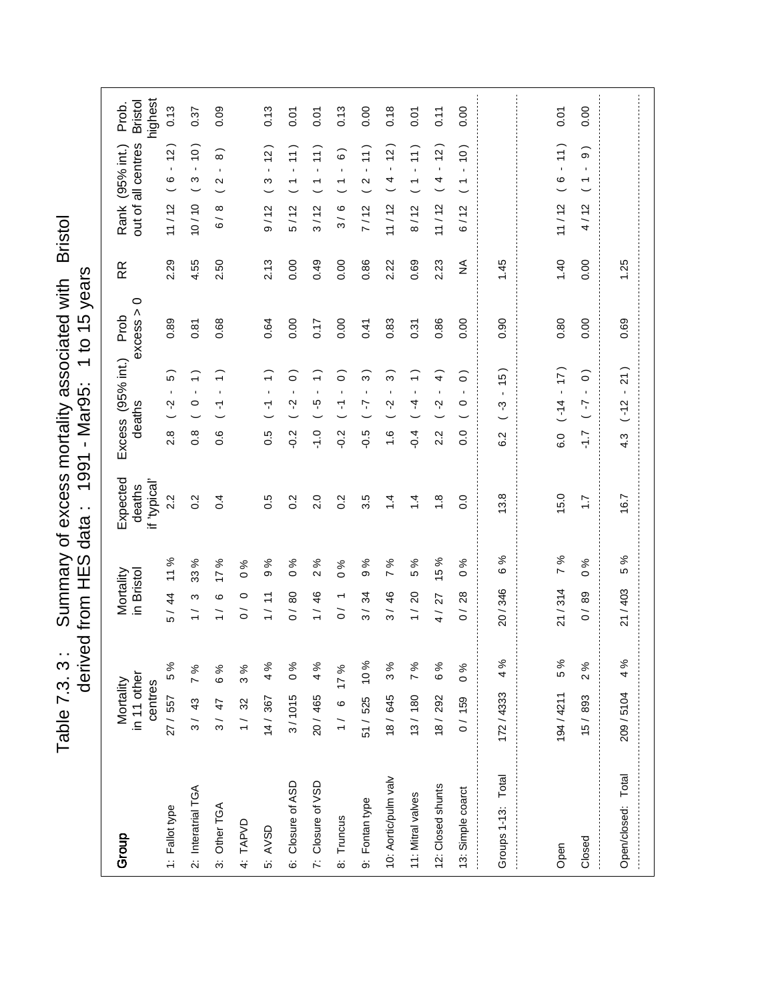Table 7.3. 3: Summary of excess mortality associated with Bristol<br>derived from HES data: 1991 - Mar95: 1 to 15 years Table 7.3. 3 : Summary of excess mortality associated with Bristol derived from HES data : 1991 - Mar95: 1 to 15 years

| Group                | in 11 other<br>Mortality<br>centres |                | Mortality<br>in Bristol                    |                        | Expected<br>"Ispical"<br>deaths | Excess (95% int.)<br>deaths                                     | $\circ$<br>excess ><br>Prob | RR   | out of all centres<br>Rank (95% int.)                                  | highest<br><b>Bristol</b><br>Prob. |
|----------------------|-------------------------------------|----------------|--------------------------------------------|------------------------|---------------------------------|-----------------------------------------------------------------|-----------------------------|------|------------------------------------------------------------------------|------------------------------------|
| 1: Fallot type       | 27 / 557                            | 5%             | 5/44                                       | 11 %                   | 2.2                             | $\overline{5}$<br>$\blacksquare$<br>Ņ<br>2.8                    | 0.89                        | 2.29 | $\frac{1}{2}$<br>$\mathbf{r}$<br>$\mathbf \Omega$<br>11/12             | 0.13                               |
| 2: Interatrial TGA   | 3/43                                | 7 %            | ς<br>$\frac{1}{1}$                         | ৡ<br>33                | 0.2                             | $\widehat{\cdot}$<br>$\blacksquare$<br>$\circ$<br>$\frac{8}{2}$ | 0.81                        | 4.55 | $\frac{1}{2}$<br>$\blacksquare$<br>S<br>10/10                          | 0.37                               |
| 3: Other TGA         | 3/47                                | 6%             | ဖ<br>$\frac{1}{1}$                         | %<br>$\overline{1}$    | 0.4                             | $\widehat{\cdot}$<br>$\blacksquare$<br>7<br>0.6                 | 0.68                        | 2.50 | $\widehat{8}$<br>$\blacksquare$<br>$\mathbf{\Omega}$<br>∞<br>$\delta$  | 0.09                               |
| 4: TAPVD             | 1/32                                | 3%             | $\circ$<br>$\tilde{\circ}$                 | ℅<br>$\circ$           |                                 |                                                                 |                             |      |                                                                        |                                    |
| 5: AVSD              | 14/367                              | 4%             | Ξ<br>$\frac{1}{1}$                         | వ్<br>တ                | 0.5                             | ᡪ<br>0.5                                                        | 0.64                        | 2.13 | $\frac{1}{2}$<br>ო<br>9/12                                             | 0.13                               |
| 6: Closure of ASD    | 3/1015                              | $\frac{96}{6}$ | 0/80                                       | %<br>$\circ$           | 0.2                             | $\widehat{\circ}$<br>$\mathbf{r}$<br>Ņ<br>$-0.2$                | 0.00                        | 0.00 | $\left(1\right)$<br>$\blacksquare$<br>$\overline{ }$<br>5/12           | 0.07                               |
| 7: Closure of VSD    | 20/465                              | 4%             | 1/46                                       | %<br>$\mathbf{\Omega}$ | 2.0                             | $\widehat{\cdot}$<br>$\mathbf{I}$<br>ပ္ပ္<br>$\frac{1}{1}$      | 0.17                        | 0.49 | $\frac{1}{1}$<br>$\mathbf{r}$<br>$\overline{\phantom{0}}$<br>3/12      | <b>PO.0</b>                        |
| 8: Truncus           | $1/6$ 17%                           |                | $\overline{\phantom{0}}$<br>$\overline{O}$ | ℅<br>$\circ$           | 0.2                             | $\widehat{\circ}$<br>$\blacksquare$<br>7<br>$-0.2$              | 0.00                        | 0.00 | $\widehat{\circ}$<br>$\blacksquare$<br>$\overline{\phantom{0}}$<br>3/6 | 0.13                               |
| 9: Fontan type       | 51/525 10%                          |                | 3/34                                       | న<br>თ                 | 3.5                             | $\infty$<br>$\mathbf{r}$<br>7<br>$-0.5$                         | 0.41                        | 0.86 | 11)<br>$\bar{1}$<br>$\boldsymbol{\sim}$<br>7/12                        | 0.00                               |
| 10: Aortic/pulm valv | 18/645                              | 3%             | 46<br>$\frac{1}{3}$                        | వి<br>Z                | $\dot{4}$                       | $\widehat{3}$<br>$\mathbf{I}$<br>Ņ<br>$\frac{6}{1}$             | 0.83                        | 2.22 | $\frac{1}{2}$<br>$\mathbf{r}$<br>4<br>11/12                            | 0.18                               |
| 11: Mitral valves    | 13/180                              | 7 %            | $\overline{c}$<br>$\frac{1}{1}$            | ℅<br>5                 | $\dot{4}$                       | $\widehat{\cdot}$<br>$\mathbf{I}$<br>4<br>$-0.4$                | 0.31                        | 0.69 | 11)<br>$\mathbf{r}$<br>$\overline{\phantom{0}}$<br>8/12                | 0.07                               |
| 12: Closed shunts    | 18/292                              | 6 %            | 27<br>$\frac{1}{4}$                        | ℅<br>$\frac{1}{2}$     | $\frac{8}{1}$                   | $\widehat{+}$<br>$\blacksquare$<br>Ņ<br>2.2                     | 0.86                        | 2.23 | $-12$<br>4<br>11/12                                                    | 0.11                               |
| 13: Simple coarct    | 0/159                               | $\frac{96}{6}$ | 28<br>$\overline{O}$                       | ৡ<br>$\circ$           | 0.0                             | $\widehat{\circ}$<br>$\mathbf{I}$<br>$\circ$<br>0.0             | 0.00                        | ≨    | (0)<br>$\mathbf{r}$<br>$\overline{\phantom{0}}$<br>6/12                | 0.00                               |
| Groups 1-13: Total   | 172/4333                            | 4%             | 20/346                                     | వ్<br>ဖ                | 3.8                             | 15<br>$\mathbf{r}$<br>ကု<br>6.2                                 | 0.90                        | 1.45 |                                                                        |                                    |
|                      |                                     |                |                                            |                        |                                 |                                                                 |                             |      |                                                                        |                                    |
| Open                 | 194/4211                            | 5%             | 21/314                                     | ಸಿ<br>$\overline{ }$   | 15.0                            | (17)<br>$(-14)$<br>6.0                                          | 0.80                        | 1.40 | 11)<br>$\mathbf{r}$<br>$\circ$<br>11/12                                | 0.07                               |
| Closed               | 15/893                              | 2%             | 89<br>$\overline{O}$                       | $\frac{6}{6}$          | $\ddot{ }$ :                    | $\widehat{\circ}$<br>$\mathbf{I}$<br>$\sim$<br>$\overline{L}$   | 0.00                        | 0.00 | $\widehat{\Theta}$<br>$\mathbf{I}$<br>$\overline{\phantom{0}}$<br>4/12 | 0.00                               |
| Open/closed: Total   | 209 / 5104                          | 4%             | 21/403                                     | న<br>Ю                 | 6.7                             | 21)<br>$\blacksquare$<br>$(-12)$<br>4.3                         | 0.69                        | 1.25 |                                                                        |                                    |
|                      |                                     |                |                                            |                        |                                 |                                                                 |                             |      |                                                                        |                                    |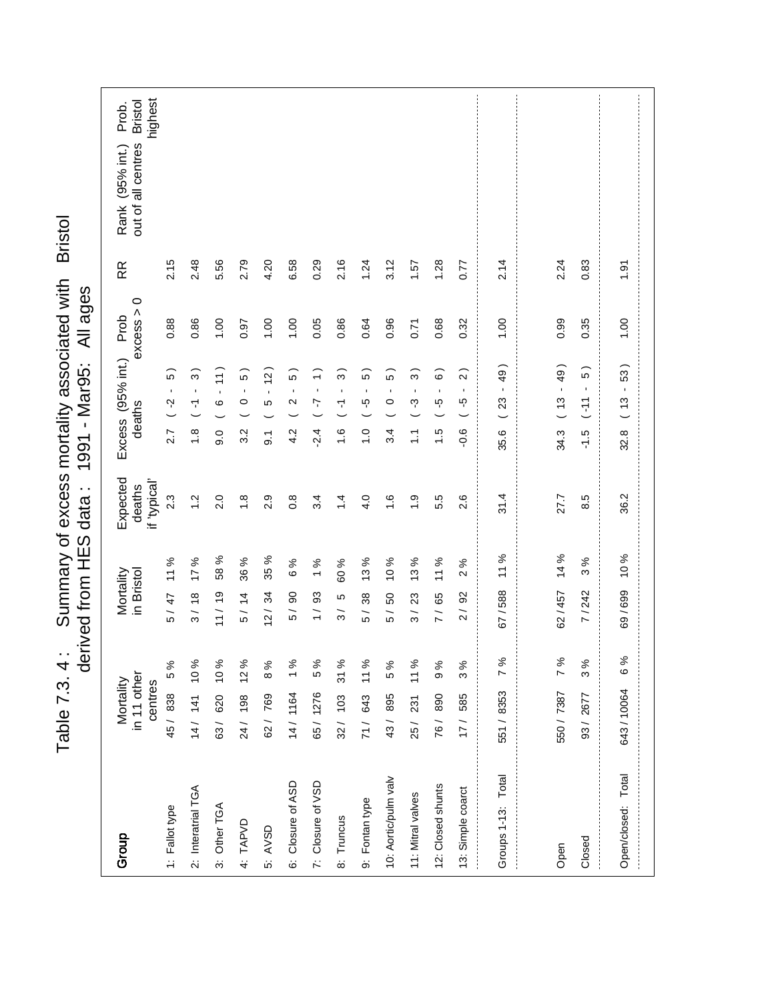Table 7.3. 4: Summary of excess mortality associated with Bristol<br>derived from HES data: 1991 - Mar95: All ages Table 7.3. 4 : Summary of excess mortality associated with Bristol derived from HES data : 1991 - Mar95: All ages

| highest<br><b>Bristol</b><br>Prob.                             |                                                                       |                                            |                                  |                           |                                           |                                |                                       |                                |                                       |                           |                                       |                           |             |                         |                               |
|----------------------------------------------------------------|-----------------------------------------------------------------------|--------------------------------------------|----------------------------------|---------------------------|-------------------------------------------|--------------------------------|---------------------------------------|--------------------------------|---------------------------------------|---------------------------|---------------------------------------|---------------------------|-------------|-------------------------|-------------------------------|
| out of all centres<br>Rank (95% int.)                          |                                                                       |                                            |                                  |                           |                                           |                                |                                       |                                |                                       |                           |                                       |                           |             |                         |                               |
|                                                                |                                                                       |                                            |                                  |                           |                                           |                                |                                       |                                |                                       |                           |                                       |                           |             |                         |                               |
| 2.15<br>RR                                                     | 2.48<br>5.56                                                          | 2.79                                       | 4.20                             | 6.58                      | 0.29                                      | 2.16                           | 1.24                                  | 3.12                           | 1.57                                  | 1.28                      | 0.77                                  | 2.14                      | 2.24        | 0.83                    | 1.91                          |
| $\circ$<br>excess ><br>0.88                                    | 0.001<br>0.86                                                         | 0.97                                       | 00.1                             | 1.00                      | 0.05                                      | 0.86                           | 0.64                                  | 0.96                           | 0.71                                  | 0.68                      | 0.32                                  | 1.00                      | 0.99        | 0.35                    | 1.00                          |
| Excess (95% int.) Prob<br>$\widehat{5}$<br>$\blacksquare$<br>Ņ | 11)<br>္ပြ<br>$\blacksquare$<br>$\mathbf{r}$<br>$\mathbf \Omega$<br>7 | $\widehat{5}$<br>$\blacksquare$<br>$\circ$ | $\tilde{c}$<br>$\mathbf{r}$<br>5 | 5)<br>$\blacksquare$<br>2 | $\widehat{\cdot}$<br>$\blacksquare$<br>7. | ္ဂ<br>$\blacksquare$<br>7      | $\widehat{5}$<br>$\blacksquare$<br>ယှ | 5<br>$\blacksquare$<br>$\circ$ | $\widehat{3}$<br>$\blacksquare$<br>ကု | စ<br>$\blacksquare$<br>ယု | $\widehat{2}$<br>$\blacksquare$<br>ပှ | 49)<br>$\mathbf{I}$<br>23 | $(13 - 49)$ | $\widehat{5}$<br>$11 -$ | 53)<br>$\blacksquare$<br>(13) |
| deaths<br>2.7                                                  | $\frac{8}{1}$<br>0.6                                                  | 3.2                                        | $\overline{9}$ .                 | 4.2                       | $\frac{4}{2}$                             | $\frac{6}{1}$                  | $\frac{0}{1}$                         | 3.4                            | $\tilde{\cdot}$                       | $\frac{5}{1}$             | $-0.6$                                | 35.6                      | 34.3        | $-1.5$                  | 32.8                          |
| Expected<br>if 'typical'<br>deaths<br>2.3                      | 2.0<br>$\frac{2}{1}$                                                  | $\frac{8}{1}$                              | 2.9                              | $\frac{8}{2}$             | 3.4                                       | $\dot{4}$                      | 4.0                                   | $\frac{6}{1}$                  | $\ddot{0}$                            | 5.5                       | 2.6                                   | 31.4                      | 27.7        | 8.5                     | 36.2                          |
| 11 %                                                           | 58 %<br>℅<br>$\overline{1}$                                           | 36 %                                       | 35 %                             | ℅<br>ဖ                    | ಸಿ<br>$\overline{ }$                      | 60 %                           | 13 %                                  | 10%                            | 13%                                   | 11 %                      | ℅<br>$\sim$                           | 11 %                      | 14 %        | 3 %                     | 10 %                          |
| in Bristol<br>Mortality<br>5/47                                | 11 / 19<br>3/18                                                       | 5/14                                       | 12/34                            | 90<br>$\overline{5}$      | 93<br>$\overline{1}$                      | LO<br>$\overline{\mathcal{S}}$ | $38\,$<br>5 /                         | 50<br>5 /                      | 23<br>$\overline{\mathcal{S}}$        | 7/65                      | 2/92                                  | 67/588                    | 62/457      | 7/242                   | 69/699                        |
| 5%                                                             |                                                                       |                                            | 8%                               |                           | 5 %                                       | 31 %                           |                                       | 5%                             | 11%                                   | 9%                        | 3%                                    | 7%                        | 7%          | 3%                      | 6%                            |
| in 11 other<br>Mortality<br>centres<br>45/838                  | 63/ 620 10%<br>14/ 141 10%                                            | 24/ 198 12%                                | 62 / 769                         | 14/ 1164 1%               | 65/1276                                   | 32/103                         | 71/ 643 11%                           | 43/895                         | 25 / 231                              | 76/890                    | 17/ 585                               | 551/8353                  | 550 / 7387  | 93/2677                 | 643/10064                     |
|                                                                |                                                                       |                                            |                                  |                           |                                           |                                |                                       |                                |                                       |                           |                                       |                           |             |                         |                               |
| 1: Fallot type<br>Group                                        | 2: Interatrial TGA<br>3: Other TGA                                    | 4: TAPVD                                   | 5: AVSD                          | 6: Closure of ASD         | 7: Closure of VSD                         | 8: Truncus                     | 9: Fontan type                        | 10: Aortic/pulm valv           | 11: Mitral valves                     | 12: Closed shunts         | 13: Simple coarct                     | Groups 1-13: Total        |             | Closed                  | Open/closed: Total            |
|                                                                |                                                                       |                                            |                                  |                           |                                           |                                |                                       |                                |                                       |                           |                                       |                           | Open        |                         |                               |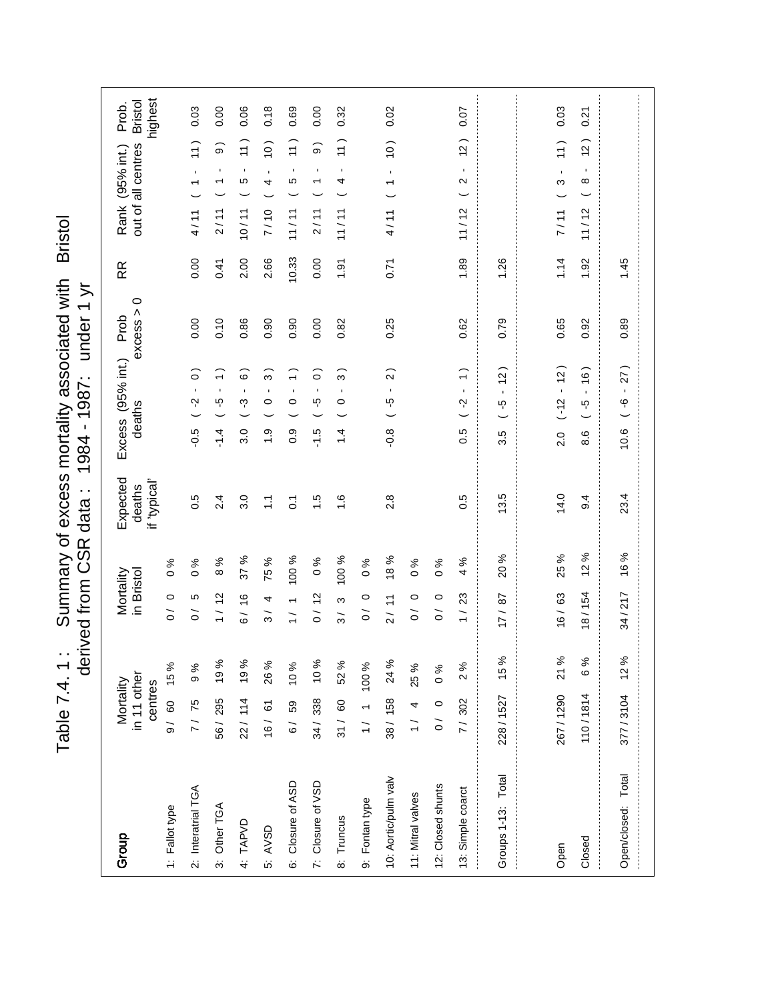Table 7.4. 1: Summary of excess mortality associated with Bristol<br>derived from CSR data: 1984 - 1987: under 1 yr Table 7.4. 1 : Summary of excess mortality associated with Bristol derived from CSR data : 1987 MSC Eout payrible 1

| Group                | in 11 other<br>Mortality<br>centres |          | Mortality<br>in Bristol         |                     | Expected<br>if 'typical'<br>deaths |               | Excess (95% int.)<br>deaths                  | $\circ$<br>excess ><br>Prob | RR    | highest<br><b>Bristol</b><br>Prob.<br>out of all centres<br>Rank (95% int.) |  |
|----------------------|-------------------------------------|----------|---------------------------------|---------------------|------------------------------------|---------------|----------------------------------------------|-----------------------------|-------|-----------------------------------------------------------------------------|--|
| 1: Fallot type       | 9/ 60 15%                           |          | $\circ$<br>$\frac{1}{\sqrt{2}}$ | $\%$<br>$\circ$     |                                    |               |                                              |                             |       |                                                                             |  |
| 2: Interatrial TGA   | 7/75                                | 9%       | Ю<br>$\tilde{\circ}$            | ℅<br>$\circ$        | 0.5                                | $-0.5$        | ြ<br>Ņ                                       | 0.00                        | 0.00  | 0.03<br>$\widetilde{\tau}$<br>$\blacksquare$<br>4/11                        |  |
| 3: Other TGA         | 56/295 19%                          |          | 1/12                            | %<br>$\infty$       | 2.4                                | $-1.4$        | $\widehat{\cdot}$<br>$\mathbf{I}$<br>ယ္      | 0.10                        | 0.41  | 0.00<br>$\widehat{\circ}$<br>$\blacksquare$<br>↽<br>2/11                    |  |
| 4: TAPVD             | 22/ 114 19%                         |          | 6/16                            | ಸಿ<br>57            | 3.0                                | 3.0           | ؘڡ<br>ကု                                     | 0.86                        | 2.00  | 0.06<br>$\left(1\right)$<br>$\blacksquare$<br>Ю<br>10/11                    |  |
| 5: AVSD              | 16/61                               | 26 %     | 4<br>$\frac{3}{ }$              | %<br>75             | $\tilde{\mathcal{L}}$              | $\frac{0}{1}$ | ო<br>$\mathbf{I}$<br>$\circ$                 | 0.90                        | 2.66  | 0.18<br>$\frac{1}{2}$<br>$\blacksquare$<br>4<br>7/10                        |  |
| 6: Closure of ASD    | 6/ 59 10%                           |          | $\frac{1}{1}$                   | 100 %               | $\overline{c}$                     | 0.9           | $\widehat{\cdot}$<br>$\mathbf{I}$<br>$\circ$ | 0.90                        | 10.33 | 0.69<br>$\left(1\right)$<br>$\blacksquare$<br>Ю<br>11/11                    |  |
| 7: Closure of VSD    | 34 / 338 10 %                       |          | 0/12                            | ℅<br>$\circ$        | $\frac{5}{1}$                      | $-1.5$        | ි<br>$\blacksquare$<br>ပ္ပ္                  | 0.00                        | 0.00  | 0.00<br>$\widehat{\circ}$<br>$\blacksquare$<br>↽<br>2/11                    |  |
| 8: Truncus           | 31/ 60 52%                          |          | ω<br>$\frac{1}{3}$              | 100 %               | $\frac{6}{1}$                      | $\dot{4}$     | S<br>$\blacksquare$<br>$\circ$               | 0.82                        | 1.91  | 0.32<br>$\frac{1}{1}$<br>$\blacksquare$<br>4<br>11 / 11                     |  |
| 9: Fontan type       | 1/111100%                           |          | $\circ$<br>$\overline{O}$       | $\%$<br>$\circ$     |                                    |               |                                              |                             |       |                                                                             |  |
| 10: Aortic/pulm valv | 38/158 24 %                         |          | 2/11                            | 18 %                | 2.8                                | $-0.8$        | $\mathbf{\Omega}$<br>$\blacksquare$<br>ပ္ပ္  | 0.25                        | 0.71  | 0.02<br>(0)<br>$\blacksquare$<br>$\overline{\phantom{0}}$<br>4/11           |  |
| 11: Mitral valves    | $1/4$ 25%                           |          | $\circ$<br>$\tilde{0}$          | $\%$<br>$\circ$     |                                    |               |                                              |                             |       |                                                                             |  |
| 12: Closed shunts    | $0 \quad 0$                         | $\sim 0$ | $\circ$<br>$\tilde{\circ}$      | ℅<br>$\circ$        |                                    |               |                                              |                             |       |                                                                             |  |
| 13: Simple coarct    | 7/302                               | 2%       | 23<br>$\overline{1}$            | వ్<br>4             | 0.5                                | 0.5           | $\hat{=}$<br>$\mathbf{r}$<br>Ņ               | 0.62                        | 1.89  | 0.07<br>$\tilde{a}$<br>$\mathbf{r}$<br>$\sim$<br>11/12                      |  |
| Groups 1-13: Total   | 228 / 1527                          | 15 %     | 17/8                            | 20%                 | 13.5                               | 3.5           | $\frac{1}{2}$<br>$\blacksquare$<br>ယူ        | 0.79                        | 1.26  |                                                                             |  |
|                      |                                     |          |                                 |                     |                                    |               |                                              |                             |       |                                                                             |  |
| Open                 | 267/1290 21 %                       |          | 16/63                           | 25 %                | 14.0                               | 2.0           | 12)<br>Î,<br>$(-12)$                         | 0.65                        | 1.14  | 0.03<br>11)<br>$\blacksquare$<br>S<br>7/11                                  |  |
| Closed               | 110/1814                            | 6 %      | 18/154                          | ℅<br>$\overline{c}$ | 9.4                                | 8.6           | $\frac{16}{2}$<br>$\mathbf{r}$<br>ယှ         | 0.92                        | 1.92  | 0.21<br>(2)<br>$\mathbf{r}$<br>${}^{\circ}$<br>11/12                        |  |
| Open/closed: Total   | 377/3104                            | 12%      | 34/217                          | 16%                 | 23.4                               | 10.6          | 27)<br>$\mathbf{r}$<br>ပှ                    | 0.89                        | 1.45  |                                                                             |  |
|                      |                                     |          |                                 |                     |                                    |               |                                              |                             |       |                                                                             |  |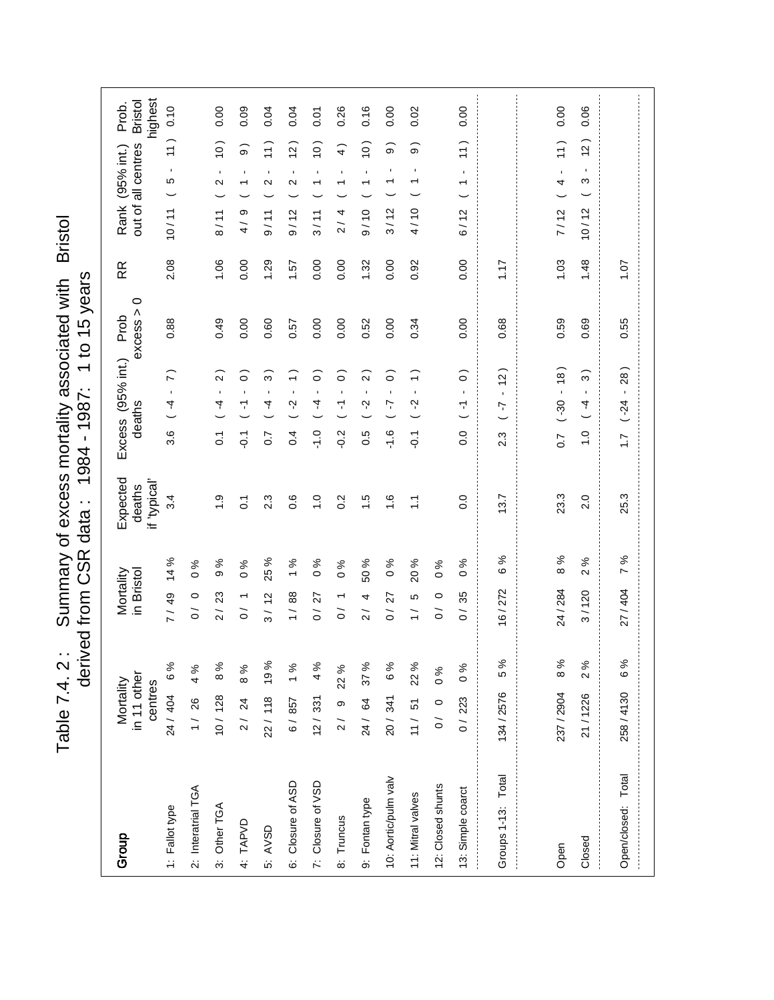Table 7.4. 2: Summary of excess mortality associated with Bristol<br>derived from CSR data: 1984 - 1987: 1 to 15 years Table 7.4. 2 : Summary of excess mortality associated with Bristol derived from CSR data : 1984 - 1987: 1 to 15 years

| Group                | in 11 other<br>Mortality<br>centres |      | Mortality<br>in Bristol                   |                     | Expected<br>if 'typical'<br>deaths |                  | Excess (95% int.)<br>deaths                     | $\circ$<br>excess ><br>Prob | RR   | highest<br><b>Bristol</b><br>Prob.<br>out of all centres<br>Rank (95% int.)                      |
|----------------------|-------------------------------------|------|-------------------------------------------|---------------------|------------------------------------|------------------|-------------------------------------------------|-----------------------------|------|--------------------------------------------------------------------------------------------------|
| 1: Fallot type       | 24 / 404                            | 6%   | 7/49                                      | వ్<br>$\dot{4}$     | 3.4                                | 3.6              | $\tilde{z}$<br>$\blacksquare$<br>4              | 0.88                        | 2.08 | 0.10<br>$\overline{ }$<br>$\blacksquare$<br>ъ<br>10/11                                           |
| 2: Interatrial TGA   | $1/26$ 4%                           |      | $\circ$<br>$\tilde{0}$                    | $\%$<br>$\circ$     |                                    |                  |                                                 |                             |      |                                                                                                  |
| 3: Other TGA         | $10/128$ 8%                         |      | 2/23                                      | %<br>တ              | $\ddot{6}$                         | $\overline{c}$   | $\widehat{2}$<br>$\mathbf{I}$<br>4              | 0.49                        | 1.06 | 0.00<br>(0)<br>$\blacksquare$<br>$\mathbf{\Omega}$<br>8/11                                       |
| 4: TAPVD             | 2/24                                | 8%   | $\overline{ }$<br>$\tilde{0}$             | $\%$<br>$\circ$     | $\overline{c}$                     | $\overline{Q}$   | ြ<br>$\mathbf{I}$<br>7                          | 0.00                        | 0.00 | 0.09<br>$\widehat{\mathbf{e}}$<br>$\mathbf{I}$<br>$\overline{\phantom{0}}$<br>თ<br>$\frac{4}{1}$ |
| 5: AVSD              | 22/ 118 19%                         |      | 3/12                                      | ళ<br>25             | 2.3                                | $\overline{0}$   | ္ဂ<br>$\blacksquare$<br>4                       | 0.60                        | 1.29 | 0.04<br>$\frac{1}{1}$<br>$\blacksquare$<br>$\mathbf{\Omega}$<br>9/11                             |
| 6: Closure of ASD    | 6/857                               | 1%   | 1/88                                      | %<br>$\overline{ }$ | 0.6                                | 0.4              | ╤<br>$\blacksquare$<br>Ņ                        | 0.57                        | 1.57 | 0.04<br>$\tilde{a}$<br>$\mathbf{I}$<br>Ν<br>9/12                                                 |
| 7: Closure of VSD    | 12/331                              | 4%   | 27<br>$\frac{1}{\sqrt{2}}$                | ℅<br>$\circ$        | $\frac{1}{2}$                      | $-1.0$           | ြ<br>$\blacksquare$<br>4                        | 0.00                        | 0.00 | <b>PO.0</b><br>$\left($ 0<br>$\mathbf{I}$<br>$\overline{\phantom{0}}$<br>3/11                    |
| 8: Truncus           | 2/9                                 | 22 % | $\overline{ }$<br>$\gtrsim$               | $\%$<br>$\circ$     | 0.2                                | $-0.2$           | $\widehat{\circ}$<br>$\blacksquare$<br>7        | 0.00                        | 0.00 | 0.26<br>$\widehat{4}$<br>$\blacksquare$<br>٣<br>2/4                                              |
| 9: Fontan type       | 24/ 64 37 %                         |      | 4<br>$\overline{2}$                       | 50 %                | $\ddot{5}$                         | 0.5              | $\widehat{\Omega}$<br>$\blacksquare$<br>Ņ       | 0.52                        | 1.32 | 0.16<br>$\frac{1}{2}$<br>$\blacksquare$<br>$\overline{\phantom{0}}$<br>9/10                      |
| 10: Aortic/pulm valv | 20/341                              | 6%   | 27<br>$\overline{O}$                      | %<br>$\circ$        | $\frac{6}{1}$                      | $-1.6$           | ြ<br>$\blacksquare$<br>7                        | 0.00                        | 0.00 | 0.00<br>$\sigma$<br>$\blacksquare$<br>↽<br>3/12                                                  |
| 11: Mitral valves    | 11/ 51 22%                          |      | 5<br>$\frac{1}{1}$                        | 20 %                | $\tilde{\mathcal{L}}$              | $\overline{Q}$   | $\widehat{\cdot}$<br>$\blacksquare$<br>Ņ        | 0.34                        | 0.92 | 0.02<br>တ<br>$\blacksquare$<br>4/10                                                              |
| 12: Closed shunts    | 0 / 0                               | 0%   | $\circ$<br>$\tilde{o}$                    | ℅<br>$\circ$        |                                    |                  |                                                 |                             |      |                                                                                                  |
| 13: Simple coarct    | 0/223                               | 0%   | 35<br>$\overline{\phantom{0}}$<br>$\circ$ | ৡ<br>$\circ$        | $\overline{0}$ .                   | $\overline{0}$ . | $\widehat{\circ}$<br>$\mathbf{r}$<br>7          | 0.00                        | 0.00 | 0.00<br>$\frac{1}{1}$<br>$\mathbf{r}$<br>↽<br>6/12                                               |
| Groups 1-13: Total   | 134/2576                            | 5 %  | 16/272                                    | శ<br>ဖ              | 13.7                               | 2.3              | $\frac{1}{2}$<br>$\mathbf{I}$<br>7              | 0.68                        | 1.17 |                                                                                                  |
|                      |                                     |      |                                           |                     |                                    |                  |                                                 |                             |      |                                                                                                  |
| Open                 | 237 / 2904                          | 8%   | 24 / 284                                  | ℅<br>$\infty$       | 23.3                               | $\overline{0}$ . | $\frac{1}{8}$<br>$\mathbf{r}$<br>$( -30)$       | 0.59                        | 1.03 | 0.00<br>$\left(1\right)$<br>$\blacksquare$<br>4<br>7/12                                          |
| Closed               | 21/1226                             | 2%   | 3/120                                     | $\%$<br>$\sim$      | 2.0                                | $\frac{0}{1}$    | $\widehat{3}$<br>$\mathbf{I}$<br>$\overline{4}$ | 0.69                        | 1.48 | 0.06<br>$\overline{c}$<br>$\mathbf{r}$<br>S<br>10/12                                             |
| Open/closed: Total   | 258/4130                            | 6%   | 27/404                                    | ℅<br>$\overline{a}$ | 25.3                               | $\overline{1}$ . | $\frac{8}{2}$<br>$\mathbf{r}$<br>$(-24)$        | 0.55                        | 10.1 |                                                                                                  |
|                      |                                     |      |                                           |                     |                                    |                  |                                                 |                             |      |                                                                                                  |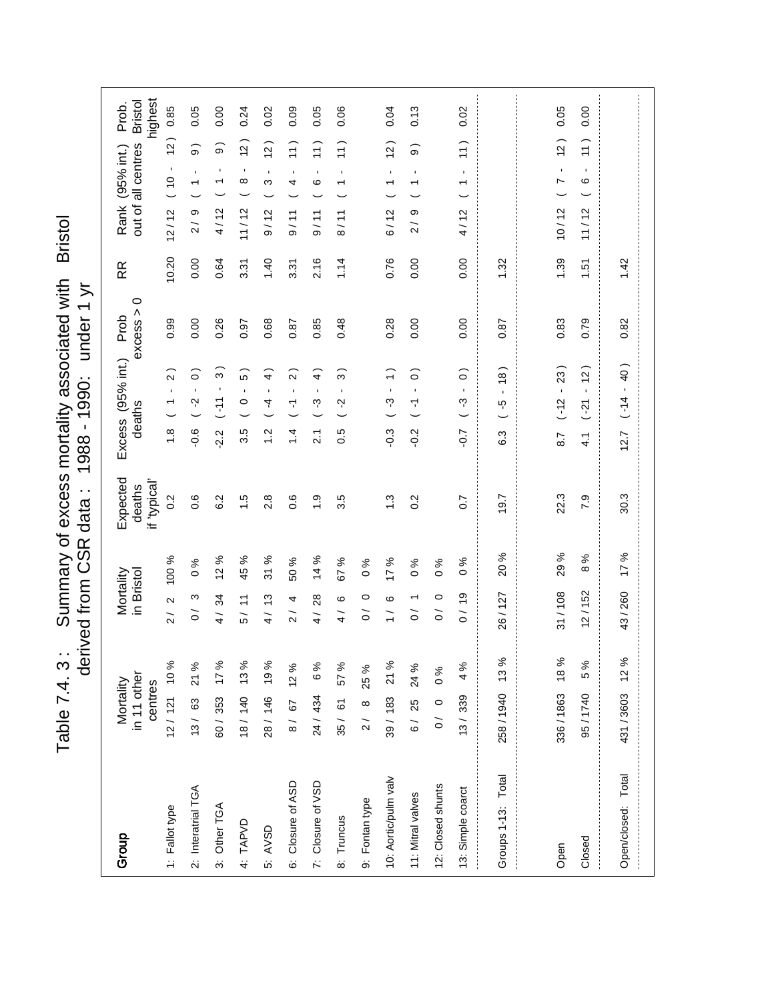**Bristol** Table 7.4.3: Summary of excess mortality associated with Bristol Table 7.4. 3: Summary of excess mortality associated with<br>derived from CSR data: 1988 - 1990: under 1 yr derived from CSR data : 1990 Eout paxilae

| Group                | in 11 other<br>Mortality<br>centres |       | Mortality<br>in Bristol               |                     | Expected<br>if 'typical'<br>deaths |                 | Excess (95% int.)<br>deaths                               | $\circ$<br>excess ><br>Prob | RR    | highest<br><b>Bristol</b><br>Prob.<br>out of all centres<br>Rank (95% int.)                  |
|----------------------|-------------------------------------|-------|---------------------------------------|---------------------|------------------------------------|-----------------|-----------------------------------------------------------|-----------------------------|-------|----------------------------------------------------------------------------------------------|
| 1: Fallot type       | 12/ 121 10%                         |       | $\mathbf{\Omega}$<br>$\overline{2}$   | 100 %               | 0.2                                | $\frac{8}{1}$   | $\widehat{2}$<br>$\mathbf{I}$<br>$\overline{\phantom{0}}$ | 0.99                        | 10.20 | 0.85<br>$\overline{a}$<br>$\blacksquare$<br>(10<br>12/12                                     |
| 2: Interatrial TGA   | 13/ 63 21 %                         |       | ო<br>$\overline{O}$                   | వ్<br>$\circ$       | 0.6                                | $-0.6$          | $\circ$<br>$\mathbf{I}$<br>Ņ                              | 0.00                        | 0.00  | 0.05<br>$\widehat{\circ}$<br>$\blacksquare$<br>თ<br>$\tilde{2}$                              |
| 3: Other TGA         | 60/353 17%                          |       | 4/34                                  | 12%                 | 6.2                                | 2.2             | $\infty$<br>$\blacksquare$<br>$\tilde{f}$                 | 0.26                        | 0.64  | 0.00<br>$\widehat{\mathbf{e}}$<br>$\blacksquare$<br>$\overline{\phantom{0}}$<br>4/12         |
| 4: TAPVD             | 18/140 13%                          |       | 5/11                                  | ಸಿ<br>45            | $\frac{5}{1}$                      | 3.5             | .<br>ما<br>$\mathbf{r}$<br>$\circ$                        | 0.97                        | 3.31  | 0.24<br>$\overline{5}$<br>$\blacksquare$<br>∞<br>11/12                                       |
| 5: AVSD              | 28/ 146 19%                         |       | 4/13                                  | %<br>$\frac{1}{2}$  | 2.8                                | $\ddot{.}$      | $\widehat{+}$<br>$\mathbf{r}$<br>4                        | 0.68                        | 1.40  | 0.02<br>(2)<br>$\blacksquare$<br>ω<br>9/12                                                   |
| 6: Closure of ASD    | 8/ 67 12%                           |       | 4<br>$\frac{1}{2}$                    | 50 %                | 0.6                                | $1\overline{4}$ | $\sim$<br>$\mathbf{I}$<br>۳                               | 0.87                        | 3.31  | 0.09<br>$\left(1\right)$<br>$\blacksquare$<br>4<br>9/11                                      |
| 7: Closure of VSD    | 24/434 6%                           |       | 28<br>$\frac{1}{4}$                   | ళ<br>$\overline{4}$ | $\ddot{0}$                         | $\tilde{2}$     | $\rightarrow$<br>$\mathbf{I}$<br>ကု                       | 0.85                        | 2.16  | 0.05<br>(11)<br>$\blacksquare$<br>ဖ<br>9/11                                                  |
| 8: Truncus           | 35/61                               | 57%   | ဖ<br>$\frac{1}{4}$                    | 67 %                | 3.5                                | 0.5             | $\infty$<br>$\blacksquare$<br>Ņ                           | 0.48                        | 1.14  | 0.06<br>$\frac{1}{1}$<br>$\blacksquare$<br>↽<br>8/11                                         |
| 9: Fontan type       | $2/8$ 8 $25%$                       |       | $\circ$<br>$\tilde{0}$                | న<br>$\circ$        |                                    |                 |                                                           |                             |       |                                                                                              |
| 10: Aortic/pulm valv | 39/183                              | 21%   | ဖ<br>$\frac{1}{1}$                    | $^{96}$ 11          | $\ddot{.}$                         | $-0.3$          | $\widehat{\cdot}$<br>$\mathbf{I}$<br>ကု                   | 0.28                        | 0.76  | 0.04<br>$\tilde{c}$<br>$\mathbf{r}$<br>$\overline{\phantom{0}}$<br>6/12                      |
| 11: Mitral valves    | 6/ 25 24 %                          |       | $\overline{\phantom{0}}$<br>$\gtrsim$ | ℅<br>$\circ$        | $0.\overline{2}$                   | $-0.2$          | $\widehat{\circ}$<br>$\mathbf{I}$<br>Ч                    | 0.00                        | 0.00  | 0.13<br>$\widehat{\circ}$<br>$\mathbf{I}$<br>$\overline{\phantom{0}}$<br>თ<br>$\overline{2}$ |
| 12: Closed shunts    | 0 / 0                               | $0\%$ | $\circ$<br>$\overline{O}$             | ℅<br>$\circ$        |                                    |                 |                                                           |                             |       |                                                                                              |
| 13: Simple coarct    | 13/339                              | 4 %   | 0/19                                  | ৡ<br>$\circ$        | $\overline{0}$ .7                  | $-0.7$          | $\widehat{\circ}$<br>$\mathbf{I}$<br>ကု                   | 0.00                        | 0.00  | 0.02<br>$\frac{1}{1}$<br>$\mathbf{r}$<br>$\overline{\phantom{0}}$<br>4/12                    |
| Groups 1-13: Total   | 258/1940 13%                        |       | 26/127                                | 20%                 | 19.7                               | 6.3             | (8)<br>ယူ                                                 | 0.87                        | 1.32  |                                                                                              |
|                      |                                     |       |                                       |                     |                                    |                 |                                                           |                             |       |                                                                                              |
| Open                 | 336/1863 18%                        |       | 31/108                                | 29%                 | 22.3                               | 8.7             | 23)<br>$\mathbf{r}$<br>$(-12)$                            | 0.83                        | 1.39  | 0.05<br>(2)<br>$\mathbf{I}$<br>N<br>10/12                                                    |
| Closed               | 95/1740                             | 5 %   | 12/152                                | ℅<br>$\infty$       | 7.9                                | $\frac{1}{4}$   | (2)<br>$\mathbf{r}$<br>$(5 - )$                           | 0.79                        | 1.51  | 0.00<br>$\left(1\right)$<br>$\blacksquare$<br>$\circ$<br>11/12                               |
| Open/closed: Total   | 431/3603                            | 12 %  | 43/260                                | 17%                 | 30.3                               | 12.7            | 40)<br>$\mathbf{r}$<br>$( -14)$                           | 0.82                        | 1.42  |                                                                                              |
|                      |                                     |       |                                       |                     |                                    |                 |                                                           |                             |       |                                                                                              |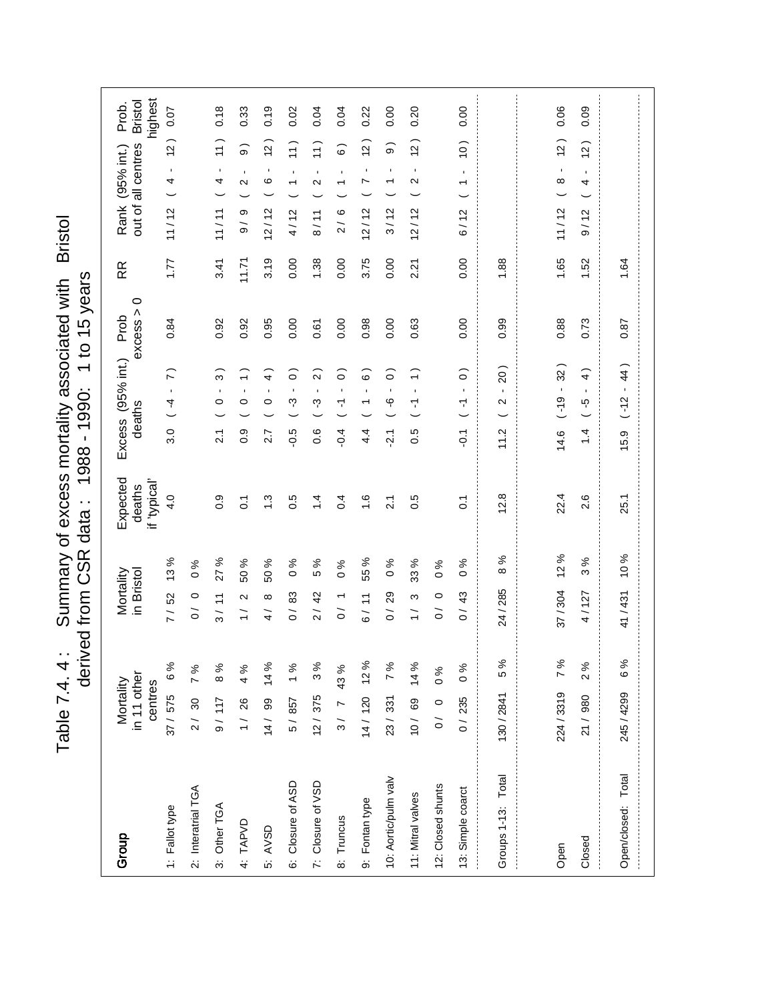Table 7.4. 4 : Summary of excess mortality associated with Bristol **Bristol** Summary of excess mortality associated with derived from CSR data: 1988 - 1990: 1 to 15 years derived from CSR data : 1988 - 1990: 1 to 15 years Table 7.4.4:

highest out of all centres Bristol Prob. 0.07  $0.18$  $0.19$  $0.04$  $0.20$  $0.00$  $0.09$ 0.33  $0.02$ 0.22  $0.00$ 0.06  $0.04$  37 / 575 6 % 7 / 52 13 % 4.0 3.0 ( -4 - 7 ) 0.84 1.77 11 / 12 ( 4 - 12 ) 0.07 9 / 117 8 % 3 / 11 27 % 0.9 2.1 ( 0 - 3 ) 0.92 3.41 11 / 11 ( 4 - 11 ) 0.18 1 / 26 4 % 1 / 2 50 % 0.1 0.9 ( 0 - 1 ) 0.92 11.71 9 / 9 ( 2 - 9 ) 0.33 14 / 99 14 % 4 / 8 50 % 1.3 2.7 ( 0 - 4 ) 0.95 3.19 12 / 12 ( 6 - 12 ) 0.19 5 / 857 1 % 0 / 83 0 % 0.5 -0.5 ( -3 - 0 ) 0.00 0.00 4 / 12 ( 1 - 11 ) 0.02 12 / 375 3 % 2 / 42 5 % 1.4 0.6 ( -3 - 2 ) 0.61 1.38 8 / 11 ( 2 - 11 ) 0.04 3 / 7 43 % 0 / 1 0 % 0.4 -0.4 ( -1 - 0 ) 0.00 0.00 2 / 6 ( 1 - 6 ) 0.04 14 / 120 12 % 6 / 11 55 % 1.6 4.4 ( 1 - 6 ) 0.98 3.75 12 / 12 ( 7 - 12 ) 0.22 23 / 331 7 % 0 / 29 0 % 2.1 -2.1 ( -6 - 0 ) 0.00 0.00 3 / 12 ( 1 - 9 ) 0.00 10 / 69 14 % 1 / 3 33 % 0.5 0.5 ( -1 - 1 ) 0.63 2.21 12 / 12 ( 2 - 12 ) 0.20 0 / 235 0 % 0 / 43 0 % 0.1 -0.1 ( -1 - 0 ) 0.00 0.00 6 / 12 ( 1 - 10 ) 0.00 224 / 3319 7 % 37 / 304 12 % 22.4 14.6 ( -19 - 32 ) 0.88 1.65 11 / 12 ( 8 - 12 ) 0.06 21 / 980 2 % 4 / 127 3 % 2.6 1.4 ( -5 - 4 ) 0.73 1.52 9 / 12 ( 4 - 12 ) 0.09  $11/12$  (4 - 12)  $11/11$   $(4 - 11)$  $(11)$  $12)$  $12)$  $12)$  $(2)$  $12)$  $11)$ Rank (95% int.)  $\widehat{9}$  $\widehat{\circ}$  $\widehat{\circ}$  $(1 - 10)$ out of all centres RR Rank (95% int.)  $\overline{1}$ l, l,  $\bar{1}$  $\frac{1}{1}$  $(2 \mathbf{r}$  $\frac{1}{4}$  $\frac{1}{1}$  $\frac{1}{2}$  $\frac{2}{3}$  $\circ$  $\overline{\phantom{a}}$  $12/12$  ( 2  $11/12$  (8  $4/12$  $8/11$  $12/12$  $12/12$  $3/12$  $2/6$  $6/12$  $\frac{6}{9}$  /  $\frac{6}{9}$  $9/12$  $\begin{array}{c} \begin{array}{c} \begin{array}{c} \begin{array}{c} \end{array} \\ \end{array} \end{array} \end{array}$ 1.65 1.77  $3.41$  $3.19$  $0.00$ 3.75  $0.00$ 2.21  $0.00$ 1.52  $11.71$ 1.38  $0.00$ 1.88 1.64  $\frac{1}{2}$ RR 130 / 2841 5 % 24 / 285 8 % 12.8 11.2 ( 2 - 20 ) 0.99 1.88 245 / 4299 6 % 41 / 431 10 % 25.1 15.9 ( -12 - 44 ) 0.87 1.64  $excess > 0$ Excess (95% int.) Prob 0.84 0.92 0.92 0.95 0.00  $0.00$ 0.98  $0.00$ 0.63  $0.00$  $\frac{1}{2}$ 0.99 0.88 0.73 0.87 0.61 j Excess (95% int.)  $15.9$   $(-12 - 44)$  $3.0 (4 - 7)$  $14.6$   $(-19 - 32)$  $11.2$  (  $2 - 20$  )  $1.4$  (-5 - 4)  $\widehat{\cdot}$  $\widehat{\circ}$  $\overline{2}$  $\widehat{\circ}$  $\widehat{\circ}$  $\widehat{\circ}$  $0.5$  ( $-1$  - 1)  $(0 - 1 - 0.1$  $\widehat{\mathcal{E}}$  $\widehat{+}$  $2.1 (0 \overline{\phantom{a}}$  $-1 - 1$  $\frac{1}{1}$  $\overline{0}$  $(-3)$  $\frac{3}{2}$  $-6$  $\circ$ deaths  $-0.5$  $-0.4$  $4\overline{4}$  $\frac{6}{10}$  $\overline{21}$ 2.7  $0.\overline{6}$ Expected if 'typical' deaths  $4.0$  $12.8$ 22.4 25.1  $\frac{1}{2}$  $0.9$  $\ddot{.}$  $0.5$  $1.4$  $0.4$  $\frac{6}{1}$  $0.\overline{5}$  $\frac{1}{2}$ 2.6  $\overline{0}$ .  $\overline{2}$ .1  $\overline{0}$ 12% 10% 13 % 27 % 55 %  $8%$  $3%$  $\frac{1}{2}$ 50 % 50 %  $0%$ 5 %  $\frac{96}{6}$ 33 %  $0%$  $0%$  $\sim 0$  $\sim 0$ j 2 / 30 7 % 0 0 0 0 % 0 / 0 0 % 0 / 0 0 % Mortality in Bristol 24/285 7/ 52  $3/11$  $0/29$  $0/0$  $1/2$ 83  $2/42$  $\frac{1}{3}$  $0/43$ 37/304 4/127 41/431  $\infty$  $\overline{0}$  /  $\overline{0}$  $6/11$  $\circ$  $\frac{1}{4}$  $\overline{O}$  $\overline{O}$ 7 %  $6%$ 12 % 5 %  $14%$  $3%$ 7%  $14%$  $2%$ 37/575 6%  $8%$  $\frac{6}{6}$ 7% 4 %  $1%$ 43 %  $\sim 0$ in 11 other Mortality centres 224/3319 245/4299 130/2841  $2/30$  $12/375$  $21/980$  $9/117$  $1/26$  $14/99$  $\frac{1}{2}$  $14/120$ 23/331  $10/69$  $0/235$ 5/857  $\circ$  $\overline{O}$ Groups 1-13: Total Total 10: Aortic/pulm valv Groups 1-13: Total Open/closed: Total10: Aortic/pulm valv 6: Closure of ASD 7: Closure of VSD 6: Closure of ASD 7: Closure of VSD 12: Closed shunts 12: Closed shunts 2: Interatrial TGA 2: Interatrial TGA 13: Simple coarct 13: Simple coarct 11: Mitral valves 11: Mitral valves 9: Fontan type 9: Fontan type 3: Other TGA 1: Fallot type 1: Fallot type 3: Other TGA Open/closed: 8: Truncus 8: Truncus 4: TAPVD 5: AVSD Group Closed  $\begin{array}{c} \begin{array}{c} \bullet \\ \bullet \\ \bullet \end{array} \end{array}$ Open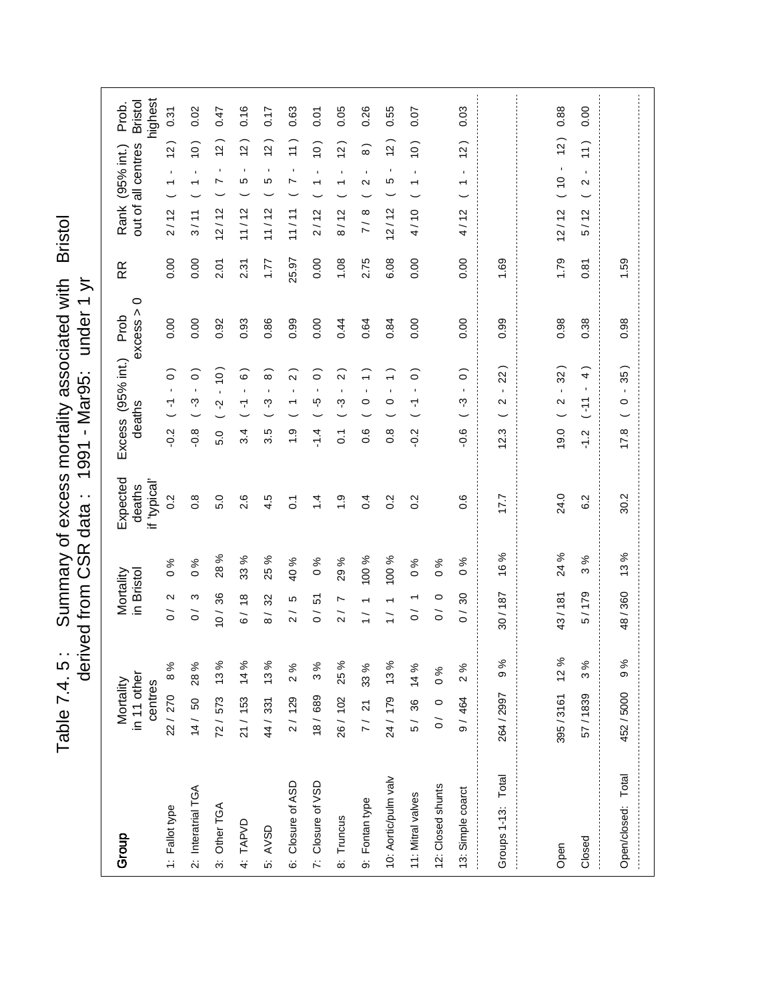Table 7.4. 5: Summary of excess mortality associated with Bristol<br>derived from CSR data: 1991 - Mar95: under 1 yr Table 7.4. 5: Summary of excess mortality associated with Bristol derived from CSR data : 1991 - Mar95: under 1 yr

| Group                | in 11 other<br>Mortality<br>centres |      | Mortality<br>in Bristol                        |                 | Expected<br>if 'typical'<br>deaths |                  | Excess (95% int.)<br>deaths                                           | $\circ$<br>excess ><br>Prob | RR    | out of all centres<br>Rank (95% int.)                               | highest<br><b>Bristol</b><br>Prob. |
|----------------------|-------------------------------------|------|------------------------------------------------|-----------------|------------------------------------|------------------|-----------------------------------------------------------------------|-----------------------------|-------|---------------------------------------------------------------------|------------------------------------|
| 1: Fallot type       | 22/270                              | 8%   | $\mathbf{\Omega}$<br>$\frac{1}{\sqrt{2}}$      | $\frac{6}{6}$   | 0.2                                | $-0.2$           | $\widehat{\circ}$<br>$\mathbf{I}$<br>7                                | 0.00                        | 0.00  | $\tilde{a}$<br>$\blacksquare$<br>$\overline{\phantom{0}}$<br>2/12   | 0.31                               |
| 2: Interatrial TGA   | 14/ 50 28%                          |      | ო<br>$\tilde{\circ}$                           | ℅<br>$\circ$    | $0.\overline{8}$                   | $-0.8$           | $\widehat{\circ}$<br>$\blacksquare$<br>က္                             | 0.00                        | 0.00  | $\frac{1}{2}$<br>$\blacksquare$<br>$\overline{\phantom{0}}$<br>3/11 | 0.02                               |
| 3: Other TGA         | 72/573 13%                          |      | 36<br>$\frac{1}{2}$                            | 28%             | 5.0                                | 5.0              | (0)<br>$\mathbf{r}$<br>Ņ                                              | 0.92                        | 2.01  | (2)<br>$\blacksquare$<br>$\overline{ }$<br>12/12                    | 0.47                               |
| 4: TAPVD             | $21/153$ 14%                        |      | $\frac{8}{1}$<br>$\delta$                      | $\%$<br>33      | 2.6                                | 3.4              | $\widehat{\circ}$<br>$\blacksquare$<br>$\overline{\mathbf{r}}$        | 0.93                        | 2.31  | $\tilde{a}$<br>$\blacksquare$<br>5<br>11/12                         | 0.16                               |
| 5: AVSD              | 44/331 13%                          |      | 32<br>$\frac{1}{8}$                            | %<br>25         | 4.5                                | 3.5              | $\widehat{8}$<br>$\blacksquare$<br>ကု                                 | 0.86                        | 1.77  | $\overline{c}$<br>$\blacksquare$<br>Ю<br>11/12                      | 0.17                               |
| 6: Closure of ASD    | 2/129                               | 2%   | Ю<br>$\overline{2}$                            | 40 %            | $\overline{0}$                     | $\frac{0}{1}$    | $\overline{\mathsf{C}}$<br>$\blacksquare$<br>$\overline{\phantom{0}}$ | 0.99                        | 25.97 | 11)<br>$\blacksquare$<br>N<br>11/11                                 | 0.63                               |
| 7: Closure of VSD    | 18/689                              | 3%   | 5<br>$\frac{1}{\sqrt{2}}$                      | వ్<br>$\circ$   | $\dot{4}$                          | $-1.4$           | $\widehat{\circ}$<br>$\blacksquare$<br>ပ္ပ္                           | 0.00                        | 0.00  | (0)<br>$\mathbf{I}$<br>$\overline{\phantom{0}}$<br>2/12             | 0.07                               |
| 8: Truncus           | 26/102                              | 25 % | $\overline{ }$<br>$\overline{2}$               | $\%$<br>29      | $\ddot{ }$                         | $\overline{0}$ . | $\widehat{2}$<br>$\blacksquare$<br>ကု                                 | 0.44                        | 1.08  | (2)<br>$\blacksquare$<br>$\overline{\phantom{0}}$<br>8/12           | 0.05                               |
| 9: Fontan type       | 7/ 21 33%                           |      | $\overline{\phantom{0}}$<br>$\frac{1}{1}$      | 100 %           | 0.4                                | 0.6              | $\widehat{\cdot}$<br>$\blacksquare$<br>$\circ$                        | 0.64                        | 2.75  | $\widehat{8}$<br>$\blacksquare$<br>2<br>$\infty$<br>$\overline{7}$  | 0.26                               |
| 10: Aortic/pulm valv | 24/ 179 13%                         |      | $\overline{ }$<br>$\frac{1}{1}$                | 100 %           | 0.2                                | $\frac{8}{2}$    | $\widehat{\cdot}$<br>$\blacksquare$<br>$\circ$                        | 0.84                        | 6.08  | $\overline{a}$<br>$\blacksquare$<br>Ю<br>12/12                      | 0.55                               |
| 11: Mitral valves    | 5/ 36 14%                           |      | $\overline{\phantom{0}}$<br>$\overline{\circ}$ | $\%$<br>$\circ$ | 0.2                                | $-0.2$           | $\widehat{\circ}$<br>$\blacksquare$<br>7                              | 0.00                        | 0.00  | (0)<br>$\blacksquare$<br>$\overline{\phantom{0}}$<br>4/10           | 0.07                               |
| 12: Closed shunts    | 0 / 0                               | 0%   | $\circ$<br>$\tilde{\circ}$                     | ℅<br>$\circ$    |                                    |                  |                                                                       |                             |       |                                                                     |                                    |
| 13: Simple coarct    | 9/464                               | 2%   | 30<br>$\frac{1}{2}$                            | ৡ<br>$\circ$    | $\frac{6}{2}$                      | $-0.6$           | $\widehat{\circ}$<br>$\mathbf{r}$<br>ကု                               | 0.00                        | 0.00  | $\tilde{c}$<br>$\mathbf{r}$<br>↽<br>4/12                            | 0.03                               |
| Groups 1-13: Total   | 264 / 2997                          | 9%   | 30/187                                         | 16%             | 177                                | 12.3             | 22<br>$\blacksquare$<br>$\mathbf{\Omega}$                             | 0.99                        | 1.69  |                                                                     |                                    |
|                      |                                     |      |                                                |                 |                                    |                  |                                                                       |                             |       |                                                                     |                                    |
| Open                 | 395/3161 12%                        |      | 43/181                                         | 24 %            | 24.0                               | 19.0             | 32)<br>$\mathbf{r}$<br>$\sim$                                         | 0.98                        | 1.79  | (2)<br>$\blacksquare$<br>$\frac{0}{10}$<br>12/12                    | 0.88                               |
| Closed               | 57/1839                             | 3%   | 5/179                                          | $\%$<br>ო       | 6.2                                | $\frac{2}{1}$    | $\widehat{4}$<br>$11 -$                                               | 0.38                        | 0.87  | $\left(1\right)$<br>$\mathbf{r}$<br>$\sim$<br>5/12                  | 0.00                               |
| Open/closed: Total   | 452 / 5000                          | 9 %  | 48/360                                         | 13%             | 30.2                               | 17.8             | 35)<br>$\mathbf{r}$<br>$\circ$                                        | 0.98                        | 1.59  |                                                                     |                                    |
|                      |                                     |      |                                                |                 |                                    |                  |                                                                       |                             |       |                                                                     |                                    |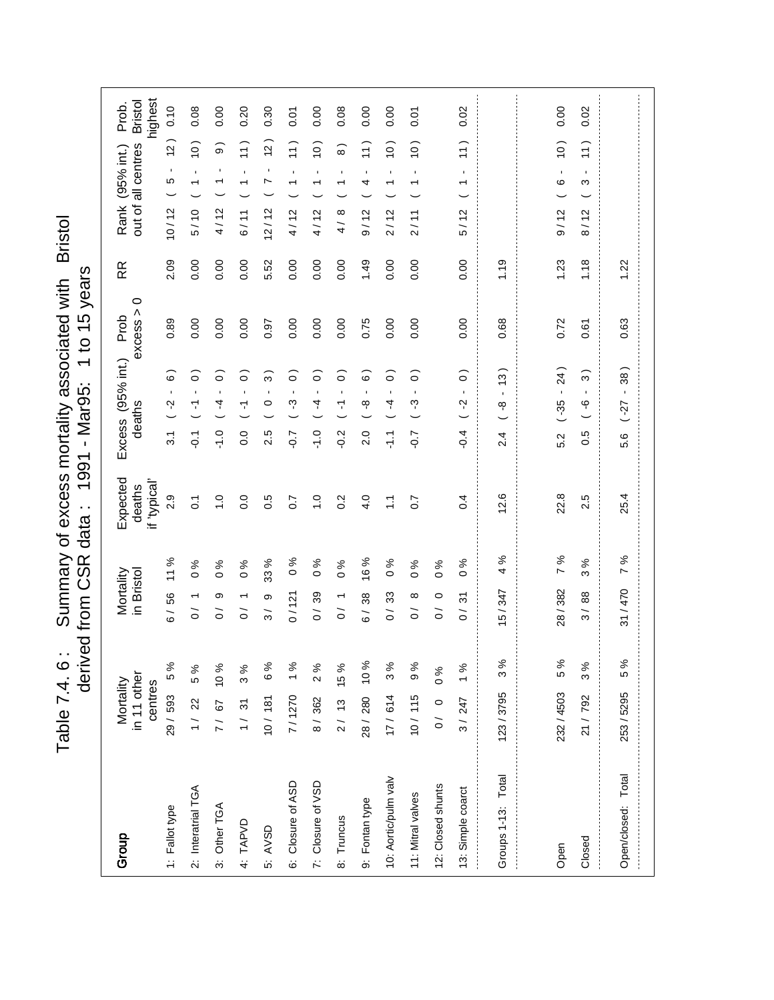Table 7.4. 6: Summary of excess mortality associated with Bristol<br>derived from CSR data: 1991 - Mar95: 1 to 15 years Table 7.4. 6 : Summary of excess mortality associated with Bristol derived from CSR data : 1991 - Mar95: 1 to 15 years

| Group                | in 11 other<br>Mortality<br>centres |     | Mortality<br>in Bristol                                 |                                         | Expected<br>if 'typical'<br>deaths | Excess (95% int.)<br>deaths |                                     | 0<br>excess ><br>Prob | RR   | out of all centres<br>Rank (95% int.)                            | highest<br><b>Bristol</b><br>Prob. |
|----------------------|-------------------------------------|-----|---------------------------------------------------------|-----------------------------------------|------------------------------------|-----------------------------|-------------------------------------|-----------------------|------|------------------------------------------------------------------|------------------------------------|
| 1: Fallot type       | 29 / 593 5%                         |     | 6/56                                                    | 11%                                     | 2.9                                | Ņ<br>$\overline{3.1}$       | $\widehat{\circ}$<br>$\mathbf{r}$   | 0.89                  | 2.09 | $\overline{a}$<br>$\blacksquare$<br>Ю<br>10/12                   | 0.10                               |
| 2: Interatrial TGA   | 1/22                                | 5 % | ↽<br>$\tilde{\circ}$                                    | ℅<br>$\circ$                            | $\overline{0}$                     | ۳<br>$\overline{Q}$         | $\circ$<br>$\mathbf{r}$             | 0.00                  | 0.00 | $\left($ 0<br>$\blacksquare$<br>$\overline{\phantom{0}}$<br>5/10 | 0.08                               |
| 3: Other TGA         | 7/ 67 10 %                          |     | တ<br>$\tilde{\circ}$                                    | న<br>$\circ$                            | $\frac{0}{1}$                      | 4<br>$-1.0$                 | ြ<br>$\mathbf{r}$                   | 0.00                  | 0.00 | တ<br>$\mathbf{I}$<br>$\overline{\phantom{0}}$<br>4/12            | 0.00                               |
| 4: TAPVD             | 1/31                                | 3%  | ↽<br>$\tilde{\circ}$                                    | ℅<br>$\circ$                            | 0.0                                | Υ<br>0.0                    | $\widehat{\circ}$<br>$\blacksquare$ | 0.00                  | 0.00 | 11)<br>$\blacksquare$<br>$\overline{\phantom{0}}$<br>6/11        | 0.20                               |
| 5: AVSD              | 10/181 6%                           |     | თ<br>ო                                                  | 33 %                                    | 0.5                                | $\circ$<br>2.5              | ္က<br>$\blacksquare$                | 0.97                  | 5.52 | $\overline{a}$<br>$\blacksquare$<br>Ņ<br>12/12                   | 0.30                               |
| 6: Closure of ASD    | 7/1270 1%                           |     | 0/121                                                   | శ<br>$\circ$                            | $\overline{0}$ .7                  | က္<br>$-0.7$                | $\circ$<br>$\mathbf{I}$             | 0.00                  | 0.00 | $\left(1\right)$<br>$\blacksquare$<br>↽<br>4/12                  | 0.07                               |
| 7: Closure of VSD    | 8/362                               | 2%  | 0/39                                                    | న<br>$\circ$                            | $\frac{1}{2}$                      | 4<br>$-1.0$                 | $\widehat{\circ}$<br>$\blacksquare$ | 0.00                  | 0.00 | (0)<br>$\blacksquare$<br>4/12                                    | 0.00                               |
| 8: Truncus           | $2/13$ 15%                          |     | $\frac{1}{2}$                                           | $\frac{6}{6}$                           | 0.2                                | Τ<br>$-0.2$                 | ြ<br>$\blacksquare$                 | 0.00                  | 0.00 | $\widehat{8}$<br>$\blacksquare$<br>$\infty$<br>$\frac{1}{4}$     | 0.08                               |
| 9: Fontan type       | 28 / 280 10 %                       |     | 38<br>$\overline{6}$                                    | %<br>$\overset{\circ}{\phantom{\circ}}$ | 4.0                                | ထု<br>2.0                   | စ<br>$\blacksquare$                 | 0.75                  | 1.49 | $\left(1\right)$<br>1<br>4<br>9/12                               | 0.00                               |
| 10: Aortic/pulm valv | 17/614                              | 3%  | 33<br>$\frac{1}{\sqrt{2}}$                              | ℅<br>$\circ$                            | Ξ                                  | 4<br>두                      | $\widehat{\circ}$<br>$\blacksquare$ | 0.00                  | 0.00 | (0)<br>$\blacksquare$<br>↽<br>2/12                               | 0.00                               |
| 11: Mitral valves    | 10/115                              | 9%  | $\infty$<br>$\overline{O}$                              | $\%$<br>$\circ$                         | $\overline{0.7}$                   | ကု<br>$\sim$                | $\circ$<br>$\blacksquare$           | 0.00                  | 0.00 | (0)<br>$\blacksquare$<br>↽<br>2/11                               | 0.07                               |
| 12: Closed shunts    | 0/0 0 0 %                           |     | $\circ$<br>$\tilde{\circ}$                              | 0%                                      |                                    |                             |                                     |                       |      |                                                                  |                                    |
| 13: Simple coarct    | 3/247                               | 1%  | $\tilde{\bm{c}}$<br>$\overline{\phantom{0}}$<br>$\circ$ | ళ<br>$\circ$                            | 0.4                                | Ņ<br>$-0.4$                 | $\widehat{\circ}$<br>$\mathbf{r}$   | 0.00                  | 0.00 | $\frac{1}{1}$<br>$\mathbf{L}$<br>↽<br>5/12                       | 0.02                               |
| Groups 1-13: Total   | 123/3795                            | 3 % | 5/347                                                   | ళ<br>4                                  | 12.6                               | ထု<br>2.4                   | $\frac{3}{2}$<br>$\mathbf{I}$       | 0.68                  | 1.19 |                                                                  |                                    |
|                      |                                     |     |                                                         |                                         |                                    |                             |                                     |                       |      |                                                                  |                                    |
| Open                 | 232/4503                            | 5%  | 28/382                                                  | 7 %                                     | 22.8                               | $-35$<br>5.2                | 24)<br>$\blacksquare$               | 0.72                  | 1.23 | $\frac{1}{2}$<br>$\blacksquare$<br>ဖ<br>9/12                     | 0.00                               |
| Closed               | 21/792                              | 3%  | 3/88                                                    | $\%$<br>ო                               | 2.5                                | $\frac{9}{1}$<br>0.5        | S<br>$\blacksquare$                 | 0.61                  | 1.18 | $\left(1\right)$<br>$\mathbf{I}$<br>ω<br>8/12                    | 0.02                               |
| Open/closed: Total   | 253 / 5295                          | 5 % | 31/470                                                  | వ్<br>Z                                 | 25.4                               | -27<br>5.6                  | $\frac{8}{36}$<br>$\mathbf{r}$      | 0.63                  | 1.22 |                                                                  |                                    |
|                      |                                     |     |                                                         |                                         |                                    |                             |                                     |                       |      |                                                                  |                                    |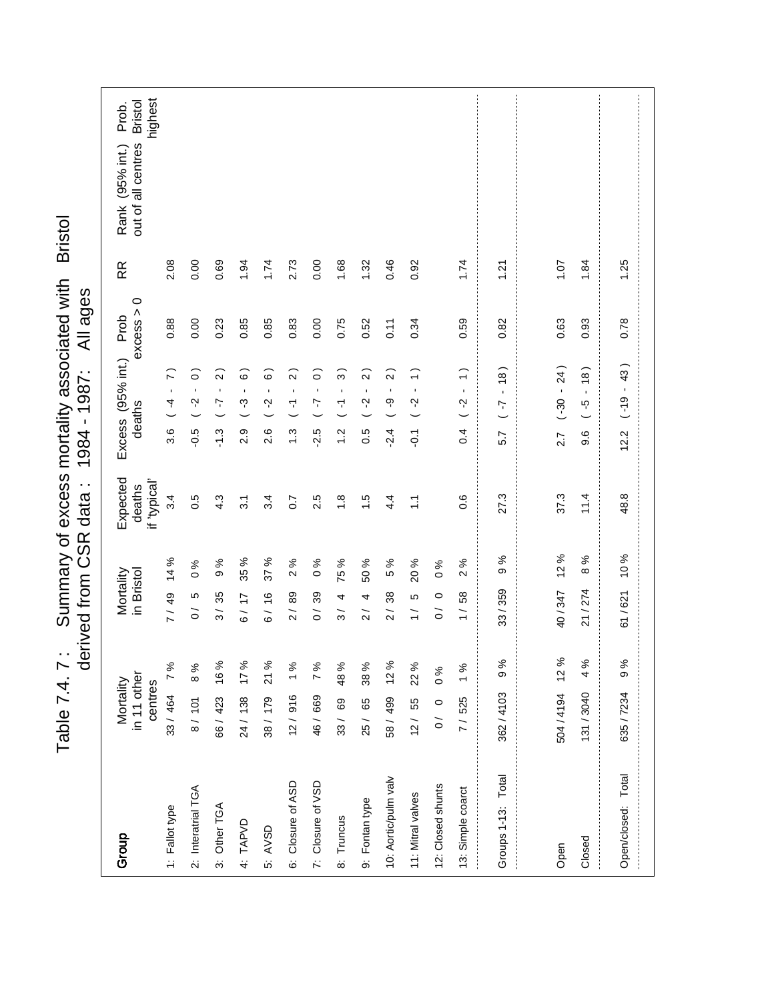| Summary of excess mortality associated wit<br>م<br>و<br>$\frac{1}{2}$ | agges<br>.<br>707.<br>.<br>)<br>)<br><b>DSO</b><br>.<br>Daid<br>J<br>n dota<br>A OOC Seef Territo<br>)<br>)<br>)<br>)<br>)<br>) |
|-----------------------------------------------------------------------|---------------------------------------------------------------------------------------------------------------------------------|

| Group                | in 11 other<br>Mortality<br>centres |      | in Bristol<br>Mortality    |                 | Expected<br>if 'typical'<br>deaths |                | Excess (95% int.) Prob<br>deaths                           | $\circ$<br>excess > | RR   | highest<br><b>Bristol</b><br>Prob.<br>out of all centres<br>Rank (95% int.) |
|----------------------|-------------------------------------|------|----------------------------|-----------------|------------------------------------|----------------|------------------------------------------------------------|---------------------|------|-----------------------------------------------------------------------------|
| 1: Fallot type       | 33/464 7%                           |      | 7/49                       | 14 %            | 3.4                                | 3.6            | $\tilde{z}$<br>$\mathbf{r}$<br>4                           | 0.88                | 2.08 |                                                                             |
| 2: Interatrial TGA   | 8/101                               | 8%   | Ю<br>$\tilde{0}$           | $\%$<br>$\circ$ | 0.5                                | $-0.5$         | ြ<br>$\blacksquare$<br>Ņ                                   | 0.00                | 0.00 |                                                                             |
| 3: Other TGA         | 66/ 423 16%                         |      | 3/35                       | $\%$<br>တ       | 4.3                                | $-1.3$         | $\widehat{2}$<br>$\blacksquare$<br>7                       | 0.23                | 0.69 |                                                                             |
| 4: TAPVD             | 24/ 138 17%                         |      | 6/17                       | 35 %            | $\overline{3}$ .                   | 2.9            | $\widehat{\circ}$<br>$\blacksquare$<br>ကု                  | 0.85                | 1.94 |                                                                             |
| 5: AVSD              | 38/179 21%                          |      | 6/16                       | ℅<br>57         | 3.4                                | 2.6            | $\widehat{\circ}$<br>$\blacksquare$<br>Ņ                   | 0.85                | 1.74 |                                                                             |
| 6: Closure of ASD    | $12/916$ 1%                         |      | 2/89                       | $\%$<br>$\sim$  | $\overline{0}$ .7                  | $\ddot{.}3$    | $\widehat{2}$<br>$\blacksquare$<br>$\overline{\mathbf{r}}$ | 0.83                | 2.73 |                                                                             |
| 7: Closure of VSD    | 46/669 7%                           |      | 0/39                       | $\%$<br>$\circ$ | 2.5                                | $-2.5$         | ြ<br>$\blacksquare$<br>7                                   | 0.00                | 0.00 |                                                                             |
| 8: Truncus           | 33/ 69 48%                          |      | 4<br>$\frac{3}{ }$         | 75 %            | $\frac{8}{1}$                      | $\frac{2}{1}$  | ్లె<br>$\blacksquare$<br>$\overline{\mathbf{r}}$           | 0.75                | 1.68 |                                                                             |
| 9: Fontan type       | 25/65                               | 38%  | 4<br>$\frac{1}{2}$         | 50 %            | $\frac{5}{1}$                      | 0.5            | $\widehat{2}$<br>$\blacksquare$<br>Ņ                       | 0.52                | 1.32 |                                                                             |
| 10: Aortic/pulm valv | 58/499 12%                          |      | 38<br>$\frac{2}{\sqrt{2}}$ | 5 %             | $4\overline{4}$                    | $-2.4$         | $\widehat{2}$<br>$\blacksquare$<br>ဂု                      | 0.11                | 0.46 |                                                                             |
| 11: Mitral valves    | 12/55                               | 22 % | LO<br>$\frac{1}{1}$        | 20 %            | $\tilde{\Xi}$                      | $\overline{5}$ | $\widehat{\cdot}$<br>$\blacksquare$<br>Ņ                   | 0.34                | 0.92 |                                                                             |
| 12: Closed shunts    | 0/0 0 0 %                           |      | $\circ$<br>$\overline{O}$  | $\frac{6}{6}$   |                                    |                |                                                            |                     |      |                                                                             |
| 13: Simple coarct    | 7/525 1%                            |      | 58<br>$\frac{1}{1}$        | ৡ<br>$\sim$     | $\frac{6}{2}$                      | 0.4            | $\widehat{\cdot}$<br>$\blacksquare$<br>Ņ                   | 0.59                | 1.74 |                                                                             |
| Groups 1-13: Total   | 362/4103                            | 9%   | 33/359                     | 9 %             | 27.3                               | 5.7            | $\frac{8}{1}$<br>$\mathbf{r}$<br>7                         | 0.82                | 1.21 |                                                                             |
|                      |                                     |      |                            |                 |                                    |                |                                                            |                     |      |                                                                             |
| Open                 | 504/4194 12%                        |      | 40/347                     | 12%             | 37.3                               | 2.7            | 24)<br>$-30 -$                                             | 0.63                | 1.07 |                                                                             |
| Closed               | 131 / 3040                          | 4 %  | 21/274                     | ಸಿ<br>ထ         | 11.4                               | 9.6            | (8)<br>$\mathbf{r}$<br>$\frac{6}{5}$                       | 0.93                | 1.84 |                                                                             |
| Open/closed: Total   | 635/7234                            | 9%   | 61/621                     | 10 %            | 48.8                               | 12.2           | 43)<br>$\bar{\phantom{a}}$<br>$( -19)$                     | 0.78                | 1.25 |                                                                             |
|                      |                                     |      |                            |                 |                                    |                |                                                            |                     |      |                                                                             |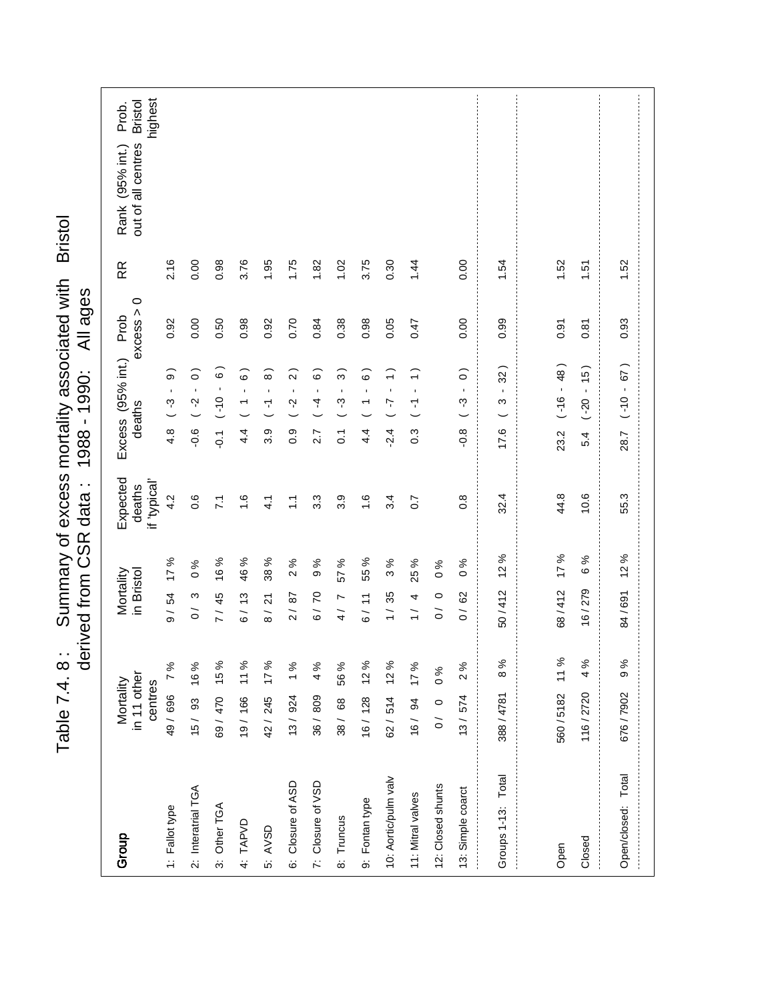| immary of excess mortality associated with L | All age:                   |
|----------------------------------------------|----------------------------|
|                                              | )<br>)<br>)<br>1988 - 1990 |
|                                              | data:                      |
|                                              |                            |
| ز<br>(                                       | derived from CSR           |
| Table $7.4.8$ .                              |                            |

| Group                | in 11 other<br>Mortality<br>centres |      | Mortality<br>in Bristol   |                                                                                                                                                                                                                                                                                                                                                                                                                                                                                                                                                                                                                                                                     | Expected<br>if 'typical'<br>deaths |                  | Excess (95% int.) Prob<br>deaths                              | $\circ$<br>excess > | RR   | highest<br><b>Bristol</b><br>Prob.<br>out of all centres<br>Rank (95% int.) |
|----------------------|-------------------------------------|------|---------------------------|---------------------------------------------------------------------------------------------------------------------------------------------------------------------------------------------------------------------------------------------------------------------------------------------------------------------------------------------------------------------------------------------------------------------------------------------------------------------------------------------------------------------------------------------------------------------------------------------------------------------------------------------------------------------|------------------------------------|------------------|---------------------------------------------------------------|---------------------|------|-----------------------------------------------------------------------------|
| 1: Fallot type       | 49/696 7%                           |      | 9/54                      | 17 %                                                                                                                                                                                                                                                                                                                                                                                                                                                                                                                                                                                                                                                                | 4.2                                | 4.8              | $\widehat{\mathbf{e}}$<br>$\blacksquare$<br>$\mathcal{C}$ -   | 0.92                | 2.16 |                                                                             |
| 2: Interatrial TGA   | 15/ 93 16%                          |      | ო<br>$\overline{O}$       | $% \mathbf{G} \rightarrow \mathbf{G} \rightarrow \mathbf{G} \rightarrow \mathbf{G} \rightarrow \mathbf{G} \rightarrow \mathbf{G} \rightarrow \mathbf{G} \rightarrow \mathbf{G} \rightarrow \mathbf{G} \rightarrow \mathbf{G} \rightarrow \mathbf{G} \rightarrow \mathbf{G} \rightarrow \mathbf{G} \rightarrow \mathbf{G} \rightarrow \mathbf{G} \rightarrow \mathbf{G} \rightarrow \mathbf{G} \rightarrow \mathbf{G} \rightarrow \mathbf{G} \rightarrow \mathbf{G} \rightarrow \mathbf{G} \rightarrow \mathbf{G} \rightarrow \mathbf{G} \rightarrow \mathbf{G} \rightarrow \mathbf{G} \rightarrow \mathbf{G} \rightarrow \mathbf{G} \rightarrow \mathbf$<br>$\circ$ | 0.6                                | $-0.6$           | $\widehat{\circ}$<br>$\blacksquare$<br>$\frac{2}{3}$          | 0.00                | 0.00 |                                                                             |
| 3: Other TGA         | 69/470 15%                          |      | 7/45                      | 16 %                                                                                                                                                                                                                                                                                                                                                                                                                                                                                                                                                                                                                                                                | $\overline{7}$                     | $\overline{Q}$   | $\tilde{\circ}$<br>$\blacksquare$<br>$0(-)$                   | 0.50                | 0.98 |                                                                             |
| 4: TAPVD             | 19/166 11%                          |      | 6/13                      | 46 %                                                                                                                                                                                                                                                                                                                                                                                                                                                                                                                                                                                                                                                                | $\frac{6}{1}$                      | 4.4              | $\widehat{\circ}$<br>$\mathbf{r}$<br>$\overline{\phantom{a}}$ | 0.98                | 3.76 |                                                                             |
| 5: AVSD              | 42/245 17%                          |      | 21<br>$\frac{1}{8}$       | 38 %                                                                                                                                                                                                                                                                                                                                                                                                                                                                                                                                                                                                                                                                | 4.1                                | 3.9              | $\widehat{\circ}$<br>$\blacksquare$<br>7                      | 0.92                | 1.95 |                                                                             |
| 6: Closure of ASD    | 13/ 924 1%                          |      | 2/87                      | $\%$<br>$\sim$                                                                                                                                                                                                                                                                                                                                                                                                                                                                                                                                                                                                                                                      | $\frac{1}{\sqrt{2}}$               | $\overline{0}$ . | $\widehat{2}$<br>$\mathbf{I}$<br>Ņ                            | 0.70                | 1.75 |                                                                             |
| 7: Closure of VSD    | 36/809                              | 4 %  | 6/70                      | $\%$<br>တ                                                                                                                                                                                                                                                                                                                                                                                                                                                                                                                                                                                                                                                           | $3.\overline{3}$                   | 2.7              | ි<br>$\blacksquare$<br>4                                      | 0.84                | 1.82 |                                                                             |
| 8: Truncus           | 38/ 68                              | 56 % | 4/7                       | $\%$<br>57                                                                                                                                                                                                                                                                                                                                                                                                                                                                                                                                                                                                                                                          | 3.9                                | $\ddot{\circ}$   | ္က<br>$\mathbf{r}$<br>ကု                                      | 0.38                | 1.02 |                                                                             |
| 9: Fontan type       | 16/128 12%                          |      | 6/11                      | 55 %                                                                                                                                                                                                                                                                                                                                                                                                                                                                                                                                                                                                                                                                | $\frac{6}{1}$                      | $4\overline{4}$  | $\widehat{\circ}$<br>$\blacksquare$<br>$\overline{ }$         | 0.98                | 3.75 |                                                                             |
| 10: Aortic/pulm valv | 62/514 12%                          |      | 1/35                      | ℅<br>$\infty$                                                                                                                                                                                                                                                                                                                                                                                                                                                                                                                                                                                                                                                       | 3.4                                | .24              | $\widehat{\cdot}$<br>$\mathbf{I}$<br>7                        | 0.05                | 0.30 |                                                                             |
| 11: Mitral valves    | 16/ 94 17%                          |      | 4<br>$\frac{1}{1}$        | 25 %                                                                                                                                                                                                                                                                                                                                                                                                                                                                                                                                                                                                                                                                | $\overline{0}$ .7                  | $0.\overline{3}$ | $\widehat{\cdot}$<br>$\blacksquare$<br>7                      | 0.47                | 1.44 |                                                                             |
| 12: Closed shunts    | 0/0 0 0 %                           |      | $\circ$<br>$\overline{c}$ | $\frac{6}{6}$                                                                                                                                                                                                                                                                                                                                                                                                                                                                                                                                                                                                                                                       |                                    |                  |                                                               |                     |      |                                                                             |
| 13: Simple coarct    | 13/574                              | 2%   | 0/62                      | $\frac{6}{6}$                                                                                                                                                                                                                                                                                                                                                                                                                                                                                                                                                                                                                                                       | $0.\overline{8}$                   | $-0.8$           | $\widehat{\circ}$<br>$\blacksquare$<br>ကု                     | 0.00                | 0.00 |                                                                             |
| Groups 1-13: Total   | 388/4781                            | 8%   | 50/412                    | 12 %                                                                                                                                                                                                                                                                                                                                                                                                                                                                                                                                                                                                                                                                | 32.4                               | 17.6             | 32)<br>$\blacksquare$<br>ω                                    | 0.99                | 1.54 |                                                                             |
|                      |                                     |      |                           |                                                                                                                                                                                                                                                                                                                                                                                                                                                                                                                                                                                                                                                                     |                                    |                  |                                                               |                     |      |                                                                             |
| Open                 | 560/5182 11%                        |      | 68/412                    | 17%                                                                                                                                                                                                                                                                                                                                                                                                                                                                                                                                                                                                                                                                 | 44.8                               | 23.2             | $( -16 - 48)$                                                 | 0.91                | 1.52 |                                                                             |
| Closed               | 116/2720                            | 4 %  | 16/279                    | 6 %                                                                                                                                                                                                                                                                                                                                                                                                                                                                                                                                                                                                                                                                 | 10.6                               | 5.4              | (5)<br>$\blacksquare$<br>$( -20)$                             | 0.87                | 1.51 |                                                                             |
| Open/closed: Total   | 676/7902                            | 9 %  | 84/691                    | 12%                                                                                                                                                                                                                                                                                                                                                                                                                                                                                                                                                                                                                                                                 | 55.3                               | 28.7             | 67)<br>$-0(-)$                                                | 0.93                | 1.52 |                                                                             |
|                      |                                     |      |                           |                                                                                                                                                                                                                                                                                                                                                                                                                                                                                                                                                                                                                                                                     |                                    |                  |                                                               |                     |      |                                                                             |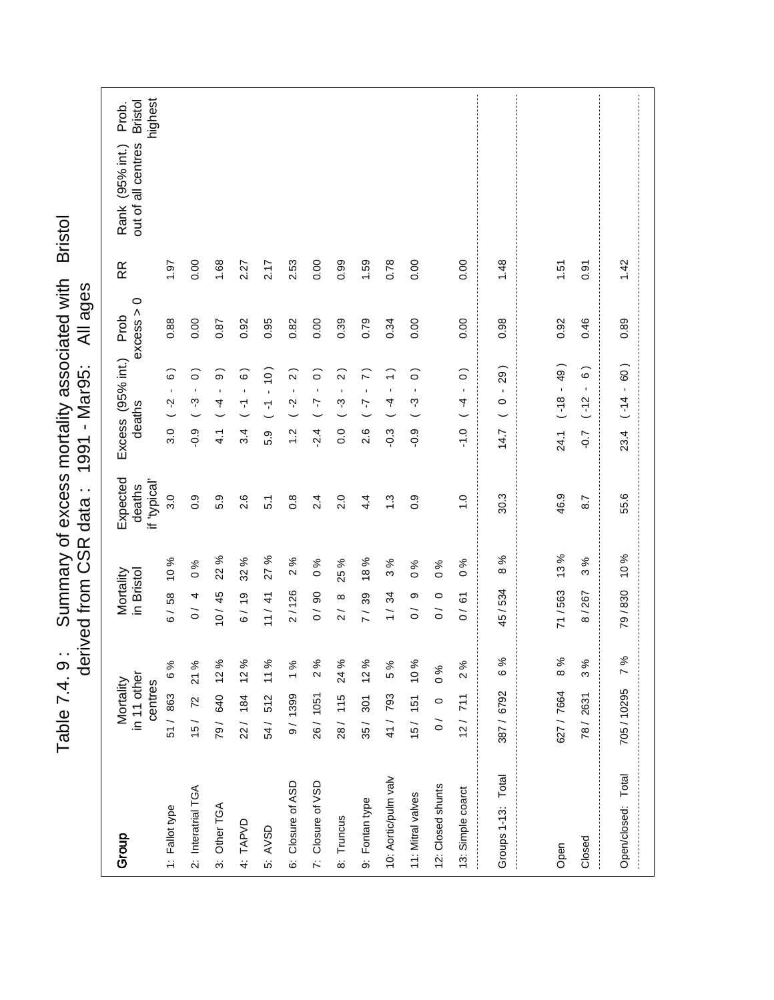| Group                | in 11 other<br>Mortality<br>centres |       | Mortality<br>in Bristol   |                 | Expected<br>if 'typical'<br>deaths |               | Excess (95% int.) Prob<br>deaths                                         | $\circ$<br>excess > | RR   | highest<br><b>Bristol</b><br>Prob.<br>out of all centres<br>Rank (95% int.) |
|----------------------|-------------------------------------|-------|---------------------------|-----------------|------------------------------------|---------------|--------------------------------------------------------------------------|---------------------|------|-----------------------------------------------------------------------------|
| 1: Fallot type       | 51/863 6%                           |       | 6/58                      | 10%             | 3.0                                | 3.0           | $\widehat{\circ}$<br>$\mathbf{I}$<br>Ņ                                   | 0.88                | 1.61 |                                                                             |
| 2: Interatrial TGA   | 15/ 72 21 %                         |       | 0/4                       | $\%$<br>$\circ$ | $\overline{0}$ .                   | $-0.9$        | $\circ$<br>$\blacksquare$<br>ကု                                          | 0.00                | 0.00 |                                                                             |
| 3: Other TGA         | 79/ 640 12%                         |       | 10/45                     | 22 %            | 5.9                                | $\frac{1}{4}$ | $\widehat{\mathbf{e}}$<br>$\mathbf{r}$<br>$\frac{4}{3}$                  | 0.87                | 1.68 |                                                                             |
| 4: TAPVD             | 22/ 184 12%                         |       | 6/19                      | 32 %            | 2.6                                | 3.4           | $\widehat{\circ}$<br>$\mathbf{r}$<br>7                                   | 0.92                | 2.27 |                                                                             |
| 5: AVSD              | 54/ 512 11 %                        |       | 11 / 41                   | %<br>27         | $\overline{5}$                     | 5.9           | $\frac{10}{10}$<br>$\mathbf{r}$<br>7                                     | 0.95                | 2.17 |                                                                             |
| 6: Closure of ASD    | 9/ 1399 1%                          |       | 2/126                     | 2%              | $0.\overline{8}$                   | $\ddot{ }$    | $\widehat{2}$<br>$\mathbf{r}$<br>$\sim$                                  | 0.82                | 2.53 |                                                                             |
| 7: Closure of VSD    | 26/1051                             | 2%    | 0/90                      | $\frac{6}{6}$   | 2.4                                | $-2.4$        | $\widehat{\circ}$<br>$\blacksquare$<br>7                                 | 0.00                | 0.00 |                                                                             |
| 8: Truncus           | 28/ 115                             | 24 %  | $\infty$<br>$\frac{1}{2}$ | 25 %            | 2.0                                | 0.0           | $\widehat{2}$<br>$\blacksquare$<br>ကု                                    | 0.39                | 0.99 |                                                                             |
| 9: Fontan type       | 35/ 301 12%                         |       | 7/39                      | 18 %            | $4\overline{4}$                    | 2.6           | $\widehat{r}$<br>$\bar{1}$<br>7                                          | 0.79                | 1.59 |                                                                             |
| 10: Aortic/pulm valv | 41/793                              | 5%    | 34<br>$\frac{1}{1}$       | ℅<br>$\bar{c}$  | $\ddot{.}$                         | $-0.3$        | $\widehat{\cdot}$<br>$\mathbf{r}$<br>4                                   | 0.34                | 0.78 |                                                                             |
| 11: Mitral valves    | 15/ 151 10%                         |       | თ<br>$\tilde{0}$          | $\%$<br>$\circ$ | $0.\overline{9}$                   | $-0.9$        | $\widehat{\circ}$<br>$\mathbf{I}$<br>ကု                                  | 0.00                | 0.00 |                                                                             |
| 12: Closed shunts    | 0/0                                 | $\%0$ | $\circ$<br>$\tilde{0}$    | ℅<br>$\circ$    |                                    |               |                                                                          |                     |      |                                                                             |
| 13: Simple coarct    | 12/711                              | 2%    | 0/61                      | $\delta$ %      | $\frac{0}{1}$                      | $-1.0$        | $\widehat{\circ}$<br>$\bar{\mathbf{r}}$<br>4<br>$\overline{\phantom{0}}$ | 0.00                | 0.00 |                                                                             |
| Groups 1-13: Total   | 387/6792                            | 6%    | 45/534                    | %<br>$\infty$   | 30.3                               | 14.7          | 29)<br>$\mathbf{r}$<br>$\circ$                                           | 0.98                | 1.48 |                                                                             |
|                      |                                     |       |                           |                 |                                    |               |                                                                          |                     |      |                                                                             |
| Open                 | 627 / 7664                          | 8%    | 71/563                    | 13%             | 46.9                               | 24.1          | $-49$<br>$\frac{8}{10}$                                                  | 0.92                | 1.51 |                                                                             |
| Closed               | 78/2631                             | 3%    | 8/267                     | 3%              | 8.7                                | $-0.7$        | $\widehat{\circ}$<br>$\blacksquare$<br>$(-12)$                           | 0.46                | 0.91 |                                                                             |
| Open/closed: Total   | 705/10295                           | 7%    | 79/830                    | 10 %            | 55.6                               | 23.4          | 60)<br>$\bar{\phantom{a}}$<br>$( -14)$                                   | 0.89                | 1.42 |                                                                             |
|                      |                                     |       |                           |                 |                                    |               |                                                                          |                     |      |                                                                             |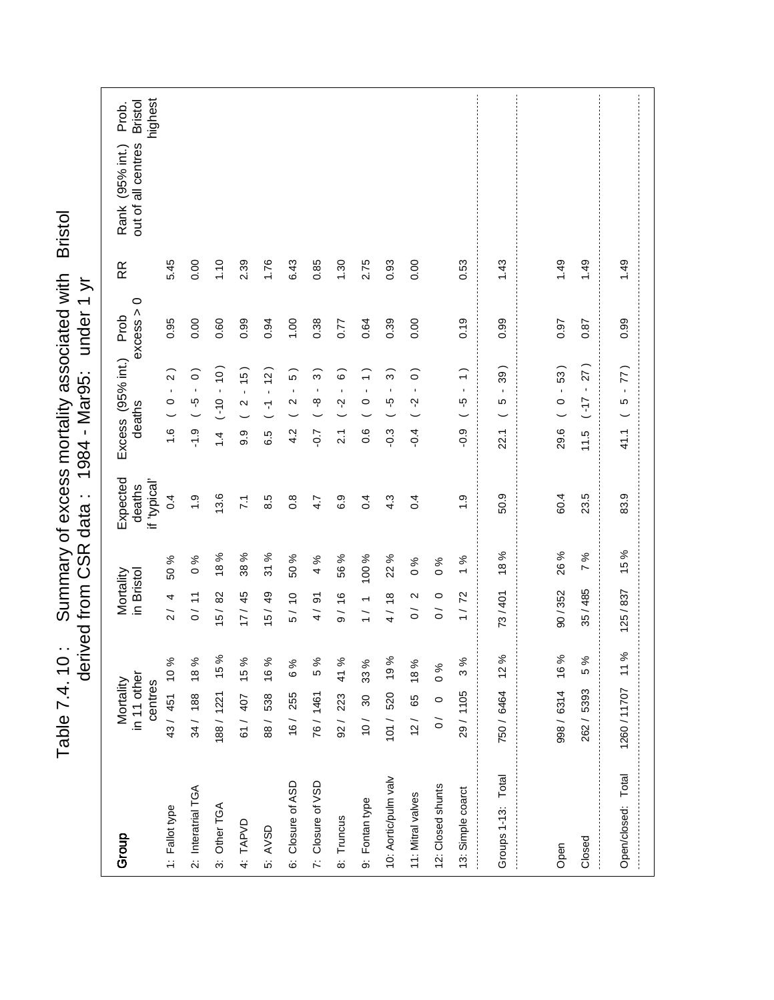|                      |                                     | Table 7.4.10:  |                         |       | Summary of excess mortality associated with Bristol<br>derived from CSR data: | 1984 - Mar95: |                                           | under 1 yr |      |                                                                   |
|----------------------|-------------------------------------|----------------|-------------------------|-------|-------------------------------------------------------------------------------|---------------|-------------------------------------------|------------|------|-------------------------------------------------------------------|
| Group                | in 11 other<br>Mortality<br>centres |                | in Bristol<br>Mortality |       | Expected<br>if 'typical'<br>deaths                                            | deaths        | Excess (95% int.) Prob                    | excess > 0 | RR   | highest<br>out of all centres Bristol<br>Prob.<br>Rank (95% int.) |
| 1: Fallot type       |                                     | 43/ 451 10%    | 2/4                     | 50 %  | 0.4                                                                           |               | $1.6$ ( $0 - 2$ )                         | 0.95       | 5.45 |                                                                   |
| 2: Interatrial TGA   |                                     | 34/ 188 18%    | 0/11                    | 6%    | $\ddot{ }$ .                                                                  | $-1.9$        | $(0 - 2 - )$                              | 0.00       | 0.00 |                                                                   |
| 3: Other TGA         |                                     | 188/1221 15 %  | 15/82                   | 18%   | 13.6                                                                          |               | $(01 - 0 - 1)$                            | 0.60       | 1.10 |                                                                   |
| 4: TAPVD             |                                     | 61/ 407 15%    | 17/45                   | 38%   | $\overline{71}$                                                               | ე<br>თ        | $(2 - 15)$                                | 0.99       | 2.39 |                                                                   |
| 5: AVSD              | 88/ 538                             | 16 %           | 15/49                   | 31%   | 8.5                                                                           | 6.5           | $( -1 - 12)$                              | 0.94       | 1.76 |                                                                   |
| 6: Closure of ASD    | 16/ 255                             | 6 %            | 5/10                    | 50 %  | $0.\overline{8}$                                                              | 4.2           | 5)<br>$\frac{1}{2}$                       | 00.1       | 6.43 |                                                                   |
| 7: Closure of VSD    | 76/1461                             | 5%             | 4/91                    | 4%    | 4.7                                                                           | $-0.7$        | $\widehat{3}$<br>$-8 -$                   | 0.38       | 0.85 |                                                                   |
| 8: Truncus           |                                     | 92/ 223 41 %   | 9/16                    | 56%   | 6.9                                                                           | <u>ર્</u>     | $\widehat{\circ}$<br>$\frac{1}{2}$        | 0.77       | 1.30 |                                                                   |
| 9: Fontan type       | 10/30                               | 33 %           | 1 / 1                   | 100 % | 0.4                                                                           | $\frac{6}{2}$ | $\widehat{\text{-}}$<br>$\frac{1}{\circ}$ | 0.64       | 2.75 |                                                                   |
| 10: Aortic/pulm valv |                                     | 101 / 520 19 % | 4/18                    | 22 %  | 4.3                                                                           | <u>ှ</u>      | $(-5 - 3)$                                | 0.39       | 0.93 |                                                                   |
| 11: Mitral valves    |                                     | $12/65$ 18%    | 0/2                     | 0%    | 0.4                                                                           | $-0.4$        | $\widehat{\circ}$<br>$(-2 -$              | 0.00       | 0.00 |                                                                   |

|                     |                     | a da bara da bara da bara da bara da bara da bara da bara da bara da bara da bara da bara da bara da bara da b |
|---------------------|---------------------|----------------------------------------------------------------------------------------------------------------|
|                     |                     |                                                                                                                |
|                     |                     |                                                                                                                |
|                     |                     |                                                                                                                |
|                     |                     |                                                                                                                |
|                     |                     |                                                                                                                |
|                     |                     |                                                                                                                |
|                     |                     |                                                                                                                |
|                     |                     |                                                                                                                |
|                     |                     |                                                                                                                |
|                     |                     |                                                                                                                |
|                     |                     |                                                                                                                |
|                     |                     |                                                                                                                |
|                     |                     |                                                                                                                |
| 9<br>1              | $\frac{9}{4}$       | $\frac{9}{4}$                                                                                                  |
|                     |                     |                                                                                                                |
|                     |                     |                                                                                                                |
|                     |                     |                                                                                                                |
|                     |                     |                                                                                                                |
| 0.97                | 0.87                | 0.99                                                                                                           |
|                     |                     |                                                                                                                |
|                     |                     |                                                                                                                |
|                     |                     |                                                                                                                |
| $29.6$ ( $0 - 53$ ) | $11.5$ $(-17 - 27)$ | $41.1$ ( $5 - 77$ )                                                                                            |
|                     |                     |                                                                                                                |
|                     |                     |                                                                                                                |
|                     |                     |                                                                                                                |
|                     |                     |                                                                                                                |
|                     |                     |                                                                                                                |
|                     |                     |                                                                                                                |
|                     |                     |                                                                                                                |
|                     |                     |                                                                                                                |
|                     |                     |                                                                                                                |
|                     |                     |                                                                                                                |
| 60.4                | 23.5                | 83.9                                                                                                           |
|                     |                     |                                                                                                                |
|                     |                     |                                                                                                                |
|                     |                     |                                                                                                                |
|                     |                     |                                                                                                                |
|                     |                     |                                                                                                                |
| <b>26%</b>          |                     |                                                                                                                |
|                     |                     |                                                                                                                |
|                     |                     |                                                                                                                |
|                     |                     |                                                                                                                |
| 90/352              | 35/485 7%           | $125/837$ 15%                                                                                                  |
|                     |                     |                                                                                                                |
|                     |                     |                                                                                                                |
|                     |                     |                                                                                                                |
|                     |                     |                                                                                                                |
| 998/6314 16%        | 262/539355%         |                                                                                                                |
|                     |                     |                                                                                                                |
|                     |                     |                                                                                                                |
|                     |                     |                                                                                                                |
|                     |                     |                                                                                                                |
|                     |                     |                                                                                                                |
|                     |                     |                                                                                                                |
|                     |                     |                                                                                                                |
|                     |                     |                                                                                                                |
|                     |                     |                                                                                                                |
|                     |                     |                                                                                                                |
|                     |                     |                                                                                                                |
|                     |                     |                                                                                                                |
|                     |                     |                                                                                                                |
|                     |                     | Open/closed: Total  1260/11707 11%                                                                             |
| Open                | Closed              |                                                                                                                |
|                     |                     |                                                                                                                |

0 / 0 0 % 0 / 0 0 %

 $0/0$  $1/72$ 

29 / 1105 3 % 1 / 72 1 % 1.9 -0.9 ( -5 - 1 ) 0.19 0.53

 $\ddot{6}$ 

 $1%$  $0%$ 

29/ 1105 3%  $0/0 0 0 %$ 

0.53

 $0.19$ 

 $(1 - 5 - 1)$  6:0-

750 / 6464 12 % 73 / 401 18 % 50.9 22.1 ( 5 - 39 ) 0.99 1.43

50.9

73/401 18%

750/6464 12%

1.43

0.99

 $22.1$  (  $5 - 39$  )

12: Closed shunts

12: Closed shunts 13: Simple coarct

13: Simple coarct

Groups 1-13: Total

Groups 1-13: Total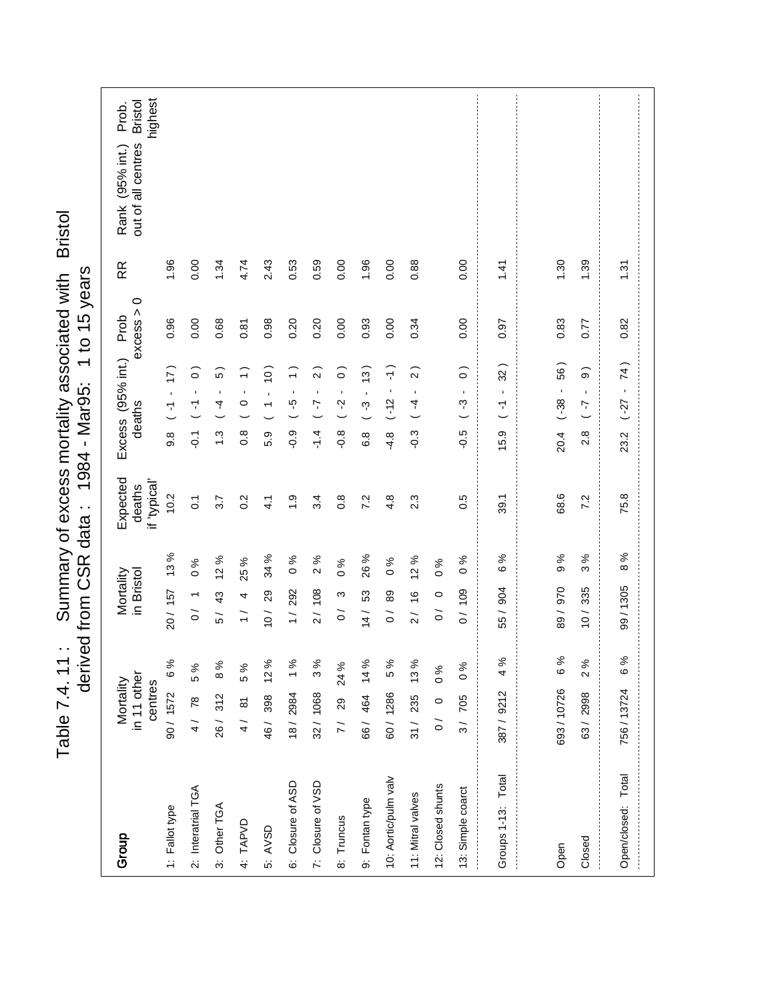|                                                                    | <b>H</b> of all centres<br>RR<br>Rank (95% int.)       |
|--------------------------------------------------------------------|--------------------------------------------------------|
|                                                                    |                                                        |
|                                                                    |                                                        |
| derived from CSR data: 1984 - Mar95: 1 to 15 years                 | Neather proposes of<br>Expected Excess (95% int.) Prob |
|                                                                    | deathe                                                 |
|                                                                    | in Bristol<br><b><i>lortality</i></b>                  |
| Table 7.4. 11: Summary of excess mortality associated with Bristol | in 11 other<br>Mortality                               |

| <b>Bristol</b><br>15 years<br>Summary of excess mortality associated with<br>$\frac{1}{2}$<br>- Mar95:<br>1984<br>data :<br>derived from CSR<br>$\ddot{\phantom{0}}$ | highest<br><b>Bristol</b><br>Prob.<br>out of all centres<br>(95% int.)<br>Rank<br>RR<br>$\circ$<br>excess ><br>Prob<br>Excess (95% int.)<br>deaths<br>Expected<br>if 'typical'<br>deaths<br>in Bristol<br>Mortality<br>in 11 other<br>Mortality<br>centres | 1.96<br>0.96<br>(17)<br>$\blacksquare$<br>$\overline{\mathbf{r}}$<br>9.8<br>10.2<br>13%<br>20/157<br>6 % | 0.00<br>0.00<br>$\widehat{\circ}$<br>$\blacksquare$<br>Ч<br>$\overline{Q}$<br>$\overline{0}$<br>$\frac{96}{6}$<br>$\overline{\phantom{0}}$<br>$\tilde{0}$<br>5 % | 1.34<br>0.68<br>5<br>$\blacksquare$<br>4<br>$\ddot{.}$<br>3.7<br>%<br>$\overline{a}$<br>43<br>57<br>8% | 4.74<br>0.87<br>$\widehat{\mathbf{t}}$<br>$\blacksquare$<br>$\circ$<br>$\frac{8}{2}$<br>0.2<br>25 %<br>4<br>$\frac{1}{1}$<br>5% | 2.43<br>0.98<br>(0)<br>$\blacksquare$<br>$\overline{\phantom{0}}$<br>5.9<br>$\frac{1}{4}$<br>34 %<br>29<br>$\frac{1}{2}$<br>46/ 398 12% | 0.53<br>0.20<br>$\widehat{\cdot}$<br>÷<br>ပ္ပ္<br>$-0.9$<br>$\ddot{ }$ .<br>ಸಿ<br>$\circ$<br>292<br>$\frac{1}{1}$<br>18/2984 1% | 0.59<br>0.20<br>$\widehat{2}$<br>$\blacksquare$<br>7<br>$-1.4$<br>3.4<br>$\%$<br>$\sim$<br>2/108<br>3% | 0.00<br>0.00<br>$\widehat{\circ}$<br>1<br>Ņ<br>$-0.8$<br>$0.\overline{8}$<br>$\frac{96}{6}$<br>S<br>$\overline{0}$<br>$7/29$ 24% | 1.96<br>0.93<br>(3)<br>$\blacksquare$<br>ကု<br>6.8<br>7.2<br>26 %<br>53<br>14/<br>66/ 464 14 % | 0.00<br>0.00<br>$\frac{1}{1}$<br>$\blacksquare$<br>$-12$<br>$-4.8$<br>4.8<br>ৡ<br>$\circ$<br>89<br>$\overline{O}$<br>5% | 0.88<br>0.34<br>$\widehat{2}$<br>$\blacksquare$<br>4<br>$-0.3$<br>2.3<br>$\%$<br>$\overline{a}$<br>$\frac{6}{5}$<br>$\frac{1}{2}$<br>$31/235$ 13% | $\frac{96}{6}$<br>$\circ$<br>$\overline{0}$<br>$\frac{96}{6}$ | 0.00<br>0.00<br>$\widehat{\circ}$<br>$\blacksquare$<br>ကု<br>$-0.5$<br>0.5<br>$\frac{6}{6}$<br>0/109<br>960 | 1.41<br>0.97<br>32)<br>$\blacksquare$<br>7<br>$\overline{\phantom{0}}$<br>15.9<br>39.1<br>6 %<br>904<br>55/<br>4% | 1.30<br>0.83<br>56)<br>$\blacksquare$<br>$(-38)$<br>20.4<br>68.6<br>$\%$<br>$\infty$<br>970<br>$\frac{89}{ }$<br>6 % | 1.39<br>0.77<br>$\widehat{\Theta}$<br>$\blacksquare$<br>7<br>2.8<br>7.2<br>న<br>ω<br>335<br>$\frac{10}{1}$<br>2% |                       |
|----------------------------------------------------------------------------------------------------------------------------------------------------------------------|------------------------------------------------------------------------------------------------------------------------------------------------------------------------------------------------------------------------------------------------------------|----------------------------------------------------------------------------------------------------------|------------------------------------------------------------------------------------------------------------------------------------------------------------------|--------------------------------------------------------------------------------------------------------|---------------------------------------------------------------------------------------------------------------------------------|-----------------------------------------------------------------------------------------------------------------------------------------|---------------------------------------------------------------------------------------------------------------------------------|--------------------------------------------------------------------------------------------------------|----------------------------------------------------------------------------------------------------------------------------------|------------------------------------------------------------------------------------------------|-------------------------------------------------------------------------------------------------------------------------|---------------------------------------------------------------------------------------------------------------------------------------------------|---------------------------------------------------------------|-------------------------------------------------------------------------------------------------------------|-------------------------------------------------------------------------------------------------------------------|----------------------------------------------------------------------------------------------------------------------|------------------------------------------------------------------------------------------------------------------|-----------------------|
|                                                                                                                                                                      |                                                                                                                                                                                                                                                            |                                                                                                          |                                                                                                                                                                  |                                                                                                        |                                                                                                                                 |                                                                                                                                         |                                                                                                                                 |                                                                                                        |                                                                                                                                  |                                                                                                |                                                                                                                         |                                                                                                                                                   |                                                               |                                                                                                             |                                                                                                                   |                                                                                                                      |                                                                                                                  | 75.8<br>8%<br>99/1305 |
|                                                                                                                                                                      |                                                                                                                                                                                                                                                            |                                                                                                          |                                                                                                                                                                  |                                                                                                        |                                                                                                                                 |                                                                                                                                         |                                                                                                                                 |                                                                                                        |                                                                                                                                  |                                                                                                |                                                                                                                         |                                                                                                                                                   |                                                               |                                                                                                             |                                                                                                                   |                                                                                                                      |                                                                                                                  |                       |
| Table 7.4.11                                                                                                                                                         |                                                                                                                                                                                                                                                            | 90/1572                                                                                                  | 4/ 78                                                                                                                                                            | 26/312                                                                                                 | 4/ 81                                                                                                                           |                                                                                                                                         |                                                                                                                                 | 32/1068                                                                                                |                                                                                                                                  |                                                                                                | 60/1286                                                                                                                 |                                                                                                                                                   | 0/0                                                           | 3/705                                                                                                       | 387/9212                                                                                                          | 693/10726                                                                                                            | 63/2998                                                                                                          |                       |
|                                                                                                                                                                      | Group                                                                                                                                                                                                                                                      | 1: Fallot type                                                                                           | 2: Interatrial TGA                                                                                                                                               | 3: Other TGA                                                                                           | 4: TAPVD                                                                                                                        | 5: AVSD                                                                                                                                 | 6: Closure of ASD                                                                                                               | 7: Closure of VSD                                                                                      | 8: Truncus                                                                                                                       | 9: Fontan type                                                                                 | 10: Aortic/pulm valv                                                                                                    | 11: Mitral valves                                                                                                                                 | 12: Closed shunts                                             | 13: Simple coarct                                                                                           | Groups 1-13: Total                                                                                                | Open                                                                                                                 | Closed                                                                                                           | Open/closed: Total    |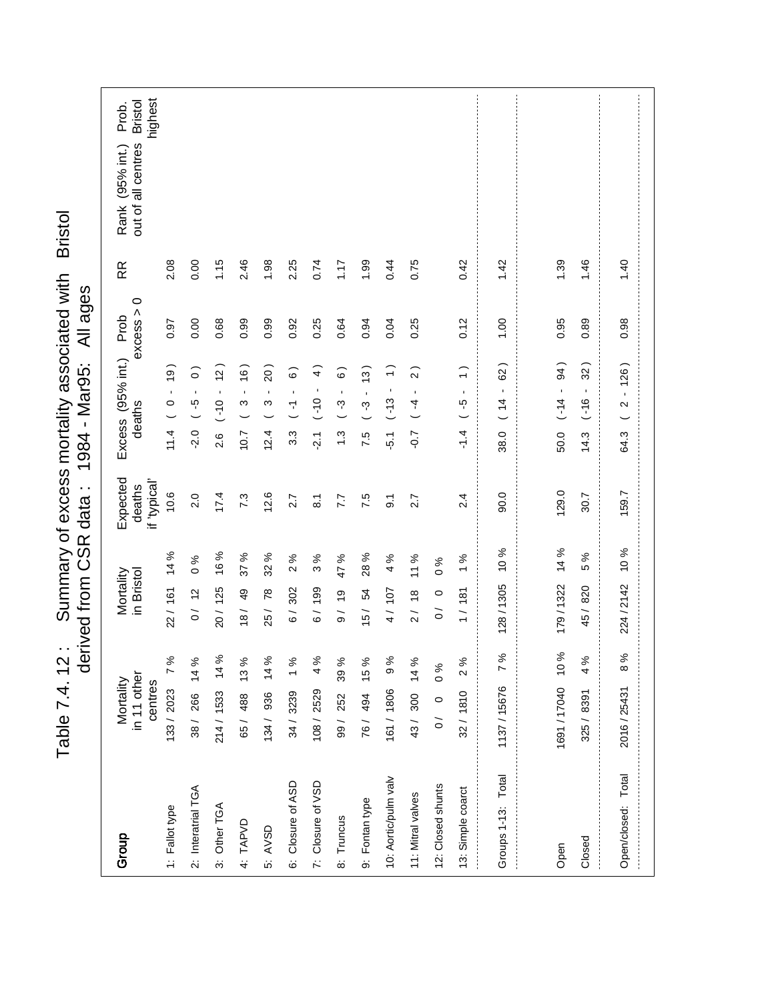| Summary of excess mortality associated with Bristol<br>derived from CSR data: 1984 - Mar95: All ages<br>Table 7.4.12: |  |
|-----------------------------------------------------------------------------------------------------------------------|--|

| Group                | in 11 other<br>Mortality<br>centres |      | Mortality<br>in Bristol                     | Expected<br>if 'typical'<br>deaths | Excess (95% int.) Prob<br>deaths                                                      | $\circ$<br>excess > | RR     | highest<br><b>Bristol</b><br>Prob.<br>out of all centres<br>Rank (95% int.) |
|----------------------|-------------------------------------|------|---------------------------------------------|------------------------------------|---------------------------------------------------------------------------------------|---------------------|--------|-----------------------------------------------------------------------------|
| 1: Fallot type       | 133/2023 7%                         |      | 14%<br>22/161                               | 10.6                               | (61)<br>$\blacksquare$<br>$\circ$<br>11.4                                             | 0.97                | 2.08   |                                                                             |
| 2: Interatrial TGA   | 38/ 266 14 %                        |      | $\circ$<br>0/12                             | 2.0<br>$\%$                        | $\widehat{\circ}$<br>$\blacksquare$<br>ပ္ပ္<br>$-2.0$                                 | 0.00                | 0.00   |                                                                             |
| 3: Other TGA         | 214/ 1533 14 %                      |      | 16%<br>20/125                               | 17.4                               | (2)<br>$\blacksquare$<br>$0(-)$<br>2.6                                                | 0.68                | 1.15   |                                                                             |
| 4: TAPVD             | 65/ 488 13%                         |      | 37 %<br>49<br>$\frac{18}{1}$                | 7.3                                | (91)<br>$\blacksquare$<br>S<br>10.7                                                   | 0.99                | 2.46   |                                                                             |
| 5: AVSD              | 134/ 936 14%                        |      | 32 %<br>25/78                               | 12.6                               | 20)<br>$\blacksquare$<br>S<br>12.4                                                    | 0.99                | 1.98   |                                                                             |
| 6: Closure of ASD    | 34 / 3239 1%                        |      | 2%<br>6/302                                 | 2.7                                | $\widehat{\circ}$<br>$\blacksquare$<br>$\overline{\mathbf{r}}$<br>3.3                 | 0.92                | 2.25   |                                                                             |
| 7: Closure of VSD    | 108/2529                            | 4%   | ო<br>6/199                                  | $\overline{\circ}$<br>℅            | $\widehat{+}$<br>$\blacksquare$<br>$0(-)$<br>$\frac{1}{2}$                            | 0.25                | 0.74   |                                                                             |
| 8: Truncus           | 99/252                              | 39 % | 47 %<br>9/19                                | 7.7                                | ි<br>$\blacksquare$<br>ကု<br>$\ddot{.}$                                               | 0.64                | 1.17   |                                                                             |
| 9: Fontan type       | 76/ 494 15%                         |      | 28%<br>15/54                                | 7.5                                | $\frac{1}{2}$<br>$\blacksquare$<br>ကု<br>7.5                                          | 0.94                | 1.99   |                                                                             |
| 10: Aortic/pulm valv | 161 / 1806 9%                       |      | 4%<br>4/107                                 | $\ddot{\circ}$                     | $\widehat{\cdot}$<br>$\blacksquare$<br>$(-13)$<br>$-5.1$                              | 0.04                | 0.44   |                                                                             |
| 11: Mitral valves    | 43/300 14%                          |      | 11%<br>2/18                                 | 2.7                                | $\widehat{2}$<br>$\blacksquare$<br>4<br>$-0.7$                                        | 0.25                | 0.75   |                                                                             |
| 12: Closed shunts    | $0 / 0 0 \%$                        |      | $\frac{96}{6}$<br>$\circ$<br>$\overline{O}$ |                                    |                                                                                       |                     |        |                                                                             |
| 13: Simple coarct    | 32/1810                             | 2%   | 1%<br>1/181                                 | 2.4                                | $\widehat{\phantom{0}}$<br>$\blacksquare$<br>ယူ<br>$\overline{\phantom{0}}$<br>$-1.4$ | 0.12                | 0.42   |                                                                             |
| Groups 1-13: Total   | 1137/15676 7%                       |      | 128/1305                                    | 0.06<br>10%                        | 62)<br>$\blacksquare$<br>(14)<br>38.0                                                 | 00.1                | 1.42   |                                                                             |
|                      |                                     |      |                                             |                                    |                                                                                       |                     |        |                                                                             |
| Open                 | 1691 / 17040 10 %                   |      | 179/1322                                    | 129.0<br>14 %                      | 94)<br>$\blacksquare$<br>$(-14)$<br>50.0                                              | 0.95                | 1.39   |                                                                             |
| Closed               | 325 / 8391                          | 4 %  | 45/820                                      | 30.7<br>5 %                        | $32^{\circ}$<br>$\blacksquare$<br>$-16$<br>14.3                                       | 0.89                | 1.46   |                                                                             |
| Open/closed: Total   | 2016/25431                          | 8%   | 224 / 2142                                  | 159.7<br>10 %                      | 126)<br>$\bar{\mathbf{r}}$<br>$\boldsymbol{\sim}$<br>64.3                             | 0.98                | $01$ . |                                                                             |
|                      |                                     |      |                                             |                                    |                                                                                       |                     |        |                                                                             |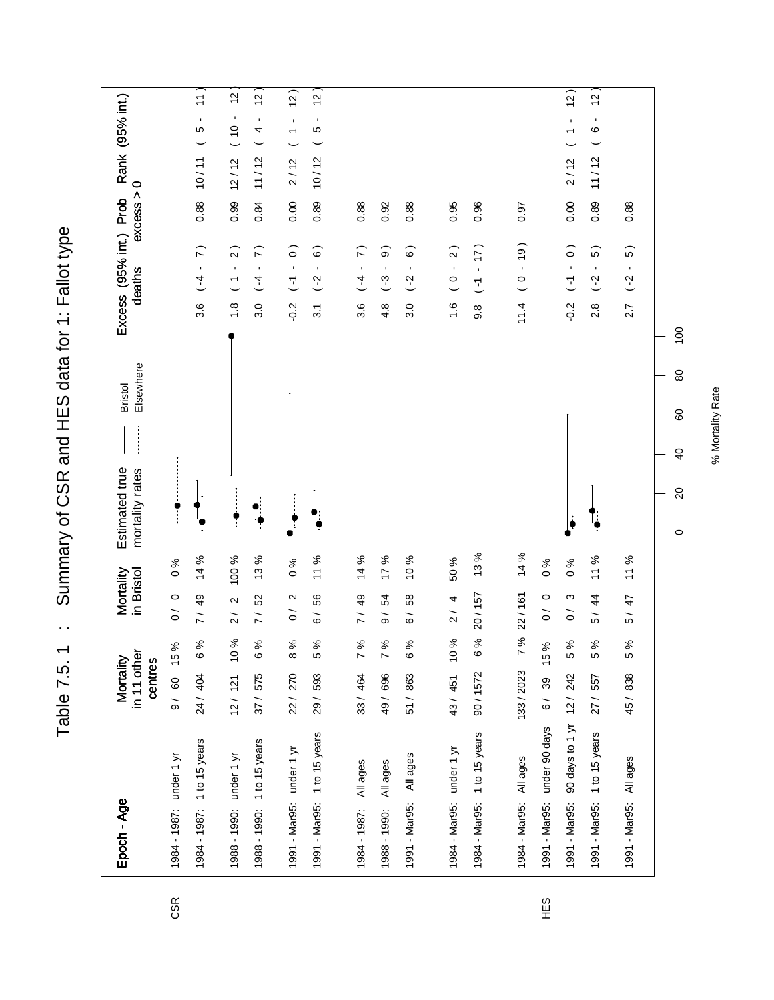Table 7.5. 1 : Summary of CSR and HES data for 1: Fallot type Table 7.5. 1 : Summary of CSR and HES data for 1: Fallot type

| Epoch - Age                 |                 | in 11 other<br>Mortality<br>centres |                       | Mortality<br>in Bristol          |               | Elsewhere<br><b>Bristol</b><br>Estimated true<br>mortality rates | Excess (95% int.) Prob<br>deaths                                             | $\circ$<br>excess > | Rank (95% int.)                  |                                    |
|-----------------------------|-----------------|-------------------------------------|-----------------------|----------------------------------|---------------|------------------------------------------------------------------|------------------------------------------------------------------------------|---------------------|----------------------------------|------------------------------------|
| 1984 - 1987: under 1 yr     |                 | 9/60                                | 15%                   | $\circ$<br>$\overline{O}$        | $\frac{6}{6}$ |                                                                  |                                                                              |                     |                                  |                                    |
| 1984 - 1987: 1 to 15 years  |                 | 24 / 404                            | 6%                    | 7/49                             | 14 %          |                                                                  | $\widehat{r}$<br>$\mathbf{r}$<br>$\overline{4}$<br>$3.\overline{6}$          | 10/11<br>0.88       |                                  | 11)<br>$\blacksquare$<br>LO        |
| 1988 - 1990: under 1 yr     |                 | 12/ 121 10%                         |                       | $\sim$<br>$\frac{1}{2}$          | 100 %         |                                                                  | $\widehat{2}$<br>$\blacksquare$<br>$\overline{\phantom{a}}$<br>$\frac{8}{1}$ | 12/12<br>0.99       | $\frac{0}{10}$                   | $\frac{1}{2}$<br>$\blacksquare$    |
| 1988 - 1990: 1 to 15 years  |                 | 37 / 575                            | 6%                    | 52<br>$\overline{7}$             | 13 %          |                                                                  | $\widehat{r}$<br>$\blacksquare$<br>$\overline{4}$<br>3.0                     | 11/12<br>0.84       |                                  | $\tilde{c}$<br>$\blacksquare$<br>4 |
| 1991 - Mar95: under 1 yr    |                 | 22 / 270                            | 8 %                   | $\mathbf{\Omega}$<br>$\tilde{0}$ | $\frac{6}{6}$ | ŗ                                                                | $\widehat{\circ}$<br>$\blacksquare$<br>$\overline{L}$<br>$-0.2$              | 0.00                | $\overline{ }$<br>2/12           | (2)<br>$\blacksquare$              |
| 1991 - Mar95: 1 to 15 years |                 | 29 / 593                            | 5 %                   | 56<br>$\overline{6}$             | 11 %          |                                                                  | $\widehat{\circ}$<br>$\blacksquare$<br>$( -2)$<br>$\overline{3}$             | 10/12<br>0.89       |                                  | 5<br>1<br>5                        |
| All ages<br>1984 - 1987:    |                 | 33 / 464                            | 7%                    | 7/49                             | 14 %          |                                                                  | $\widehat{r}$<br>$\blacksquare$<br>$\overline{4}$<br>3.6                     | 0.88                |                                  |                                    |
| All ages<br>1988 - 1990:    |                 | 49 / 696                            | 7%                    | 54<br>$\frac{1}{\sqrt{2}}$       | 17%           |                                                                  | $\widehat{\circ}$<br>$\blacksquare$<br>$-3$<br>4.8                           | 0.92                |                                  |                                    |
| 1991 - Mar95:               | All ages        | 51 / 863                            | 6 %                   | 58<br>$\overline{6}$             | 10%           |                                                                  | စ<br>$\blacksquare$<br>$\overline{C}$<br>3.0                                 | 0.88                |                                  |                                    |
|                             |                 |                                     |                       |                                  |               |                                                                  |                                                                              |                     |                                  |                                    |
| 1984 - Mar95: under 1 yr    |                 | 43/451                              | ℅<br>$\frac{1}{2}$    | $\overline{a}$<br>$\frac{1}{2}$  | 50 %          |                                                                  | $\widehat{2}$<br>$\mathbf{r}$<br>$\circ$<br>$\frac{6}{1}$                    | 0.95                |                                  |                                    |
| 1984 - Mar95:               | 1 to 15 years   | 90/1572                             | ಸಿ<br>$\tilde{\circ}$ | 20/157                           | 13%           |                                                                  | (17)<br>$\blacksquare$<br>$\overline{L}$<br>9.8                              | 0.96                |                                  |                                    |
| 1984 - Mar95:               | All ages        | 133/2023                            | ৡ<br>$\overline{ }$   | 22/161                           | 14 %          |                                                                  | (61)<br>$\mathbf{r}$<br>$\circ$<br>11.4                                      | 0.97                |                                  |                                    |
| 1991 - Mar95: under 90 days |                 | 39<br>$\overline{6}$                | 15 %                  | $\circ$<br>$\tilde{0}$           | $\%$ 0        |                                                                  |                                                                              |                     |                                  |                                    |
| 1991 - Mar95:               | 90 days to 1 yr | 12/242                              | 5 %                   | ო<br>$\tilde{0}$                 | $\%0$         |                                                                  | $\widehat{\circ}$<br>$\blacksquare$<br>E<br>$-2.0$                           | 0.00                | $\overline{\phantom{0}}$<br>2/12 | (2)<br>$\blacksquare$              |
| 1991 - Mar95:               | 1 to 15 years   | 27 / 557                            | 5 %                   | $\frac{4}{3}$<br>5 /             | 11 %          |                                                                  | စ<br>$\blacksquare$<br>$\sim$<br>$\frac{8}{2}$                               | 11/12<br>0.89       |                                  | 5<br>1<br>$\mathbf \Omega$         |
| 1991 - Mar95:               | All ages        | 45/838                              | 5 %                   | 47<br>5 /                        | 11%           |                                                                  | 5)<br>$\blacksquare$<br>$( -2)$<br>2.7                                       | 0.88                |                                  |                                    |
|                             |                 |                                     |                       |                                  |               | 80<br>60<br>$\overline{6}$<br>$\Omega$<br>$\circ$                | $\overline{100}$                                                             |                     |                                  |                                    |

CSR

% Mortality Rate % Mortality Rate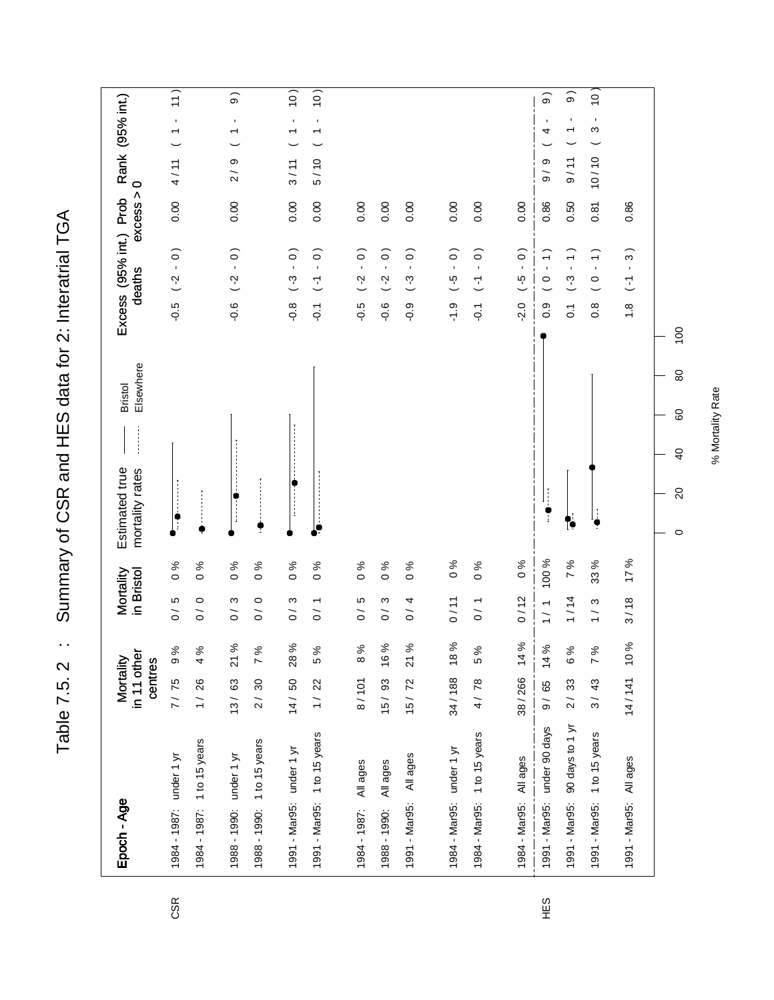Table 7.5.2 : Summary of CSR and HES data for 2: Interatrial TGA Table 7.5. 2 : Summary of CSR and HES data for 2: Interatrial TGA

| Epoch - Age                                             | in 11 other<br>Mortality<br>centres |                          | Mortality<br>in Bristol  |                                | Elsewhere<br><b>Bristol</b><br>Estimated true<br>mortality rates   |                                 | Excess (95% int.) Prob<br>deaths                                                          | excess >     | $\circ$             | Rank (95% int.)                            |                         |
|---------------------------------------------------------|-------------------------------------|--------------------------|--------------------------|--------------------------------|--------------------------------------------------------------------|---------------------------------|-------------------------------------------------------------------------------------------|--------------|---------------------|--------------------------------------------|-------------------------|
| 1984 - 1987: under 1 yr                                 | $9\%$<br>7/75                       | $\frac{1}{\sqrt{2}}$     | LO                       | $\frac{96}{6}$                 |                                                                    | $-0.5$                          | $\overline{0}$ .<br>$\overline{C}$                                                        | 0.00         | 4/11                | $\mathbf{r}$<br>$\overline{\phantom{0}}$   | $\left 11\right\rangle$ |
| 1984 - 1987: 1 to 15 years                              | 4%<br>1/26                          | $\overline{\phantom{0}}$ | $\circ$                  | $\frac{96}{6}$                 |                                                                    |                                 |                                                                                           |              |                     |                                            |                         |
| 1988 - 1990: under 1 yr                                 | 21%<br>13/63                        | $\frac{1}{\sqrt{2}}$     | S                        | $\frac{6}{6}$                  |                                                                    | $-0.6$                          | $\overline{0}$ .<br>$\overline{C}$                                                        | 0.00         | თ<br>$\overline{c}$ | $\blacksquare$<br>↽                        | $\widehat{\Theta}$      |
| 1988 - 1990: 1 to 15 years                              | 7%<br>2/30                          | $\tilde{0}$              | $\circ$                  | $\%0$                          |                                                                    |                                 |                                                                                           |              |                     |                                            |                         |
| 1991 - Mar95: under 1 yr                                | 28%<br>14/50                        | $\frac{1}{\sqrt{2}}$     | $\mathfrak{S}$           | $\frac{6}{6}$                  |                                                                    | $\frac{8}{7}$                   | $(-3 - 0)$                                                                                | 0.00         | 3/11                | $\blacksquare$<br>$\overline{ }$           | 10)                     |
| 1991 - Mar95: 1 to 15 years                             | 5%<br>1/22                          | $\frac{1}{\sqrt{2}}$     | $\overline{\phantom{0}}$ | $\frac{96}{6}$                 |                                                                    | $\overline{Q}$                  | $\widehat{\circ}$<br>$\epsilon$<br>$\overline{L}$                                         | 0.00         | 5/10                | $\blacksquare$<br>$\overline{\phantom{0}}$ | $\left 10\right\rangle$ |
| All ages<br>1984 - 1987:                                | 8 %<br>8/101                        | $\frac{1}{\sqrt{2}}$     | Ю                        | $\frac{96}{6}$                 |                                                                    | $-0.5$                          | $\widehat{\circ}$<br>$\mathbf{r}$<br>(2)                                                  | 0.00         |                     |                                            |                         |
| All ages<br>1988 - 1990:                                | 16%<br>15/93                        | $\tilde{0}$              | ω                        | $\frac{96}{6}$                 |                                                                    | $-0.6$                          | $\overline{0}$ .<br>$( -2)$                                                               | 0.00         |                     |                                            |                         |
| All ages<br>1991 - Mar95:                               | 21%<br>15/72                        | $\tilde{0}$              | 4                        | $\frac{96}{6}$                 |                                                                    | $-0.9$                          | $\widehat{\circ}$<br>$\mathbf{r}$<br>$(-3)$                                               | 0.00         |                     |                                            |                         |
|                                                         |                                     |                          |                          |                                |                                                                    |                                 |                                                                                           |              |                     |                                            |                         |
| 1984 - Mar95: 1 to 15 years<br>1984 - Mar95: under 1 yr | 34/188 18%<br>5%<br>4/78            | 0/11<br>$\frac{1}{2}$    |                          | $\frac{6}{6}$<br>$\frac{6}{6}$ |                                                                    | $\frac{1}{2}$<br>$\overline{Q}$ | $\widehat{\circ}$<br>$\widehat{\circ}$<br>$\mathbf{r}$<br>$\frac{6}{5}$<br>$\overline{L}$ | 0.00<br>0.00 |                     |                                            |                         |
| All ages<br>1984 - Mar95:                               | 38/266 14%                          | 0/12                     |                          | $\frac{6}{6}$                  |                                                                    | $-2.0$                          | $\widehat{\circ}$<br>$\blacksquare$<br>$\frac{6}{1}$                                      | 0.00         |                     |                                            |                         |
| 1991 - Mar95: under 90 days                             | 14 %<br>9/65                        | 1/1                      |                          | 100 %                          | ÷                                                                  | 0.9                             | $\widehat{\phantom{0}}$<br>$\mathbf{r}$<br>$\circ$                                        | 0.86         | თ<br>$\frac{1}{9}$  | 4                                          | $\widehat{\mathbf{e}}$  |
| 90 days to 1 yr<br>1991 - Mar95:                        | 6 %<br>2/33                         | 1/14                     |                          | 7%                             | ſО                                                                 | $\overline{c}$                  | $\widehat{\cdot}$<br>$\mathbf{r}$<br>$(-3)$                                               | 0.50         | 9/11                | $\blacksquare$<br>٣                        | $\widehat{\circ}$       |
| 1 to 15 years<br>1991 - Mar95:                          | 7%<br>3/43                          | $\frac{1}{1}$            | S                        | 33 %                           |                                                                    | $0.\overline{8}$                | $\widehat{\cdot}$<br>$\mathbf{r}$<br>$\circ$                                              | 0.81         | 10/10               | $\blacksquare$<br>S                        | $\frac{1}{2}$           |
| All ages<br>1991 - Mar95:                               | 10%<br>14/141                       | 3/18                     |                          | 17 %                           |                                                                    | $\frac{8}{1}$                   | $\widehat{3}$<br>$\blacksquare$<br>$\overline{L}$                                         | 0.86         |                     |                                            |                         |
|                                                         |                                     |                          |                          |                                | $\pmb{\mathbb{S}}$<br>60<br>$\overline{40}$<br>$\rm 20$<br>$\circ$ | $\overline{100}$                |                                                                                           |              |                     |                                            |                         |

HES

CSR

% Mortality Rate

% Mortality Rate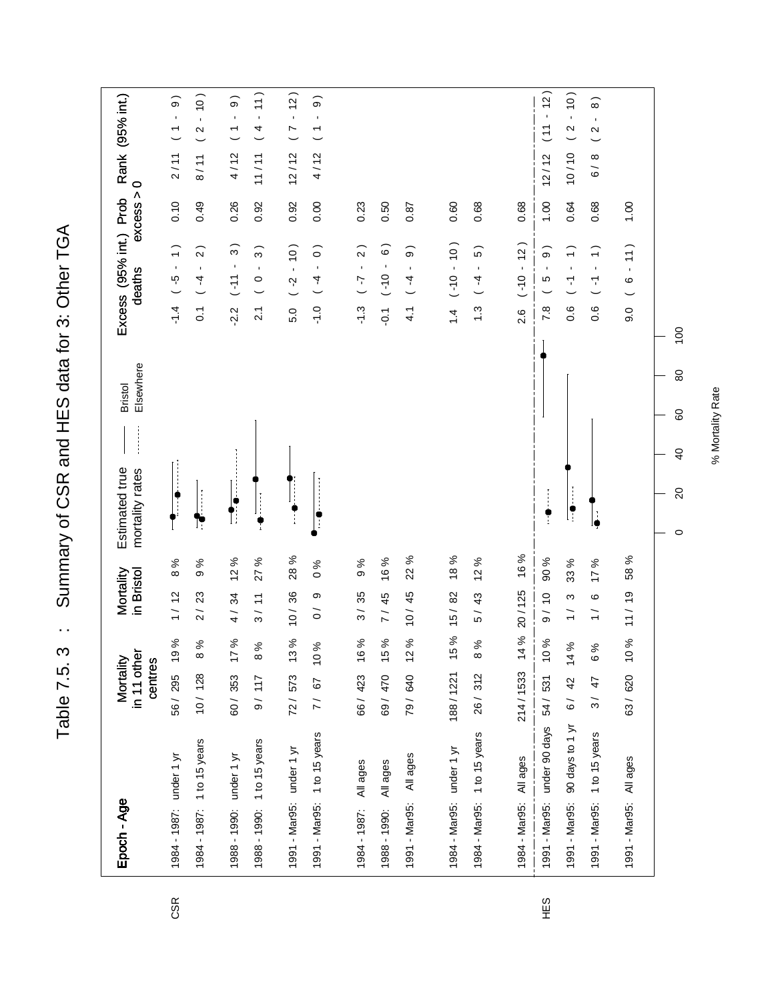Summary of CSR and HES data for 3: Other TGA Table 7.5. 3 : Summary of CSR and HES data for 3: Other TGA Table 7.5.3 :

| Epoch - Age                 |                 | in 11 other<br>Mortality<br>centres |                        | in Bristol<br>Mortality                                   |                     | Elsewhere<br><b>Bristol</b><br>Estimated true<br>mortality rates |                  | Excess (95% int.) Prob<br>deaths                                      | excess > | $\circ$                     | Rank (95% int.)                                                  |
|-----------------------------|-----------------|-------------------------------------|------------------------|-----------------------------------------------------------|---------------------|------------------------------------------------------------------|------------------|-----------------------------------------------------------------------|----------|-----------------------------|------------------------------------------------------------------|
| 1984 - 1987: under 1 yr     |                 | 56/295                              | $\%$<br>ó,             | 1/12                                                      | 8%                  |                                                                  | $\frac{4}{1}$    | $\overline{\cdot}$<br>$\blacksquare$<br>ပ္ပ္                          | 0.10     | 2/11                        | $\widehat{\Theta}$<br>$\blacksquare$<br>$\overline{\phantom{0}}$ |
| 1984 - 1987: 1 to 15 years  |                 | 10/128                              | $\%$<br>$\infty$       | 2/23                                                      | $\%$<br>თ           | Ŀ                                                                | $\overline{0}$   | $\sim$<br>$\blacksquare$<br>$\overline{4}$                            | 0.49     | 8/11                        | (0)<br>$\sim$                                                    |
| 1988 - 1990: under 1 yr     |                 | 60/353                              | $\%$<br>$\overline{1}$ | 4/34                                                      | 12%                 |                                                                  | $-2.2$           | $\widehat{3}$<br>$\blacksquare$<br>$11 -$                             | 0.26     | 4/12                        | $\widehat{\Theta}$<br>$\blacksquare$<br>$\overline{\phantom{a}}$ |
| 1988 - 1990: 1 to 15 years  |                 | 9/117                               | 8%                     | $\overline{ }$<br>$\overline{\mathcal{E}}$                | 27 %                |                                                                  | $\overline{2.1}$ | ∽<br>$\infty$<br>$\blacksquare$<br>$\circ$                            | 0.92     | 11/11                       | (11)<br>$\mathbf{r}$<br>4                                        |
| 1991 - Mar95: under 1 yr    |                 | 72/573                              | $\%$<br>$\frac{3}{2}$  | 10/36                                                     | 28 %                |                                                                  | 5.0              | $(01 -$<br>$\overline{c}$                                             | 0.92     | 12/12                       | $-12)$<br>$\frac{1}{2}$                                          |
| 1991 - Mar95: 1 to 15 years |                 | 7/ 67                               | 10%                    | თ<br>$\tilde{0}$                                          | $\frac{6}{6}$       | $\ddot{\phantom{a}}$                                             | $-1.0$           | $\widehat{\circ}$<br>$\mathbf{r}$<br>4                                | 0.00     | 4/12                        | $\widehat{\Theta}$<br>$\blacksquare$<br>$\overline{\phantom{0}}$ |
| All ages<br>1984 - 1987:    |                 | 66/423                              | $\%$<br>$\frac{6}{5}$  | 3/35                                                      | 9%                  |                                                                  | $-1.3$           | $\widehat{2}$<br>$\mathbf{r}$<br>$\overline{L}$                       | 0.23     |                             |                                                                  |
| All ages<br>1988 - 1990:    |                 | 69/470                              | ℅<br>$\frac{6}{1}$     | 45<br>$\frac{1}{2}$                                       | 16 %                |                                                                  | $\overline{O}$ . | $\circ$<br>$-0(-)$                                                    | 0.50     |                             |                                                                  |
| All ages<br>1991 - Mar95:   |                 | 79 / 640                            | $\%$<br>$\frac{1}{2}$  | 10/45                                                     | $\%$<br>22          |                                                                  | 4.1              | $\widehat{\circ}$<br>$\blacksquare$<br>$\overline{4}$                 | 0.87     |                             |                                                                  |
| 1984 - Mar95: under 1 yr    |                 | 188/1221                            | ಸ<br>40                | 15/82                                                     | 18 %                |                                                                  | $\ddot{4}$       | $(01 - 10)$                                                           | 0.60     |                             |                                                                  |
| 1984 - Mar95: 1 to 15 years |                 | 26/312                              | $\%$<br>$\infty$       | 5/43                                                      | 12%                 |                                                                  | $\ddot{.}$       | $\widehat{5}$<br>$\mathbf{I}$<br>$\begin{array}{c} 1 \ 4 \end{array}$ | 0.68     |                             |                                                                  |
| All ages<br>1984 - Mar95:   |                 | 214/1533                            | ಸಿ<br>$\dot{a}$        | 20/125                                                    | 16%                 |                                                                  | 2.6              | 12)<br>$\mathbf{I}$<br>$0(-)$                                         | 0.68     |                             |                                                                  |
| 1991 - Mar95: under 90 days |                 | 54/531                              | $\%$<br>$\frac{1}{2}$  | $\frac{1}{2}$<br>$\frac{1}{\sqrt{2}}$                     | 90 %                | ٌّ                                                               | 7.8              | $\widehat{9}$<br>$\blacksquare$<br>Ю                                  | 00.1     | 12/12                       | $(11 - 12)$                                                      |
| 1991 - Mar95:               | 90 days to 1 yr | $6/42$ 14%                          |                        | ო<br>$\overline{ }$                                       | 33 %                | $\ddot{\bullet}$                                                 | 0.6              | $\widehat{+}$<br>$\blacksquare$<br>7                                  | 0.64     | 0/10                        | $-10$<br>$\boldsymbol{\sim}$                                     |
| 1991 - Mar95:               | 1 to 15 years   | 3/47                                | 6 %                    | ဖ<br>$\overline{\phantom{0}}$<br>$\overline{\phantom{0}}$ | ℅<br>$\overline{1}$ | le                                                               | 0.6              | $\widehat{\phantom{a}}$<br>$\mathbf{r}$<br>$\overline{\mathbf{r}}$    | 0.68     | $^\infty$<br>$\overline{6}$ | $\widehat{8}$<br>$\blacksquare$<br>$\mathbf{\Omega}$             |
| 1991 - Mar95: All ages      |                 | 63/620                              | $\%$<br>$\frac{1}{2}$  | 11 / 19                                                   | 58 %                |                                                                  | 0.6              | 11)<br>$\mathbf{r}$<br>ဖ                                              | 1.00     |                             |                                                                  |
|                             |                 |                                     |                        |                                                           |                     | 80<br>80<br>$\overline{6}$<br>$\Omega$<br>$\circ$                | $\overline{100}$ |                                                                       |          |                             |                                                                  |

CSR

% Mortality Rate % Mortality Rate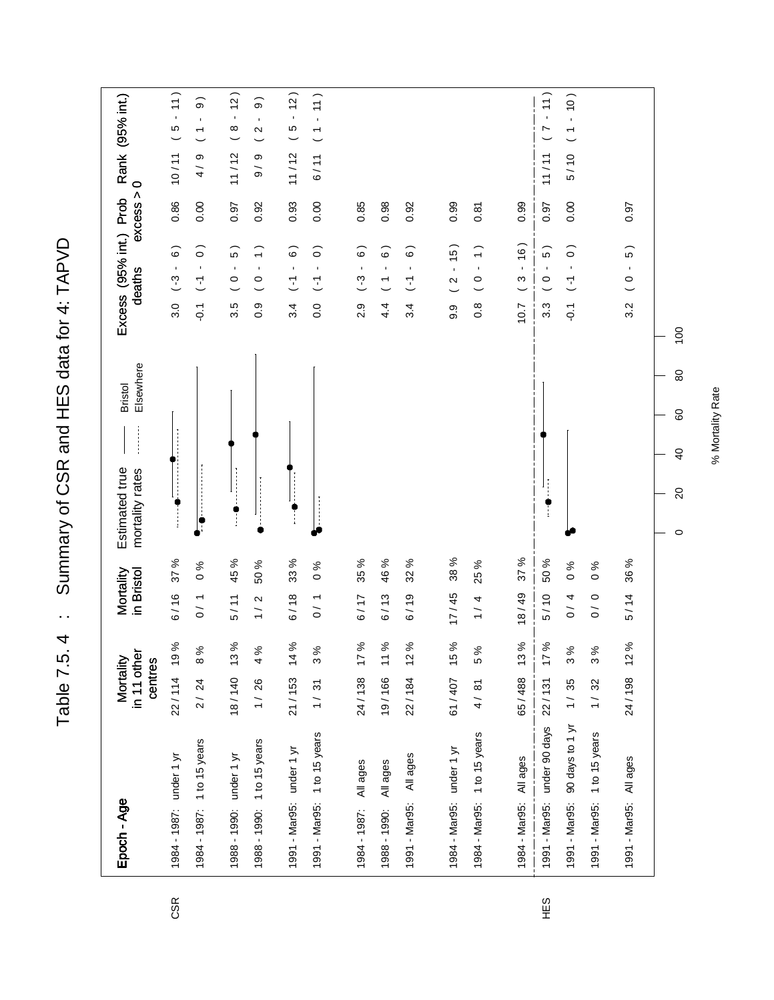Table 7.5.4 : Summary of CSR and HES data for 4: TAPVD Table 7.5. 4 : Summary of CSR and HES data for 4: TAPVD

| Epoch - Age                 | in 11 other<br>Mortality<br>centres |    | in Bristol<br>Mortality |                 | Elsewhere<br><b>Bristol</b><br>Estimated true<br>mortality rates |                | Excess (95% int.) Prob<br>deaths                      | excess > | $\circ$                   | Rank (95% int.)                                                |
|-----------------------------|-------------------------------------|----|-------------------------|-----------------|------------------------------------------------------------------|----------------|-------------------------------------------------------|----------|---------------------------|----------------------------------------------------------------|
| 1984 - 1987: under 1 yr     | 22/114 19%                          |    | 6/16                    | 37 %            |                                                                  | 3.0            | $\widehat{\circ}$<br>$\blacksquare$<br>$-3$           | 0.86     | 10/11                     | 11)<br>$\bar{1}$<br>$\mathfrak{g}$                             |
| 1984 - 1987: 1 to 15 years  | $2/24$ 8%                           |    | 0/1                     | $\%$<br>$\circ$ |                                                                  | $\overline{Q}$ | $\widehat{\circ}$<br>$\blacksquare$<br>$\overline{L}$ | 0.00     | თ<br>$\frac{1}{4}$        | $\widehat{\circ}$<br>$\mathbf{I}$<br>$\overline{\phantom{0}}$  |
| 1988 - 1990: under 1 yr     | 18/140 13%                          |    | 5/11                    | 45 %            |                                                                  | 3.5            | $\widehat{5}$<br>$\blacksquare$<br>$\circ$            | 0.97     | 11/12                     | (2)<br>$\mathbf{r}$<br>$\infty$                                |
| 1988 - 1990: 1 to 15 years  | $1/26$ 4%                           |    | 1/2                     | 50 %            |                                                                  | 0.9            | $\widehat{\cdot}$<br>$\blacksquare$<br>$\circ$        | 0.92     | တ<br>$\frac{1}{\sqrt{2}}$ | $\widehat{\circ}$<br>٠<br>$\boldsymbol{\sim}$                  |
| 1991 - Mar95: under 1 yr    | 21/153 14%                          |    | 6/18                    | 33 %            |                                                                  | 3.4            | $\widehat{\circ}$<br>$\blacksquare$<br>$\overline{C}$ | 0.93     | 11/12                     | $-12)$<br>$\mathfrak{g}$                                       |
| 1991 - Mar95: 1 to 15 years | 1/31                                | 3% | $\frac{1}{2}$           | $\%$<br>$\circ$ |                                                                  | 0.0            | $\widehat{\circ}$<br>$\blacksquare$<br>$\overline{L}$ | 0.00     | 6/11                      | $\left(1\right)$<br>$\blacksquare$<br>$\overline{\phantom{0}}$ |
|                             |                                     |    |                         |                 |                                                                  |                |                                                       |          |                           |                                                                |
| All ages<br>1984 - 1987:    | 24/138 17%                          |    | 6/17                    | 35 %            |                                                                  | 2.9            | $\widehat{\circ}$<br>$\blacksquare$<br>$\binom{3}{4}$ | 0.85     |                           |                                                                |
| All ages<br>1988 - 1990:    | 19/166 11%                          |    | 6/13                    | 46 %            |                                                                  | 4.4            | $\widehat{\circ}$<br>$\blacksquare$<br>$\overline{C}$ | 0.98     |                           |                                                                |
| All ages<br>1991 - Mar95:   | 22/184 12%                          |    | 6/19                    | 32 %            |                                                                  | 3.4            | $\widehat{\circ}$<br>$\blacksquare$<br>$\overline{L}$ | 0.92     |                           |                                                                |
|                             |                                     |    |                         |                 |                                                                  |                |                                                       |          |                           |                                                                |
| 1984 - Mar95: under 1 yr    | 61/407 15%                          |    | 17/45                   | 38 %            |                                                                  | 9.9            | (5)<br>$\mathbf{I}$<br>$\boldsymbol{\sim}$            | 0.99     |                           |                                                                |
| 1984 - Mar95: 1 to 15 years | 4/81                                | 5% | 1 / 4                   | 25 %            |                                                                  | $\frac{8}{2}$  | $\widehat{\cdot}$<br>$\blacksquare$<br>$\circ$        | 0.81     |                           |                                                                |
|                             |                                     |    |                         |                 |                                                                  |                |                                                       |          |                           |                                                                |
| 1984 - Mar95: All ages      | 65/488 13%                          |    | 18/49                   | 37 %            |                                                                  | 10.7           | (91)<br>$\blacksquare$<br>$\mathfrak{S}$              | 0.99     |                           |                                                                |
| 1991 - Mar95: under 90 days | 22/131 17%                          |    | 5/10                    | 50 %            |                                                                  | 3.3            | $\widehat{5}$<br>$\blacksquare$<br>$\circ$            | 0.97     | 11/11                     | $-11)$<br>$\frac{1}{2}$                                        |
| 1991 - Mar95:               | 90 days to 1 yr 1 / 35              | 3% | 0/4                     | $\%0$           |                                                                  | $\overline{Q}$ | $\widehat{\circ}$<br>$\blacksquare$<br>$\overline{L}$ | 0.00     | 5/10                      | $(01 -$<br>$\overline{\phantom{0}}$                            |
| 1991 - Mar95: 1 to 15 years | 1/32                                | 3% | $\circ$<br>$\tilde{0}$  | $\%$<br>$\circ$ |                                                                  |                |                                                       |          |                           |                                                                |
| 1991 - Mar95: All ages      | 24/198 12%                          |    | 5/14                    | 36 %            |                                                                  | 3.2            | 5)<br>$\blacksquare$<br>$\circ$                       | 0.97     |                           |                                                                |
|                             |                                     |    |                         |                 | 80<br>60<br>$\overline{6}$<br>$\Omega$<br>$\circ$                | 100            |                                                       |          |                           |                                                                |

CSR

% Mortality Rate % Mortality Rate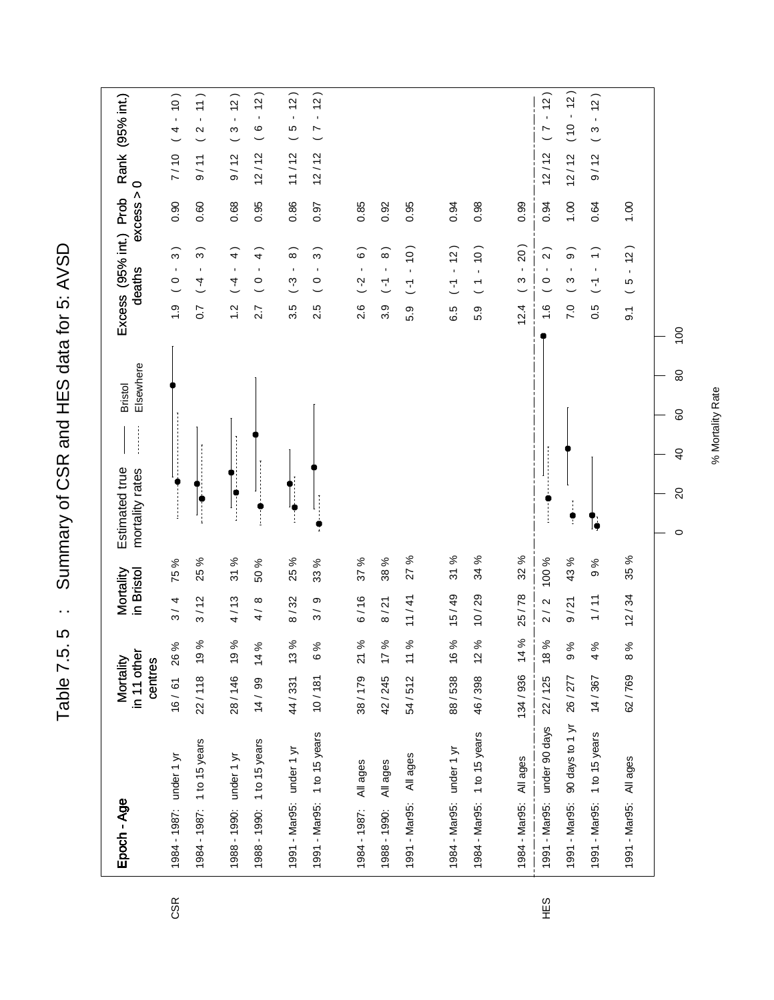Summary of CSR and HES data for 5: AVSD Table 7.5. 5 : Summary of CSR and HES data for 5: AVSD Table 7.5.5 :

| Epoch - Age                      | in 11 other<br>Mortality<br>centres |      | Mortality<br>in Bristol   |                       | Elsewhere<br><b>Bristol</b><br>Estimated true<br>mortality rates | Excess (95% int.) Prob<br>deaths                                     | excess | Rank (95% int.)<br>$\circ$                        |
|----------------------------------|-------------------------------------|------|---------------------------|-----------------------|------------------------------------------------------------------|----------------------------------------------------------------------|--------|---------------------------------------------------|
| 1984 - 1987: under 1 yr          | 16/61                               | 26 % | 3/4                       | 75 %                  |                                                                  | $\widehat{3}$ )<br>$\blacksquare$<br>$\circ$<br>$\frac{0}{1}$        | 0.90   | (0)<br>4<br>7/10                                  |
| 1984 - 1987: 1 to 15 years       | 22/118 19%                          |      | 3/12                      | ಸಿ<br>25              |                                                                  | $\widehat{3}$<br>$\mathbf{I}$<br>$\overline{1}$<br>$\overline{0}$ .7 | 0.60   | (11)<br>$\mathbf{I}$<br>$\mathbf{\Omega}$<br>9/11 |
| 1988 - 1990: under 1 yr          | 28/146 19%                          |      | 4/13                      | $\%$<br>$\frac{1}{2}$ |                                                                  | $\widehat{4}$<br>$\blacksquare$<br>$\overline{4}$<br>$\frac{2}{1}$   | 0.68   | (2)<br>S<br>9/12                                  |
| 1988 - 1990: 1 to 15 years       | 14 / 99 14 %                        |      | $\infty$<br>$\frac{1}{4}$ | ಸಿ<br>SO.             |                                                                  | $\widehat{4}$<br>$\blacksquare$<br>$\circ$<br>2.7                    | 0.95   | $\frac{1}{2}$<br>$\blacksquare$<br>ဖ<br>12/12     |
| 1991 - Mar95: under 1 yr         | 44/331 13%                          |      | 8/32                      | 25 %                  |                                                                  | $\widehat{\circ}$<br>$\blacksquare$<br>ကု<br>3.5                     | 0.86   | (2)<br>$\blacksquare$<br>S<br>11/12               |
| 1991 - Mar95: 1 to 15 years      | 10/181                              | 6%   | თ<br>$\frac{1}{3}$        | ಸಿ<br>33              |                                                                  | $\widehat{3}$<br>$\blacksquare$<br>$\circ$<br>2.5                    | 0.97   | $\overline{a}$<br>$\blacksquare$<br>L<br>12/12    |
|                                  |                                     |      |                           |                       |                                                                  |                                                                      |        |                                                   |
| All ages<br>1984 - 1987:         | 38/179                              | 21 % | 6/16                      | 37 %                  |                                                                  | $\widehat{\circ}$<br>$\blacksquare$<br>$\binom{2}{1}$<br>2.6         | 0.85   |                                                   |
| All ages<br>1988 - 1990:         | 42/245 17%                          |      | 8/21                      | 38 %                  |                                                                  | $\widehat{\circ}$<br>$\blacksquare$<br>$\overline{L}$<br>3.9         | 0.92   |                                                   |
| All ages<br>1991 - Mar95:        | 54/512                              | 11 % | 11/41                     | ಸಿ<br>27              |                                                                  | (0)<br>$\mathbf{r}$<br>$\overline{L}$<br>5.9                         | 0.95   |                                                   |
|                                  |                                     |      |                           |                       |                                                                  |                                                                      |        |                                                   |
| 1984 - Mar95: under 1 yr         | 88/538                              | 16%  | 15/49                     | 31 %                  |                                                                  | 12)<br>$\overline{L}$<br>6.5                                         | 0.94   |                                                   |
| 1984 - Mar95: 1 to 15 years      | 46/398                              | 12%  | 10/29                     | 34 %                  |                                                                  | $(01 -$<br>$\overline{\phantom{a}}$<br>5.9                           | 0.98   |                                                   |
|                                  |                                     |      |                           |                       |                                                                  |                                                                      |        |                                                   |
| 1984 - Mar95: All ages           | 134/936 14%                         |      | 25/78                     | 32 %                  |                                                                  | 20)<br>$\mathbf{r}$<br>ო<br>12.4                                     | 0.99   |                                                   |
| 1991 - Mar95: under 90 days      | 22/125                              | 18%  | 2/2                       | 100 %                 |                                                                  | $\sim$<br>$\blacksquare$<br>$\circ$<br>$\frac{6}{1}$                 | 0.94   | $-12$<br>$\frac{7}{2}$<br>12/12                   |
| 90 days to 1 yr<br>1991 - Mar95: | 26/277                              | 9%   | 9/21                      | 43 %                  | $\ddot{\bullet}$                                                 | $\widehat{\Theta}$<br>$\blacksquare$<br>ო<br>7.0                     | 00.1   | (2)<br>$-0(1)$<br>12/12                           |
| 1991 - Mar95: 1 to 15 years      | 14/367                              | 4%   | 1/11                      | $\%$<br>Φ             | ۱ò                                                               | $\widehat{\cdot}$<br>$\blacksquare$<br>7<br>0.5                      | 0.64   | (5)<br>$\blacksquare$<br>$\infty$<br>9/12         |
| 1991 - Mar95: All ages           | 62/769                              | 8%   | 12/34                     | 35 %                  |                                                                  | 12)<br>$\mathbf{r}$<br>LO<br>$\overline{9}$ .                        | 1.00   |                                                   |
|                                  |                                     |      |                           |                       | 80<br>60<br>$\overline{4}$<br>$\overline{20}$<br>$\circ$         | $\overline{100}$                                                     |        |                                                   |

CSR

% Mortality Rate % Mortality Rate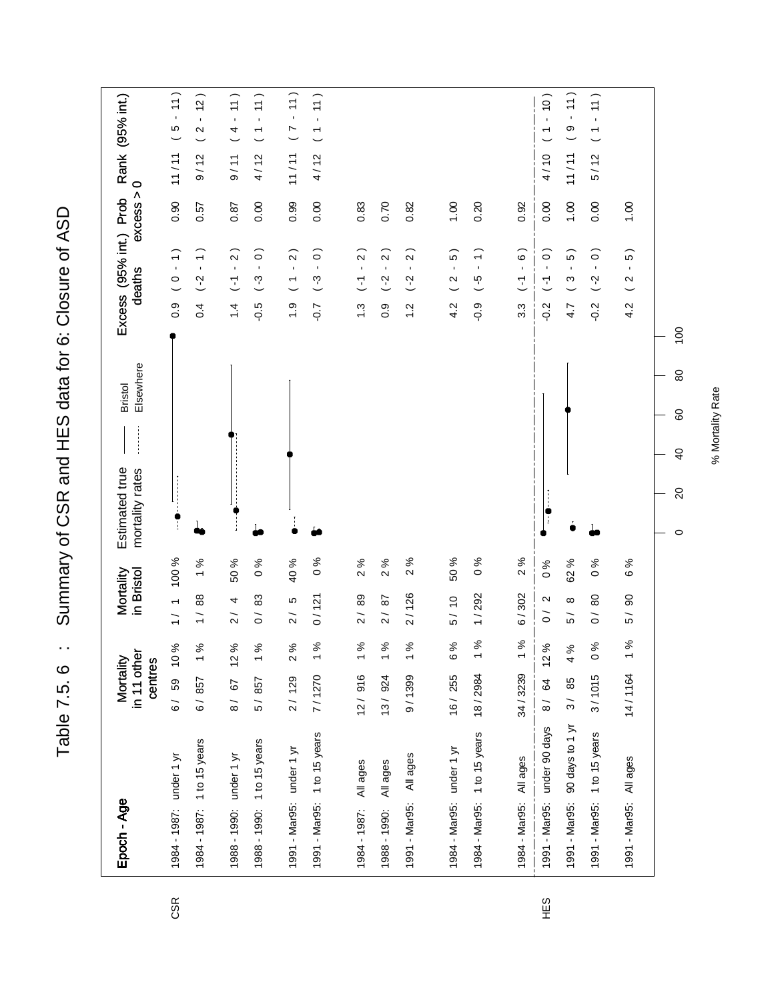Table 7.5. 6 : Summary of CSR and HES data for 6: Closure of ASD Table 7.5. 6 : Summary of CSR and HES data for 6: Closure of ASD

| Epoch - Age                          | in 11 other<br>Mortality<br>centres |                                                                                                                                                                                                                                                                                                                                                                                                                                                                                                                                                                                                                                                                                      | Mortality<br>in Bristol                   |                                  | Elsewhere<br><b>Bristol</b><br>Estimated true<br>mortality rates    |                  |                  | Excess (95% int.) Prob<br>deaths                          | excess > | $\circ$ | Rank (95% int.)                                        |
|--------------------------------------|-------------------------------------|--------------------------------------------------------------------------------------------------------------------------------------------------------------------------------------------------------------------------------------------------------------------------------------------------------------------------------------------------------------------------------------------------------------------------------------------------------------------------------------------------------------------------------------------------------------------------------------------------------------------------------------------------------------------------------------|-------------------------------------------|----------------------------------|---------------------------------------------------------------------|------------------|------------------|-----------------------------------------------------------|----------|---------|--------------------------------------------------------|
| 1984 - 1987: under 1 yr              | 59<br>$\overline{6}$                | 10 %                                                                                                                                                                                                                                                                                                                                                                                                                                                                                                                                                                                                                                                                                 | $\overline{\phantom{0}}$<br>$\frac{1}{1}$ | 100 %                            | $\ddot{\phantom{a}}$                                                |                  | $0.\overline{9}$ | $\widehat{\cdot}$<br>$\bar{1}$<br>$\circ$                 | 0.90     | 11/11   | $-11)$<br>LO                                           |
| 1984 - 1987: 1 to 15 years           | 6/857                               | 1%                                                                                                                                                                                                                                                                                                                                                                                                                                                                                                                                                                                                                                                                                   | 88<br>$\frac{1}{1}$                       | $\%$<br>$\overline{\phantom{0}}$ |                                                                     |                  | 0.4              | $\overline{ }$<br>$\blacksquare$<br>$(-2)$                | 0.57     | 9/12    | (2)<br>$\mathbf{r}$<br>$\mathbf{\Omega}$               |
| 1988 - 1990: under 1 yr              | 8/ 67                               | 12%                                                                                                                                                                                                                                                                                                                                                                                                                                                                                                                                                                                                                                                                                  | 4<br>$\overline{2}$                       | 50 %                             | ÷                                                                   |                  | $\dot{4}$        | $\widehat{2}$<br>$\blacksquare$<br>$\overline{L}$         | 0.87     | 9/11    | (11)<br>$\bar{\phantom{a}}$<br>$\overline{a}$          |
| 1988 - 1990: 1 to 15 years           | 5/857                               | 1%                                                                                                                                                                                                                                                                                                                                                                                                                                                                                                                                                                                                                                                                                   | 83<br>$\tilde{0}$                         | $\%0$                            |                                                                     |                  | $-5.0$           | $\circ$<br>$\mathbf{r}$<br>$\binom{3}{4}$                 | 0.00     | 4/12    | 11)<br>$\bar{\phantom{a}}$<br>$\overline{\phantom{a}}$ |
| 1991 - Mar95: under 1 yr             | 2/129                               | 2%                                                                                                                                                                                                                                                                                                                                                                                                                                                                                                                                                                                                                                                                                   | LO.<br>$\overline{2}$                     | 40 %                             | j.                                                                  |                  | $\frac{0}{1}$    | $\widehat{2}$<br>$\mathbf{r}$<br>$\overline{\phantom{a}}$ | 0.99     | 11/11   | $-11)$<br>$\overline{C}$                               |
| 1991 - Mar95: 1 to 15 years          | 7/1270                              | $\%$<br>$\overline{ }$                                                                                                                                                                                                                                                                                                                                                                                                                                                                                                                                                                                                                                                               | 0/121                                     | $\frac{6}{6}$                    |                                                                     |                  | $-0.7$           | $\widehat{\circ}$<br>$\blacksquare$<br>$(-3)$             | 0.00     | 4/12    | 11)<br>$\bar{\mathbf{r}}$<br>$\overline{ }$            |
| 1984 - 1987:                         | 12/916                              | $\%$<br>٣                                                                                                                                                                                                                                                                                                                                                                                                                                                                                                                                                                                                                                                                            | 89<br>$\overline{2}$                      | 2%                               |                                                                     |                  | $\frac{3}{1}$    | $\alpha$<br>$\overline{L}$                                | 0.83     |         |                                                        |
| All ages<br>All ages<br>1988 - 1990: | 13/924                              | $\%$<br>$\overline{\phantom{0}}$                                                                                                                                                                                                                                                                                                                                                                                                                                                                                                                                                                                                                                                     | $\overline{8}$<br>$\frac{2}{\sqrt{2}}$    | 2%                               |                                                                     |                  | $0.\overline{9}$ | $\alpha$<br>$\blacksquare$<br>$\blacksquare$<br>$(-2)$    | 0.70     |         |                                                        |
| All ages<br>1991 - Mar95:            | 9/1399                              | $\%$<br>$\overline{\phantom{0}}$                                                                                                                                                                                                                                                                                                                                                                                                                                                                                                                                                                                                                                                     | 2/126                                     | %<br>$\sim$                      |                                                                     |                  | $\frac{2}{1}$    | $\alpha$<br>$\blacksquare$<br>$(-2)$                      | 0.82     |         |                                                        |
|                                      |                                     |                                                                                                                                                                                                                                                                                                                                                                                                                                                                                                                                                                                                                                                                                      |                                           |                                  |                                                                     |                  |                  |                                                           |          |         |                                                        |
| 1984 - Mar95: under 1 yr             | 16/255                              | ಸಿ<br>$\circ$                                                                                                                                                                                                                                                                                                                                                                                                                                                                                                                                                                                                                                                                        | 5/10                                      | 50 %                             |                                                                     |                  | 4.2              | 5)<br>$\blacksquare$<br>$\mathbf{\Omega}$                 | 0.1      |         |                                                        |
| 1984 - Mar95: 1 to 15 years          | 18/2984                             | $\%$<br>٣                                                                                                                                                                                                                                                                                                                                                                                                                                                                                                                                                                                                                                                                            | 1/292                                     | $\frac{6}{6}$                    |                                                                     |                  | $-0.9$           | $\widehat{\cdot}$<br>$\mathbf{r}$<br>$\overline{G}$       | 0.20     |         |                                                        |
| All ages<br>1984 - Mar95:            | 34/3239                             | $\%$<br>$\overline{ }$                                                                                                                                                                                                                                                                                                                                                                                                                                                                                                                                                                                                                                                               | 6/302                                     | 2%                               |                                                                     |                  | $3.\overline{3}$ | $\widehat{\circ}$<br>$\blacksquare$<br>$\overline{L}$     | 0.92     |         |                                                        |
| under 90 days<br>1991 - Mar95:       | 8/ 64                               | 12%                                                                                                                                                                                                                                                                                                                                                                                                                                                                                                                                                                                                                                                                                  | $\mathbf{\Omega}$<br>$\tilde{\circ}$      | $\%0$                            | J,                                                                  |                  | $-0.2$           | $\widehat{\circ}$<br>$\blacksquare$<br>$\overline{L}$     | 0.00     | 4/10    | $(01 -$<br>$\overline{ }$                              |
| 90 days to 1 yr<br>1991 - Mar95:     | 3/85                                | 4 %                                                                                                                                                                                                                                                                                                                                                                                                                                                                                                                                                                                                                                                                                  | $\infty$<br>$\overline{5}$                | 62 %                             |                                                                     |                  | 4.7              | LO.<br>$\blacksquare$<br>S                                | 1.00     | 11/11   | 11)<br>$\bar{\phantom{a}}$<br>$\circ$                  |
| 1 to 15 years<br>1991 - Mar95:       | 3/1015                              | $\%$<br>$\circ$                                                                                                                                                                                                                                                                                                                                                                                                                                                                                                                                                                                                                                                                      | 80<br>$\tilde{\circ}$                     | $\sim 0$                         |                                                                     |                  | $-0.2$           | $\widehat{\circ}$<br>$\blacksquare$<br>$(-2)$             | 0.00     | 5/12    | 11)<br>$\mathbf{r}$<br>$\overline{\phantom{a}}$        |
| 1991 - Mar95: All ages               | 14/1164                             | $% \mathbf{G} \rightarrow \mathbf{G} \rightarrow \mathbf{G} \rightarrow \mathbf{G} \rightarrow \mathbf{G} \rightarrow \mathbf{G} \rightarrow \mathbf{G} \rightarrow \mathbf{G} \rightarrow \mathbf{G} \rightarrow \mathbf{G} \rightarrow \mathbf{G} \rightarrow \mathbf{G} \rightarrow \mathbf{G} \rightarrow \mathbf{G} \rightarrow \mathbf{G} \rightarrow \mathbf{G} \rightarrow \mathbf{G} \rightarrow \mathbf{G} \rightarrow \mathbf{G} \rightarrow \mathbf{G} \rightarrow \mathbf{G} \rightarrow \mathbf{G} \rightarrow \mathbf{G} \rightarrow \mathbf{G} \rightarrow \mathbf{G} \rightarrow \mathbf{G} \rightarrow \mathbf{G} \rightarrow \mathbf$<br>$\overline{\phantom{0}}$ | $\infty$<br>$\overline{5}$                | 6 %                              |                                                                     |                  | 4.2              | 5)<br>$\mathbf{r}$<br>$\boldsymbol{\sim}$                 | 1.00     |         |                                                        |
|                                      |                                     |                                                                                                                                                                                                                                                                                                                                                                                                                                                                                                                                                                                                                                                                                      |                                           |                                  | $\pmb{\mathbb{S}}$<br>80<br>$\overline{40}$<br>$\gtrsim$<br>$\circ$ | $\overline{100}$ |                  |                                                           |          |         |                                                        |

HES

CSR

% Mortality Rate % Mortality Rate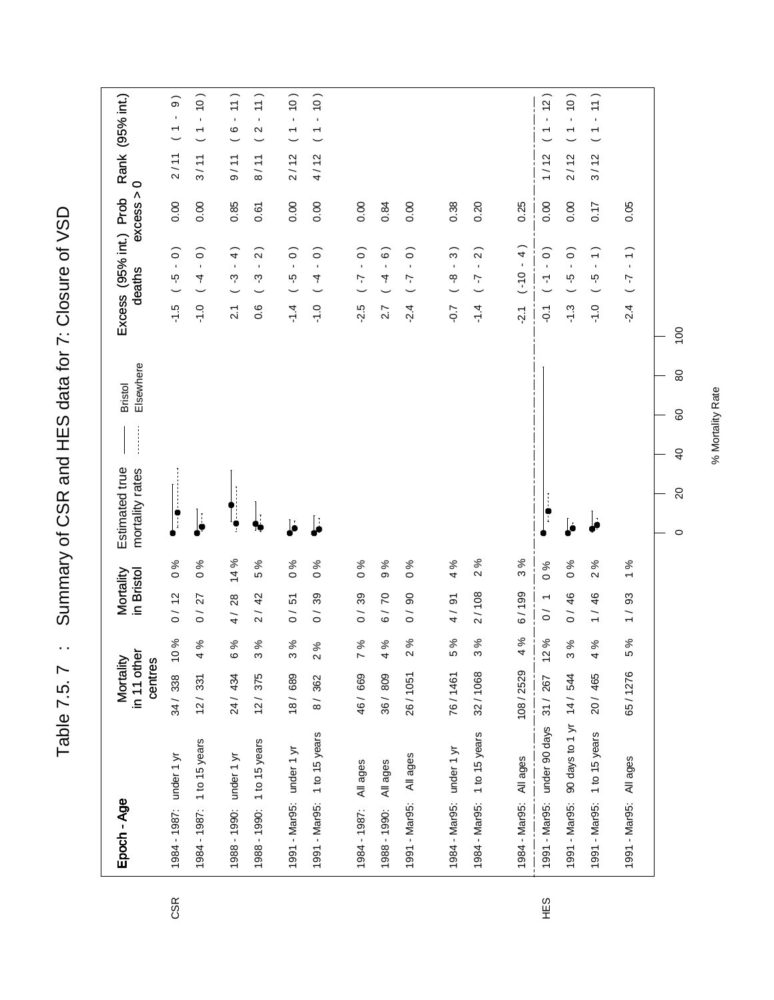Table 7.5. 7 : Summary of CSR and HES data for 7: Closure of VSD Table 7.5. 7 : Summary of CSR and HES data for 7: Closure of VSD

| Epoch - Age                    | in 11 other<br>Mortality | centres                                                                                                                                                                                                                                                                                                                                                                                                                                                                                                                                                                                                                                                        | Mortality<br>in Bristol                                                                    |                                                                                                                                                                                                                                                                                                                                                                                                                                                                                                                                                                                                                                                          | Elsewhere<br><b>Bristol</b><br>Estimated true<br>mortality rates | Excess (95% int.) Prob<br>deaths                            | excess >                  | $\circ$ | Rank (95% int.)                                                  |
|--------------------------------|--------------------------|----------------------------------------------------------------------------------------------------------------------------------------------------------------------------------------------------------------------------------------------------------------------------------------------------------------------------------------------------------------------------------------------------------------------------------------------------------------------------------------------------------------------------------------------------------------------------------------------------------------------------------------------------------------|--------------------------------------------------------------------------------------------|----------------------------------------------------------------------------------------------------------------------------------------------------------------------------------------------------------------------------------------------------------------------------------------------------------------------------------------------------------------------------------------------------------------------------------------------------------------------------------------------------------------------------------------------------------------------------------------------------------------------------------------------------------|------------------------------------------------------------------|-------------------------------------------------------------|---------------------------|---------|------------------------------------------------------------------|
| 1984 - 1987: under 1 yr        | 34/338                   | $\%$<br>$\frac{0}{\tau}$                                                                                                                                                                                                                                                                                                                                                                                                                                                                                                                                                                                                                                       | 0/12                                                                                       | $\%$ 0                                                                                                                                                                                                                                                                                                                                                                                                                                                                                                                                                                                                                                                   | $\ddot{\phantom{a}}$                                             | $\blacksquare$<br>ယူ<br>$-1.5$                              | 0.00<br>$\widehat{\circ}$ | 2/11    | $\widehat{\Theta}$<br>$\blacksquare$<br>$\overline{\phantom{0}}$ |
| 1984 - 1987: 1 to 15 years     | 12/331                   | $\%$<br>$\frac{1}{4}$                                                                                                                                                                                                                                                                                                                                                                                                                                                                                                                                                                                                                                          | 27<br>$\tilde{0}$                                                                          | $\%0$                                                                                                                                                                                                                                                                                                                                                                                                                                                                                                                                                                                                                                                    | ŀ                                                                | $\mathbf{r}$<br>4<br>$\frac{0}{1}$                          | 0.00<br>$\widehat{\circ}$ | 3/11    | $-10)$<br>$\overline{\phantom{0}}$                               |
| 1988 - 1990: under 1 yr        | 24 / 434                 | $\%$<br>$\tilde{\circ}$                                                                                                                                                                                                                                                                                                                                                                                                                                                                                                                                                                                                                                        | 28<br>$\frac{1}{4}$                                                                        | 14 %                                                                                                                                                                                                                                                                                                                                                                                                                                                                                                                                                                                                                                                     |                                                                  | $\mathbf{r}$<br>ကု<br>$\overline{2}$                        | 0.85<br>$\widehat{4}$     | 9/11    | 11)<br>$\mathbf{I}$<br>$\circ$                                   |
| 1988 - 1990: 1 to 15 years     | 12/375                   | 3%                                                                                                                                                                                                                                                                                                                                                                                                                                                                                                                                                                                                                                                             | 42<br>$\overline{2}$                                                                       | $\%$<br>ယ                                                                                                                                                                                                                                                                                                                                                                                                                                                                                                                                                                                                                                                |                                                                  | $\mathbf{r}$<br>ကု<br>0.6                                   | 0.61<br>$\sim$            | 8/11    | 11)<br>$\bar{\mathbf{r}}$<br>$\boldsymbol{\sim}$                 |
| 1991 - Mar95: under 1 yr       | 18/689                   | ৡ<br>$\tilde{\Omega}$                                                                                                                                                                                                                                                                                                                                                                                                                                                                                                                                                                                                                                          | 5<br>$\tilde{\circ}$                                                                       | $\frac{6}{6}$                                                                                                                                                                                                                                                                                                                                                                                                                                                                                                                                                                                                                                            | b                                                                | $\blacksquare$<br>ယူ<br>$-1.4$                              | 0.00<br>$\widehat{\circ}$ | 2/12    | $-10$<br>$\overline{ }$                                          |
| 1991 - Mar95: 1 to 15 years    | 8/362                    | 2%                                                                                                                                                                                                                                                                                                                                                                                                                                                                                                                                                                                                                                                             | 39<br>$\frac{1}{\sqrt{2}}$                                                                 | $\%$<br>$\circ$                                                                                                                                                                                                                                                                                                                                                                                                                                                                                                                                                                                                                                          | Ŀ                                                                | $\mathbf{r}$<br>4<br>$-1.0$                                 | 0.00<br>$\widehat{\circ}$ | 4/12    | $-10)$<br>$\overline{ }$                                         |
|                                |                          |                                                                                                                                                                                                                                                                                                                                                                                                                                                                                                                                                                                                                                                                |                                                                                            |                                                                                                                                                                                                                                                                                                                                                                                                                                                                                                                                                                                                                                                          |                                                                  |                                                             |                           |         |                                                                  |
| All ages<br>1984 - 1987:       | 46 / 669                 | $\%$<br>$\overline{ }$                                                                                                                                                                                                                                                                                                                                                                                                                                                                                                                                                                                                                                         | 39<br>$\frac{1}{\sqrt{2}}$                                                                 | $% \mathbf{G} \rightarrow \mathbf{H}$<br>$\circ$                                                                                                                                                                                                                                                                                                                                                                                                                                                                                                                                                                                                         |                                                                  | $\blacksquare$<br>7<br>$-2.5$                               | 0.00<br>$\widehat{\circ}$ |         |                                                                  |
| All ages<br>1988 - 1990:       | 36 / 809                 | 4%                                                                                                                                                                                                                                                                                                                                                                                                                                                                                                                                                                                                                                                             | $\overline{C}$<br>$\overline{6}$                                                           | $\%$<br>თ                                                                                                                                                                                                                                                                                                                                                                                                                                                                                                                                                                                                                                                |                                                                  | $\mathbf{r}$<br>4<br>2.7                                    | 0.84<br>$\widehat{\circ}$ |         |                                                                  |
| All ages<br>1991 - Mar95:      | 26/1051                  | $% \mathcal{C}_{\mathcal{A}}^{\mathcal{A}}(\mathcal{A})=\mathcal{A}_{\mathcal{A}}^{\mathcal{A}}(\mathcal{A})$<br>$\boldsymbol{\sim}$                                                                                                                                                                                                                                                                                                                                                                                                                                                                                                                           | $\infty$<br>$\tilde{o}$                                                                    | $\%$<br>$\circ$                                                                                                                                                                                                                                                                                                                                                                                                                                                                                                                                                                                                                                          |                                                                  | $\mathbf{r}$<br>7<br>$-2.4$                                 | 0.00<br>$\widehat{\circ}$ |         |                                                                  |
|                                |                          |                                                                                                                                                                                                                                                                                                                                                                                                                                                                                                                                                                                                                                                                |                                                                                            |                                                                                                                                                                                                                                                                                                                                                                                                                                                                                                                                                                                                                                                          |                                                                  |                                                             |                           |         |                                                                  |
| 1984 - Mar95: under 1 yr       | 76/1461                  | ಸಿ<br>LO                                                                                                                                                                                                                                                                                                                                                                                                                                                                                                                                                                                                                                                       | 4/91                                                                                       | $\%$<br>4                                                                                                                                                                                                                                                                                                                                                                                                                                                                                                                                                                                                                                                |                                                                  | $\blacksquare$<br>ထု<br>$-0.7$                              | 0.38<br>$\widehat{3}$     |         |                                                                  |
| 1984 - Mar95: 1 to 15 years    | 32/1068                  | $\%$<br>$\sigma$                                                                                                                                                                                                                                                                                                                                                                                                                                                                                                                                                                                                                                               | 2/108                                                                                      | 2%                                                                                                                                                                                                                                                                                                                                                                                                                                                                                                                                                                                                                                                       |                                                                  | $\blacksquare$<br>7<br>$-1.4$                               | 0.20<br>$\sim$            |         |                                                                  |
|                                |                          |                                                                                                                                                                                                                                                                                                                                                                                                                                                                                                                                                                                                                                                                |                                                                                            |                                                                                                                                                                                                                                                                                                                                                                                                                                                                                                                                                                                                                                                          |                                                                  |                                                             |                           |         |                                                                  |
| All ages<br>1984 - Mar95:      | 108/2529                 | $\%$<br>4                                                                                                                                                                                                                                                                                                                                                                                                                                                                                                                                                                                                                                                      | 6/199                                                                                      | 3%                                                                                                                                                                                                                                                                                                                                                                                                                                                                                                                                                                                                                                                       |                                                                  | $\blacksquare$<br>$0(-)$<br>$\frac{1}{2}$                   | 0.25<br>$\widehat{4}$     |         |                                                                  |
| under 90 days<br>1991 - Mar95: | 31 / 267                 | $% \mathcal{C}_{\mathcal{A}}^{\mathcal{A}}(\mathcal{A})=\mathcal{A}_{\mathcal{A}}^{\mathcal{A}}(\mathcal{A})$<br>$\frac{1}{2}$                                                                                                                                                                                                                                                                                                                                                                                                                                                                                                                                 | $\circ$<br>$\overline{\phantom{0}}$<br>$\rm \stackrel{\scriptstyle >}{\scriptstyle \circ}$ | $% \mathbf{G} \rightarrow \mathbf{H}$                                                                                                                                                                                                                                                                                                                                                                                                                                                                                                                                                                                                                    | $\ddot{\phantom{a}}$                                             | $\mathbf{r}$<br>$\overline{\mathbf{r}}$<br>$\overline{O}$ . | 0.00<br>$\widehat{\circ}$ | 1/12    | (2)<br>↽                                                         |
| 1991 - Mar95:                  | 90 days to 1 yr 14 / 544 | 3%                                                                                                                                                                                                                                                                                                                                                                                                                                                                                                                                                                                                                                                             | 46<br>$\tilde{0}$                                                                          | $\%$<br>$\circ$                                                                                                                                                                                                                                                                                                                                                                                                                                                                                                                                                                                                                                          |                                                                  | $\mathbf{r}$<br>ယှ<br>$-1.3$                                | 0.00<br>$\widehat{\circ}$ | 2/12    | (0)<br>$\bar{\mathbf{r}}$<br>$\overline{\phantom{a}}$            |
| 1 to 15 years<br>1991 - Mar95: | 20/465                   | 4%                                                                                                                                                                                                                                                                                                                                                                                                                                                                                                                                                                                                                                                             | $\mathbf{\Omega}$<br>46<br>$\frac{1}{1}$                                                   | వ్                                                                                                                                                                                                                                                                                                                                                                                                                                                                                                                                                                                                                                                       |                                                                  | $\mathbf{r}$<br>ယူ<br>$-1.0$                                | 71.0<br>$\widehat{\cdot}$ | 3/12    | 11)<br>$\mathbf{r}$<br>$\overline{\phantom{a}}$                  |
| All ages<br>1991 - Mar95:      | 65/1276                  | $% \mathbf{G} \rightarrow \mathbf{G} \rightarrow \mathbf{G} \rightarrow \mathbf{G} \rightarrow \mathbf{G} \rightarrow \mathbf{G} \rightarrow \mathbf{G} \rightarrow \mathbf{G} \rightarrow \mathbf{G} \rightarrow \mathbf{G} \rightarrow \mathbf{G} \rightarrow \mathbf{G} \rightarrow \mathbf{G} \rightarrow \mathbf{G} \rightarrow \mathbf{G} \rightarrow \mathbf{G} \rightarrow \mathbf{G} \rightarrow \mathbf{G} \rightarrow \mathbf{G} \rightarrow \mathbf{G} \rightarrow \mathbf{G} \rightarrow \mathbf{G} \rightarrow \mathbf{G} \rightarrow \mathbf{G} \rightarrow \mathbf{G} \rightarrow \mathbf{G} \rightarrow \mathbf{G} \rightarrow \mathbf$<br>LO | $\overline{\phantom{0}}$<br>33<br>$\frac{1}{1}$                                            | $% \mathbf{G} \rightarrow \mathbf{G} \rightarrow \mathbf{G} \rightarrow \mathbf{G} \rightarrow \mathbf{G} \rightarrow \mathbf{G} \rightarrow \mathbf{G} \rightarrow \mathbf{G} \rightarrow \mathbf{G} \rightarrow \mathbf{G} \rightarrow \mathbf{G} \rightarrow \mathbf{G} \rightarrow \mathbf{G} \rightarrow \mathbf{G} \rightarrow \mathbf{G} \rightarrow \mathbf{G} \rightarrow \mathbf{G} \rightarrow \mathbf{G} \rightarrow \mathbf{G} \rightarrow \mathbf{G} \rightarrow \mathbf{G} \rightarrow \mathbf{G} \rightarrow \mathbf{G} \rightarrow \mathbf{G} \rightarrow \mathbf{G} \rightarrow \mathbf{G} \rightarrow \mathbf{G} \rightarrow \mathbf$ |                                                                  | $\mathbf{r}$<br>7<br>$-2.4$                                 | 0.05<br>$\widehat{\cdot}$ |         |                                                                  |
|                                |                          |                                                                                                                                                                                                                                                                                                                                                                                                                                                                                                                                                                                                                                                                |                                                                                            |                                                                                                                                                                                                                                                                                                                                                                                                                                                                                                                                                                                                                                                          | 80<br>60<br>$\overline{4}$<br>$\Omega$<br>$\circ$                | 100                                                         |                           |         |                                                                  |

CSR

% Mortality Rate % Mortality Rate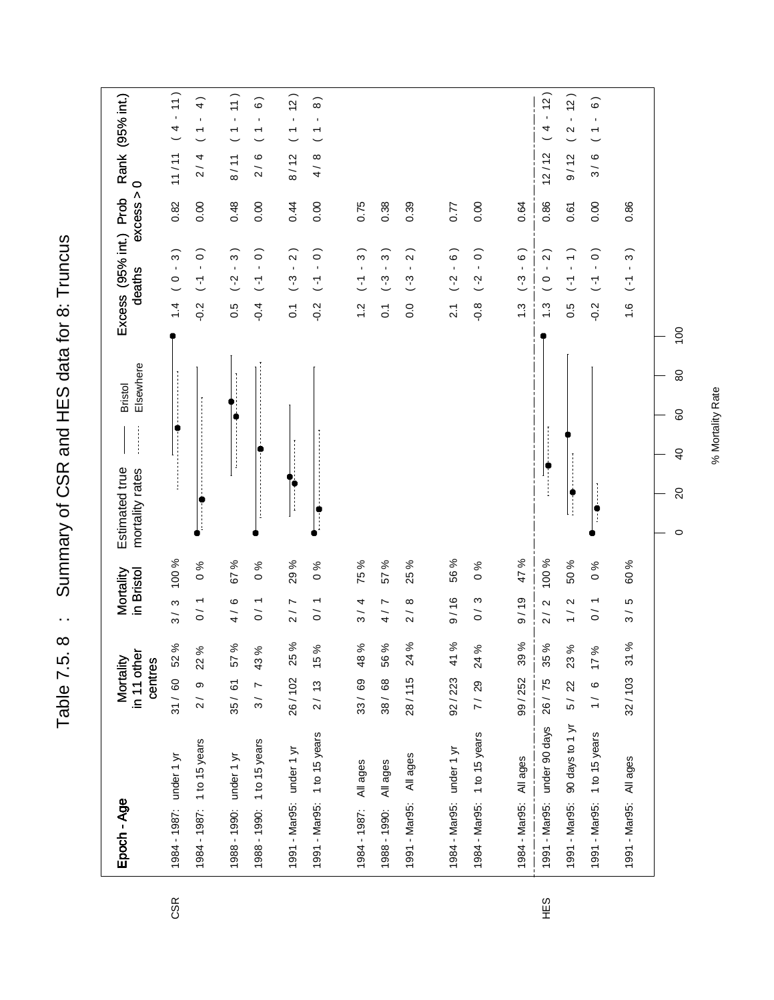Summary of CSR and HES data for 8: Truncus Table 7.5. 8 : Sumary of CSR and HES data for 8: Truncus Table 7.5. 8 :

| Epoch - Age                      | in 11 other<br>Mortality<br>centres | Mortality<br>in Bristol                     | Elsewhere<br><b>Bristol</b><br>Estimated true<br>mortality rates | Excess (95% int.) Prob<br>deaths                                             | $\circ$<br>excess | Rank (95% int.)                                                                              |
|----------------------------------|-------------------------------------|---------------------------------------------|------------------------------------------------------------------|------------------------------------------------------------------------------|-------------------|----------------------------------------------------------------------------------------------|
| 1984 - 1987: under 1 yr          | 52 %<br>31 / 60                     | 100 %<br>3/3                                |                                                                  | $\widehat{3}$<br>$\blacksquare$<br>$\circ$<br>$\overline{4}$                 | 0.82              | 11)<br>$\mathbf{r}$<br>$\begin{array}{c} 4 \end{array}$<br>11/11                             |
| 1984 - 1987: 1 to 15 years       | $2/9$ 22 %                          | $\frac{6}{6}$<br>0/1                        |                                                                  | $\widehat{\circ}$<br>$\blacksquare$<br>$\overline{L}$<br>$-0.2$              | 0.00              | $\widehat{+}$<br>$\blacksquare$<br>$\overline{ }$<br>2/4                                     |
| 1988 - 1990: under 1 yr          | 35 / 61 57 %                        | 67 %<br>4/6                                 |                                                                  | $\widehat{3}$<br>$\blacksquare$<br>$( -2)$<br>0.5                            | 0.48              | 11)<br>$\mathbf{r}$<br>$\overline{ }$<br>8/11                                                |
| 1988 - 1990: 1 to 15 years       | 3/743%                              | ಸಿ<br>$\circ$<br>0/1                        |                                                                  | $\widehat{\circ}$<br>$\mathbf{r}$<br>$\overline{L}$<br>$-0.4$                | 0.00              | $\widehat{\circ}$<br>$\blacksquare$<br>$\overline{\phantom{0}}$<br>6<br>$\frac{1}{2}$        |
| 1991 - Mar95: under 1 yr         | 26/102 25%                          | 29 %<br>2/7                                 | İ                                                                | $\widehat{2}$<br>$\blacksquare$<br>$\binom{3}{4}$<br>$\overline{0}$ :        | 0.44              | (2)<br>$\mathbf{r}$<br>$\overline{ }$<br>8/12                                                |
| 1991 - Mar95: 1 to 15 years      | 15 %<br>2/13                        | ಸ<br>$\circ$<br>0/1                         | -<br>-<br>-<br>-                                                 | $\widehat{\circ}$<br>$\mathbf{r}$<br>$\overline{L}$<br>$-0.2$                | 0.00              | $\widehat{8}$<br>$\blacksquare$<br>$\overline{\phantom{0}}$<br>$\infty$<br>$\frac{1}{4}$     |
| All ages<br>1984 - 1987:         | 33/69 48%                           | 75 %<br>3/4                                 |                                                                  | $\widehat{3}$<br>$\blacksquare$<br>$\overline{L}$<br>$\frac{2}{1}$           | 0.75              |                                                                                              |
| All ages<br>1988 - 1990:         | 56%<br>38 / 68                      | 57 %<br>r,<br>$\frac{1}{4}$                 |                                                                  | $\widehat{3}$<br>$\blacksquare$<br>$-3$<br>$\overline{C}$                    | 0.38              |                                                                                              |
| All ages<br>1991 - Mar95:        | 24 %<br>28/115                      | 25 %<br>${}^{\circ}$<br>$\overline{2}$      |                                                                  | $\widehat{2}$<br>$\blacksquare$<br>$(-3)$<br>0.0                             | 0.39              |                                                                                              |
|                                  |                                     |                                             |                                                                  |                                                                              |                   |                                                                                              |
| 1984 - Mar95: under 1 yr         | $92 / 223$ 41 %                     | 56 %<br>9/16                                |                                                                  | $\overline{\phantom{0}}$<br>$\overline{C}$<br>$\overline{2.1}$               | 77                |                                                                                              |
| 1984 - Mar95: 1 to 15 years      | 24 %<br>7/29                        | $\frac{96}{6}$<br>0/3                       |                                                                  | $\widehat{\circ}$<br>$\mathbf{r}$<br>$(-2)$<br>$-0.8$                        | 0.00              |                                                                                              |
|                                  | 99/252                              |                                             |                                                                  |                                                                              |                   |                                                                                              |
| All ages<br>1984 - Mar95:        | 39%                                 | 47 %<br>9/19                                |                                                                  | $\widehat{6}$ )<br>$\blacksquare$<br>$(-3)$<br>$\ddot{.}$                    | 0.64              |                                                                                              |
| 1991 - Mar95: under 90 days      | 35 %<br>26 / 75                     | 100 %<br>$\mathbf{\Omega}$<br>$\frac{1}{2}$ |                                                                  | $\widehat{2}$<br>$\blacksquare$<br>$\circ$<br>$\ddot{.}3$                    | 0.86              | (2)<br>4<br>12/12                                                                            |
| 90 days to 1 yr<br>1991 - Mar95: | 5/22 23%                            | 50 %<br>$\mathbf{\Omega}$<br>$\frac{1}{1}$  |                                                                  | $\widehat{\cdot}$<br>$\overline{L}$<br>0.5                                   | 0.61              | (2)<br>$\mathbf{r}$<br>$\boldsymbol{\sim}$<br>9/12                                           |
| 1 to 15 years<br>1991 - Mar95:   | 17%<br>1 / 6                        | ℅<br>$\circ$<br>0/1                         | $\ddot{\phantom{a}}$                                             | $\widehat{\circ}$<br>$\mathbf{r}$<br>$\overline{L}$<br>$-0.2$                | 0.00              | $\widehat{\circ}$<br>$\blacksquare$<br>$\overline{\phantom{0}}$<br>$\circ$<br>$\overline{3}$ |
| 1991 - Mar95: All ages           | 31%<br>32/103                       | 60 %<br>Ю<br>$\frac{1}{3}$                  |                                                                  | $\widehat{\mathcal{E}}$<br>$\blacksquare$<br>$\overline{L}$<br>$\frac{6}{1}$ | 0.86              |                                                                                              |
|                                  |                                     |                                             | 80<br>60<br>$\overline{6}$<br>$\Omega$<br>$\circ$                | $\overline{100}$                                                             |                   |                                                                                              |

CSR

% Mortality Rate % Mortality Rate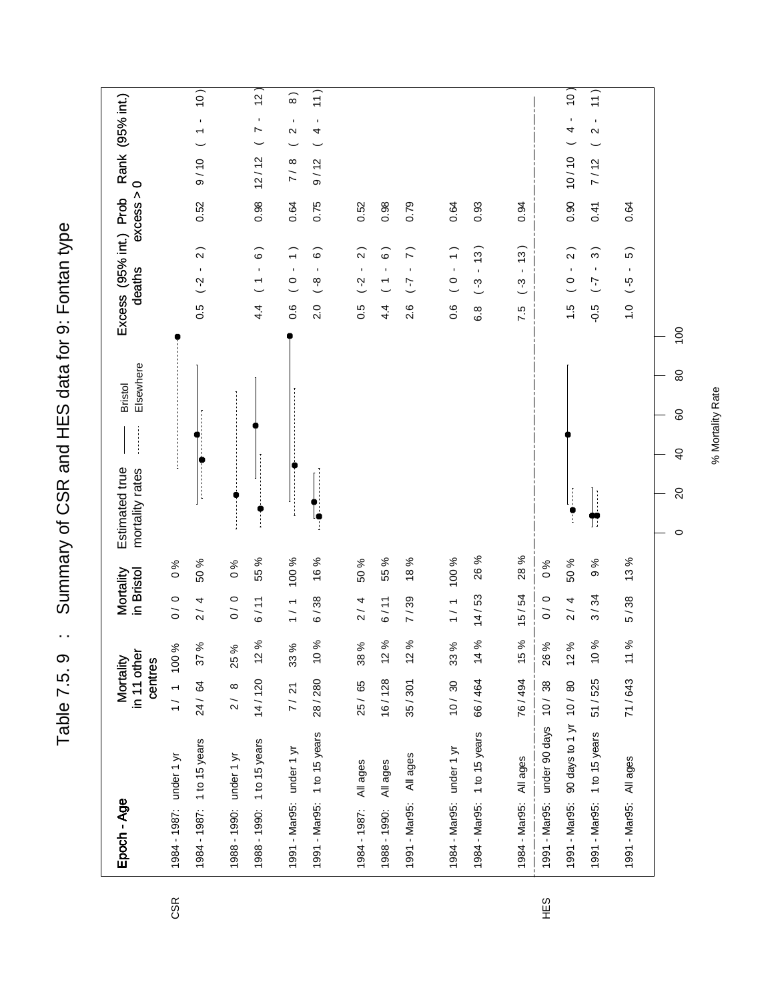Table 7.5. 9 : Summary of CSR and HES data for 9: Fontan type Summary of CSR and HES data for 9: Fontan type  $\ddot{\phantom{1}}$  . Table 7.5.9

 $\left|1\right\rangle$  $\overline{11}$  $(01 - 1)$  01/6  $\overline{2}$ 1988 - 1990: 1 to 15 years 14 / 120 12 % 6 / 11 55 % 4.4 ( 1 - 6 ) 0.98 12 / 12 ( 7 - 12 ) 1991 - Mar90 days to 1 d - 10 days to 1 d - 10 days to 1 d - 10 days to 10 days to 10 days to 10 days to 10 da<br>
10 days to 10 days to 10 days to 10 days to 10 days to 10 days to 10 days to 10 days to 10 days to 10 days to 1984 - 1984 - 1984 - 1984 - 1984 - 1984 - 1984 - 1984 - 1984 - 1984 - 1984 - 1985 - 1986 - 1986 - 1986 - 1986 - 1  $\widehat{8}$ 1991 - Mar95: 1 to 15 years 28 / 280 10 % 6 / 38 16 % 2.0 ( -8 - 6 ) 0.75 9 / 12 ( 4 - 11 )  $\frac{1}{2}$ 1991 - Mar95: 1 to 15 years 51 / 525 10 % 3 / 34 9 % - 7 .......................<br>1991 - Mar95: 1 to 15 years 51 / 525 10 % 3 / 34 9 % - 7........................ Excess (95% int.) Prob Rank (95% int.) 1991 - Mar95: under 1 yr 7 / 21 33 % 1 / 1 100 % 0.6 ( 0 - 1 ) 0.64 7 / 8 ( 2 - 8 ) Rank (95% int.)  $9/12$  ( 4 - $\begin{pmatrix} 2 \\ 1 \end{pmatrix}$  $12/12$  ( 7  $7/8$  ( 2  $10/10$  (4  $7/12$  $excess > 0$ 0.98  $0.90$ 0.52 0.64 0.75 0.52  $0.98$ 0.79 0.64 0.93  $0.94$  $0.41$ 0.64 1984 - 1987: All ages 25 / 65 38 % 2 / 4 50 % 0.5 ( -2 - 2 ) 0.52 1988 - 1990: All ages 16 / 128 12 % 6 / 11 55 % 4.4 ( 1 - 6 ) 0.98 1991 - Mar95: All ages 35 / 301 12 % 7 / 39 18 % 2.6 ( -7 - 7 ) 0.79 1984 - Mar95: under 1 yr 1 / 1 0.6 ( 0.6 ( 0.6 ( 0.6 t 0.6 t 0.64 - Mars) 1 0.64 - Mars) 1 0.6 ( 0 - 1 ) 0.64 1984 - Mar95: 1 to 15 years 66 / 464 14 / 53 26 % 6.8 % 6.8 ( -3 - 13 ) 0.93<br>1 1984 - Mar95: All ages 76 / 494 15 % 15 / 54 28 % 7.5 ( -3 - 13 ) 0.94 1991 - Mar95: All ages 71 / 643 11 % 5 / 38 13 % 1.0 ( -5 - 5 ) 0.64 Excess (95% int.)  $\widehat{z}$  $\widehat{6}$  $\widehat{2}$  $\tilde{z}$  $\widehat{3}$  $\widehat{5}$  $4.4$  (1 - 6)  $0.6$  (  $0 - 1$  )  $\widehat{\circ}$  $(0 - 1)$  $(-3 - 13)$  $(-3 - 13)$  $\overline{2}$ deaths  $\frac{1}{2}$  $\bar{1}$  $\bar{1}$  $\bar{1}$  $\bar{1}$  $\overline{\phantom{a}}$  $\frac{8}{1}$  $\overline{c}$  $\overline{L}$  $(-5)$  $0.5( -2)$  $1.5(0)$  $L^2$ )  $9.0$  $0.6$  $\overline{c}$  $\frac{5}{2}$  $4.4$  $6.8$  $\frac{0}{1}$ 2.6 7.5  $\overline{100}$ Bristol Elsewhere  $\pmb{\mathbb{S}}$ 60  $\overline{4}$ Estimated true<br>mortality rates  $\begin{bmatrix} 1 & 0 \\ 0 & 1 \end{bmatrix}$ mortality rates  $\infty$  $\mathbf{r}$  $\circ$ 55 % 100 % 16 % 55 % 18% 100 % 26 % 28% 13 % 50 % 50 %  $0%$ 50 %  $9%$  $\frac{6}{6}$  $\frac{6}{6}$ 1984 - 1987: under 1 yr 1 1 1 1 0 0 0 0 0 0 0 0 % 1988 - 1990: under 1 yr 2 / 8 25 % 0 / 0 0 % 1991 - Mar95: under 90 days 10 / 38 26 % 0 / 0 0 % Mortality in Bristol  $0/0$  $2/4$  $1/1$  $14/53$ 15/54  $3/34$  $0/0$ 6/38  $1/1$  $0/0$  $2 / 4$  $5/38$  $6/11$  $2/4$  $6/11$ 7/39  $12%$ 10 %  $12%$  $12%$ 33% 14 % 15 % 10% 11% 100 % 37 % 33 % 38 % 26 %  $12%$ 25 % in 11 other Mortality Epoch - Age Mortality centres 16/128  $\frac{1}{1}$  $25/65$ 14/120 24/64  $\infty$  $7/21$ 28/280 35/301  $10/30$ 66/464 76/494  $38$ 90 days to 1 yr 10/80 51 / 525 71/643  $\frac{2}{\sqrt{2}}$  $\frac{10}{10}$ under 90 days 1991 - Mar95: 1 to 15 years 1991 - Mar95: 1 to 15 years 1984 - Mar95: 1 to 15 years 1988 - 1990: 1 to 15 years 1984 - 1987: 1 to 15 years 1991 - Mar95: under 1 yr 1984 - Mar95: under 1 yr All ages 1984 - 1987: under 1 yr 1988 - 1990: under 1 yr 1984 - Mar95: All ages All ages All ages All ages 1991 - Mar95: 1991 - Mar95: Epoch - Age 1991 - Mar95: 1991 - Mar95: 1984 - 1987: 1988 - 1990:

HES

CSR

% Mortality Rate % Mortality Rate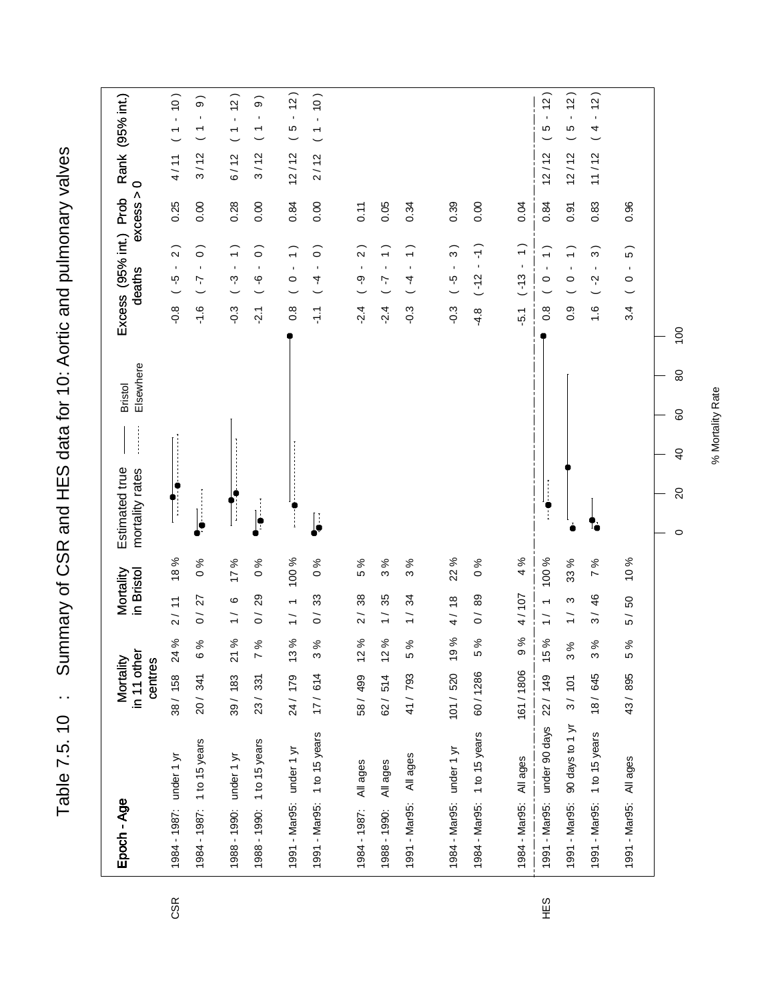Table 7.5. 10 : Summary of CSR and HES data for 10: Aortic and pulmonary valves Table 7.5. 10 : Summary of CSR and HES data for 10: Aortic and pulmonary valves

| Epoch - Age                                                | in 11 other<br>Mortality<br>centres |                 | Mortality<br>in Bristol                    |                             | Elsewhere<br><b>Bristol</b><br>Estimated true<br>mortality rates | Excess (95% int.) Prob<br>deaths                                                               | excess >          | Rank (95% int.)<br>$\circ$                                                   |
|------------------------------------------------------------|-------------------------------------|-----------------|--------------------------------------------|-----------------------------|------------------------------------------------------------------|------------------------------------------------------------------------------------------------|-------------------|------------------------------------------------------------------------------|
| 1984 - 1987: under 1 yr                                    | 38/158                              | 24 %            | 2/11                                       | 18 %                        | Ï                                                                | $\widehat{2}$<br>$\blacksquare$<br>ယု<br>$-0.8$                                                | 0.25              | $-10$<br>$\overline{\phantom{a}}$<br>4/11                                    |
| 1984 - 1987: 1 to 15 years                                 | 20 / 341                            | 6%              | 0/27                                       | $\%0$                       | ļ.                                                               | $\widehat{\circ}$<br>$\blacksquare$<br>7<br>$-1.6$                                             | 0.00              | $\widehat{\circ}$<br>$\blacksquare$<br>$\overline{\phantom{a}}$<br>3/12      |
| 1988 - 1990: under 1 yr                                    | 39/183                              | 21 %            | $\circ$<br>$\frac{1}{1}$                   | $^{96}$ 11                  | İ                                                                | $\widehat{\cdot}$<br>$\blacksquare$<br>ကု<br>$-0.3$                                            | 0.28              | (2)<br>$\mathbf{r}$<br>$\overline{\phantom{a}}$<br>6/12                      |
| 1988 - 1990: 1 to 15 years                                 | 23/331                              | 7%              | $\mathbf{S}$<br>$\tilde{0}$                | $\%0$                       | <br> •                                                           | $\widehat{\circ}$<br>$\blacksquare$<br>ပှ<br>$-2.1$                                            | 0.00              | $\widehat{\mathbf{e}}$<br>$\blacksquare$<br>$\overline{\phantom{0}}$<br>3/12 |
| 1991 - Mar95: under 1 yr                                   | 24/ 179 13%                         |                 | $\overline{\phantom{0}}$<br>$\overline{1}$ | 100 %                       | İ                                                                | $\widehat{\cdot}$<br>$\blacksquare$<br>$\circ$<br>$\frac{8}{1}$                                | 0.84              | 12)<br>$\blacksquare$<br>5<br>$\overline{\phantom{0}}$<br>12/12              |
| 1 to 15 years<br>1991 - Mar95:                             | 17/614                              | 3%              | 33<br>$\tilde{\circ}$                      | 0%                          | ļ                                                                | $\widehat{\circ}$<br>$\blacksquare$<br>4<br>$\frac{1}{2}$                                      | 0.00              | $\overline{0}$<br>$\mathbf{r}$<br>$\overline{\phantom{0}}$<br>2/12           |
| All ages<br>1984 - 1987:                                   | $\frac{2}{3}$<br>58/499             | ℅               | 38<br>$\frac{1}{2}$                        | 5 %                         |                                                                  | $\sim$<br>$\blacksquare$<br>ဂု<br>$-2.4$                                                       | $\overline{0.11}$ |                                                                              |
| All ages<br>1988 - 1990:                                   | 62/514                              | 12%             | 35<br>$\frac{1}{1}$                        | 3%                          |                                                                  | $\widehat{\cdot}$<br>$\blacksquare$<br>7<br>$-2.4$                                             | 0.05              |                                                                              |
| All ages<br>1991 - Mar95:                                  | 41/793                              | 5 %             | 34<br>$\frac{1}{1}$                        | %<br>ω                      |                                                                  | $\widehat{\cdot}$<br>$\blacksquare$<br>4<br>$-0.3$                                             | 0.34              |                                                                              |
|                                                            |                                     |                 |                                            |                             |                                                                  |                                                                                                |                   |                                                                              |
| 1 to 15 years<br>1984 - Mar95: under 1 yr<br>1984 - Mar95: | 6,<br>101 / 520<br>60/1286          | $\%$<br>5 %     | 0/89<br>4/18                               | <b>22%</b><br>$\frac{6}{6}$ |                                                                  | $\widehat{\tau}$<br>ω<br>$\blacksquare$<br>$\blacksquare$<br>$(-12)$<br>ယှ<br>$-0.3$<br>$-4.8$ | 0.39<br>0.00      |                                                                              |
|                                                            |                                     |                 |                                            |                             |                                                                  |                                                                                                |                   |                                                                              |
| All ages<br>1984 - Mar95:                                  | 161/1806                            | $\%$<br>$\circ$ | 4/107                                      | 4%                          |                                                                  | $\widehat{\cdot}$<br>$\blacksquare$<br>$(-13)$<br>$-5.1$                                       | 0.04              |                                                                              |
| 1991 - Mar95: under 90 days                                | 22/149                              | 15 %            | $\overline{\phantom{0}}$<br>$\frac{1}{1}$  | 100 %                       |                                                                  | $\widehat{\cdot}$<br>$\mathbf{I}$<br>$\circ$<br>$\frac{8}{2}$                                  | 0.84              | $\frac{1}{2}$<br>$\blacksquare$<br>Ю<br>12/12                                |
| 90 days to 1 yr<br>1991 - Mar95:                           | 3/101                               | 3%              | ω<br>$\overline{1}$                        | 33 %                        |                                                                  | $\widehat{\cdot}$<br>$\blacksquare$<br>$\circ$<br>$0.\overline{0}$                             | 0.91              | $\tilde{a}$<br>$\blacksquare$<br>Ю<br>12/12                                  |
| 1 to 15 years<br>1991 - Mar95:                             | 18/645                              | 3%              | 46<br>$\frac{1}{3}$                        | $\%$<br>$\overline{ }$      |                                                                  | ო<br>$\blacksquare$<br>Ņ<br>$\frac{6}{1}$                                                      | 0.83              | $\frac{1}{2}$<br>$\blacksquare$<br>4<br>11/12                                |
| 1991 - Mar95: All ages                                     | 43/895                              | 5 %             | SO<br>5 /                                  | 10%                         |                                                                  | $\widehat{5}$<br>$\blacksquare$<br>$\circ$<br>3.4                                              | 0.96              |                                                                              |
|                                                            |                                     |                 |                                            |                             | 80<br>60<br>$\overline{6}$<br>$\Omega$<br>$\circ$                | $\overline{100}$                                                                               |                   |                                                                              |

CSR

% Mortality Rate % Mortality Rate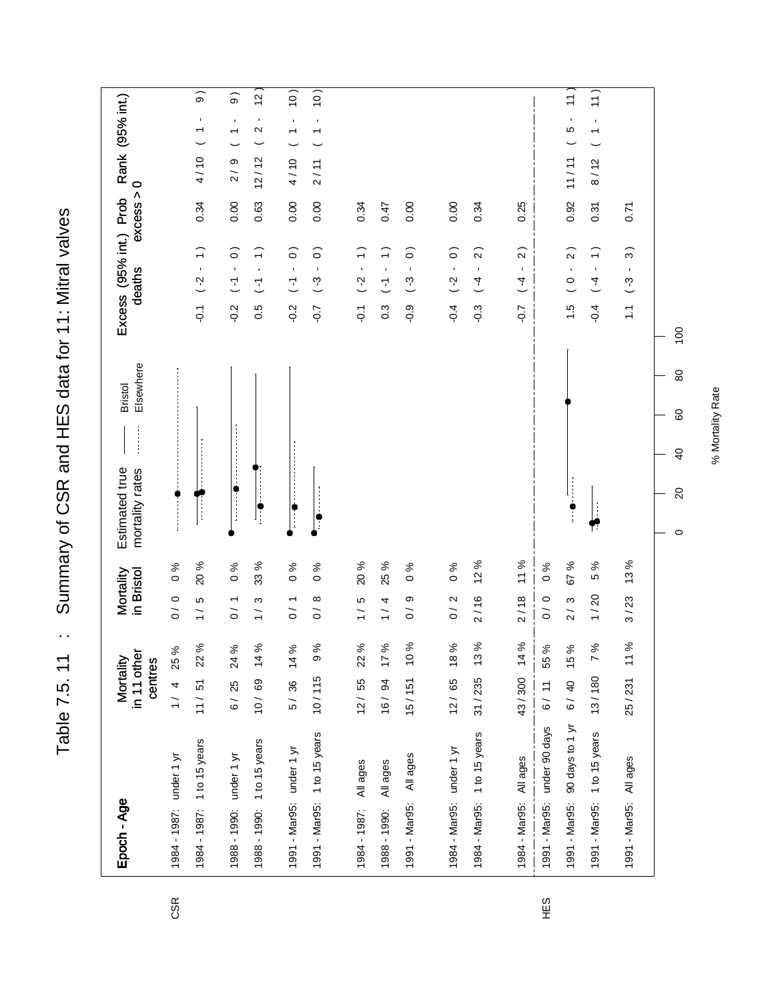Table 7.5.11 : Summary of CSR and HES data for 11: Mitral valves Table 7.5. 11 : Summary of CSR and HES data for 11: Mitral valves

| Epoch - Age                      | in 11 other<br>Mortality<br>centres | in Bristol<br>Mortality                                              | Elsewhere<br><b>Bristol</b><br>Estimated true<br>mortality rates | Excess (95% int.) Prob<br>deaths                                          | Rank (95% int.)<br>$\circ$<br>excess >                                          |
|----------------------------------|-------------------------------------|----------------------------------------------------------------------|------------------------------------------------------------------|---------------------------------------------------------------------------|---------------------------------------------------------------------------------|
| 1984 - 1987: under 1 yr          | 25 %<br>1 / 4                       | $\frac{6}{6}$<br>0/0                                                 |                                                                  |                                                                           |                                                                                 |
| 1984 - 1987: 1 to 15 years       | 11 / 51 22%                         | <b>20%</b><br>LO<br>$\frac{1}{1}$                                    |                                                                  | $\widehat{\cdot}$<br>$\mathbf{I}$<br>(2)<br>$\overline{Q}$                | $\widehat{\circ}$<br>$\blacksquare$<br>$\overline{\phantom{0}}$<br>4/10<br>0.34 |
| 1988 - 1990: under 1 yr          | $6/25$ 24%                          | $\%0$<br>0/1                                                         |                                                                  | $\widehat{\circ}$<br>$\blacksquare$<br>$\overline{L}$<br>$-0.2$           | $\widehat{\Theta}$<br>$\blacksquare$<br>$\overline{\phantom{0}}$<br>2/9<br>0.00 |
| 1988 - 1990: 1 to 15 years       | 10/69 14%                           | 33 %<br>ო<br>$\frac{1}{1}$                                           | ∶                                                                | $\widehat{\cdot}$<br>$\blacksquare$<br>$\tilde{L}$<br>0.5                 | $\tilde{c}$<br>٠<br>$\mathbf{\Omega}$<br>12/12<br>0.63                          |
| 1991 - Mar95: under 1 yr         | 5/36 14%                            | $\frac{6}{6}$<br>0/1                                                 |                                                                  | $\widehat{\circ}$<br>$\blacksquare$<br>$\overline{L}$<br>$-0.2$           | 10)<br>$\blacksquare$<br>$\overline{ }$<br>4/10<br>0.00                         |
| 1991 - Mar95: 1 to 15 years      | 9%<br>10/115                        | $\%$<br>$\circ$<br>$\infty$<br>$\overline{O}$                        |                                                                  | $\widehat{\circ}$<br>$\mathbf{I}$<br>$(-3)$<br>$-0.7$                     | 10)<br>$\blacksquare$<br>$\overline{\phantom{0}}$<br>2/11<br>0.00               |
|                                  |                                     |                                                                      |                                                                  |                                                                           |                                                                                 |
| All ages<br>1984 - 1987:         | 22 %<br>12/55                       | <b>20%</b><br>LO                                                     |                                                                  | $\widehat{\cdot}$<br>$\blacksquare$<br>$\tilde{S}$<br>$\overline{O}$ .    | 0.34                                                                            |
| All ages<br>1988 - 1990:         | 17%<br>16 / 94                      | 25 %<br>4<br>$\frac{1}{1}$                                           |                                                                  | $\widehat{\cdot}$<br>$\blacksquare$<br>$\overline{L}$<br>$0.\overline{3}$ | 0.47                                                                            |
| All ages<br>1991 - Mar95:        | 10%<br>15/151                       | $% \mathbf{G} \rightarrow \mathbf{H}$<br>$\circ$<br>თ<br>$\tilde{0}$ |                                                                  | $\widehat{\circ}$<br>$\blacksquare$<br>$(-3)$<br>$-0.9$                   | 0.00                                                                            |
|                                  |                                     |                                                                      |                                                                  |                                                                           |                                                                                 |
| 1984 - Mar95: under 1 yr         | $12/65$ 18%                         | $\frac{6}{6}$<br>0/2                                                 |                                                                  | $\widehat{\circ}$<br>$\blacksquare$<br>(2)<br>$-0.4$                      | 0.00                                                                            |
| 1984 - Mar95: 1 to 15 years      | $31 / 235$ 13%                      | 12%<br>2/16                                                          |                                                                  | $\widehat{z}$<br>$\blacksquare$<br>$\overline{4}$<br>$-0.3$               | 0.34                                                                            |
|                                  |                                     |                                                                      |                                                                  |                                                                           |                                                                                 |
| 1984 - Mar95: All ages           | 43/300 14%                          | 11%<br>2/18                                                          |                                                                  | $\widehat{2}$<br>$\blacksquare$<br>$\overline{4}$<br>$-0.7$               | 0.25                                                                            |
| 1991 - Mar95: under 90 days      | 6/ 11 55 %                          | $\%$<br>$\circ$<br>0/0                                               |                                                                  |                                                                           |                                                                                 |
| 90 days to 1 yr<br>1991 - Mar95: | 6/40 15%                            | 67 %<br>2/3                                                          |                                                                  | $\widehat{2}$<br>$\blacksquare$<br>$\circ$<br>$\frac{1}{2}$               | $\overline{r}$<br>$\blacksquare$<br>LO<br>11/11<br>0.92                         |
| 1 to 15 years<br>1991 - Mar95:   | 7%<br>13/180                        | $\%$<br>5<br>1/20                                                    | T                                                                | $\overline{ }$<br>$\blacksquare$<br>$\overline{4}$<br>$-0.4$              | 11)<br>$\blacksquare$<br>$\overline{\phantom{0}}$<br>8/12<br>0.31               |
| All ages<br>1991 - Mar95:        | 11%<br>25/231                       | 13%<br>3/23                                                          |                                                                  | $\widehat{\mathcal{E}}$<br>$\mathbf{r}$<br>$(-3)$<br>$\tilde{=}$          | 0.71                                                                            |
|                                  |                                     |                                                                      | 80<br>60<br>$\overline{6}$<br>$\Omega$<br>$\circ$                | $\overline{100}$                                                          |                                                                                 |

HES

CSR

% Mortality Rate % Mortality Rate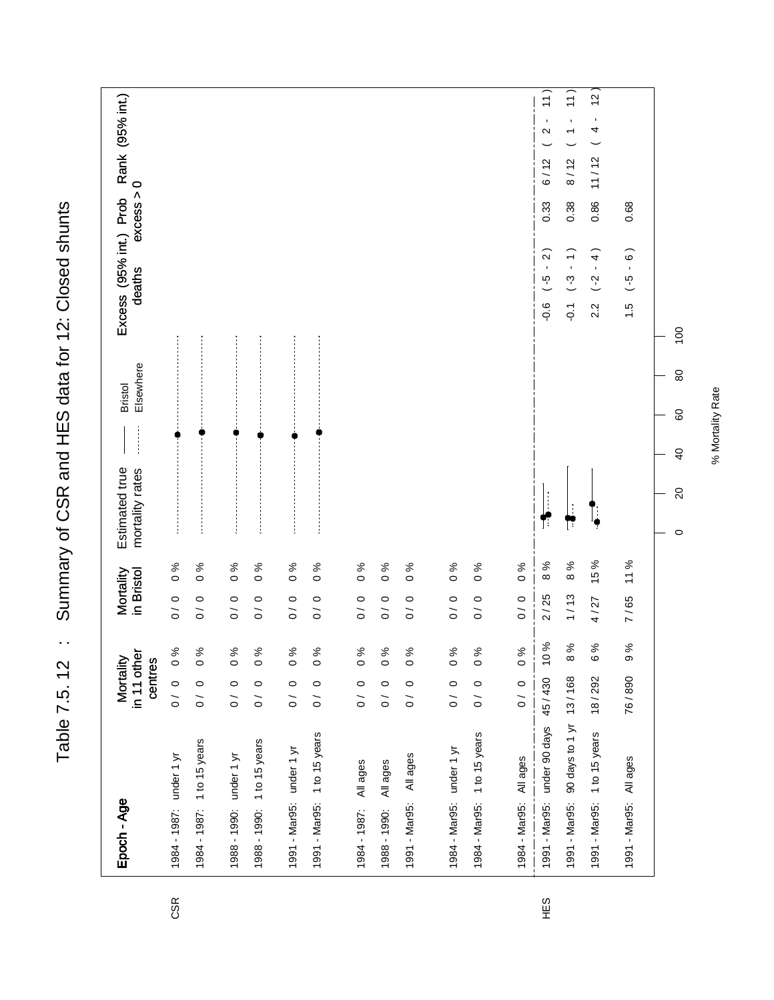| Epoch - Age                             | in 11 other<br>Mortality<br>centres |                  | in Bristol<br>Mortality   |                | Elsewhere<br><b>Bristol</b><br>Estimated true<br>mortality rates | Excess (95% int.) Prob<br>deaths                                    | Rank (95% int.)<br>excess > 0                                               |
|-----------------------------------------|-------------------------------------|------------------|---------------------------|----------------|------------------------------------------------------------------|---------------------------------------------------------------------|-----------------------------------------------------------------------------|
| 1984 - 1987: under 1 yr                 | $\circ$<br>$\overline{O}$           | 0%               | 0/0                       | $\frac{6}{6}$  |                                                                  |                                                                     |                                                                             |
| 1 to 15 years<br>1984 - 1987:           | $\circ$<br>$\overline{0}$           | $\frac{96}{6}$   | 0/0                       | $\%0$          |                                                                  |                                                                     |                                                                             |
| under 1 yr<br>1988 - 1990:              | $\circ$<br>$\tilde{0}$              | $\frac{96}{6}$   | $\circ$<br>$\overline{O}$ | $\frac{6}{6}$  |                                                                  |                                                                     |                                                                             |
| 1988 - 1990: 1 to 15 years              | $\circ$<br>$\overline{O}$           | $\frac{6}{6}$    | 0/0                       | $\frac{6}{6}$  |                                                                  |                                                                     |                                                                             |
| 1991 - Mar95: under 1 yr                | $\circ$<br>$\overline{)}$           | $\frac{96}{6}$   | 0/0                       | $\frac{6}{6}$  |                                                                  |                                                                     |                                                                             |
| 1991 - Mar95: 1 to 15 years             | $\circ$<br>$\overline{O}$           | $\frac{96}{6}$   | 0/0                       | $\frac{6}{6}$  |                                                                  |                                                                     |                                                                             |
| All ages<br>1984 - 1987:                | $\circ$<br>$\tilde{\circ}$          | $\frac{6}{6}$    | 0/0                       | $\frac{96}{6}$ |                                                                  |                                                                     |                                                                             |
| All ages<br>1988 - 1990:                | $\circ$<br>$\tilde{0}$              | $\frac{96}{6}$   | 0/0                       | $\frac{6}{6}$  |                                                                  |                                                                     |                                                                             |
| All ages<br>1991 - Mar95:               | $\circ$<br>$\tilde{\circ}$          | $\frac{6}{6}$    | $\circ$<br>$\overline{O}$ | 0%             |                                                                  |                                                                     |                                                                             |
| 1984 - Mar95: under 1 yr                | $\circ$<br>$\frac{1}{\sqrt{2}}$     | $\frac{96}{6}$   | 0/0                       | $\frac{6}{6}$  |                                                                  |                                                                     |                                                                             |
| 1 to 15 years<br>1984 - Mar95:          | $\circ$<br>$\overline{0}$           | $\%0$            | 0/0                       | $\frac{6}{6}$  |                                                                  |                                                                     |                                                                             |
| All ages<br>1984 - Mar95:               | $\circ$<br>$\overline{O}$           | $\frac{6}{6}$    | 0/0                       | $\frac{6}{6}$  |                                                                  |                                                                     |                                                                             |
| 1991 - Mar95: under 90 days 45/430      |                                     | 10%              | 2/25                      | 8%             | T                                                                | $-0.6$ $(-5 - 2)$                                                   | $\frac{1}{1}$<br>$\blacksquare$<br>$\mathbf{\Omega}$<br>6/12<br>0.33        |
| 90 days to 1 yr 13/168<br>1991 - Mar95: |                                     | $\%$<br>$\infty$ | 1/13                      | 8 %            | Γ                                                                | $\widehat{\cdot}$<br>$-3 -$<br>$\overline{Q}$                       | $\frac{1}{1}$<br>$\blacksquare$<br>$\overline{\phantom{0}}$<br>8/12<br>0.38 |
| 1991 - Mar95: 1 to 15 years             | 18/292                              | $\%$<br>$\circ$  | 4/27                      | 15 %           |                                                                  | $\widehat{4}$<br>$\bar{1}$<br>$(-2)$<br>2.2                         | $\overline{12}$<br>$\blacksquare$<br>4<br>11/12<br>0.86                     |
| 1991 - Mar95: All ages                  | 76/890                              | ಸಿ<br>$\infty$   | 7/65                      | 11%            |                                                                  | $\widehat{6}$ )<br>$\blacksquare$<br>$\frac{6}{7}$<br>$\frac{6}{1}$ | 0.68                                                                        |
|                                         |                                     |                  |                           |                | 80<br>60<br>$\overline{4}$<br>$\Omega$<br>$\circ$                | $\overline{100}$                                                    |                                                                             |

Table 7.5. 12 : Summary of CSR and HES data for 12: Closed shunts Table 7.5. 12 : Summary of CSR and HES data for 12: Closed shunts

CSR

HES

% Mortality Rate % Mortality Rate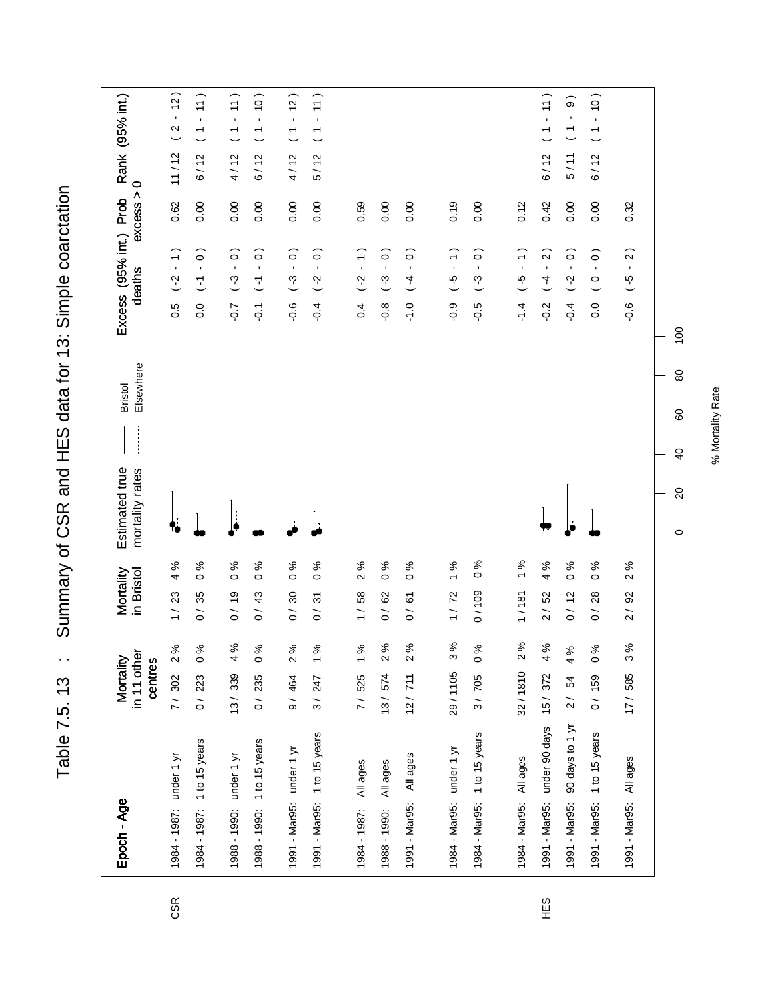Table 7.5. 13 : Summary of CSR and HES data for 13: Simple coarctation Table 7.5. 13 : Summary of CSR and HES data for 13: Simple coarctation

| Epoch - Age                      | in 11 other<br>Mortality<br>centres | Mortality<br>in Bristol                                     | Elsewhere<br><b>Bristol</b><br>Estimated true<br>mortality rates | Excess (95% int.) Prob<br>deaths                                             | Rank (95% int.)<br>$\circ$<br>excess >                                         |
|----------------------------------|-------------------------------------|-------------------------------------------------------------|------------------------------------------------------------------|------------------------------------------------------------------------------|--------------------------------------------------------------------------------|
| 1984 - 1987: under 1 yr          | 2%<br>7/302                         | 4%<br>23<br>$\frac{1}{1}$                                   |                                                                  | $\overline{1}$<br>$\overline{S}$<br>0.5                                      | 12)<br>$\mathbf{r}$<br>$\mathbf{\Omega}$<br>11/12<br>0.62                      |
| 1984 - 1987: 1 to 15 years       | $0\%$<br>0/223                      | $\frac{6}{6}$<br>35<br>$\overline{0}$                       |                                                                  | $\widehat{\circ}$<br>$\mathbf{r}$<br>$\overline{L}$<br>$\overline{0}$ .      | $\left(1\right)$<br>$\mathbf{r}$<br>$\overline{\phantom{a}}$<br>6/12<br>0.00   |
| 1988 - 1990: under 1 yr          | 4%<br>13/339                        | $\frac{6}{6}$<br>0/19                                       |                                                                  | $\overline{0}$ .<br>$(-3)$<br>$-0.7$                                         | 11)<br>$\mathbf{r}$<br>$\overline{ }$<br>4/12<br>0.00                          |
| 1988 - 1990: 1 to 15 years       | $\%$ 0<br>0/235                     | $\%$<br>$\circ$<br>0/43                                     |                                                                  | $\widehat{\circ}$<br>$\bar{\phantom{a}}$<br>$\overline{L}$<br>$\overline{Q}$ | $\left($ 0<br>$\blacksquare$<br>$\overline{\phantom{0}}$<br>6/12<br>0.00       |
| 1991 - Mar95: under 1 yr         | 2%<br>9/464                         | $\frac{6}{6}$<br>$\overline{\mathrm{30}}$<br>$\overline{O}$ |                                                                  | $\widehat{\circ}$<br>$\blacksquare$<br>$\binom{3}{4}$<br>$-0.6$              | (2)<br>$\mathbf{r}$<br>$\overline{ }$<br>4/12<br>0.00                          |
| 1991 - Mar95: 1 to 15 years      | $\frac{96}{6}$<br>3/247             | 0%<br>$\tilde{\mathcal{E}}$<br>$\tilde{0}$                  |                                                                  | $\widehat{\circ}$<br>$\bar{\mathbf{r}}$<br>$( -2)$<br>$-0.4$                 | 11)<br>$\mathbf{I}$<br>$\overline{\phantom{0}}$<br>5/12<br>0.00                |
| All ages<br>1984 - 1987:         | 1%<br>7/525                         | 2%<br>58<br>$\frac{1}{1}$                                   |                                                                  | $\overline{1}$<br>$\overline{C}$<br>$\overline{0}$                           | 0.59                                                                           |
| All ages<br>1988 - 1990:         | 2%<br>13/574                        | $\%$ 0<br>0/62                                              |                                                                  | $\widehat{\circ}$<br>$\bar{\mathbf{r}}$<br>$(-3)$<br>$-0.8$                  | 0.00                                                                           |
| All ages<br>1991 - Mar95:        | 2%<br>12/711                        | %<br>$\circ$<br><u>ර</u><br>$\overline{O}$                  |                                                                  | $\widehat{\circ}$<br>$\mathbf{r}$<br>$\overline{4}$<br>$-1.0$                | 0.00                                                                           |
|                                  |                                     |                                                             |                                                                  |                                                                              |                                                                                |
| 1984 - Mar95: under 1 yr         | 3%<br>29/1105                       | 1%<br>1/72                                                  |                                                                  | $\overline{1}$<br>$\mathcal{G}$ - )<br>$-0.9$                                | 0.19                                                                           |
| 1984 - Mar95: 1 to 15 years      | 3/705 0%                            | $\frac{9}{6}$<br>0/109                                      |                                                                  | $\widehat{\circ}$<br>$\mathbf{r}$<br>$\binom{3}{4}$<br>$-0.5$                | 0.00                                                                           |
| All ages<br>1984 - Mar95:        | 2%<br>32/1810                       | $\%$<br>$\overline{ }$<br>1/181                             |                                                                  | $\overline{1}$<br>$\frac{6}{5}$<br>$\frac{4}{1}$                             | 0.12                                                                           |
| 1991 - Mar95: under 90 days      | 4 %<br>15/372                       | $% \mathbf{G} \rightarrow \mathbf{H}$<br>4<br>2/52          |                                                                  | $\widehat{2}$<br>$\blacksquare$<br>$\overline{4}$<br>$-0.2$                  | $\left(1\right)$<br>$\blacksquare$<br>$\overline{\phantom{0}}$<br>6/12<br>0.42 |
| 90 days to 1 yr<br>1991 - Mar95: | 4%<br>2/ 54                         | $\frac{6}{6}$<br>$\frac{1}{2}$<br>$\tilde{0}$               |                                                                  | $\widehat{\circ}$<br>$\mathbf{r}$<br>$( -2)$<br>$-10.4$                      | თ<br>$\mathbf{I}$<br>$\overline{\phantom{a}}$<br>5/11<br>0.00                  |
| 1 to 15 years<br>1991 - Mar95:   | $\%$ 0<br>0/159                     | వ్<br>$\circ$<br>28<br>$\tilde{0}$                          |                                                                  | $\widehat{\circ}$<br>$\mathbf{r}$<br>$\circ$<br>0.0                          | (0)<br>$\blacksquare$<br>$\overline{\phantom{a}}$<br>6/12<br>0.00              |
| All ages<br>1991 - Mar95:        | 3%<br>17/585                        | 2%<br>$\overline{9}$<br>$\frac{1}{2}$                       |                                                                  | $\overline{2}$<br>$\blacksquare$<br>$\overline{G}$<br>$-0.6$                 | 0.32                                                                           |
|                                  |                                     |                                                             | 80<br>80<br>$\overline{40}$<br>$\Omega$<br>$\circ$               | $\overline{100}$                                                             |                                                                                |

CSR

% Mortality Rate % Mortality Rate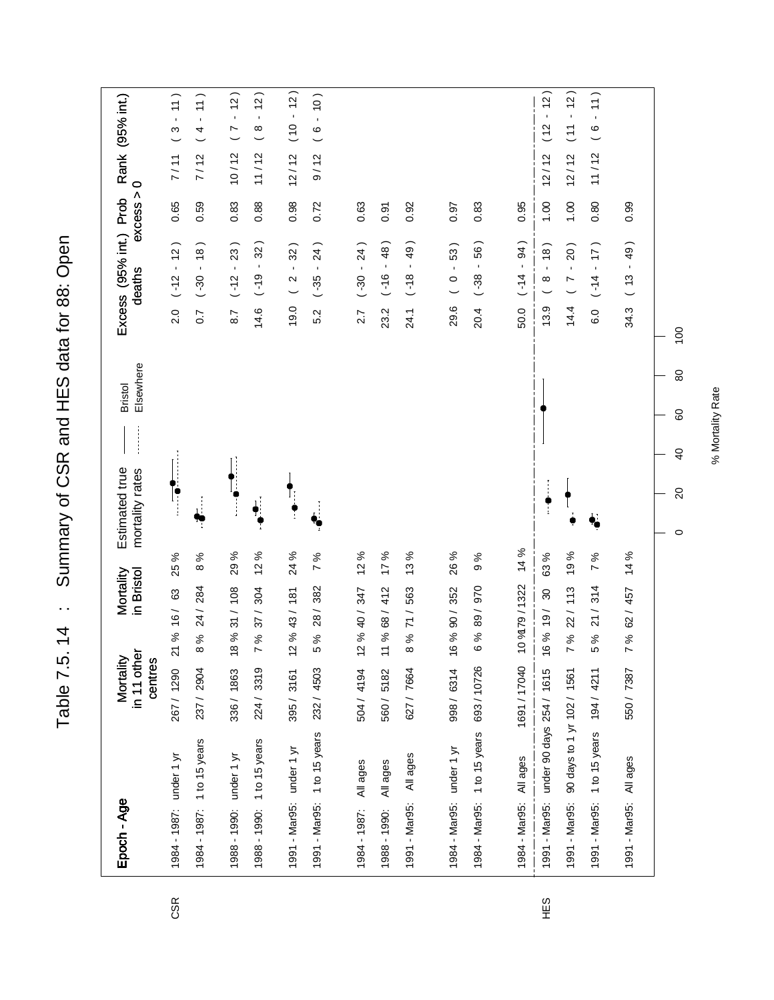Table 7.5. 14 : Summary of CSR and HES data for 88: Open Table 7.5. 14 : Summary of CSR and HES data for 88: Open

| Epoch - Age                            | in 11 other<br>Mortality<br>centres | in Bristol<br>Mortality            |         | Estimated true<br>mortality rates |                      | Elsewhere<br><b>Bristol</b> |                   | Excess (95% int.) Prob<br>deaths           | excess > | $\circ$ | Rank (95% int.)                 |
|----------------------------------------|-------------------------------------|------------------------------------|---------|-----------------------------------|----------------------|-----------------------------|-------------------|--------------------------------------------|----------|---------|---------------------------------|
| 1984 - 1987: under 1 yr                | 267 / 1290                          | 63<br>%16/<br>۶Î                   | 25 %    | l;                                |                      |                             | 2.0               | $(-12 - 12)$                               | 0.65     | 7/11    | 11)<br>$\mathfrak{S}$           |
| 1984 - 1987: 1 to 15 years             | 237 / 2904                          | 24 / 284<br>%<br>$\infty$          | 8%      |                                   |                      |                             | 0.7               | $(-30 - 18)$                               | 0.59     | 7/12    | 11)<br>4                        |
| 1988 - 1990: under 1 yr                | 336/1863                            | 18 % 31 / 108                      | 29%     | $\frac{1}{4}$                     |                      |                             | 8.7               | $(-12 - 23)$                               | 0.83     | 10/12   | $-12)$<br>$\triangleright$      |
| 1988 - 1990: 1 to 15 years             | 224 / 3319                          | 304<br>37/<br>ಸಿ                   | 12%     |                                   |                      |                             | 14.6              | 32)<br>$\blacksquare$<br>(9)               | 0.88     | 11/12   | (2)<br>$\mathbf{r}$<br>$\infty$ |
| 1991 - Mar95: under 1 yr               | 395/3161                            | 12 % 43/ 181                       | 24 %    |                                   |                      |                             | 19.0              | 32)<br>$\mathbf{r}$<br>$\frac{2}{3}$       | 0.98     | 12/12   | $(10 - 12)$                     |
| 1991 - Mar95: 1 to 15 years            | 232 / 4503                          | 382<br>28/<br>ಸಿ                   | 7%      |                                   |                      |                             | 5.2               | 24)<br>$\mathbf{I}$<br>$(-35)$             | 0.72     | 9/12    | (0)<br>$\mathbf{r}$<br>$\circ$  |
| All ages<br>1984 - 1987:               | 504 / 4194                          | 12 % 40 / 347                      | 12%     |                                   |                      |                             | 2.7               | $(-30 - 24)$                               | 0.63     |         |                                 |
| All ages<br>1988 - 1990:               | 560/5182                            | 412<br>% 68/<br>Ξ                  | 17%     |                                   |                      |                             | 23.2              | $-48$<br>$-16$                             | 0.91     |         |                                 |
| All ages<br>1991 - Mar95:              | 627 / 7664                          | 563<br>$\frac{1}{7}$<br>ৡ          | 13%     |                                   |                      |                             | 24.1              | 49)<br>$\mathbf{r}$<br>$( -18)$            | 0.92     |         |                                 |
| 1984 - Mar95: under 1 yr               | 998 / 6314                          | 16 % 90 / 352                      | 26 %    |                                   |                      |                             | 29.6              | 53)<br>$\mathbf{r}$<br>$\circ$             | 0.97     |         |                                 |
| 1984 - Mar95: 1 to 15 years            | 693/10726                           | 970<br>5 % 89/                     | 9%      |                                   |                      |                             | 20.4              | 56)<br>$\mathbf{r}$<br>$(-38)$             | 0.83     |         |                                 |
| 1984 - Mar95: All ages                 | 1691 / 17040                        | 10 % 79 / 1322                     | 14 %    |                                   |                      |                             | 50.0              | <b>94)</b><br>$\blacksquare$<br>$( -14)$   | 0.95     |         |                                 |
| 1991 - Mar95: under 90 days 254 / 1615 |                                     | $\boldsymbol{S}$<br>16 % 19/       | 63%     |                                   |                      |                             | 13.9              | (8)<br>$\mathbf{r}$<br>$\infty$            | 1.00     | 12/12   | $-12)$<br>(12)                  |
| 1991 - Mar95:                          | 90 days to 1 yr 102 / 1561          | 22/113<br>ಸಿ                       | 19%     |                                   |                      |                             | 14.4              | 20)<br>$\bar{\mathbf{r}}$<br>$\frac{7}{2}$ | 00.1     | 12/12   | $-12)$<br>$\overline{C}$        |
| 1991 - Mar95: 1 to 15 years            | 194 / 4211                          | $\overline{ }$<br>314<br>21/<br>ಸಿ | ℅       | ł,                                |                      |                             | $\overline{6}$ .0 | (17)<br>$\mathbf{r}$<br>$( -14)$           | 0.80     | 11/12   | 11)<br>$\mathbf{r}$<br>$\circ$  |
| 1991 - Mar95: All ages                 | 550 / 7387                          | % 62/ 457                          | 14%     |                                   |                      |                             | 34.3              | 49)<br>$\mathbf{r}$<br>(13)                | 0.99     |         |                                 |
|                                        |                                     |                                    | $\circ$ | $\Omega$                          | 80<br>$\overline{6}$ | 80                          | 100               |                                            |          |         |                                 |

HES

CSR

% Mortality Rate % Mortality Rate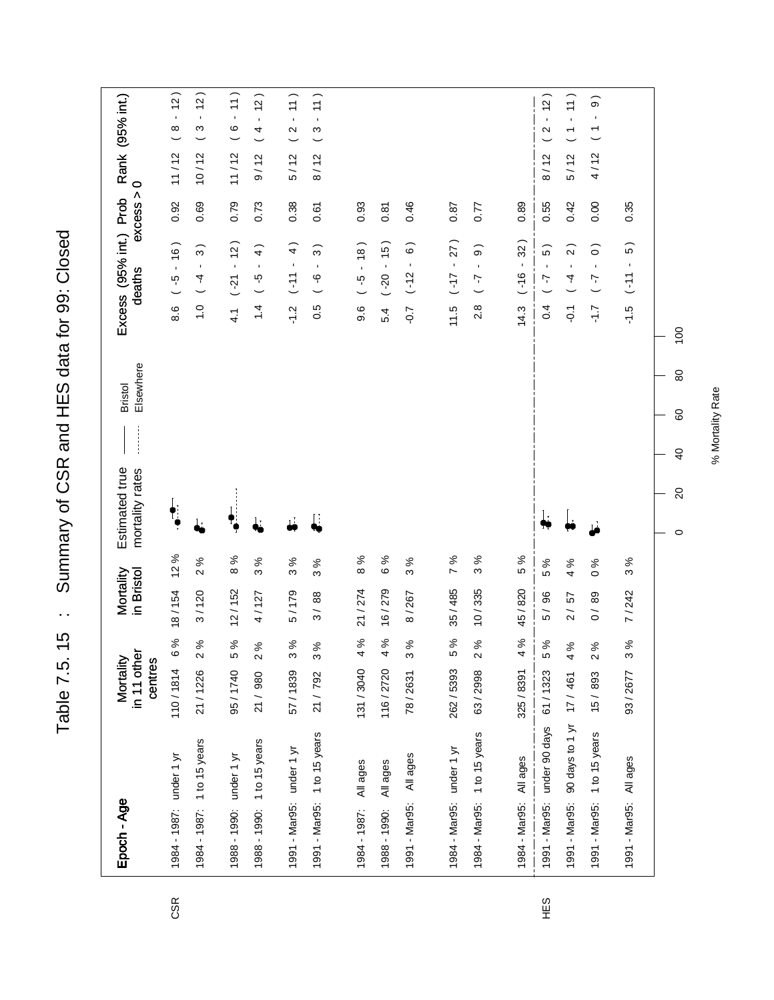Table 7.5. 15 : Summary of CSR and HES data for 99: Closed Table 7.5. 15 : Summary of CSR and HES data for 99: Closed

| Epoch - Age                               | in 11 other<br>Mortality<br>centres   | Mortality<br>in Bristol               | Elsewhere<br><b>Bristol</b><br>Estimated true<br>mortality rates | Excess (95% int.) Prob<br>deaths                                    | Rank (95% int.)<br>$\circ$<br>excess >                                          |
|-------------------------------------------|---------------------------------------|---------------------------------------|------------------------------------------------------------------|---------------------------------------------------------------------|---------------------------------------------------------------------------------|
| 1984 - 1987: under 1 yr                   | $\%$<br>$\mathbf  \omega$<br>110/1814 | 12%<br>18/154                         | $\ddagger$                                                       | $(-5 - 16)$<br>8.6                                                  | (2)<br>$\mathbf{r}$<br>$\infty$<br>11/12<br>0.92                                |
| 1984 - 1987: 1 to 15 years                | 2%<br>21/1226                         | 2%<br>3/120                           |                                                                  | $\widehat{3}$<br>$\mathbf{r}$<br>$\frac{1}{4}$<br>$\frac{0}{1}$     | (2)<br>$\blacksquare$<br>S<br>10/12<br>0.69                                     |
| 1988 - 1990: under 1 yr                   | 5%<br>95/1740                         | 8%<br>12/152                          |                                                                  | $(-21 - 12)$<br>$\frac{1}{4}$                                       | 11)<br>$\circ$<br>11/12<br>0.79                                                 |
| 1988 - 1990: 1 to 15 years                | 2%<br>21 / 980                        | $\%$<br>S<br>4/127                    | j.                                                               | $\widehat{+}$<br>$\mathbf{r}$<br>$\frac{G}{2}$<br>1.4               | (2)<br>$\blacksquare$<br>4<br>9/12<br>0.73                                      |
| 1991 - Mar95: under 1 yr                  | 3%<br>57/1839                         | 3 %<br>5/179                          | $\mathbf{L}$                                                     | $\widehat{+}$<br>$\mathbf{I}$<br>$11-$<br>$-1.2$                    | $\left(1\right)$<br>$\blacksquare$<br>$\mathbf{\Omega}$<br>5/12<br>0.38         |
| 1 to 15 years<br>1991 - Mar95:            | 3%<br>21 / 792                        | 3 %<br>3/88                           | Į.                                                               | $\widehat{3}$<br>$\mathbf{r}$<br>$\frac{9}{2}$<br>0.5               | 11)<br>$\blacksquare$<br>S<br>8/12<br>0.61                                      |
| All ages<br>1984 - 1987:                  | $\%$<br>4<br>131/3040                 | 8%<br>21/274                          |                                                                  | $-18$<br>$\frac{6}{7}$<br>9.6                                       | 0.93                                                                            |
| All ages<br>1988 - 1990:                  | $\%$<br>4<br>116/2720                 | $\%$<br>$\ddot{\circ}$<br>16/279      |                                                                  | $(-20 - 15)$<br>5.4                                                 | 0.81                                                                            |
| All ages<br>1991 - Mar95:                 | 3%<br>78/2631                         | 3 %<br>8/267                          |                                                                  | $\widehat{\circ}$<br>$\blacksquare$<br>$(-12)$<br>$-0.7$            | 0.46                                                                            |
|                                           |                                       |                                       |                                                                  |                                                                     |                                                                                 |
| 1984 - Mar95: under 1 yr                  | $\%$<br>LO<br>262/5393                | 7 %<br>35/485                         |                                                                  | 27)<br>$-11-$<br>11.5                                               | 0.87                                                                            |
| 1984 - Mar95: 1 to 15 years               | 2%<br>63/2998                         | 3%<br>10/335                          |                                                                  | $\widehat{\circ}$<br>$\mathbf{I}$<br>$\left( -\right)$<br>2.8       | 0.77                                                                            |
| 1984 - Mar95: All ages                    | $\%$<br>4<br>325/8391                 | $\%$<br>LO<br>45/820                  |                                                                  | 32)<br>$\blacksquare$<br>$-16$<br>14.3                              | 0.89                                                                            |
| 1991 - Mar95: under 90 days               | 5 %<br>61/1323                        | $\%$<br>5<br>96<br>5 /                | l.<br>P                                                          | 5)<br>$\blacksquare$<br>$\mathcal{L}^{-}$<br>0.4                    | (2)<br>$\mathbf{\Omega}$<br>$8/12$<br>0.55                                      |
| 90 days to 1 yr 17 / 461<br>1991 - Mar95: | 4 %                                   | 4 %<br>57<br>$\frac{1}{2}$            |                                                                  | $\widehat{2}$<br>$\blacksquare$<br>$\overline{4}$<br>$\overline{Q}$ | 11)<br>$\bar{\mathbf{r}}$<br>$\overline{ }$<br>5/12<br>0.42                     |
| 1 to 15 years<br>1991 - Mar95:            | 2%<br>15/893                          | $\frac{6}{6}$<br>89<br>$\overline{O}$ |                                                                  | $\widehat{\circ}$<br>$\mathbf{I}$<br>7<br>$-1.7$                    | $\widehat{\circ}$<br>$\blacksquare$<br>$\overline{\phantom{0}}$<br>4/12<br>0.00 |
| 1991 - Mar95: All ages                    | 3%<br>93/2677                         | 3%<br>7/242                           |                                                                  | 5)<br>$\blacksquare$<br>$\overline{11}$<br>$-1.5$                   | 0.35                                                                            |
|                                           |                                       |                                       | 80<br>60<br>$\overline{6}$<br>$\Omega$<br>$\circ$                | $\overline{100}$                                                    |                                                                                 |

CSR

% Mortality Rate % Mortality Rate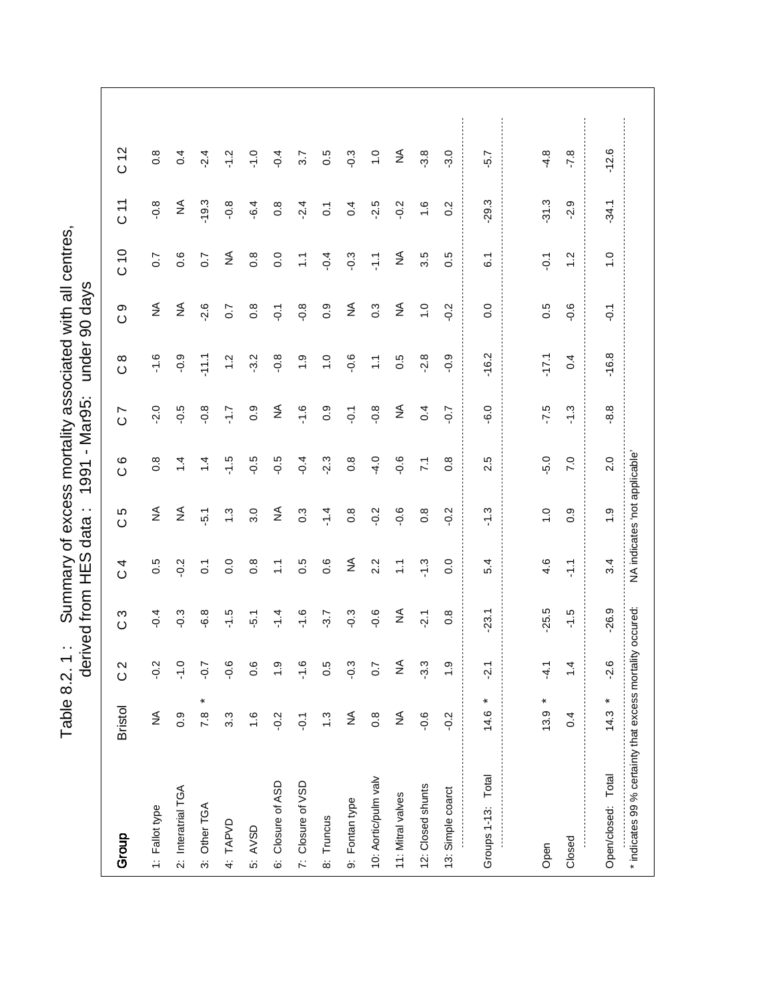Table 8.2. 1: Summary of excess mortality associated with all centres,<br>derived from HES data: 1991 - Mar95: under 90 days Table 8.2. 1 : Summary of excess mortality associated with all centres,

|                                                           |                              | đer           | ived from        | S<br>出               | $\cdot$ .<br>data | 1991                          | - Mar95:                     | under 90             | days             |                   |                |                  |
|-----------------------------------------------------------|------------------------------|---------------|------------------|----------------------|-------------------|-------------------------------|------------------------------|----------------------|------------------|-------------------|----------------|------------------|
| Group                                                     | <b>Bristol</b>               | $\frac{2}{3}$ | S<br>$\circ$     | 4<br>$\circ$         | Ю<br>$\circ$      | ဖ<br>$\circ$                  | $\overline{C}$               | $\infty$<br>$\circ$  | თ<br>$\circ$     | C 10              | 71<br>0        | C <sub>12</sub>  |
| 1: Fallot type                                            | $\lessgtr$                   | $-0.2$        | $-0.4$           | 0.5                  | $\lessgtr$        | $0.\overline{8}$              | $-2.0$                       | $-1.6$               | ₹                | $\overline{0}$ .7 | $-0.8$         | $0.\overline{8}$ |
| 2: Interatrial TGA                                        | 0.9                          | $-1.0$        | $-0.3$           | $-0.2$               | ₹                 | $\dot{4}$                     | $-0.5$                       | $-0.9$               | $\lessgtr$       | 0.6               | $\frac{4}{2}$  | 0.4              |
| 3: Other TGA                                              | $\ast$<br>7.8                | $-0.7$        | $-6.8$           | $\overline{c}$       | $\ddot{5}$ .      | $\overline{4}$                | $-0.8$                       | $-11.1$              | $-2.6$           | 0.7               | $-19.3$        | $-2.4$           |
| 4: TAPVD                                                  | 3.3                          | $-0.6$        | $-1.5$           | 0.0                  | $\ddot{.}$        | $-1.5$                        | -1.7                         | $\frac{2}{1}$        | 0.7              | ₹                 | $-0.8$         | $\frac{2}{1}$    |
| 5: AVSD                                                   | $\frac{6}{1}$                | 0.6           | $-5.1$           | $0.\overline{8}$     | 3.0               | $-0.5$                        | 0.9                          | $-3.2$               | $0.\overline{8}$ | $\frac{8}{2}$     | $-6.4$         | $-1.0$           |
| 6: Closure of ASD                                         | $-0.2$                       | $\frac{0}{1}$ | $-1.4$           | $\frac{1}{\sqrt{2}}$ | $\lessgtr$        | $-0.5$                        | $\stackrel{\triangle}{\geq}$ | $-0.8$               | $\overline{Q}$   | 0.0               | 0.8            | $-0.4$           |
| 7: Closure of VSD                                         | $\overline{Q}$               | $-1.6$        | $-1.6$           | 0.5                  | $0.\overline{3}$  | $-0.4$                        | $-1.6$                       | $\ddot{0}$           | $-0.8$           | $\tilde{L}$       | $-2.4$         | 3.7              |
| 8: Truncus                                                | $\ddot{.}3$                  | 0.5           | $-3.7$           | 0.6                  | $-1.4$            | $-2.3$                        | $0.\overline{9}$             | $\overline{1}$ .0    | $0.\overline{9}$ | $-0.4$            | $\overline{0}$ | 0.5              |
| 9: Fontan type                                            | $\lessgtr$                   | $-0.3$        | $-0.3$           | ₹                    | $0.\overline{8}$  | $0.\overline{8}$              | $\overline{Q}$ .             | $-0.6$               | ≨                | $-0.3$            | 0.4            | $-0.3$           |
| 10: Aortic/pulm valv                                      | $0.\overline{8}$             | 0.7           | $-0.6$           | 2.2                  | $-0.2$            | $-4.0$                        | $-0.8$                       | $\frac{1}{\sqrt{2}}$ | $0.\overline{3}$ | 두                 | $-2.5$         | $\frac{0}{1}$    |
| 11: Mitral valves                                         | $\stackrel{\triangle}{\geq}$ | $\lessgtr$    | $\lessgtr$       | $\mathbb{Z}$         | $-0.6$            | $-0.6$                        | $\stackrel{\triangle}{\geq}$ | 0.5                  | $\lessgtr$       | $\lessgtr$        | $-0.2$         | $\lessgtr$       |
| 12: Closed shunts                                         | $-0.6$                       | $-3.3$        | $-2.1$           | $-1.3$               | $0.\overline{8}$  | $\tilde{z}$                   | 0.4                          | $-2.8$               | $\ddot{ }$ .     | 3.5               | $\frac{6}{1}$  | $-3.8$           |
| 13: Simple coarct                                         | $-0.2$                       | $\frac{6}{1}$ | $0.\overline{8}$ | 0.0                  | $-0.2$            | $0.\overline{8}$              | $-0.7$                       | $-0.9$               | $-0.2$           | 0.5               | 0.2            | 3.0              |
| Groups 1-13: Total                                        | ¥<br>14.6                    | $-2.1$        | $-23.1$          | 5.4                  | $-1.3$            | 2.5                           | $-6.0$                       | $-16.2$              | 0.0              | $\overline{6}$ .  | .29.3          | $-5.7$           |
|                                                           |                              |               |                  |                      |                   |                               |                              |                      |                  |                   |                |                  |
| Open                                                      | ×<br>13.9                    | $-4.7$        | $-25.5$          | 4.6                  | $\frac{1}{2}$     | $-5.0$                        | $-7.5$                       | $-17.1$              | 0.5              | $\overline{Q}$    | 31.3           | $-4.8$           |
| Closed                                                    | 0.4                          | $\dot{4}$     | $-1.5$           | $\frac{1}{2}$        | 0.9               | 7.0                           | $-1.3$                       | 0.4                  | $-0.6$           | $\ddot{ }$        | $-2.9$         | $-7.8$           |
| Open/closed: Total                                        | $\ast$<br>14.3               | $-2.6$        | $-26.9$          | 3.4                  | $\frac{0}{1}$     | 2.0                           | $-8.8$                       | $-16.8$              | $-0.1$           | $\frac{0}{1}$     | $-34.1$        | $-12.6$          |
| * indicates 99 % certainty that excess mortality occured: |                              |               |                  |                      |                   | NA indicates 'not applicable' |                              |                      |                  |                   |                |                  |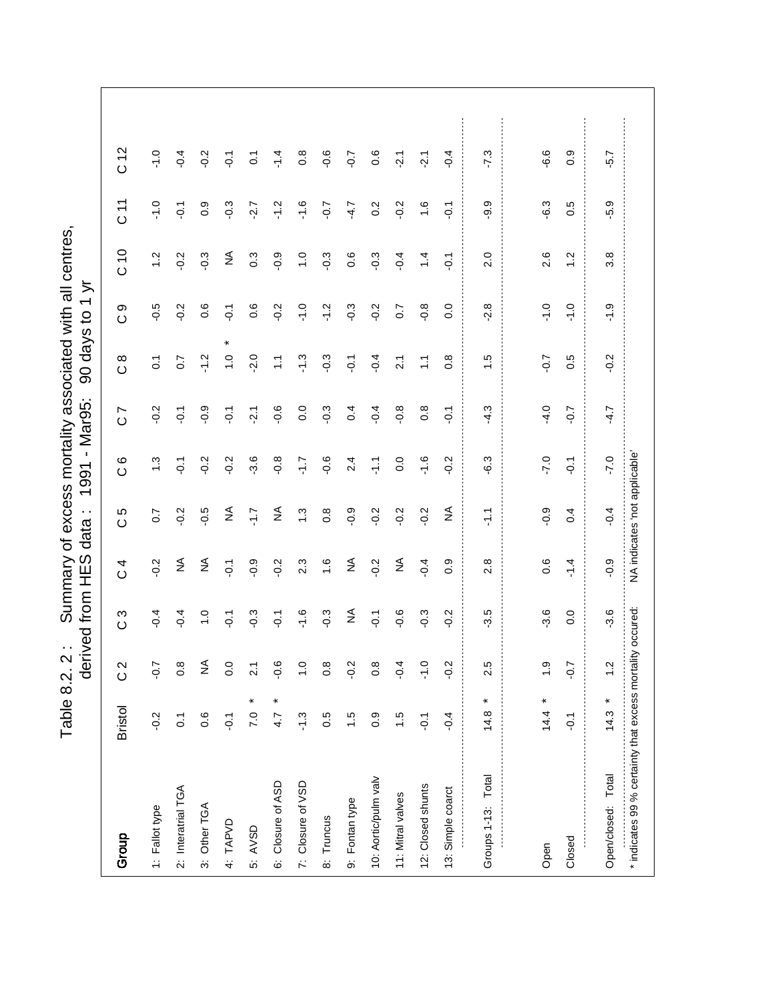Table 8.2. 2: Summary of excess mortality associated with all centres,<br>derived from HES data: 1991 - Mar95: 90 days to 1 yr Table 8.2. 2 : Summary of excess mortality associated with all centres, derived from HES data : 1991 - Mare Sult Eorgen designed

| Group                                                     | <b>Bristol</b>      | $\frac{2}{3}$                | c 3            | $\overline{C}$ | 5<br>$\circ$                  | $\circ$<br>$\circ$ | $\overline{C}$   | $\infty$<br>$\circ$  | တ<br>$\circ$     | 010              | $\overline{11}$ | C12            |
|-----------------------------------------------------------|---------------------|------------------------------|----------------|----------------|-------------------------------|--------------------|------------------|----------------------|------------------|------------------|-----------------|----------------|
| 1: Fallot type                                            | $-0.2$              | $-0.7$                       | $-0.4$         | $-0.2$         | $\sim$                        | $\ddot{ }$         | $-0.2$           | $\overline{0}$       | $-0.5$           | $\frac{2}{1}$    | $-1.0$          | $-1.0$         |
| 2: Interatrial TGA                                        | $\overline{O}$ .    | $\frac{8}{2}$                | $-0.4$         | $\lessgtr$     | $-0.2$                        | $\overline{Q}$     | $\overline{O}$ . | $\overline{0.7}$     | $-0.2$           | $-0.2$           | $-0.1$          | $-0.4$         |
| 3: Other TGA                                              | 0.6                 | $\stackrel{\triangle}{\geq}$ | $\frac{0}{1}$  | $\lessgtr$     | $-0.5$                        | $-0.2$             | $-0.9$           | $-1.2$               | 0.6              | $-0.3$           | 0.9             | $-0.2$         |
| 4: TAPVD                                                  | $\overline{Q}$ .    | $\overline{0}$               | $-0.1$         | $\overline{Q}$ | ≨                             | $-0.2$             | $-0.1$           | ×<br>$\frac{0}{1}$   | $-0.1$           | ₹                | $-0.3$          | $\overline{Q}$ |
| 5: AVSD                                                   | ×<br>7.0            | $\overline{21}$              | $-0.3$         | $-0.9$         | 77                            | $-3.6$             | $-2.1$           | $-2.0$               | $0.\overline{6}$ | $0.\overline{3}$ | $-2.7$          | $\overline{c}$ |
| 6: Closure of ASD                                         | $\pmb{\ast}$<br>4.7 | $-0.6$                       | $-0.1$         | $-0.2$         | $\lessgtr$                    | $-0.8$             | $-0.6$           | Ξ                    | $-0.2$           | $-0.9$           | $-1.2$          | $-1.4$         |
| 7: Closure of VSD                                         | $-1.3$              | $\frac{0}{1}$                | $-1.6$         | 2.3            | $\ddot{.}3$                   | $\ddot{ }$ :       | $\overline{0}$ . | $-1.3$               | $-1.0$           | $\frac{1}{2}$    | $-1.6$          | 0.8            |
| 8: Truncus                                                | 0.5                 | $\frac{8}{2}$                | $-0.3$         | $\frac{6}{1}$  | $\frac{8}{2}$                 | $-0.6$             | $-0.3$           | $-0.3$               | $-1.2$           | $-0.3$           | $-0.7$          | $-0.6$         |
| 9: Fontan type                                            | 1.5                 | $-0.2$                       | ₹              | ₹              | $-0.9$                        | 2.4                | 0.4              | $\overline{Q}$       | $-0.3$           | 0.6              | $-4.7$          | $50-$          |
| 10: Aortic/pulm valv                                      | 0.9                 | $0.\overline{8}$             | $\overline{Q}$ | $-0.2$         | $-0.2$                        | 두                  | $-0.4$           | $-0.4$               | $-0.2$           | $-0.3$           | 0.2             | 0.6            |
| 11: Mitral valves                                         | 1.5                 | $-0.4$                       | $-0.6$         | $\lessgtr$     | $-0.2$                        | 0.0                | $-0.8$           | $\overline{2.1}$     | 0.7              | $-0.4$           | $-0.2$          | $-2.1$         |
| 12: Closed shunts                                         | $\overline{Q}$ .    | $\frac{0}{1}$                | $-0.3$         | $-0.4$         | $-0.2$                        | $-1.6$             | $0.\overline{8}$ | $\frac{1}{\sqrt{2}}$ | $-0.8$           | $\ddot{ }$       | $\ddot{.}$      | $-2.1$         |
| 13: Simple coarct                                         | $-0.4$              | $\frac{2}{3}$                | $-0.2$         | 0.9            | ≨                             | $-0.2$             | $\overline{Q}$   | $\frac{8}{2}$        | $\overline{0}$   | $\overline{Q}$   | $\overline{Q}$  | $-0.4$         |
| Groups 1-13: Total                                        | $14.8 *$            | 2.5                          | $-3.5$         | 2.8            | $\frac{1}{2}$                 | $-6.3$             | $-4.3$           | $\frac{1}{1}$ .5     | $-2.8$           | 2.0              | -9.9            | $-7.3$         |
|                                                           |                     |                              |                |                |                               |                    |                  |                      |                  |                  |                 |                |
| Open                                                      | $14.4 *$            | $\ddot{ }$ .                 | $-3.6$         | 0.6            | $-0.9$                        | $-7.0$             | $-4.0$           | $-0.7$               | $-1.0$           | 2.6              | $-6.3$          | $-6.6$         |
| Closed                                                    | $\overline{Q}$      | $-0.7$                       | 0.0            | $-1.4$         | 0.4                           | $\overline{Q}$     | $-0.7$           | 0.5                  | $-1.0$           | $\frac{2}{1}$    | 0.5             | 0.9            |
| Open/closed: Total                                        | ×<br>14.3           | $\frac{2}{1}$                | $-3.6$         | $-0.9$         | $-0.4$                        | $-7.0$             | $-4.7$           | $-0.2$               | $-1.9$           | $3.\overline{8}$ | $-5.9$          | -5.7           |
| * indicates 99 % certainty that excess mortality occured: |                     |                              |                |                | NA indicates 'not applicable' |                    |                  |                      |                  |                  |                 |                |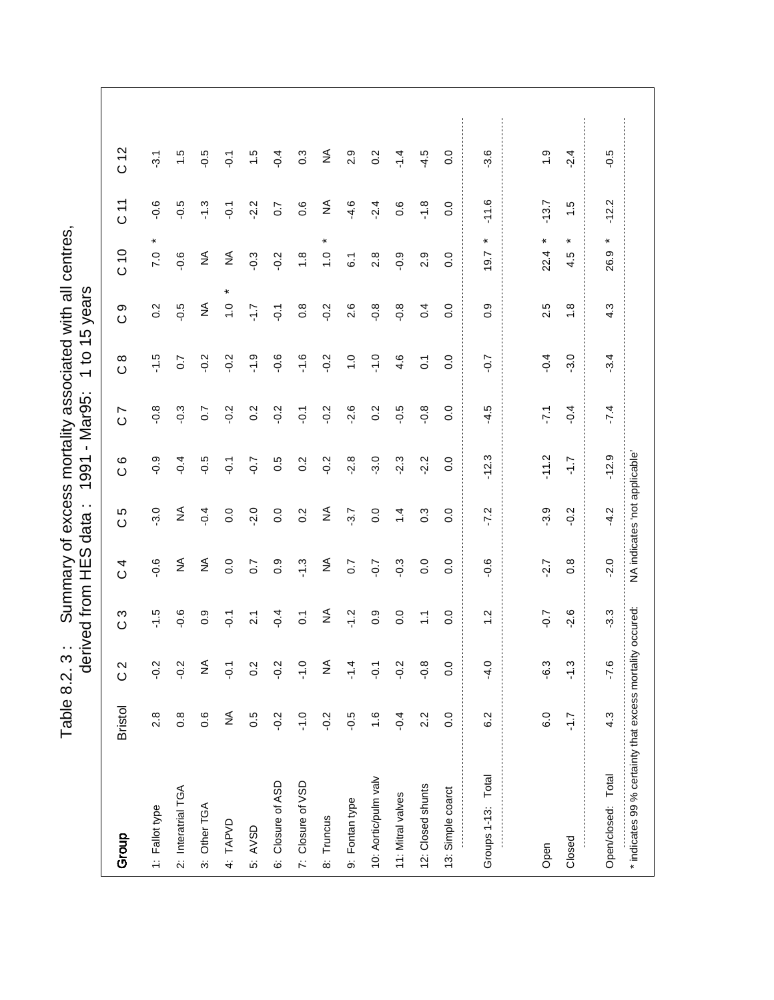Table 8.2. 3: Summary of excess mortality associated with all centres,<br>derived from HES data: 1991 - Mar95: 1 to 15 years Table 8.2. 3 : Summary of excess mortality associated with all centres,

|                                                           |                  |                | derived from     | SコH              | $\sim$<br>data                | $\mathbf{I}$<br>1991 | Mar95:                    | $\overline{c}$<br>$\overline{\phantom{0}}$ | years<br>15       |                    |                  |                  |
|-----------------------------------------------------------|------------------|----------------|------------------|------------------|-------------------------------|----------------------|---------------------------|--------------------------------------------|-------------------|--------------------|------------------|------------------|
| Group                                                     | <b>Bristol</b>   | $\frac{2}{3}$  | S<br>$\circ$     | 4<br>$\circ$     | Ю<br>$\circ$                  | ဖ<br>$\circ$         | $\overline{ }$<br>$\circ$ | $\infty$<br>$\circ$                        | တ<br>$\circ$      | C 10               | $\frac{1}{2}$    | C <sub>12</sub>  |
| 1: Fallot type                                            | 2.8              | $-0.2$         | $-1.5$           | $-0.6$           | $-3.0$                        | $-0.9$               | $-0.8$                    | $-1.5$                                     | 0.2               | $\ast$<br>7.0      | $-0.6$           | $-3.1$           |
| 2: Interatrial TGA                                        | $0.\overline{8}$ | $-0.2$         | $-0.6$           | $\lessgtr$       | ₹                             | $-0.4$               | $-0.3$                    | $\overline{0}$ .7                          | $-0.5$            | $-0.6$             | $-0.5$           | $\frac{1}{1}$    |
| 3: Other TGA                                              | 0.6              | ≨              | 0.9              | ₹                | $-0.4$                        | $-0.5$               | 0.7                       | $-0.2$                                     | ₹                 | $\lessgtr$         | $-1.3$           | $-0.5$           |
| 4: TAPVD                                                  | ≨                | $\overline{Q}$ | $\overline{Q}$   | 0.0              | 0.0                           | $\overline{Q}$       | $-0.2$                    | $-0.2$                                     | $\overline{1}$ .0 | $\lessgtr$         | $\overline{Q}$ : | $\overline{Q}$   |
| 5: AVSD                                                   | 0.5              | 0.2            | $\overline{2.1}$ | 0.7              | $-2.0$                        | $-0.7$               | $0.\overline{2}$          | $\frac{0}{1}$                              | $\tilde{L}$       | $-0.3$             | $-2.2$           | $\ddot{1}$       |
| 6: Closure of ASD                                         | $-0.2$           | $-0.2$         | $-0.4$           | 0.9              | 0.0                           | 0.5                  | $-0.2$                    | $-0.6$                                     | $-0.1$            | $-0.2$             | 0.7              | $-0.4$           |
| 7: Closure of VSD                                         | $-1.0$           | $-1.0$         | $\tilde{c}$      | $-1.3$           | 0.2                           | 0.2                  | $-0.1$                    | $-1.6$                                     | $0.\overline{8}$  | $\frac{8}{1}$      | 0.6              | $0.\overline{3}$ |
| 8: Truncus                                                | $-0.2$           | ≨              | ₹                | ₹                | ₹                             | $-0.2$               | $-0.2$                    | $-0.2$                                     | $-0.2$            | ×<br>$\frac{0}{1}$ | ≨                | ₹                |
| 9: Fontan type                                            | $-0.5$           | $\frac{4}{1}$  | $-1.2$           | $\overline{0.7}$ | $-3.7$                        | $-2.8$               | $-2.6$                    | $\frac{0}{1}$                              | 2.6               | $\overline{6}$ .   | $-4.6$           | 2.9              |
| 10: Aortic/pulm valv                                      | $\frac{6}{1}$    | $\overline{Q}$ | 0.9              | $-0.7$           | 0.0                           | $-3.0$               | 0.2                       | $-1.0$                                     | $-0.8$            | 2.8                | $-2.4$           | 0.2              |
| 11: Mitral valves                                         | $-0.4$           | $-0.2$         | 0.0              | $-0.3$           | $\overline{4}$                | $-2.3$               | $-0.5$                    | 4.6                                        | $-0.8$            | $-0.9$             | 0.6              | $-14$            |
| 12: Closed shunts                                         | 2.2              | $-0.8$         | $\mathbb{Z}$     | 0.0              | $0.\overline{3}$              | $-2.2$               | $-0.8$                    | $\overline{C}$                             | 0.4               | 2.9                | $-1.8$           | $-4.5$           |
| 13: Simple coarct                                         | $\overline{0}$ . | 0.0            | 0.0              | 0.0              | $\overline{0}$ .              | $\overline{0}$       | 0.0                       | 0.0                                        | 0.0               | 0.0                | 0.0              | 0.0              |
| Groups 1-13: Total                                        | 6.2              | $-4.0$         | 1.2              | $-0.6$           | $-7.2$                        | $-12.3$              | $-4.5$                    | $-0.7$                                     | 0.9               | $\ast$<br>9.7      | $-11.6$          | $-3.6$           |
|                                                           |                  |                |                  |                  |                               |                      |                           |                                            |                   |                    |                  |                  |
| Open                                                      | 6.0              | $-6.3$         | $-0.7$           | $-2.7$           | $-3.9$                        | $-11.2$              | .7.1                      | $-0.4$                                     | 2.5               | $\ast$<br>22.4     | $-13.7$          | $\ddot{ }$ .     |
| Closed                                                    | $\overline{1.7}$ | $-1.3$         | $-2.6$           | $0.\overline{8}$ | $-0.2$                        | 7.J-                 | $-0.4$                    | $-3.0$                                     | $\frac{8}{1}$     | $\ast$<br>4.5      | 1.5              | $-2.4$           |
| Open/closed: Total                                        | 4.3              | $-7.6$         | $-3.3$           | $-2.0$           | $-4.2$                        | $-12.9$              | $-7.4$                    | $-3.4$                                     | 4.3               | ×<br>တ္<br>8       | $-12.2$          | $-0.5$           |
| * indicates 99 % certainty that excess mortality occured: |                  |                |                  |                  | NA indicates 'not applicable' |                      |                           |                                            |                   |                    |                  |                  |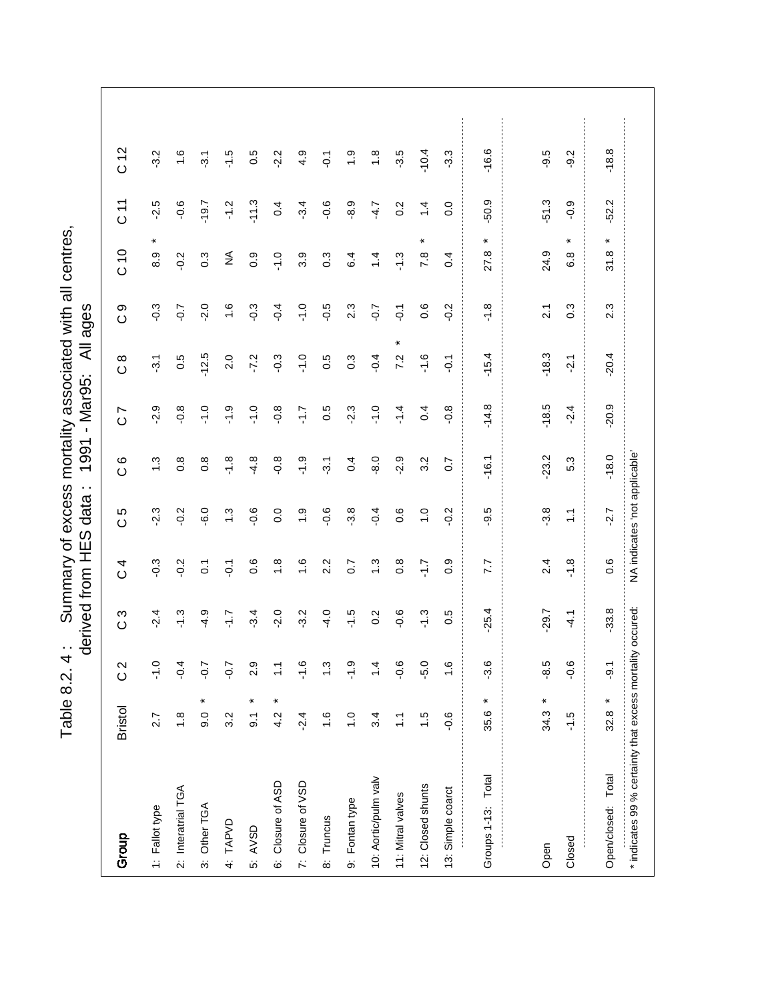Table 8.2. 4: Summary of excess mortality associated with all centres,<br>derived from HES data: 1991 - Mar95: All ages Table 8.2. 4 : Summary of excess mortality associated with all centres,

|                                                           |                     |                 | derived from | S<br>王            | $\cdot$ .<br>data             | 1991               | - Mar95:                  | ₹                   | ages             |                       |           |                  |
|-----------------------------------------------------------|---------------------|-----------------|--------------|-------------------|-------------------------------|--------------------|---------------------------|---------------------|------------------|-----------------------|-----------|------------------|
| Group                                                     | <b>Bristol</b>      | $\frac{2}{3}$   | ო<br>$\circ$ | 4<br>$\circ$      | Ю<br>$\circ$                  | $\circ$<br>$\circ$ | $\overline{ }$<br>$\circ$ | $\infty$<br>$\circ$ | တ<br>$\circ$     | $\frac{0}{2}$         | 71<br>0   | C <sub>12</sub>  |
| 1: Fallot type                                            | 2.7                 | $\frac{0}{1}$   | $-2.4$       | $-0.3$            | $-2.3$                        | $\ddot{.}$         | $-2.9$                    | $-3.1$              | $-0.3$           | $\ast$<br>8.9         | $-2.5$    | $-3.2$           |
| 2: Interatrial TGA                                        | $\frac{8}{1}$       | $-0.4$          | $-1.3$       | $-0.2$            | $-0.2$                        | $0.\overline{8}$   | $-0.8$                    | 0.5                 | $-0.7$           | $-0.2$                | $-0.6$    | $\frac{6}{1}$    |
| 3: Other TGA                                              | ×<br>0.6            | $-0.7$          | $-4.9$       | $\overline{c}$    | 6.0                           | $0.\overline{8}$   | $-1.0$                    | $-12.5$             | $-2.0$           | 0.3                   | $-19.7$   | $\overline{3}$ . |
| 4: TAPVD                                                  | 3.2                 | $-0.7$          | ۲J-          | $\overline{Q}$    | $\ddot{.}$                    | $-1.8$             | $-1.9$                    | 2.0                 | $\frac{6}{1}$    | $\lessgtr$            | $-1.2$    | $-1.5$           |
| 5: AVSD                                                   | ×<br>$\overline{9}$ | 2.9             | $-3.4$       | $0.\overline{6}$  | $-0.6$                        | $-4.8$             | $-1.0$                    | $-7.2$              | $-0.3$           | 0.9                   | $-11.3$   | 0.5              |
| 6: Closure of ASD                                         | ×<br>4.2            | $\tilde{\cdot}$ | $-2.0$       | $\frac{8}{1}$     | $\overline{0}$ .              | $-0.8$             | $-0.8$                    | $-0.3$              | $-0.4$           | $-1.0$                | 0.4       | $-2.2$           |
| 7: Closure of VSD                                         | $-2.4$              | $-1.6$          | $-3.2$       | $\frac{6}{1}$     | $\frac{0}{1}$                 | <u>بہ</u> ۔        | 7.1-                      | $-1.0$              | $-1.0$           | 3.9                   | $-3.4$    | 4.9              |
| 8: Truncus                                                | $\frac{6}{1}$       | $\ddot{.}3$     | $-4.0$       | 2.2               | $-0.6$                        | $-3.1$             | 0.5                       | 0.5                 | $-0.5$           | $0.\overline{3}$      | $-0.6$    | $\overline{Q}$   |
| 9: Fontan type                                            | $\overline{1}$ . O  | $-1.9$          | $-1.5$       | $\overline{0}$ .7 | $-3.8$                        | 0.4                | $-2.3$                    | $0.\overline{3}$    | 2.3              | 6.4                   | $-8.9$    | $\frac{6}{1}$    |
| 10: Aortic/pulm valv                                      | 3.4                 | $\ddot{4}$      | 0.2          | 1.3               | $-0.4$                        | $-8.0$             | $-1.0$                    | $-0.4$              | $-0.7$           | 1.4                   | $-4.7$    | $\frac{8}{1}$    |
| 11: Mitral valves                                         | $\ddot{ }$          | $-0.6$          | $-0.6$       | $0.\overline{8}$  | 0.6                           | $-2.9$             | $-1.4$                    | $\ast$<br>7.2       | $\overline{Q}$   | $-1.3$                | 0.2       | $-3.5$           |
| 12: Closed shunts                                         | $\ddot{.}$          | -5.0            | $-1.3$       | 7.1-              | $\frac{1}{\sqrt{2}}$          | 3.2                | 0.4                       | $-1.6$              | $0.\overline{6}$ | $\star$<br>7.8        | $\dot{4}$ | $-10.4$          |
| 13: Simple coarct                                         | $-0.6$              | $\frac{6}{1}$   | 0.5          | 0.9               | $-0.2$                        | $\overline{0}$ .   | $-0.8$                    | $\overline{Q}$      | $-0.2$           | 0.4                   | 0.0       | $-3.3$           |
| Groups 1-13: Total                                        | ¥<br>35.6           | $-3.6$          | $-25.4$      | 7.7               | -9.5                          | $-16.1$            | $-14.8$                   | $-15.4$             | $-1.8$           | ¥<br>27.8             | $-50.9$   | $-16.6$          |
|                                                           |                     |                 |              |                   |                               |                    |                           |                     |                  |                       |           |                  |
| Open                                                      | $34.3 *$            | -8.5            | -29.7        | 2.4               | $-3.8$                        | $-23.2$            | $-18.5$                   | $-18.3$             | $\overline{21}$  | 24.9                  | $-51.3$   | $-9.5$           |
| Closed                                                    | $-1.5$              | $-0.6$          | $-4.7$       | $-1.8$            | $\ddot{ }$                    | 5.3                | $-2.4$                    | $-2.1$              | $0.\overline{3}$ | ×<br>$6.\overline{8}$ | $-0.9$    | $-9.2$           |
| Open/closed: Total                                        | ×<br>32.8           | ာ့              | $-33.8$      | 0.6               | $-2.7$                        | $-18.0$            | $-20.9$                   | $-20.4$             | 2.3              | ×<br>31.8             | $-52.2$   | $-18.8$          |
| * indicates 99 % certainty that excess mortality occured: |                     |                 |              |                   | NA indicates 'not applicable' |                    |                           |                     |                  |                       |           |                  |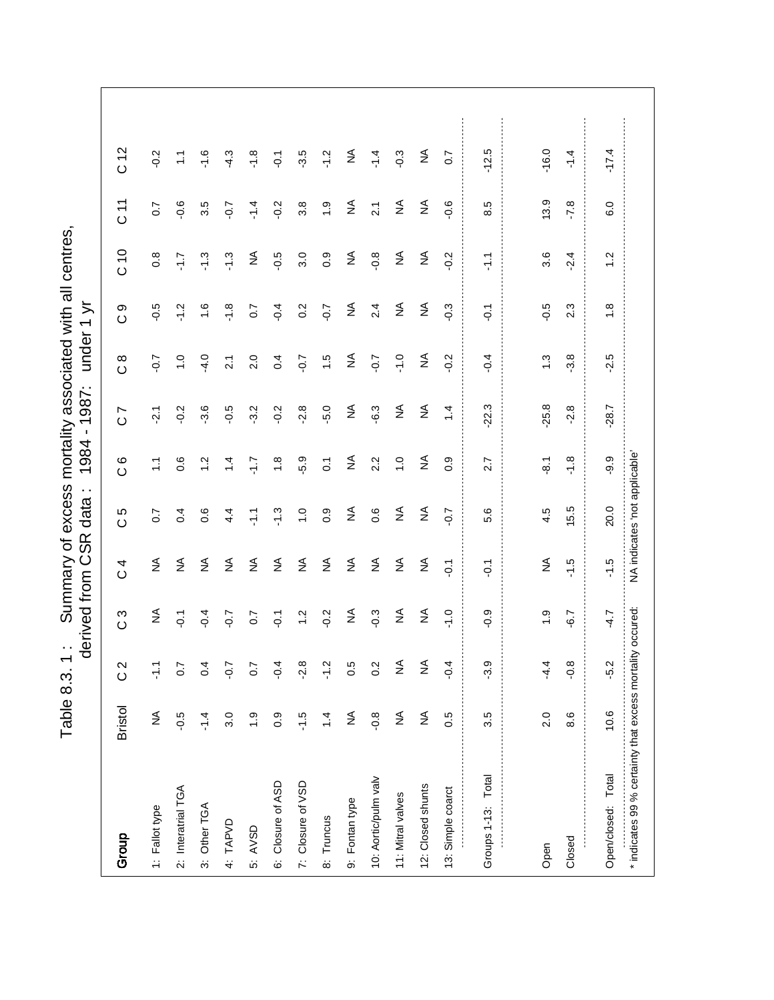Table 8.3. 1: Summary of excess mortality associated with all centres,<br>derived from CSR data: 1984 - 1987: under 1 yr Table 8.3. 1 : Summary of excess mortality associated with all centres,

|                                                           |                |                  | derived from     | SR<br>O          | $\cdot$ .<br>data             | 1984               | 1987:<br>$\blacksquare$      | under             | ミ<br>$\overline{\phantom{0}}$ |                  |                              |                 |
|-----------------------------------------------------------|----------------|------------------|------------------|------------------|-------------------------------|--------------------|------------------------------|-------------------|-------------------------------|------------------|------------------------------|-----------------|
| Group                                                     | <b>Bristol</b> | $\frac{2}{3}$    | ვ<br>ე           | 4<br>$\circ$     | 5<br>$\circ$                  | $\circ$<br>$\circ$ | $\overline{C}$               | $\frac{8}{2}$     | တ<br>$\circ$                  | C 10             | 11<br>O                      | C <sub>12</sub> |
| 1: Fallot type                                            | $\lessgtr$     | $\frac{1}{2}$    | ≨                | $\lessgtr$       | $\overline{0}$                | $\frac{1}{1}$      | $-2.1$                       | $-0.7$            | $-0.5$                        | $0.\overline{8}$ | $\overline{0.7}$             | $-0.2$          |
| 2: Interatrial TGA                                        | $-0.5$         | $\overline{0.7}$ | $\overline{Q}$ : | $\lessgtr$       | $\overline{0.4}$              | 0.6                | $-0.2$                       | $\overline{1}$ .0 | $-1.2$                        | 7.7              | $-0.6$                       | $\ddot{ }$      |
| 3: Other TGA                                              | $\frac{4}{1}$  | 0.4              | $-0.4$           | $\lessgtr$       | 0.6                           | $\frac{2}{1}$      | $-3.6$                       | $-4.0$            | $\frac{6}{1}$                 | $-1.3$           | 3.5                          | $-1.6$          |
| 4: TAPVD                                                  | 3.0            | $-0.7$           | $-0.7$           | $\frac{4}{2}$    | 4.4                           | 1.4                | $-0.5$                       | $\overline{2.1}$  | $-1.8$                        | $-1.3$           | $-0.7$                       | $-4.3$          |
| 5: AVSD                                                   | $\ddot{6}$     | 0.7              | 0.7              | $\lessgtr$       | 두                             | 7.1-               | $-3.2$                       | 2.0               | 0.7                           | ₹                | $-1.4$                       | $-1.8$          |
| 6: Closure of ASD                                         | 0.9            | $-9.4$           | $\overline{Q}$ . | $\lessgtr$       | $\frac{3}{1}$                 | $\frac{8}{1}$      | $-0.2$                       | 0.4               | $-0.4$                        | $-0.5$           | $-0.2$                       | $\overline{Q}$  |
| 7: Closure of VSD                                         | $-1.5$         | $-2.8$           | $\ddot{ }$       | $\lessgtr$       | $\frac{1}{2}$                 | $-5.9$             | $-2.8$                       | $-0.7$            | $0.\overline{2}$              | 3.0              | $3.\overline{8}$             | $-3.5$          |
| 8: Truncus                                                | 1.4            | $-1.2$           | $-0.2$           | $\lessgtr$       | 0.9                           | $\ddot{\circ}$     | $-5.0$                       | 1.5               | $-0.7$                        | 0.9              | $\ddot{0}$                   | $-1.2$          |
| 9: Fontan type                                            | $\lessgtr$     | 0.5              | $\lessgtr$       | $\lessgtr$       | $\lessgtr$                    | $\lessgtr$         | $\stackrel{\triangle}{\geq}$ | $\lessgtr$        | $\lessgtr$                    | $\lessgtr$       | $\stackrel{\triangle}{\geq}$ | ₹               |
| 10: Aortic/pulm valv                                      | $-0.8$         | 0.2              | $-0.3$           | $\lessgtr$       | 0.6                           | 2.2                | 6.3                          | $-0.7$            | 2.4                           | $-0.8$           | $\overline{2.1}$             | $-1.4$          |
| 11: Mitral valves                                         | ≨              | ≨                | $\lessgtr$       | $\lessgtr$       | ≨                             | $\frac{0}{1}$      | $\stackrel{\triangle}{\geq}$ | $-1.0$            | ₹                             | ≨                | $\lessapprox$                | $-0.3$          |
| 12: Closed shunts                                         | ≨              | $\lessgtr$       | $\lessgtr$       | $\lessgtr$       | $\lessgtr$                    | $\lessgtr$         | $\stackrel{\triangle}{\geq}$ | ₹                 | $\lessgtr$                    | $\lessgtr$       | $\stackrel{\triangle}{\geq}$ | ₹               |
| 13: Simple coarct                                         | 0.5            | $\frac{4}{1}$    | $-1.0$           | $\overline{Q}$   | $-0.7$                        | 0.9                | $1\overline{4}$              | $-0.2$            | $-0.3$                        | $-0.2$           | 0.6                          | 0.7             |
| Groups 1-13: Total                                        | 3.5            | $-3.9$           | $-0.9$           | $\overline{Q}$ : | 5.6                           | 2.7                | 22.3                         | $-0.4$            | $\overline{Q}$                | $\frac{1}{2}$    | 8.5                          | $-12.5$         |
|                                                           |                |                  |                  |                  |                               |                    |                              |                   |                               |                  |                              |                 |
| Open                                                      | 2.0            | 4.4              | $\ddot{6}$       | ≨                | 4.5                           | $-8.1$             | $-25.8$                      | $\ddot{.}3$       | $-0.5$                        | 3.6              | 13.9                         | $-16.0$         |
| Closed                                                    | 8.6            | $-0.8$           | $-6.7$           | $-1.5$           | 15.5                          | $-1.8$             | $-2.8$                       | $-3.8$            | $2.\overline{3}$              | $-2.4$           | $-7.8$                       | $-1.4$          |
| Open/closed: Total                                        | 10.6           | -5.2             | $-4.7$           | $-1.5$           | 20.0                          | -9.9               | $-28.7$                      | $-2.5$            | 1.8                           | $\frac{1}{2}$    | 6.0                          | $-17.4$         |
| * indicates 99 % certainty that excess mortality occured: |                |                  |                  |                  | NA indicates 'not applicable' |                    |                              |                   |                               |                  |                              |                 |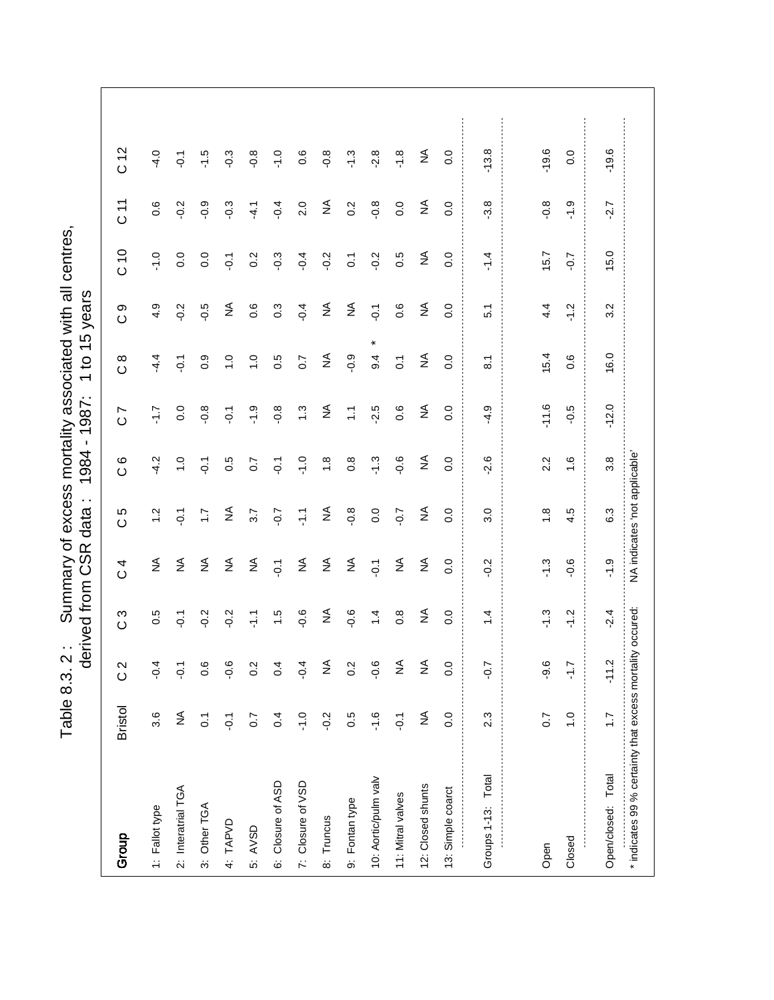Table 8.3. 2: Summary of excess mortality associated with all centres,<br>derived from CSR data: 1984 - 1987: 1 to 15 years Table 8.3. 2 : Summary of excess mortality associated with all centres,

|                                                           |                  |                  | derived from     | CSR<br>C       | $\cdot$ .<br>data            | $\blacksquare$<br>1984 | 1987:                        | 15<br><u>ု</u><br>$\overline{\phantom{0}}$ | years            |                  |                              |                  |
|-----------------------------------------------------------|------------------|------------------|------------------|----------------|------------------------------|------------------------|------------------------------|--------------------------------------------|------------------|------------------|------------------------------|------------------|
| Group                                                     | <b>Bristol</b>   | $\frac{2}{3}$    | S<br>$\circ$     | 4<br>$\circ$   | Ю<br>$\circ$                 | ဖ<br>$\circ$           | $\overline{ }$<br>$\circ$    | $\infty$<br>$\circ$                        | တ<br>$\circ$     | C10              | $\overline{11}$              | C <sub>12</sub>  |
| 1: Fallot type                                            | 3.6              | $-0.4$           | 0.5              | $\lessgtr$     | $\frac{2}{1}$                | $-4.2$                 | 7.7                          | 4.4                                        | 4.9              | $-1.0$           | 0.6                          | $-4.0$           |
| 2: Interatrial TGA                                        | ≨                | $\overline{Q}$ : | $\overline{Q}$ : | $\lessgtr$     | $\overline{Q}$               | $\frac{0}{1}$          | 0.0                          | $\overline{Q}$                             | $-0.2$           | $\overline{0}$ . | $-0.2$                       | $\overline{Q}$ : |
| 3: Other TGA                                              | $\overline{O}$   | 0.6              | $-0.2$           | $\lessgtr$     | $\mathcal{L}$                | $\overline{Q}$         | $-0.8$                       | $0.\overline{9}$                           | $-0.5$           | $\overline{0}$ . | $-0.9$                       | $-1.5$           |
| 4: TAPVD                                                  | $\overline{Q}$ . | $-0.6$           | $-0.2$           | $\lessgtr$     | $\lessgtr$                   | 0.5                    | $-0.1$                       | $\frac{0}{1}$                              | $\lessgtr$       | $-0.1$           | $-0.3$                       | $-0.3$           |
| 5: AVSD                                                   | $\overline{0}$   | 0.2              | $\frac{7}{7}$    | $\lessgtr$     | 3.7                          | $\overline{C}$         | $-1.9$                       | $\ddot{ }$                                 | 0.6              | $\overline{0.2}$ | $-4.1$                       | $-0.8$           |
| 6: Closure of ASD                                         | 0.4              | 0.4              | 1.5              | $\overline{Q}$ | $-0.7$                       | $\overline{Q}$         | $-0.8$                       | 0.5                                        | $0.\overline{3}$ | $-0.3$           | $-0.4$                       | $-1.0$           |
| 7: Closure of VSD                                         | $-1.0$           | $\frac{4}{5}$    | $-0.6$           | $\lessgtr$     | $\frac{1}{2}$                | $-1.0$                 | $\ddot{.}$                   | 0.7                                        | $-0.4$           | $-0.4$           | 2.0                          | 0.6              |
| 8: Truncus                                                | $-0.2$           | $\frac{1}{2}$    | ₹                | ₹              | ≨                            | $\frac{8}{1}$          | $\stackrel{\triangle}{\ge}$  | ₹                                          | ₹                | $-0.2$           | $\stackrel{\triangle}{\geq}$ | $-0.8$           |
| 9: Fontan type                                            | 0.5              | 0.2              | $-0.6$           | $\lessgtr$     | $-0.8$                       | 0.8                    | $\frac{1}{2}$                | $-0.9$                                     | $\lessgtr$       | $\overline{0}$   | 0.2                          | $-1.3$           |
| 10: Aortic/pulm valv                                      | $-1.6$           | $-0.6$           | 1.4              | $\overline{Q}$ | 0.0                          | $-1.3$                 | $-2.5$                       | 9.4                                        | $-0.1$           | $-0.2$           | $-0.8$                       | $-2.8$           |
| 11: Mitral valves                                         | $\overline{Q}$   | $\lessgtr$       | $\frac{8}{2}$    | $\lessgtr$     | $-0.7$                       | $-0.6$                 | 0.6                          | $\overline{C}$                             | 0.6              | 0.5              | 0.0                          | $-1.8$           |
| 12: Closed shunts                                         | $\lessgtr$       | $\lessgtr$       | ₹                | $\lessgtr$     | $\lessgtr$                   | $\lessgtr$             | $\stackrel{\triangle}{\geq}$ | $\lessgtr$                                 | $\lessgtr$       | $\lessgtr$       | $\stackrel{\triangle}{\geq}$ | ₹                |
| 13: Simple coarct                                         | 0.0              | 0.0              | 0.0              | 0.0            | 0.0                          | $\overline{0}$         | 0.0                          | 0.0                                        | 0.0              | 0.0              | 0.0                          | 0.0              |
| Groups 1-13: Total                                        | 2.3              | $-0.7$           | $\frac{4}{1}$    | $-0.2$         | 3.0                          | $-2.6$                 | $-4.9$                       | $\overline{\mathbf{8}}$                    | $\overline{5}$   | $-1.4$           | $-3.8$                       | $-13.8$          |
|                                                           |                  |                  |                  |                |                              |                        |                              |                                            |                  |                  |                              |                  |
| Open                                                      | 0.7              | -9.6             | $-1.3$           | $-1.3$         | $\frac{8}{1}$                | 2.2                    | $-11.6$                      | 15.4                                       | 4.4              | 15.7             | $-0.8$                       | $-19.6$          |
| Closed                                                    | $\frac{0}{1}$    | $\frac{1}{2}$ .  | $-1.2$           | $-0.6$         | 4.5                          | $\frac{6}{1}$          | $-0.5$                       | 0.6                                        | $-1.2$           | $-0.7$           | $-1.9$                       | 0.0              |
| Open/closed: Total                                        | $\ddot{ }$ :     | $-11.2$          | $-2.4$           | $-1.9$         | 6.3                          | 3.8                    | $-12.0$                      | 16.0                                       | 3.2              | 15.0             | $-2.7$                       | $-19.6$          |
| * indicates 99 % certainty that excess mortality occured: |                  |                  |                  |                | 'A indicates 'not applicable |                        |                              |                                            |                  |                  |                              |                  |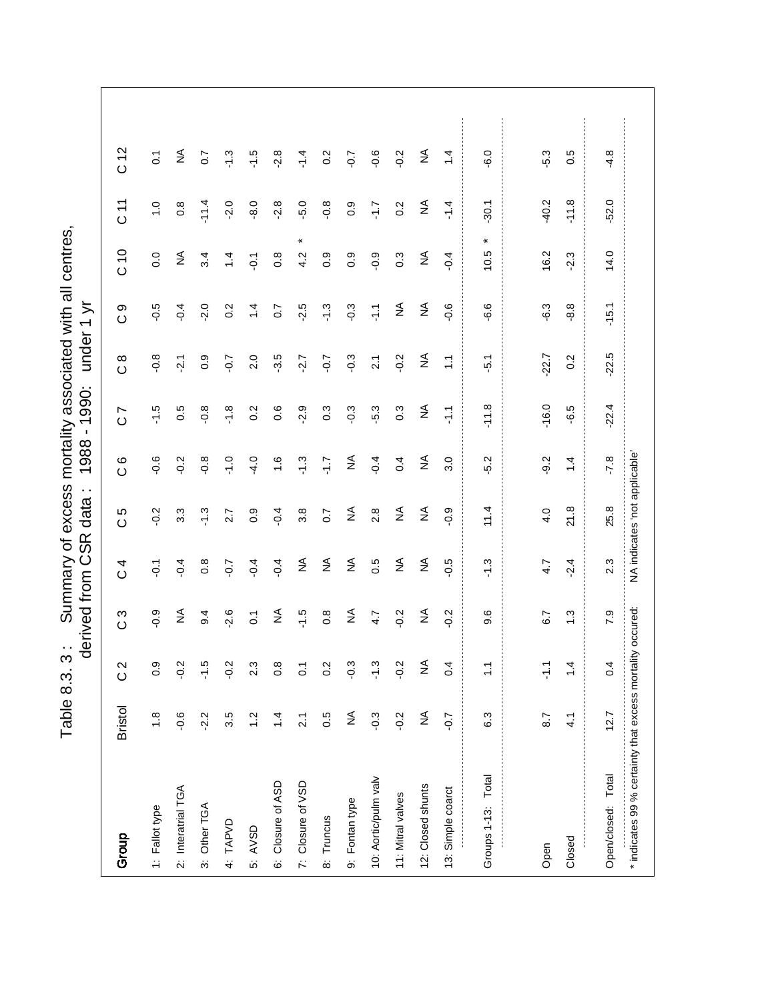Table 8.3. 3: Summary of excess mortality associated with all centres,<br>derived from CSR data: 1988 - 1990: under 1 yr Table 8.3. 3 : Summary of excess mortality associated with all centres,

|                                                           |                |                  | derived from     | SR<br>O          | $\cdot$ .<br>data             | 1988               | 1990:<br>$\blacksquare$   | under               | ミ<br>$\overline{\phantom{0}}$ |                  |                              |                 |
|-----------------------------------------------------------|----------------|------------------|------------------|------------------|-------------------------------|--------------------|---------------------------|---------------------|-------------------------------|------------------|------------------------------|-----------------|
| Group                                                     | <b>Bristol</b> | $\frac{2}{3}$    | က<br>$\circ$     | 4<br>$\circ$     | Ю<br>$\circ$                  | $\circ$<br>$\circ$ | $\overline{ }$<br>$\circ$ | $\infty$<br>$\circ$ | တ<br>$\circ$                  | 010              | 71<br>0                      | C <sub>12</sub> |
| 1: Fallot type                                            | $\frac{8}{1}$  | 0.9              | $-0.9$           | $\overline{Q}$   | $-0.2$                        | $-0.6$             | $-1.5$                    | $-0.8$              | $-0.5$                        | 0.0              | $\frac{0}{1}$                | $\ddot{\circ}$  |
| 2: Interatrial TGA                                        | $-0.6$         | $-0.2$           | ₹                | $-0.4$           | $3.\overline{3}$              | $-0.2$             | 0.5                       | $-2.1$              | $-0.4$                        | $\lessgtr$       | $0.\overline{8}$             | $\frac{4}{2}$   |
| 3: Other TGA                                              | $-2.2$         | $-1.5$           | $\overline{9}$ . | $0.\overline{8}$ | $-1.3$                        | $-0.8$             | $-0.8$                    | 0.9                 | $-2.0$                        | 3.4              | $-11.4$                      | $\overline{0}$  |
| 4: TAPVD                                                  | 3.5            | $-2.5$           | $-2.6$           | $-0.7$           | 2.7                           | $-1.0$             | $-1.8$                    | $-0.7$              | 0.2                           | $\frac{4}{3}$    | $-2.0$                       | $-1.3$          |
| 5: AVSD                                                   | $\ddot{ }$     | 2.3              | $\overline{c}$   | $-0.4$           | 0.9                           | $-4.0$             | $0.\overline{2}$          | 2.0                 | $\dot{4}$                     | $\overline{Q}$   | $-8.0$                       | $-1.5$          |
| 6: Closure of ASD                                         | $\dot{z}$      | $0.\overline{8}$ | ₹                | $-0.4$           | $-0.4$                        | $\frac{6}{1}$      | 0.6                       | $-3.5$              | 0.7                           | $0.\overline{8}$ | $-2.8$                       | $-2.8$          |
| 7: Closure of VSD                                         | $\tilde{2}$    | $\overline{O}$   | $-1.5$           | $\lessgtr$       | 3.8                           | $\ddot{.}3$        | $-2.9$                    | $-2.7$              | $-2.5$                        | $\star$<br>4.2   | $-5.0$                       | $\frac{4}{1}$   |
| 8: Truncus                                                | 0.5            | 0.2              | $0.\overline{8}$ | $\lessgtr$       | $\overline{0}$                | 7.1-               | 0.3                       | $-0.7$              | $-1.3$                        | 0.9              | $-0.8$                       | 0.2             |
| 9: Fontan type                                            | ≨              | $-0.3$           | ₹                | $\lessgtr$       | $\lessgtr$                    | ₹                  | $-0.3$                    | $-0.3$              | $-0.3$                        | $0.\overline{9}$ | $0.\overline{9}$             | $-0.7$          |
| 10: Aortic/pulm valv                                      | $-0.3$         | $-1.3$           | 4.7              | 0.5              | 2.8                           | $-0.4$             | $-5.3$                    | $\overline{2.1}$    | 두                             | $-0.9$           | -1.7                         | $-0.6$          |
| 11: Mitral valves                                         | $-0.2$         | $-2.0$           | $-0.2$           | $\lessgtr$       | $\lessgtr$                    | 0.4                | $0.\overline{3}$          | $-0.2$              | $\lessgtr$                    | $0.\overline{3}$ | 0.2                          | $-0.2$          |
| 12: Closed shunts                                         | $\lessgtr$     | $\lessgtr$       | ≨                | $\lessgtr$       | $\lessgtr$                    | $\lessgtr$         | $\lessgtr$                | ₹                   | $\lessgtr$                    | $\lessgtr$       | $\stackrel{\triangle}{\geq}$ | ₹               |
| 13: Simple coarct                                         | $-0.7$         | 0.4              | $-0.2$           | $-0.5$           | $-0.9$                        | 3.0                | $\sum_{i=1}^{n}$          | $\ddot{ }$ :        | $-0.6$                        | $-0.4$           | $-1.4$                       | 1.4             |
| Groups 1-13: Total                                        | 6.3            | $\frac{1}{2}$    | 9.6              | $\ddot{.}3$      | 11.4                          | $-5.2$             | $-11.8$                   | $\overline{5}$ .    | $-6.6$                        | *<br>10.5        | $-30.1$                      | $-6.0$          |
|                                                           |                |                  |                  |                  |                               |                    |                           |                     |                               |                  |                              |                 |
| Open                                                      | 8.7            | $\sum_{i=1}^{n}$ | 6.7              | 4.7              | 4.0                           | $-9.2$             | $-16.0$                   | $-22.7$             | $-6.3$                        | 16.2             | $-40.2$                      | $-5.3$          |
| Closed                                                    | 4.1            | $\dot{4}$        | $\ddot{.}$       | $-2.4$           | 21.8                          | $\frac{1}{4}$      | $-6.5$                    | $0.\overline{2}$    | $-8.8$                        | $-2.3$           | $-11.8$                      | 0.5             |
| Open/closed: Total                                        | 12.7           | 0.4              | 7.9              | 2.3              | 25.8                          | $-7.8$             | $-22.4$                   | $-22.5$             | $-15.1$                       | 14.0             | $-52.0$                      | $-4.8$          |
| * indicates 99 % certainty that excess mortality occured: |                |                  |                  |                  | NA indicates 'not applicable' |                    |                           |                     |                               |                  |                              |                 |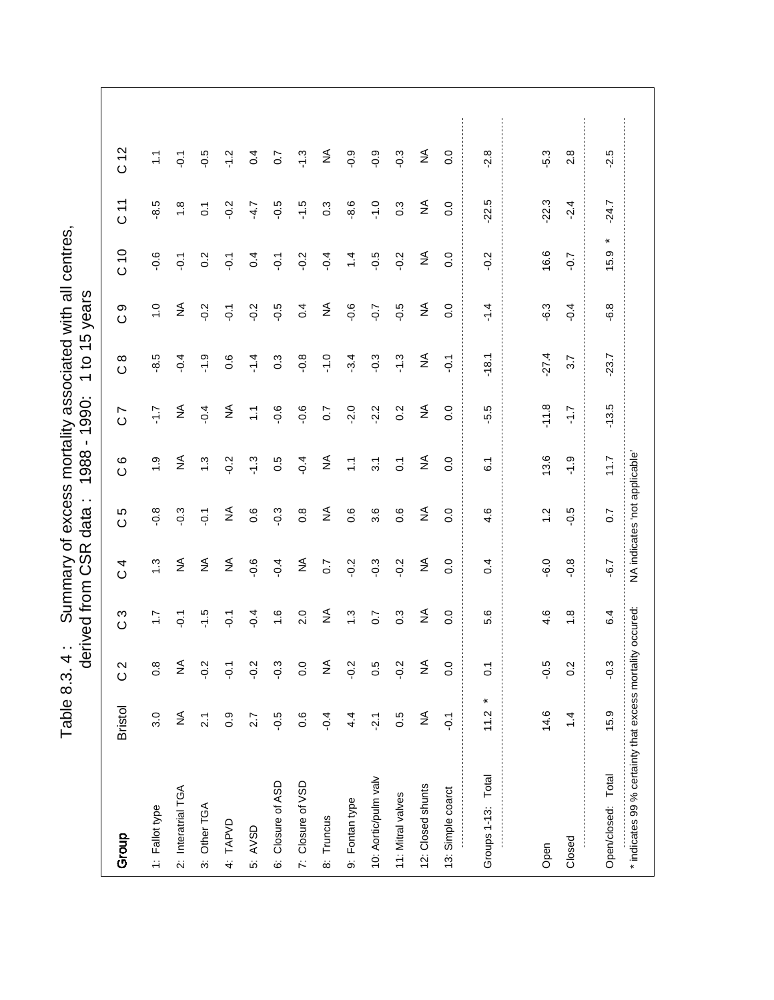Table 8.3. 4: Summary of excess mortality associated with all centres,<br>derived from CSR data: 1988 - 1990: 1 to 15 years Table 8.3. 4 : Summary of excess mortality associated with all centres,

|                                                           |                              | Ō                | erived from      | SR<br>CSR         | $\cdot$ .<br>data             | $\blacksquare$<br>1988 | 1990:                        | 15<br>$\overline{c}$<br>$\overline{ }$ | years          |                  |                              |                  |
|-----------------------------------------------------------|------------------------------|------------------|------------------|-------------------|-------------------------------|------------------------|------------------------------|----------------------------------------|----------------|------------------|------------------------------|------------------|
| Group                                                     | <b>Bristol</b>               | $\frac{2}{3}$    | S<br>$\circ$     | 4<br>$\circ$      | 5<br>$\circ$                  | $\circ$<br>$\circ$     | Ľ<br>$\circ$                 | $\infty$<br>$\circ$                    | တ<br>$\circ$   | C 10             | 71                           | C <sub>12</sub>  |
| 1: Fallot type                                            | 3.0                          | $0.\overline{8}$ | $\ddot{ }$ :     | $\ddot{.}$        | $-0.8$                        | $\frac{0}{1}$          | 7.1-                         | $-8.5$                                 | $\frac{0}{1}$  | $-0.6$           | $-8.5$                       | $\tilde{\cdot}$  |
| 2: Interatrial TGA                                        | ≨                            | ≨                | $\overline{Q}$   | $\lessgtr$        | $-0.3$                        | ₹                      | $\stackrel{\triangle}{\geq}$ | $-0.4$                                 | $\lessgtr$     | $-0.1$           | $\frac{8}{1}$                | $\overline{Q}$   |
| 3: Other TGA                                              | $\overline{21}$              | $-2.0$           | $-1.5$           | $\lessgtr$        | $\overline{Q}$                | $\ddot{.}$             | $-0.4$                       | $-1.9$                                 | $-0.2$         | $0.\overline{2}$ | $\overline{0}$ .             | $-0.5$           |
| 4: TAPVD                                                  | 0.9                          | $\overline{S}$   | $\overline{Q}$   | $\lessgtr$        | ₹                             | $-0.2$                 | $\stackrel{\triangle}{\geq}$ | 0.6                                    | $\overline{Q}$ | $\overline{Q}$   | $-0.2$                       | $-1.2$           |
| 5: AVSD                                                   | 2.7                          | $-0.2$           | $-0.4$           | $-0.6$            | $\frac{6}{1}$                 | $-1.3$                 | $\sum$                       | $-1.4$                                 | $-0.2$         | 0.4              | $-4.7$                       | 0.4              |
| 6: Closure of ASD                                         | $-0.5$                       | $-0.3$           | 1.6              | $-0.4$            | $-0.3$                        | 0.5                    | $-0.6$                       | $0.\overline{3}$                       | $-0.5$         | $\overline{Q}$   | $-0.5$                       | $\overline{0}$   |
| 7: Closure of VSD                                         | 0.6                          | $\overline{0}$   | 2.0              | $\lessgtr$        | $0.\overline{8}$              | $-0.4$                 | $-0.6$                       | $-0.8$                                 | 0.4            | $-0.2$           | $-1.5$                       | $-1.3$           |
| 8: Truncus                                                | $-0.4$                       | ≨                | ≨                | $\overline{0}$ .7 | $\lessgtr$                    | ≨                      | 0.7                          | $\frac{0}{1}$                          | ₹              | $-0.4$           | $0.\overline{3}$             | ≨                |
| 9: Fontan type                                            | 4.4                          | $\frac{2}{3}$    | $\ddot{.}$       | $-0.2$            | 0.6                           | $\sum$                 | $-2.0$                       | $-3.4$                                 | $-0.6$         | 1.4              | $-8.6$                       | $-0.9$           |
| 10: Aortic/pulm valv                                      | $\ddot{2}$ .                 | 0.5              | 0.7              | $-0.3$            | 3.6                           | $\overline{3}$         | $-2.2$                       | $-0.3$                                 | $-0.7$         | $-0.5$           | $-1.0$                       | $-0.9$           |
| 11: Mitral valves                                         | 0.5                          | $-0.2$           | $0.\overline{3}$ | $-0.2$            | 0.6                           | $\overline{c}$         | 0.2                          | $\ddot{.}$                             | $-0.5$         | $-0.2$           | $0.\overline{3}$             | $-0.3$           |
| 12: Closed shunts                                         | $\stackrel{\triangle}{\geq}$ | ≨                | $\lessgtr$       | $\lessgtr$        | $\lessgtr$                    | $\lessgtr$             | $\stackrel{\triangle}{\geq}$ | ₹                                      | $\lessgtr$     | $\lessgtr$       | $\stackrel{\triangle}{\geq}$ | $\lessgtr$       |
| 13: Simple coarct                                         | $\overline{Q}$               | 0.0              | 0.0              | 0.0               | 0.0                           | 0.0                    | $\overline{0}$               | $\overline{Q}$                         | 0.0            | 0.0              | 0.0                          | 0.0              |
| Groups 1-13: Total                                        | ×<br>11.2                    | $\overline{0}$   | 5.6              | 0.4               | 4.6                           | $\tilde{\circ}$        | $-5.5$                       | $-18.1$                                | $-1.4$         | $-0.2$           | $-22.5$                      | $-2.8$           |
|                                                           |                              |                  |                  |                   |                               |                        |                              |                                        |                |                  |                              |                  |
| Open                                                      | 14.6                         | $-0.5$           | 4.6              | $-6.0$            | $\ddot{ }$                    | 13.6                   | $-11.8$                      | $-27.4$                                | $-6.3$         | 16.6             | $-22.3$                      | $-5.3$           |
| Closed                                                    | $\dot{4}$                    | 0.2              | $\frac{8}{1}$    | $-0.8$            | $-0.5$                        | $-1.9$                 | $\overline{1.7}$             | 3.7                                    | $-0.4$         | $-0.7$           | $-2.4$                       | $2.\overline{8}$ |
| Open/closed: Total                                        | 15.9                         | $-0.3$           | 6.4              | $-6.7$            | 0.7                           | 11.7                   | $-13.5$                      | $-23.7$                                | $-6.8$         | ×<br>15.9        | $-24.7$                      | $-2.5$           |
| * indicates 99 % certainty that excess mortality occured: |                              |                  |                  |                   | 'MA indicates 'not applicable |                        |                              |                                        |                |                  |                              |                  |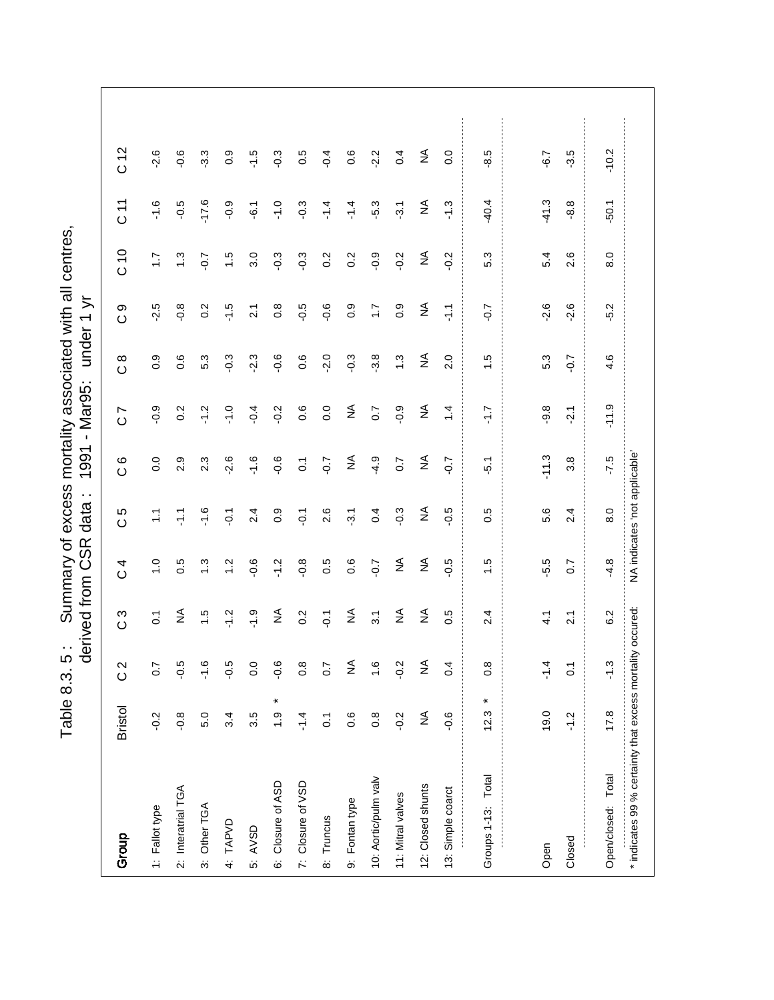Table 8.3. 5: Summary of excess mortality associated with all centres,<br>derived from CSR data: 1991 - Mar95: under 1 yr Table 8.3. 5 : Summary of excess mortality associated with all centres,

|                                                           |                            | ਹ                | erived from      | CSR<br>C      | $\sim$<br>data                | 1991               | Mar95:<br>$\bar{1}$          | under            | ミ<br>$\overline{\phantom{0}}$ |              |                              |                 |
|-----------------------------------------------------------|----------------------------|------------------|------------------|---------------|-------------------------------|--------------------|------------------------------|------------------|-------------------------------|--------------|------------------------------|-----------------|
| Group                                                     | <b>Bristol</b>             | $\frac{2}{3}$    | c 3              | 4<br>$\circ$  | 5<br>$\circ$                  | $\circ$<br>$\circ$ | $\overline{ }$<br>$\circ$    | $\frac{8}{2}$    | တ<br>$\circ$                  | C10          | $\frac{1}{2}$                | C <sub>12</sub> |
| 1: Fallot type                                            | $-0.2$                     | $\overline{0}$   | $\tilde{c}$      | $\frac{0}{1}$ | $\tilde{\cdot}$               | 0.0                | $-0.9$                       | $0.\overline{9}$ | $-2.5$                        | $\ddot{ }$ : | $-1.6$                       | $-2.6$          |
| 2: Interatrial TGA                                        | $-0.8$                     | $-0.5$           | ≨                | 0.5           | $\frac{7}{1}$                 | 2.9                | 0.2                          | 0.6              | $-0.8$                        | $\ddot{.}3$  | $-0.5$                       | $-0.6$          |
| 3: Other TGA                                              | 5.0                        | ە.<br>7-         | $\frac{1}{1}$    | $\ddot{.}3$   | $-1.6$                        | 2.3                | $-1.2$                       | 5.3              | 0.2                           | $-0.7$       | $-17.6$                      | $-3.3$          |
| 4: TAPVD                                                  | 3.4                        | -0.5             | $-1.2$           | $\frac{2}{1}$ | $\overline{Q}$ :              | $-2.6$             | $-1.0$                       | $-0.3$           | $-1.5$                        | $\ddot{ }$   | $-0.9$                       | 0.9             |
| 5: AVSD                                                   | 3.5                        | $\overline{0}$ . | $-1.9$           | $-0.6$        | 2.4                           | $-1.6$             | $-0.4$                       | $-2.3$           | $\tilde{2}$                   | 3.0          | $-6.1$                       | $-1.5$          |
| 6: Closure of ASD                                         | $\pmb{\ast}$<br>$\ddot{6}$ | $-9.6$           | ₹                | $-1.2$        | 0.9                           | $-0.6$             | $-0.2$                       | $-0.6$           | $0.\overline{8}$              | $-0.3$       | $-1.0$                       | $-0.3$          |
| 7: Closure of VSD                                         | $-1.4$                     | $\frac{8}{2}$    | 0.2              | $-0.8$        | $\overline{Q}$                | $\overline{c}$     | $0.\overline{6}$             | 0.6              | $-0.5$                        | $-0.3$       | $-0.3$                       | 0.5             |
| 8: Truncus                                                | $\overline{0}$             | 0.7              | $-0.1$           | 0.5           | 2.6                           | $-0.7$             | 0.0                          | $-2.0$           | $-0.6$                        | 0.2          | $-1.4$                       | $-0.4$          |
| 9: Fontan type                                            | 0.6                        | $\lessgtr$       | ₹                | 0.6           | $-3.1$                        | ₹                  | $\stackrel{\triangle}{\geq}$ | $-0.3$           | $0.\overline{9}$              | 0.2          | $-1.4$                       | 0.6             |
| 10: Aortic/pulm valv                                      | $0.\overline{8}$           | $\frac{0}{1}$    | $\overline{3}$ . | $-0.7$        | 0.4                           | $-4.9$             | $\overline{0}$ .7            | 3.8              | $\overline{11}$               | $-0.9$       | -5.3                         | $-2.2$          |
| 11: Mitral valves                                         | $-0.2$                     | $-0.2$           | $\lessgtr$       | $\lessgtr$    | $-0.3$                        | 0.7                | $-0.9$                       | $\ddot{.}3$      | 0.9                           | $-0.2$       | $-3.1$                       | 0.4             |
| 12: Closed shunts                                         | $\lessgtr$                 | $\frac{1}{2}$    | $\lessgtr$       | $\lessgtr$    | $\lessgtr$                    | ₹                  | $\stackrel{\triangle}{\geq}$ | $\lessgtr$       | $\lessgtr$                    | $\lessgtr$   | $\stackrel{\triangle}{\geq}$ | ₹               |
| 13: Simple coarct                                         | $-0.6$                     | 0.4              | 0.5              | $-0.5$        | $-0.5$                        | $-0.7$             | $1\overline{4}$              | 2.0              | 두                             | $-0.2$       | $-1.3$                       | 0.0             |
| Groups 1-13: Total                                        | ×<br>12.3                  | $0.\overline{8}$ | 2.4              | $\ddot{1}$    | 0.5                           | $\frac{1}{2}$      | -1.7                         | $\ddot{.}$       | $-0.7$                        | 5.3          | 40.4                         | $-8.5$          |
|                                                           |                            |                  |                  |               |                               |                    |                              |                  |                               |              |                              |                 |
| Open                                                      | 19.0                       | $\frac{4}{1}$    | $\frac{1}{4}$    | -5.5          | 5.6                           | $-11.3$            | $-9.8$                       | 5.3              | $-2.6$                        | 5.4          | $-41.3$                      | $-6.7$          |
| Closed                                                    | $\frac{2}{1}$              | $\overline{0}$   | $\overline{21}$  | 0.7           | 2.4                           | 3.8                | $-2.1$                       | $-0.7$           | $-2.6$                        | 2.6          | $-8.8$                       | $-3.5$          |
| Open/closed: Total                                        | 17.8                       | $-1.3$           | 6.2              | $-4.8$        | 8.0                           | $-7.5$             | $-11.9$                      | 4.6              | $-5.2$                        | 8.0          | $-50.1$                      | $-10.2$         |
| * indicates 99 % certainty that excess mortality occured: |                            |                  |                  |               | NA indicates 'not applicable' |                    |                              |                  |                               |              |                              |                 |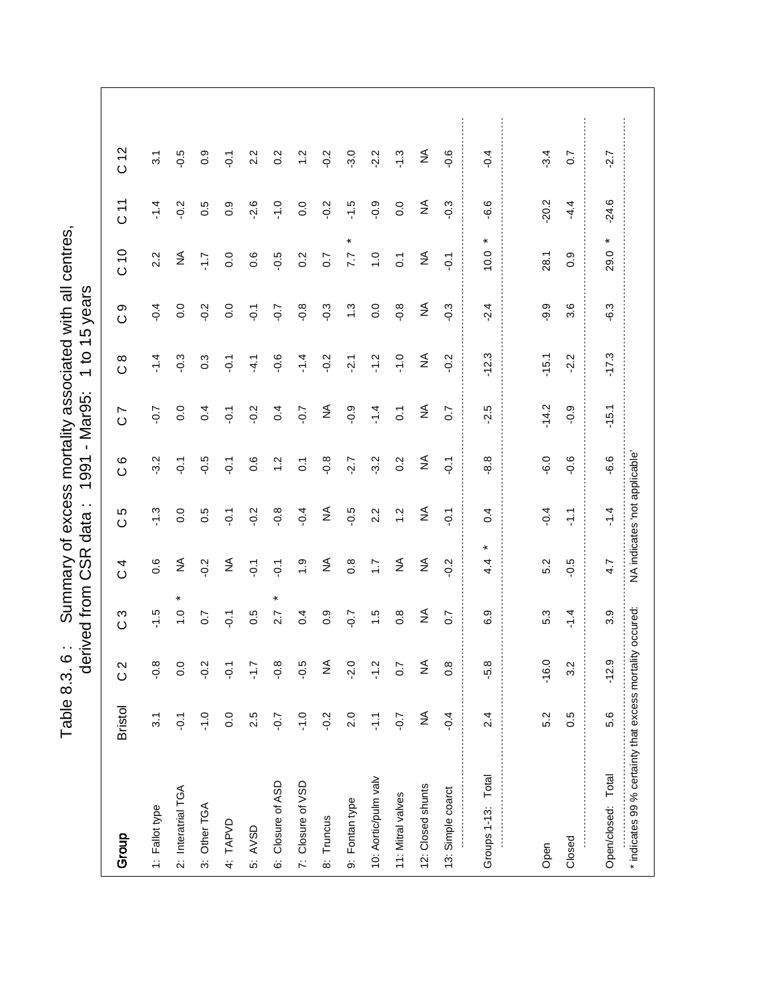Table 8.3. 6: Summary of excess mortality associated with all centres,<br>derived from CSR data: 1991 - Mar95: 1 to 15 years Table 8.3. 6 : Summary of excess mortality associated with all centres,

|                                                           |                  |                  | derived from     | CSR<br>C                      | $\cdot$ .<br>data | $\mathbf{I}$<br>1991 | Mar95:                    | 45<br>$\overline{c}$<br>$\overline{\phantom{0}}$ | years        |                |                              |                  |
|-----------------------------------------------------------|------------------|------------------|------------------|-------------------------------|-------------------|----------------------|---------------------------|--------------------------------------------------|--------------|----------------|------------------------------|------------------|
| Group                                                     | <b>Bristol</b>   | $\frac{2}{3}$    | S<br>$\circ$     | 4<br>$\circ$                  | Ю<br>$\circ$      | $\circ$<br>$\circ$   | $\overline{ }$<br>$\circ$ | $\infty$<br>$\circ$                              | တ<br>$\circ$ | C 10           | $\frac{1}{2}$                | C <sub>12</sub>  |
| 1: Fallot type                                            | 3.1              | $-0.8$           | $-1.5$           | $0.\overline{6}$              | $-1.3$            | $-3.2$               | $-0.7$                    | $-1.4$                                           | $-0.4$       | 2.2            | $-1.4$                       | $\overline{3}$ . |
| 2: Interatrial TGA                                        | $\overline{Q}$   | 0.0              | $\frac{0}{1}$    | ₹                             | 0.0               | $\overline{Q}$       | 0.0                       | $-0.3$                                           | 0.0          | ₹              | $-0.2$                       | $-0.5$           |
| 3: Other TGA                                              | $-1.0$           | $-2.0$           | 0.7              | $-0.2$                        | 0.5               | $-0.5$               | 0.4                       | $0.\overline{3}$                                 | $-0.2$       | $\angle$       | 0.5                          | 0.9              |
| 4: TAPVD                                                  | 0.0              | $\overline{Q}$   | $\overline{Q}$   | $\lessgtr$                    | $\overline{Q}$    | $\overline{Q}$       | $\overline{O}$ .          | $\overline{Q}$                                   | 0.0          | 0.0            | $0.\overline{9}$             | $\overline{Q}$   |
| 5: AVSD                                                   | 2.5              | $\overline{L}$   | 0.5              | $\overline{Q}$                | $-0.2$            | 0.6                  | $-0.2$                    | $-4.1$                                           | $-0.1$       | 0.6            | $-2.6$                       | 2.2              |
| 6: Closure of ASD                                         | $-0.7$           | $-0.8$           | ×<br>2.7         | $\overline{Q}$                | $-0.8$            | $\ddot{ }$           | 0.4                       | $-0.6$                                           | $-0.7$       | $-0.5$         | $-1.0$                       | 0.2              |
| 7: Closure of VSD                                         | $-1.0$           | $-0.5$           | 0.4              | $\ddot{0}$                    | $-0.4$            | $\overline{O}$       | $-0.7$                    | $-1.4$                                           | $-0.8$       | 0.2            | 0.0                          | $\ddot{c}$       |
| 8: Truncus                                                | $-0.2$           | ≨                | $0.\overline{9}$ | ₹                             | ≨                 | $-0.8$               | $\lessgtr$                | $-0.2$                                           | $-0.3$       | 0.7            | $-0.2$                       | $-0.2$           |
| 9: Fontan type                                            | 2.0              | $-2.0$           | $-0.7$           | $0.\overline{8}$              | $-0.5$            | $-2.7$               | $-0.9$                    | $-2.1$                                           | 1.3          | $\star$<br>7.7 | $-1.5$                       | $-3.0$           |
| 10: Aortic/pulm valv                                      | $\sum_{i=1}^{n}$ | $-1.2$           | 1.5              | $\ddot{ }$ :                  | 2.2               | $-3.2$               | $-1.4$                    | $-1.2$                                           | 0.0          | $\frac{0}{1}$  | $-0.9$                       | $-2.2$           |
| 11: Mitral valves                                         | $-0.7$           | $\overline{0.7}$ | $0.\overline{8}$ | $\lessgtr$                    | $\frac{2}{1}$     | 0.2                  | $\overline{C}$            | $-1.0$                                           | $-0.8$       | $\overline{c}$ | 0.0                          | $-1.3$           |
| 12: Closed shunts                                         | ≨                | ≨                | ₹                | $\lessgtr$                    | $\lessgtr$        | $\lessgtr$           | $\lessgtr$                | ₹                                                | ₹            | $\lessgtr$     | $\stackrel{\triangle}{\geq}$ | ₹                |
| 13: Simple coarct                                         | $-0.4$           | $\frac{8}{2}$    | 0.7              | $-0.2$                        | $\overline{Q}$    | $\overline{Q}$       | $\overline{0}$ .7         | $-0.2$                                           | $-0.3$       | $\overline{Q}$ | $-0.3$                       | $-0.6$           |
| Groups 1-13: Total                                        | 2.4              | -5.8             | 6.9              | 4.4                           | 0.4               | $-8.8$               | $-2.5$                    | $-12.3$                                          | $-2.4$       | ¥<br>10.0      | $-6.6$                       | $-0.4$           |
|                                                           |                  |                  |                  |                               |                   |                      |                           |                                                  |              |                |                              |                  |
| Open                                                      | 5.2              | $-16.0$          | 5.3              | 5.2                           | $-0.4$            | $-6.0$               | $-14.2$                   | $-15.1$                                          | $-9.9$       | 28.1           | $-20.2$                      | $-3.4$           |
| Closed                                                    | 0.5              | 3.2              | $-1.4$           | $-0.5$                        | $\frac{1}{2}$     | $-0.6$               | $-0.9$                    | $-2.2$                                           | 3.6          | 0.9            | $-4.4$                       | 0.7              |
| Open/closed: Total                                        | 5.6              | $-12.9$          | 3.9              | 4.7                           | $\frac{4}{1}$     | -6.6                 | $-15.1$                   | $-17.3$                                          | $-6.3$       | ×<br>29.0      | $-24.6$                      | $-2.7$           |
| * indicates 99 % certainty that excess mortality occured: |                  |                  |                  | NA indicates 'not applicable' |                   |                      |                           |                                                  |              |                |                              |                  |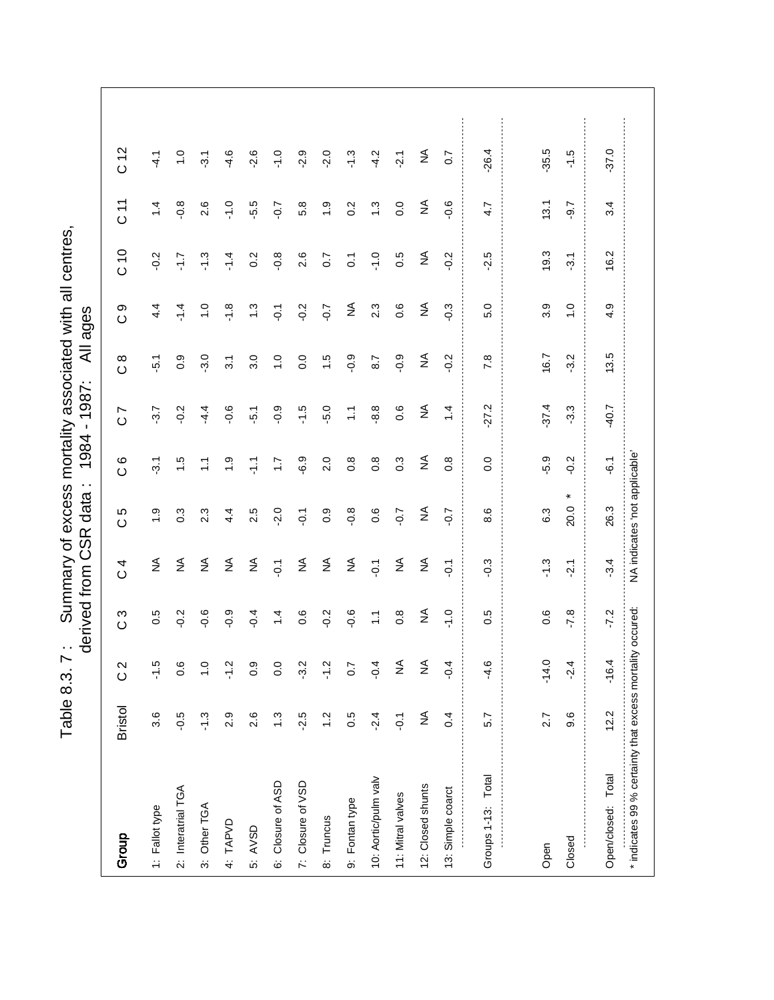Table 8.3. 7: Summary of excess mortality associated with all centres,<br>derived from CSR data: 1984 - 1987: All ages Table 8.3. 7 : Summary of excess mortality associated with all centres,

|                                                           |                |                  | derived from     | CSR<br>C         | data                          | 1984<br>$\cdot$ .  | 1987:<br>$\mathbf{I}$        | ₹                   | ages             |                |                              |                  |  |
|-----------------------------------------------------------|----------------|------------------|------------------|------------------|-------------------------------|--------------------|------------------------------|---------------------|------------------|----------------|------------------------------|------------------|--|
| Group                                                     | <b>Bristol</b> | $\frac{2}{3}$    | S<br>$\circ$     | 4<br>$\circ$     | Ю<br>$\circ$                  | $\circ$<br>$\circ$ | Ľ<br>$\circ$                 | $\infty$<br>$\circ$ | တ<br>$\circ$     | 0 <sup>1</sup> | 71<br>0                      | C <sub>12</sub>  |  |
| 1: Fallot type                                            | 3.6            | $-1.5$           | 0.5              | $\lessgtr$       | $\ddot{ }$ .                  | $-3.1$             | $-3.7$                       | $-5.1$              | 4.4              | $-0.2$         | $\dot{4}$                    | $-4.1$           |  |
| 2: Interatrial TGA                                        | $-0.5$         | 0.6              | $-0.2$           | $\lessgtr$       | $0.\overline{3}$              | $\ddot{ }$         | $-0.2$                       | 0.9                 | $-1.4$           | 7.J-           | $-0.8$                       | $\frac{1}{2}$    |  |
| 3: Other TGA                                              | $-1.3$         | $\frac{0}{1}$    | $-0.6$           | $\lessgtr$       | 2.3                           | Ξ                  | $-4.4$                       | $-3.0$              | $\frac{0}{1}$    | $-1.3$         | 2.6                          | $\overline{3}$ . |  |
| 4: TAPVD                                                  | 2.9            | $\frac{2}{1}$    | $-0.9$           | $\lessgtr$       | 4.4                           | $\ddot{ }$ .       | $-0.6$                       | 3.1                 | $-1.8$           | $-1.4$         | $-1.0$                       | $-4.6$           |  |
| 5: AVSD                                                   | 2.6            | 0.9              | $-0.4$           | $\lessgtr$       | 2.5                           | $\frac{1}{2}$      | $-5.1$                       | 3.0                 | $\ddot{.}3$      | 0.2            | $-5.5$                       | $-2.6$           |  |
| 6: Closure of ASD                                         | 1.3            | $\overline{0}$ . | $\ddot{ }$       | $\overline{Q}$ : | $-2.0$                        | $\ddot{ }$ :       | $-0.9$                       | $\frac{0}{1}$       | $\overline{Q}$   | $-0.8$         | $-0.7$                       | $-1.0$           |  |
| 7: Closure of VSD                                         | $-2.5$         | $-3.2$           | 0.6              | $\lessgtr$       | $\overline{Q}$                | $-6.9$             | $-1.5$                       | 0.0                 | $-0.2$           | 2.6            | 5.8                          | $-2.9$           |  |
| 8: Truncus                                                | $\frac{2}{1}$  | $\frac{2}{1}$    | $-0.2$           | $\lessgtr$       | 0.9                           | 2.0                | $-5.0$                       | $\frac{1}{1}$       | $-0.7$           | 0.7            | $\ddot{ }$ .                 | $-2.0$           |  |
| 9: Fontan type                                            | 0.5            | 0.7              | $-0.6$           | $\lessgtr$       | $-0.8$                        | $\frac{8}{2}$      | $\frac{1}{\sqrt{2}}$         | $-0.9$              | $\lessgtr$       | $\overline{0}$ | 0.2                          | $-1.3$           |  |
| 10: Aortic/pulm valv                                      | $-2.4$         | $-0.4$           | $\frac{1}{1}$    | $\overline{Q}$   | 0.6                           | $\frac{8}{2}$      | 8.8                          | 8.7                 | $2.\overline{3}$ | $-1.0$         | $\ddot{.}$                   | $-4.2$           |  |
| 11: Mitral valves                                         | $\overline{Q}$ | $\frac{1}{2}$    | $0.\overline{8}$ | $\lessgtr$       | $-0.7$                        | $0.\overline{3}$   | 0.6                          | $-0.9$              | 0.6              | 0.5            | 0.0                          | $-2.1$           |  |
| 12: Closed shunts                                         | $\lessgtr$     | $\frac{1}{2}$    | ₹                | $\lessgtr$       | $\lessgtr$                    | $\lessgtr$         | $\stackrel{\triangle}{\geq}$ | ₹                   | $\lessgtr$       | $\lessgtr$     | $\stackrel{\triangle}{\geq}$ | ₹                |  |
| 13: Simple coarct                                         | 0.4            | $-9.4$           | $-1.0$           | $\overline{Q}$   | $-0.7$                        | $0.\overline{8}$   | $\frac{1}{4}$                | $-0.2$              | $-0.3$           | $-0.2$         | $-0.6$                       | $\overline{0}$ . |  |
| Groups 1-13: Total                                        | 5.7            | $-4.6$           | 0.5              | $-0.3$           | 8.6                           | 0.0                | $-27.2$                      | 7.8                 | 5.0              | $-2.5$         | 4.7                          | $-26.4$          |  |
|                                                           |                |                  |                  |                  |                               |                    |                              |                     |                  |                |                              |                  |  |
| Open                                                      | 2.7            | $-14.0$          | 0.6              | $-1.3$           | 6.3                           | -5.9               | $-37.4$                      | 16.7                | 3.9              | 19.3           | 13.1                         | $-35.5$          |  |
| Closed                                                    | 9.6            | $-2.4$           | $-7.8$           | $-2.1$           | $\star$<br>20.0               | $-0.2$             | $-3.3$                       | $-3.2$              | $\frac{0}{1}$    | $-3.1$         | $-9.7$                       | $-1.5$           |  |
| Open/closed: Total                                        | 12.2           | $-16.4$          | $-7.2$           | $-3.4$           | 26.3                          | -6.1               | $-40.7$                      | 13.5                | 4.9              | 16.2           | 3.4                          | $-37.0$          |  |
| * indicates 99 % certainty that excess mortality occured: |                |                  |                  |                  | NA indicates 'not applicable' |                    |                              |                     |                  |                |                              |                  |  |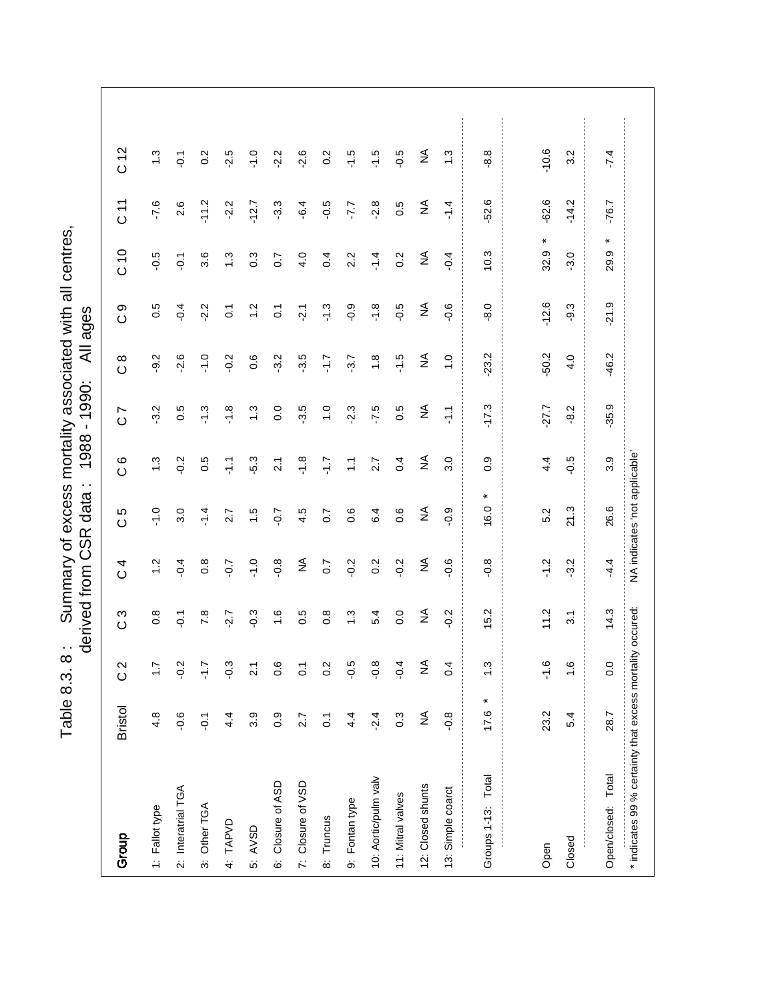Table 8.3. 8: Summary of excess mortality associated with all centres,<br>derived from CSR data: 1988 - 1990: All ages Table 8.3. 8 : Summary of excess mortality associated with all centres,

|                                                           |                |                  | derived from     | SR<br>CSR                    | $\cdot$ .<br>data             | 1988               | 1990:<br>$\blacksquare$      | ₹                   | ages           |                  |                              |                  |
|-----------------------------------------------------------|----------------|------------------|------------------|------------------------------|-------------------------------|--------------------|------------------------------|---------------------|----------------|------------------|------------------------------|------------------|
| Group                                                     | <b>Bristol</b> | $\frac{2}{3}$    | ო<br>$\circ$     | 4<br>$\circ$                 | Ю<br>$\circ$                  | $\circ$<br>$\circ$ | L<br>$\circ$                 | $\infty$<br>$\circ$ | တ<br>$\circ$   | C10              | 11<br>O                      | C <sub>12</sub>  |
| 1: Fallot type                                            | 4.8            | $\ddot{ }$ :     | $0.\overline{8}$ | $\frac{2}{1}$                | $-1.0$                        | $\ddot{.}$         | $-3.2$                       | $-9.2$              | 0.5            | $-0.5$           | $-7.6$                       | $\ddot{.}$       |
| 2: Interatrial TGA                                        | $-0.6$         | $-0.2$           | $\overline{Q}$ : | $-0.4$                       | 3.0                           | $-0.2$             | 0.5                          | $-2.6$              | $-0.4$         | $-0.1$           | 2.6                          | $\overline{Q}$   |
| 3: Other TGA                                              | $\overline{Q}$ | $\overline{1.7}$ | 7.8              | $0.\overline{8}$             | $-1.4$                        | 0.5                | $-1.3$                       | $-1.0$              | $-2.2$         | 3.6              | $-11.2$                      | 0.2              |
| 4: TAPVD                                                  | 4.4            | $-0.3$           | $-2.7$           | $-0.7$                       | 2.7                           | 두                  | $-1.8$                       | $-0.2$              | $\overline{0}$ | $\ddot{.}3$      | $-2.2$                       | $-2.5$           |
| 5: AVSD                                                   | 3.9            | $\tilde{21}$     | $-0.3$           | $-1.0$                       | $\ddot{ }$                    | -5.3               | $\ddot{.}3$                  | 0.6                 | $\ddot{5}$     | 0.3              | $-12.7$                      | $-1.0$           |
| 6: Closure of ASD                                         | 0.9            | 0.6              | $\frac{6}{1}$    | $-0.8$                       | $-0.7$                        | $\frac{1}{2}$      | 0.0                          | $-3.2$              | $\overline{C}$ | $\overline{0.7}$ | $-3.3$                       | $-2.2$           |
| 7: Closure of VSD                                         | 2.7            | $\overline{0}$   | 0.5              | $\stackrel{\triangle}{\geq}$ | 4.5                           | $-1.8$             | $-3.5$                       | $-3.5$              | $-2.1$         | 4.0              | $-6.4$                       | $-2.6$           |
| 8: Truncus                                                | $\overline{0}$ | 0.2              | $0.\overline{8}$ | $\overline{0}$               | $\overline{0}$                | ۲.۲                | $\overline{1}$ .0            | 7.1-                | $-1.3$         | 0.4              | $-0.5$                       | $0.\overline{2}$ |
| 9: Fontan type                                            | 4.4            | $-0.5$           | 1.3              | $-0.2$                       | 0.6                           | $\sum$             | $-2.3$                       | $-3.7$              | $-0.9$         | 2.2              | -7.7                         | $-1.5$           |
| 10: Aortic/pulm valv                                      | $-2.4$         | $-0.8$           | 5.4              | $0.\overline{2}$             | 6.4                           | 2.7                | $-7.5$                       | $\frac{8}{1}$       | $-1.8$         | $-1.4$           | $-2.8$                       | $-1.5$           |
| 11: Mitral valves                                         | 0.3            | $-9.4$           | 0.0              | $-0.2$                       | 0.6                           | 0.4                | 0.5                          | $-1.5$              | $-0.5$         | 0.2              | 0.5                          | $-0.5$           |
| 12: Closed shunts                                         | ≨              | $\frac{1}{2}$    | ₹                | $\lessgtr$                   | $\lessgtr$                    | $\lessgtr$         | $\stackrel{\triangle}{\geq}$ | ₹                   | ₹              | ₹                | $\stackrel{\triangle}{\geq}$ | ₹                |
| 13: Simple coarct                                         | $-0.8$         | 0.4              | $-0.2$           | $-0.6$                       | $-0.9$                        | 3.0                | $\frac{1}{2}$                | $\overline{1}$ . O  | $-0.6$         | $-0.4$           | $-1.4$                       | $\ddot{.}$       |
| Groups 1-13: Total                                        | ×<br>17.6      | $\ddot{.}$       | 15.2             | $-0.8$                       | $\ast$<br>16.0                | 0.9                | $-17.3$                      | 23.2                | $-8.0$         | 10.3             | $-52.6$                      | $-8.8$           |
|                                                           |                |                  |                  |                              |                               |                    |                              |                     |                |                  |                              |                  |
| Open                                                      | 23.2           | $-1.6$           | 11.2             | $-1.2$                       | 5.2                           | 4.4                | $-27.7$                      | $-50.2$             | $-12.6$        | $\ast$<br>32.9   | $-62.6$                      | $-10.6$          |
| Closed                                                    | 5.4            | $\frac{6}{1}$    | 3.1              | $-3.2$                       | 21.3                          | $-0.5$             | $-8.2$                       | 4.0                 | $-9.3$         | $-3.0$           | $-14.2$                      | 3.2              |
| Open/closed: Total                                        | 28.7           | 0.0              | 14.3             | 4.4                          | 26.6                          | 3.9                | $-35.9$                      | $-46.2$             | $-21.9$        | ×<br>29.9        | $-76.7$                      | $-7.4$           |
| * indicates 99 % certainty that excess mortality occured: |                |                  |                  |                              | NA indicates 'not applicable' |                    |                              |                     |                |                  |                              |                  |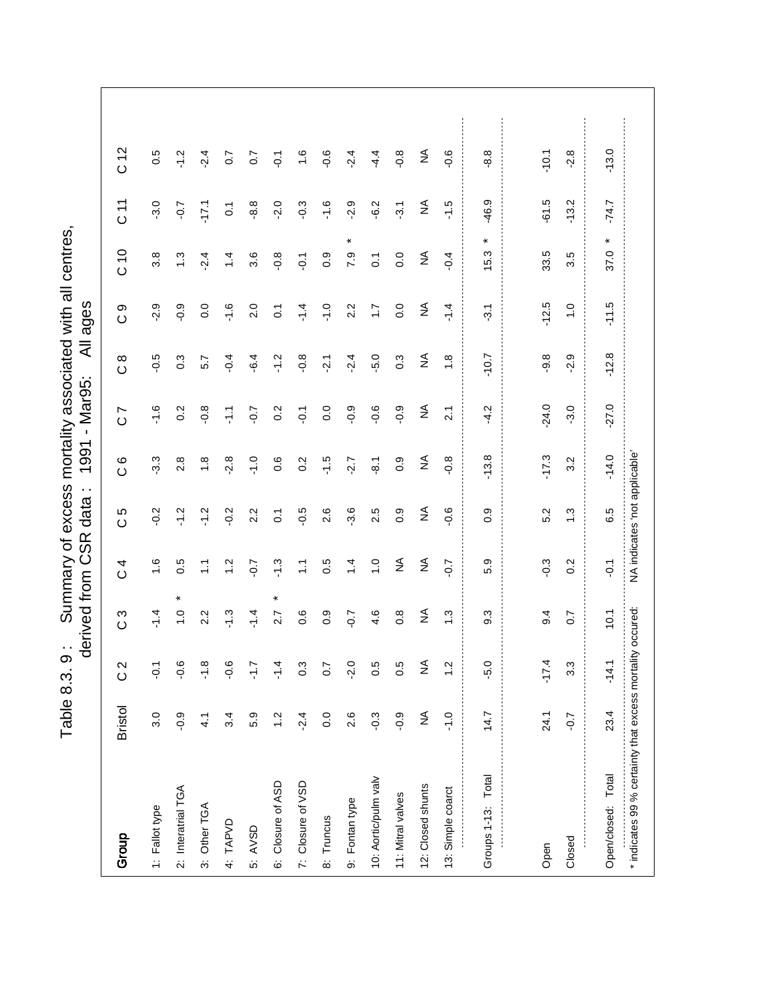Table 8.3. 9: Summary of excess mortality associated with all centres,<br>derived from CSR data: 1991 - Mar95: All ages Table 8.3. 9 : Summary of excess mortality associated with all centres,

|                                                           |                |                  | derived from     | SR<br>O          | $\cdot$ .<br>data             | 1991               | Mar95:<br>$\mathbf{I}$       | ₹                   | ages             |                  |                              |                 |
|-----------------------------------------------------------|----------------|------------------|------------------|------------------|-------------------------------|--------------------|------------------------------|---------------------|------------------|------------------|------------------------------|-----------------|
| Group                                                     | <b>Bristol</b> | $\frac{2}{3}$    | က<br>$\circ$     | 4<br>$\circ$     | Ю<br>$\circ$                  | $\circ$<br>$\circ$ | Ľ<br>$\circ$                 | $\infty$<br>$\circ$ | တ<br>$\circ$     | C10              | 71                           | C <sub>12</sub> |
| 1: Fallot type                                            | 3.0            | $\overline{Q}$   | $-1.4$           | $\frac{6}{1}$    | $-0.2$                        | $-3.3$             | $-1.6$                       | $-0.5$              | $-2.9$           | 3.8              | $-3.0$                       | 0.5             |
| 2: Interatrial TGA                                        | $-0.9$         | $-0.6$           | $\frac{0}{1}$    | 0.5              | $-1.2$                        | 2.8                | 0.2                          | $0.\overline{3}$    | $-0.9$           | $\ddot{.}3$      | $-0.7$                       | $-1.2$          |
| 3: Other TGA                                              | 4.1            | $-1.8$           | 2.2              | $\tilde{\cdot}$  | $-1.2$                        | $\frac{8}{1}$      | $-0.8$                       | 5.7                 | 0.0              | $-2.4$           | $-17.1$                      | $-2.4$          |
| 4: TAPVD                                                  | 3.4            | <u>م.</u>        | $-1.3$           | $\ddot{ }$       | $-0.2$                        | $-2.8$             | 두                            | $-0.4$              | $-1.6$           | $\ddot{4}$       | $\overline{0}$ .             | 0.7             |
| 5: AVSD                                                   | 5.9            | $\frac{1}{2}$    | $-1.4$           | $-0.7$           | 2.2                           | $\frac{0}{1}$      | $-0.7$                       | $-6.4$              | 2.0              | 3.6              | $-8.8$                       | 0.7             |
| 6: Closure of ASD                                         | $\ddot{.}$     | $-1.4$           | $\ast$<br>2.7    | $-1.3$           | $\ddot{\circ}$                | 0.6                | $\overline{0}$ .             | $-1.2$              | $\overline{0}$ . | $-0.8$           | $-2.0$                       | $\overline{Q}$  |
| 7: Closure of VSD                                         | $-2.4$         | $0.\overline{3}$ | 0.6              | $\tilde{L}$      | $-0.5$                        | 0.2                | $-0.1$                       | $-0.8$              | $-1.4$           | $\overline{O}$ . | $-0.3$                       | $\frac{6}{1}$   |
| 8: Truncus                                                | 0.0            | 0.7              | $0.\overline{9}$ | 0.5              | 2.6                           | $-1.5$             | 0.0                          | $-2.1$              | $-1.0$           | $0.\overline{9}$ | $-1.6$                       | $-0.6$          |
| 9: Fontan type                                            | 2.6            | $-2.0$           | $-0.7$           | $\dot{4}$        | 3.6                           | $-2.7$             | $-0.9$                       | $-2.4$              | 2.2              | $\ast$<br>7.9    | $-2.9$                       | $-2.4$          |
| 10: Aortic/pulm valv                                      | $-0.3$         | 0.5              | 4.6              | $\frac{0}{1}$    | 2.5                           | $\overline{8}$ .   | $-0.6$                       | $-5.0$              | $\ddot{ }$ :     | $\overline{0}$   | $-6.2$                       | 4.4             |
| 11: Mitral valves                                         | $-0.9$         | 0.5              | $0.\overline{8}$ | $\lessgtr$       | 0.9                           | 0.9                | $-0.9$                       | 0.3                 | 0.0              | $\overline{0}$ . | $-3.1$                       | $-0.8$          |
| 12: Closed shunts                                         | $\lessgtr$     | $\lessgtr$       | ₹                | $\lessgtr$       | $\lessgtr$                    | ₹                  | $\stackrel{\triangle}{\geq}$ | $\lessgtr$          | $\lessgtr$       | $\lessgtr$       | $\stackrel{\triangle}{\geq}$ | ₹               |
| 13: Simple coarct                                         | $-1.0$         | $\ddot{2}$       | 1.3              | $-0.7$           | $-0.6$                        | $-0.8$             | $\overline{2}$ .             | $\frac{8}{1}$       | $-1.4$           | $-0.4$           | $-1.5$                       | $-0.6$          |
| Groups 1-13: Total                                        | 14.7           | -5.0             | $9.\overline{3}$ | 5.9              | $\overline{0}$ .              | $-13.8$            | $-4.2$                       | $-10.7$             | $-3.1$           | *<br>15.3        | -46.9                        | 8.8             |
|                                                           |                |                  |                  |                  |                               |                    |                              |                     |                  |                  |                              |                 |
| Open                                                      | 24.1           | $-17.4$          | 9.4              | $-0.3$           | 5.2                           | $-17.3$            | $-24.0$                      | $-9.8$              | $-12.5$          | 33.5             | $-61.5$                      | $-10.1$         |
| Closed                                                    | $-0.7$         | 3.3              | 0.7              | $0.\overline{2}$ | $\ddot{.}$                    | 3.2                | $-3.0$                       | $-2.9$              | $\frac{0}{1}$    | 3.5              | $-13.2$                      | $-2.8$          |
| Open/closed: Total                                        | 23.4           | $-14.1$          | 10.1             | $\overline{Q}$   | 6.5                           | $-14.0$            | $-27.0$                      | $-12.8$             | $-11.5$          | ×<br>37.0        | $-74.7$                      | $-13.0$         |
| * indicates 99 % certainty that excess mortality occured: |                |                  |                  |                  | NA indicates 'not applicable' |                    |                              |                     |                  |                  |                              |                 |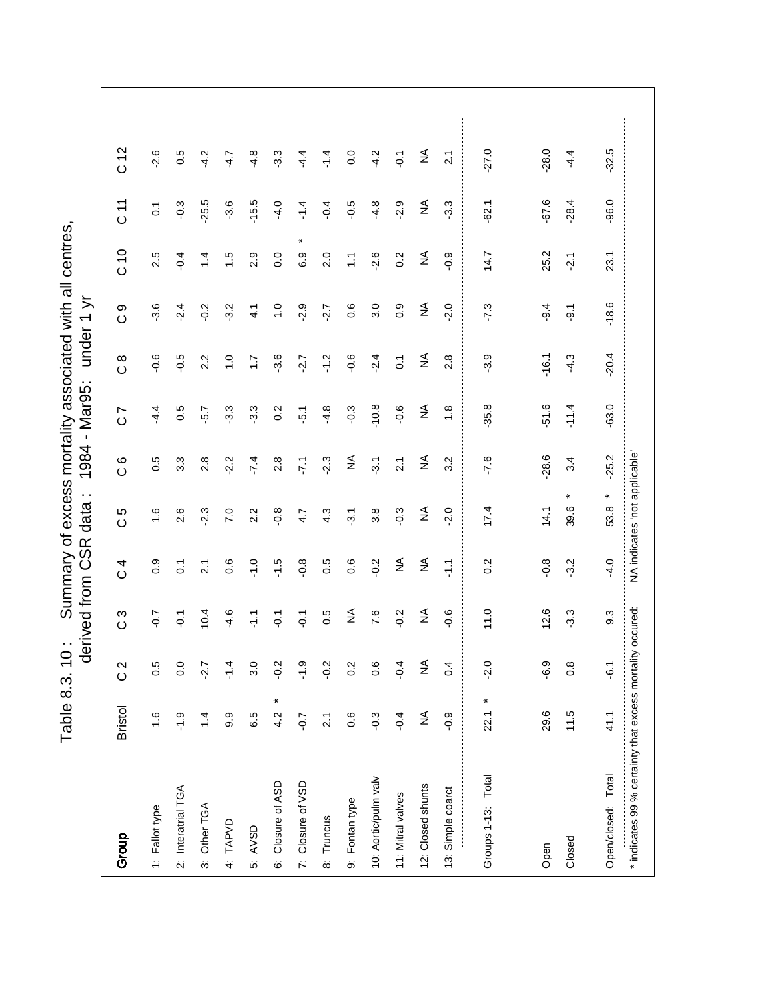Table 8.3. 10: Summary of excess mortality associated with all centres,<br>derived from CSR data: 1984 - Mar95: under 1 yr Table 8.3. 10: Summary of excess mortality associated with all centres,

|                                                           |                     | ℧                | erived from      | CSR<br>C         | $\cdot$ .<br>data             | 1984               | Mar95:<br>$\bar{1}$          | under               | こ<br>$\overline{\phantom{0}}$ |               |                  |                 |
|-----------------------------------------------------------|---------------------|------------------|------------------|------------------|-------------------------------|--------------------|------------------------------|---------------------|-------------------------------|---------------|------------------|-----------------|
| Group                                                     | <b>Bristol</b>      | $\frac{2}{3}$    | ပိ               | $\overline{C}$   | Ю<br>$\circ$                  | $\circ$<br>$\circ$ | L<br>$\circ$                 | $\infty$<br>$\circ$ | တ<br>$\circ$                  | C10           | $\frac{1}{2}$    | C <sub>12</sub> |
| 1: Fallot type                                            | $\frac{6}{1}$       | 0.5              | $-0.7$           | 0.9              | $\frac{6}{1}$                 | 0.5                | $-4.4$                       | $-0.6$              | $-3.6$                        | 2.5           | $\overline{0}$ . | $-2.6$          |
| 2: Interatrial TGA                                        | $-1.9$              | 0.0              | $\overline{Q}$   | $\tilde{c}$      | 2.6                           | 3.3                | 0.5                          | $-0.5$              | $-2.4$                        | $-0.4$        | $-0.3$           | 0.5             |
| 3: Other TGA                                              | $\dot{4}$           | $-2.7$           | 10.4             | $\overline{2.1}$ | $-2.3$                        | 2.8                | $-5.7$                       | 2.2                 | $-0.2$                        | $\dot{4}$     | $-25.5$          | $-4.2$          |
| 4: TAPVD                                                  | 9.9                 | $-1.4$           | $-4.6$           | 0.6              | 7.0                           | $-2.2$             | $-3.3$                       | $\frac{0}{1}$       | $-3.2$                        | $\frac{5}{1}$ | $-3.6$           | $-4.7$          |
| 5: AVSD                                                   | 6.5                 | 3.0              | $\frac{1}{2}$    | $-1.0$           | 2.2                           | $-7.4$             | $-3.3$                       | $\mathcal{L}$       | 4.1                           | 2.9           | $-15.5$          | 4.8             |
| 6: Closure of ASD                                         | $\pmb{\ast}$<br>4.2 | $-0.2$           | $\overline{Q}$ . | $-1.5$           | $-0.8$                        | 2.8                | 0.2                          | $-3.6$              | $\frac{0}{1}$                 | 0.0           | $-4.0$           | -3.3            |
| 7: Closure of VSD                                         | $-0.7$              | $-1.9$           | $\overline{O}$ . | $-0.8$           | 4.7                           | $-7.1$             | $-5.1$                       | $-2.7$              | $-2.9$                        | $\ast$<br>6.9 | $-1.4$           | $-4.4$          |
| 8: Truncus                                                | $\overline{2.1}$    | $-0.2$           | 0.5              | 0.5              | 4.3                           | $-2.3$             | $-4.8$                       | $-1.2$              | $-2.7$                        | 2.0           | $-0.4$           | $-1.4$          |
| 9: Fontan type                                            | 0.6                 | 0.2              | ₹                | 0.6              | $-3.1$                        | ≨                  | $-0.3$                       | $-0.6$              | 0.6                           | $\frac{1}{2}$ | $-0.5$           | 0.0             |
| 10: Aortic/pulm valv                                      | $-0.3$              | 0.6              | 7.6              | $-0.2$           | 3.8                           | $\overline{3}$ .   | $-10.8$                      | $-2.4$              | 3.0                           | $-2.6$        | $-4.8$           | $-4.2$          |
| 11: Mitral valves                                         | $-0.4$              | $-9.4$           | $-0.2$           | ≨                | $-0.3$                        | $\tilde{2}$        | $-0.6$                       | $\overline{0}$      | $0.\overline{9}$              | 0.2           | $-2.9$           | $\overline{Q}$  |
| 12: Closed shunts                                         | $\lessgtr$          | $\frac{1}{2}$    | ₹                | $\lessgtr$       | ₹                             | ≸                  | $\stackrel{\triangle}{\geq}$ | ₹                   | ≨                             | ₹             | ≨                | ≨               |
| 13: Simple coarct                                         | $-0.9$              | 0.4              | $-0.6$           | $\frac{1}{2}$    | $-2.0$                        | 3.2                | $\frac{8}{1}$                | 2.8                 | $-2.0$                        | $-0.9$        | $-3.3$           | $\overline{21}$ |
| Groups 1-13: Total                                        | ×<br>22.1           | $-2.0$           | 11.0             | 0.2              | 17.4                          | $-7.6$             | $-35.8$                      | $-3.9$              | $-7.3$                        | 14.7          | $-62.1$          | $-27.0$         |
|                                                           |                     |                  |                  |                  |                               |                    |                              |                     |                               |               |                  |                 |
| Open                                                      | 29.6                | <u>و.</u>        | 12.6             | $-0.8$           | 14.1                          | $-28.6$            | $-51.6$                      | $-16.1$             | $-9.4$                        | 25.2          | $-67.6$          | $-28.0$         |
| Closed                                                    | 11.5                | $0.\overline{8}$ | $-3.3$           | $-3.2$           | $\ast$<br>39.6                | 3.4                | $-11.4$                      | $-4.3$              | $-9.1$                        | $-2.1$        | $-28.4$          | $-4.4$          |
| Open/closed: Total                                        | 41.1                | $-6.1$           | $9.\overline{3}$ | $-4.0$           | ×<br>53.8                     | $-25.2$            | $-63.0$                      | $-20.4$             | $-18.6$                       | 23.1          | $-96.0$          | $-32.5$         |
| * indicates 99 % certainty that excess mortality occured: |                     |                  |                  |                  | NA indicates 'not applicable' |                    |                              |                     |                               |               |                  |                 |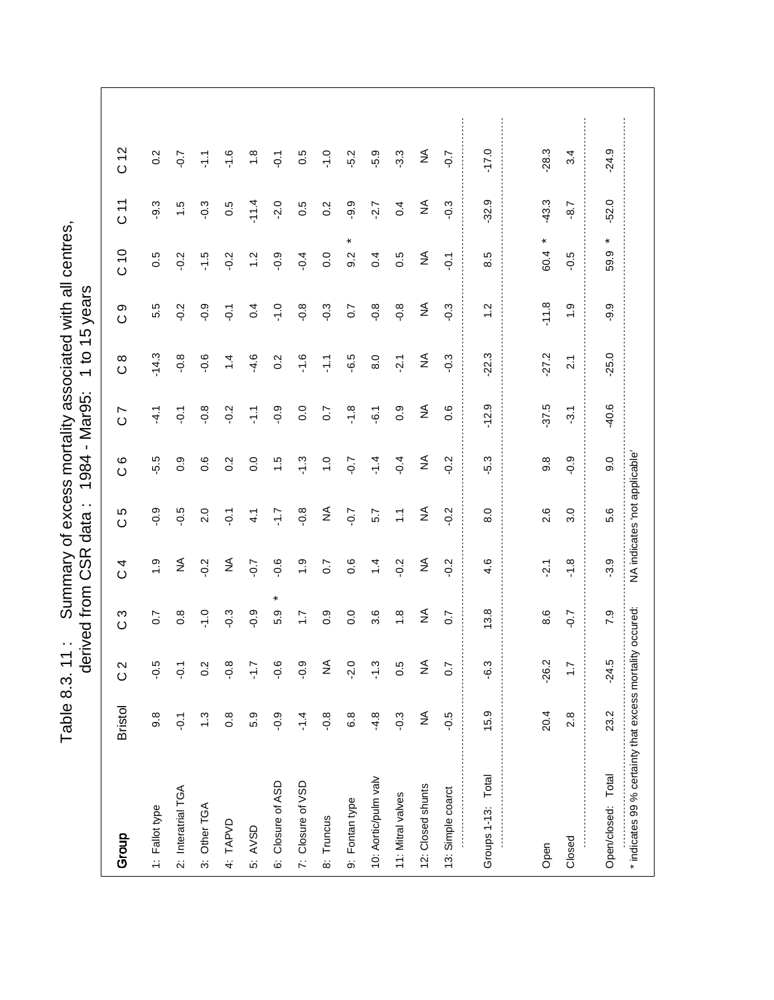Table 8.3. 11: Summary of excess mortality associated with all centres,<br>derived from CSR data: 1984 - Mar95: 1 to 15 years Table 8.3. 11 : Summary of excess mortality associated with all centres,

|                                                           |                  | ಕಿ              | rived from       | CSR<br>C          | $\cdot$ .<br>data             | $\mathbf{I}$<br>1984 | Mar95:                       | $\mathbf{S}$<br>$\overline{\phantom{0}}$ | years<br>45    |                  |               |                 |
|-----------------------------------------------------------|------------------|-----------------|------------------|-------------------|-------------------------------|----------------------|------------------------------|------------------------------------------|----------------|------------------|---------------|-----------------|
| Group                                                     | <b>Bristol</b>   | $\frac{2}{3}$   | S<br>$\circ$     | 4<br>$\circ$      | Ю<br>$\circ$                  | $\circ$<br>$\circ$   | L<br>$\circ$                 | $\infty$<br>$\circ$                      | တ<br>$\circ$   | C10              | 71<br>0       | C <sub>12</sub> |
| 1: Fallot type                                            | $9.\overline{8}$ | -0.5            | $\overline{0.7}$ | $\ddot{0}$        | $-0.9$                        | -5.5                 | $-4.1$                       | $-14.3$                                  | 5.5            | 0.5              | $-9.3$        | 0.2             |
| 2: Interatrial TGA                                        | $\overline{Q}$   | ζņ              | $0.\overline{8}$ | ≨                 | $-0.5$                        | 0.9                  | $\overline{Q}$ :             | $-0.8$                                   | $-0.2$         | $-0.2$           | $\frac{1}{1}$ | $-0.7$          |
| 3: Other TGA                                              | $\ddot{.}$       | 0.2             | $-1.0$           | $-0.2$            | 2.0                           | 0.6                  | $-0.8$                       | $-0.6$                                   | $-0.9$         | $-1.5$           | $-0.3$        | $\frac{1}{2}$   |
| 4: TAPVD                                                  | $0.\overline{8}$ | $-0.8$          | $-0.3$           | $\lessgtr$        | $\overline{Q}$                | 0.2                  | $-0.2$                       | $\ddot{ }$                               | $\overline{Q}$ | $-0.2$           | 0.5           | $-1.6$          |
| 5: AVSD                                                   | 5.9              | $\frac{1}{2}$ . | $-0.9$           | $-0.7$            | $\frac{1}{4}$                 | 0.0                  | $\frac{7}{1}$                | $-4.6$                                   | 0.4            | $\frac{2}{1}$    | $-11.4$       | $\frac{8}{1}$   |
| 6: Closure of ASD                                         | $-0.9$           | $\frac{6}{7}$   | ×<br>5.9         | $-0.6$            | 7.J-                          | $\frac{6}{1}$        | $-0.9$                       | $0.\overline{2}$                         | $-1.0$         | $-0.9$           | $-2.0$        | $\overline{Q}$  |
| 7: Closure of VSD                                         | $-1.4$           | <u>ဝ</u>        | $\ddot{ }$ :     | $\ddot{ }$ .      | $-0.8$                        | $-1.3$               | 0.0                          | $-1.6$                                   | $-0.8$         | $-0.4$           | 0.5           | 0.5             |
| 8: Truncus                                                | $-0.8$           | $\frac{1}{2}$   | $0.\overline{9}$ | $\overline{0}$ .7 | $\lessgtr$                    | $\frac{0}{1}$        | $\overline{0}$ .7            | 두                                        | $-0.3$         | 0.0              | 0.2           | $-1.0$          |
| 9: Fontan type                                            | 6.8              | $-2.0$          | $\overline{0}$ . | 0.6               | $-0.7$                        | $-0.7$               | $-1.8$                       | -6.5                                     | 0.7            | 9.2              | $-9.9$        | $-5.2$          |
| 10: Aortic/pulm valv                                      | $-4.8$           | $-1.3$          | 3.6              | $1\overline{4}$   | 5.7                           | $-1.4$               | $-6.1$                       | 8.0                                      | $-0.8$         | 0.4              | $-2.7$        | $-5.9$          |
| 11: Mitral valves                                         | $-0.3$           | 0.5             | $\frac{8}{1}$    | $-0.2$            | $\tilde{z}$                   | $-0.4$               | 0.9                          | $-2.1$                                   | $-0.8$         | 0.5              | 0.4           | $-3.3$          |
| 12: Closed shunts                                         | ≨                | $\frac{1}{2}$   | ≨                | $\lessgtr$        | ₹                             | ₹                    | $\stackrel{\triangle}{\geq}$ | ≨                                        | ≨              | ₹                | ≨             | ₹               |
| 13: Simple coarct                                         | $-0.5$           | 0.7             | 0.7              | $-0.2$            | $-0.2$                        | $-0.2$               | 0.6                          | $-0.3$                                   | $-0.3$         | $\overline{Q}$ : | $-0.3$        | $-0.7$          |
| Groups 1-13: Total                                        | 15.9             | م.<br>م         | 13.8             | 4.6               | 8.0                           | -5.3                 | $-12.9$                      | 22.3                                     | 1.2            | 8.5              | $-32.9$       | $-17.0$         |
|                                                           |                  |                 |                  |                   |                               |                      |                              |                                          |                |                  |               |                 |
| Open                                                      | 20.4             | $-26.2$         | 8.6              | $-2.1$            | 2.6                           | $9.\overline{8}$     | $-37.5$                      | $-27.2$                                  | $-11.8$        | ×<br>60.4        | $-43.3$       | $-28.3$         |
| Closed                                                    | 2.8              | $\ddot{ }$ :    | $-0.7$           | $-1.8$            | 3.0                           | $-0.9$               | $-3.1$                       | $\overline{2.1}$                         | $\frac{0}{1}$  | $-0.5$           | $-8.7$        | 3.4             |
| Open/closed: Total                                        | 23.2             | $-24.5$         | 7.9              | $-3.9$            | 5.6                           | 0.6                  | $-40.6$                      | $-25.0$                                  | $-9.9$         | ×<br>59.9        | $-52.0$       | $-24.9$         |
| * indicates 99 % certainty that excess mortality occured: |                  |                 |                  |                   | NA indicates 'not applicable' |                      |                              |                                          |                |                  |               |                 |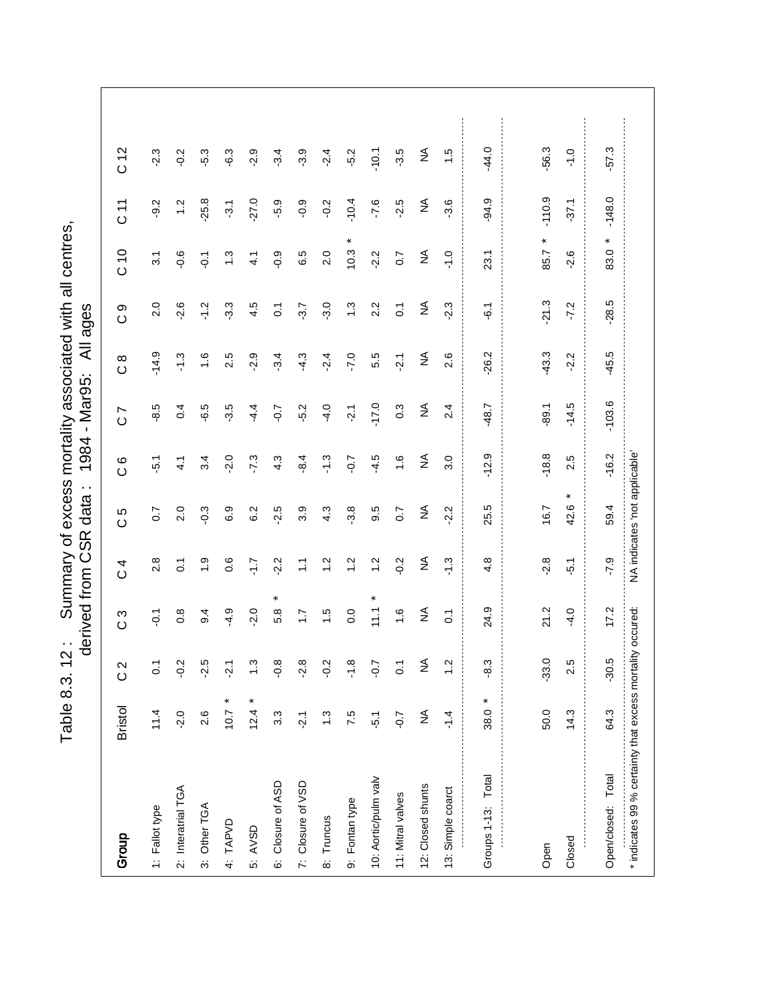Table 8.3. 12: Summary of excess mortality associated with all centres,<br>derived from CSR data: 1984 - Mar95: All ages Table 8.3. 12: Summary of excess mortality associated with all centres,

|                                                           |                |                  | derived from     | CSR<br>C         | $\ddot{\phantom{0}}$<br>data  | 1984               | - Mar95:                  | ₹                   | ages           |                              |               |                 |
|-----------------------------------------------------------|----------------|------------------|------------------|------------------|-------------------------------|--------------------|---------------------------|---------------------|----------------|------------------------------|---------------|-----------------|
| Group                                                     | <b>Bristol</b> | $\frac{2}{3}$    | ပိ               | 4<br>$\circ$     | 5<br>$\circ$                  | $\circ$<br>$\circ$ | $\overline{ }$<br>$\circ$ | $\infty$<br>$\circ$ | တ<br>$\circ$   | $\frac{0}{2}$                | 71<br>0       | C <sub>12</sub> |
| 1: Fallot type                                            | 11.4           | $\overline{0}$ . | $\overline{Q}$ : | 2.8              | $\overline{0}$                | $\overline{5}$     | $-8.5$                    | $-14.9$             | 2.0            | $\overline{3.1}$             | $-9.2$        | $-2.3$          |
| 2: Interatrial TGA                                        | $-2.0$         | $-0.2$           | $0.\overline{8}$ | $\overline{c}$   | 2.0                           | 4.1                | 0.4                       | $-1.3$              | $-2.6$         | $-0.6$                       | $\ddot{ }$    | $-0.2$          |
| 3: Other TGA                                              | 2.6            | $-2.5$           | 9.4              | $\frac{1}{2}$    | $-0.3$                        | 3.4                | -6.5                      | $\frac{6}{1}$       | $-1.2$         | $\overline{Q}$ .             | $-25.8$       | $-5.3$          |
| 4: TAPVD                                                  | ×<br>10.7      | $-2.1$           | $-4.9$           | 0.6              | 6.9                           | $-2.0$             | -3.5                      | 2.5                 | $-3.3$         | $\ddot{.}$                   | $\frac{3}{1}$ | $-6.3$          |
| 5: AVSD                                                   | $12.4 *$       | $\ddot{.}3$      | $-2.0$           | 7.1-             | 6.2                           | $-7.3$             | $-4.4$                    | $-2.9$              | 4.5            | $\frac{1}{4}$                | $-27.0$       | $-2.9$          |
| 6: Closure of ASD                                         | 3.3            | $-0.8$           | ×<br>5.8         | $-2.2$           | $-2.5$                        | 4.3                | $-0.7$                    | $-3.4$              | $\overline{C}$ | $-0.9$                       | -5.9          | $-3.4$          |
| 7: Closure of VSD                                         | $-2.1$         | $-2.8$           | $\ddot{ }$ :     | $\sum_{i=1}^{n}$ | 3.9                           | $-8.4$             | $-5.2$                    | $-4.3$              | $-3.7$         | 6.5                          | $-0.9$        | $-3.9$          |
| 8: Truncus                                                | $\ddot{.}3$    | $-0.2$           | 1.5              | $\ddot{ }$       | 4.3                           | $-1.3$             | $-4.0$                    | $-2.4$              | $-3.0$         | 2.0                          | $-0.2$        | $-2.4$          |
| 9: Fontan type                                            | 7.5            | $-1.8$           | 0.0              | $\ddot{ }$       | 3.8                           | $-0.7$             | $-2.1$                    | $-7.0$              | $\ddot{.}$     | 10.3                         | $-10.4$       | $-5.2$          |
| 10: Aortic/pulm valv                                      | $-5.1$         | $-0.7$           | 11.1             | $\frac{2}{1}$    | 9.5                           | $-4.5$             | $-17.0$                   | 5.5                 | 2.2            | $-2.2$                       | $-7.6$        | $-10.1$         |
| 11: Mitral valves                                         | $-0.7$         | $\overline{0}$   | $\frac{6}{1}$    | $-0.2$           | 0.7                           | $\frac{6}{1}$      | $0.\overline{3}$          | $-2.1$              | $\overline{0}$ | $\overline{0}$ .             | $-2.5$        | $-3.5$          |
| 12: Closed shunts                                         | ≨              | $\frac{1}{2}$    | ₹                | $\lessgtr$       | ₹                             | ≨                  | $\lessgtr$                | ≨                   | ₹              | $\stackrel{\triangle}{\geq}$ | ₹             | ≨               |
| 13: Simple coarct                                         | $-1.4$         | $\ddot{.}$       | $\overline{0}$   | $-1.3$           | $-2.2$                        | 3.0                | 2.4                       | 2.6                 | $-2.3$         | $-1.0$                       | $-3.6$        | 1.5             |
| Groups 1-13: Total                                        | $38.0 *$       | $-8.3$           | 24.9             | 4.8              | 25.5                          | $-12.9$            | -48.7                     | $-26.2$             | $-6.1$         | 23.1                         | $-94.9$       | $-44.0$         |
| Open                                                      | 50.0           | $-33.0$          | 21.2             | $-2.8$           | 167                           | $-18.8$            | $-89.1$                   | $-43.3$             | $-21.3$        | ¥<br>85.7                    | $-110.9$      | $-56.3$         |
| Closed                                                    | 14.3           | 2.5              | $-4.0$           | $-5.1$           | ×<br>42.6                     | 2.5                | $-14.5$                   | $-2.2$              | $-7.2$         | $-2.6$                       | $-37.1$       | $-1.0$          |
| Open/closed: Total                                        | 64.3           | $-30.5$          | 17.2             | $-7.9$           | 59.4                          | $-16.2$            | $-103.6$                  | $-45.5$             | $-28.5$        | ×<br>83.0                    | $-148.0$      | $-57.3$         |
| * indicates 99 % certainty that excess mortality occured: |                |                  |                  |                  | NA indicates 'not applicable' |                    |                           |                     |                |                              |               |                 |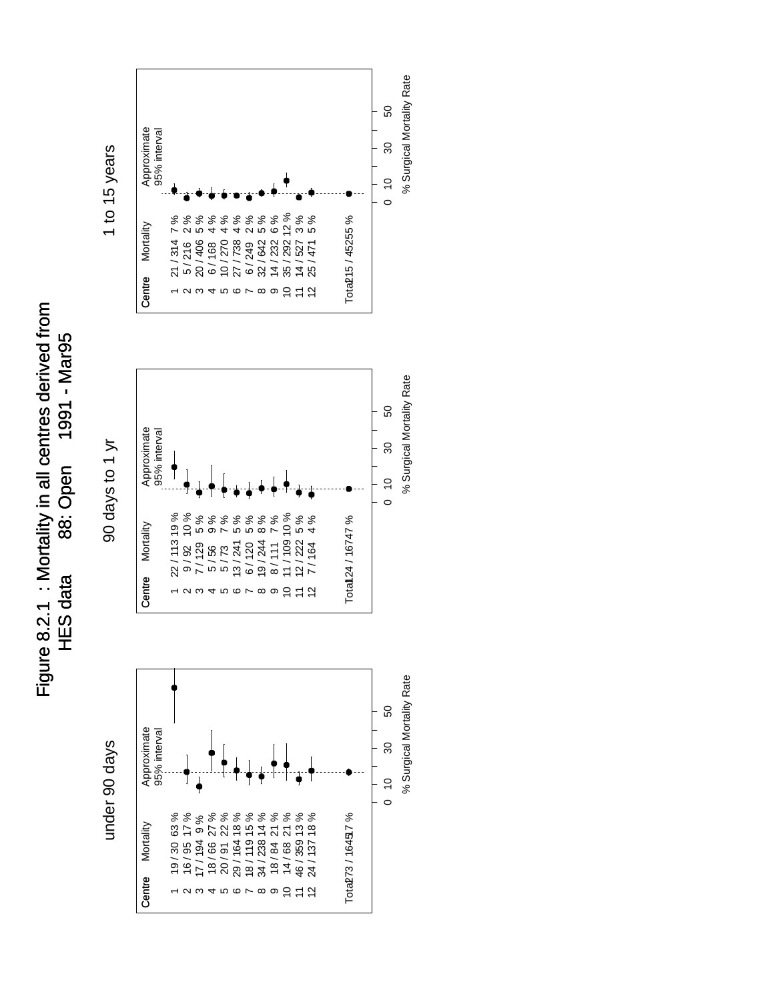Figure 8.2.1 : Mortality in all centres derived from Figure 8.2.1 : Mortality in all centres derived from 88: Open 1991 - Mar95 HES data 88: Open 1991 - Mar95 **HES data** 



1 to 15 years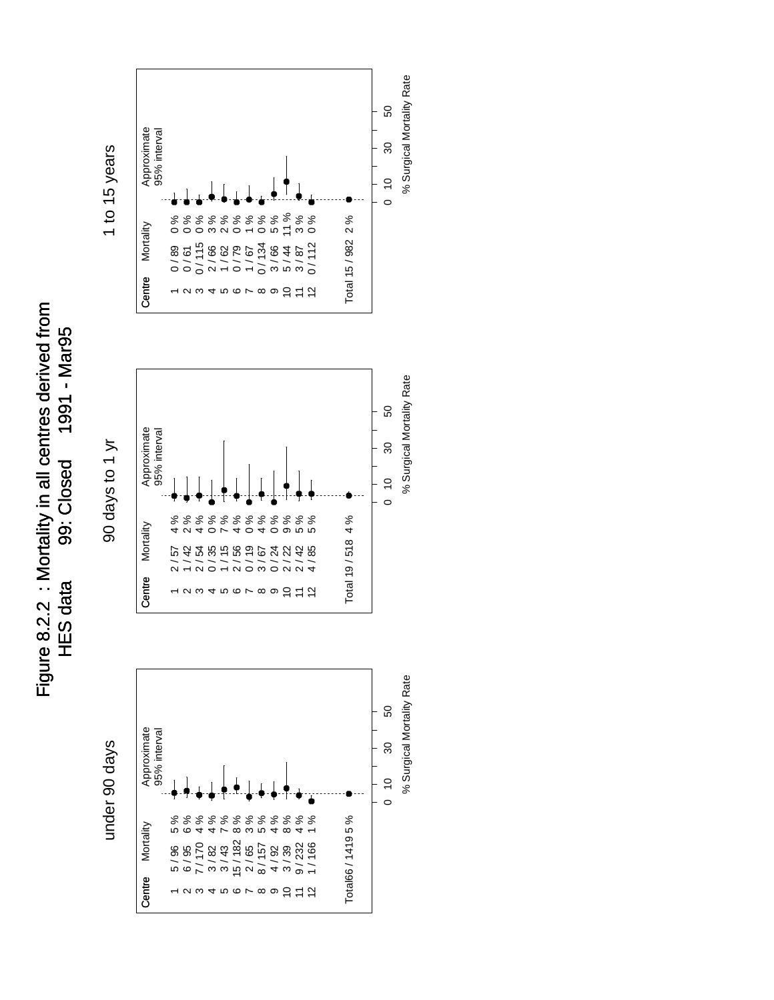Figure 8.2.2 : Mortality in all centres derived from Figure 8.2.2 : Mortality in all centres derived from 99: Closed 1991 - Mar95 HES data 99: Closed 99: Closed 1991 - Margo **HES data** 







95% interval

Approximate<br>95% interval



% Surgical Mortality Rate % Surgical Mortality Rate

0

10 30 50

 $\overline{\mathrm{30}}$ 

50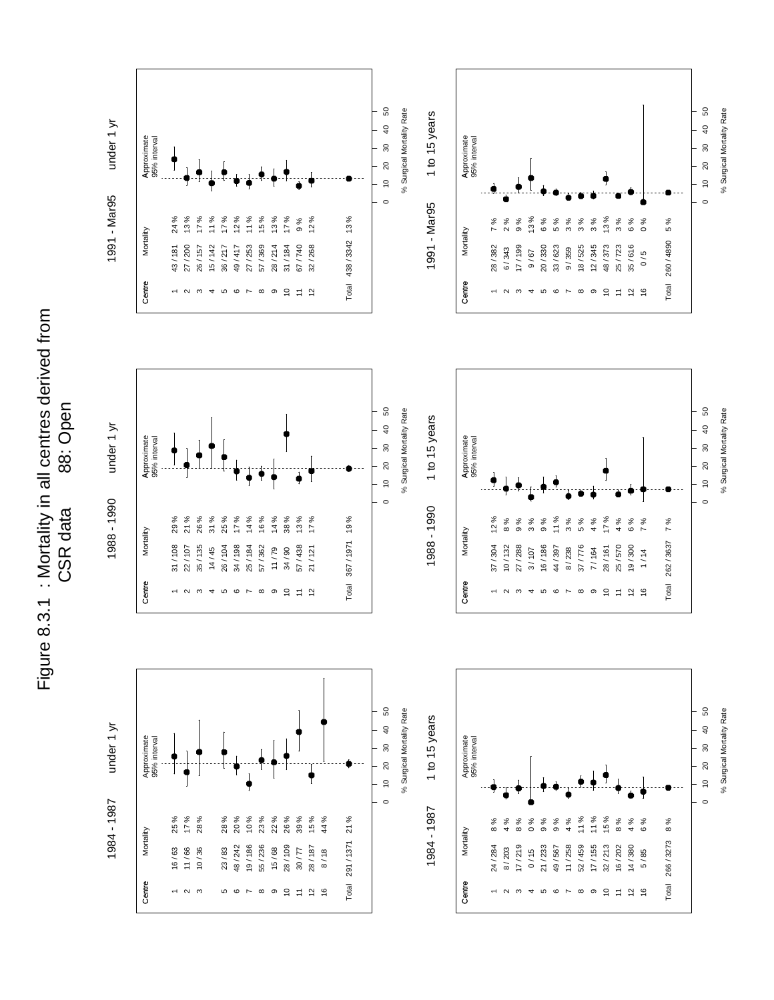

Figure 8.3.1 : Mortality in all centres derived from Figure 8.3.1 : Mortality in all centres derived from 88: Open CSR data 88: Open CSR data